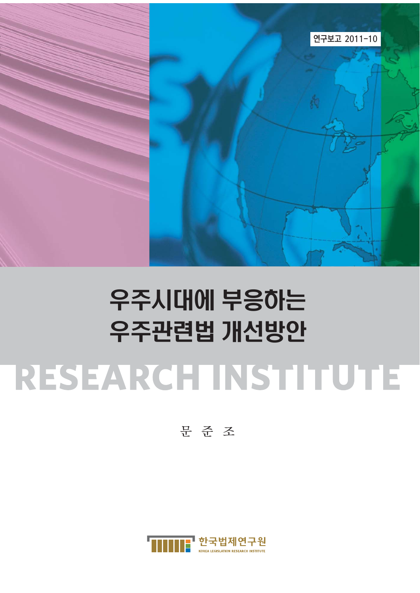

# 우주시대에 부응하는 우주관련법 개선방안 RESEARCHTINSTITUTE

문준조

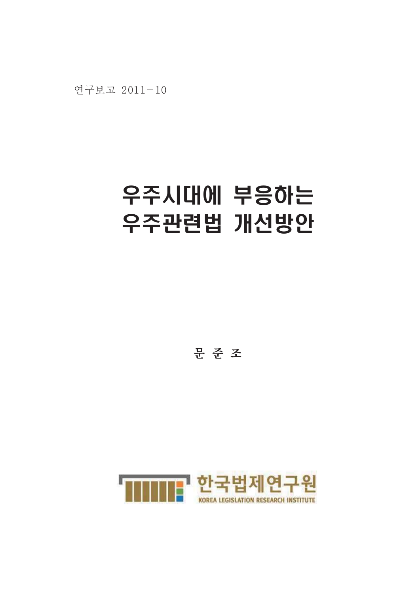연구보고 2011-10

# 우주시대에 부응하는 우주관련법 개선방안

문준조

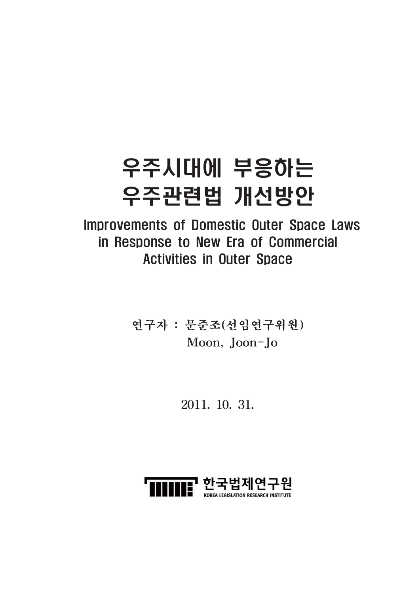# 우주시대에 부응하는 우주관련법 개선방안

**Improvements of Domestic Outer Space Laws** in Response to New Era of Commercial **Activities in Outer Space** 

> 연구자 : 문준조(선임연구위원) Moon, Joon-Jo

> > 2011, 10, 31,

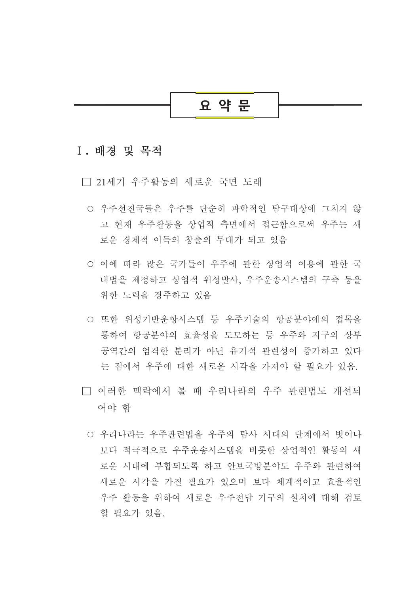

#### I. 배경 및 목적

□ 21세기 우주활동의 새로운 국면 도래

- 우주선진국들은 우주를 단수히 과학적인 탐구대상에 그치지 않 고 현재 우주활동을 상업적 측면에서 접근함으로써 우주는 새 로운 경제적 이득의 창출의 무대가 되고 있음
- 이에 따라 많은 국가들이 우주에 과한 상업적 이용에 과한 국 내법을 제정하고 상업적 위성발사, 우주운송시스템의 구축 등을 위한 노력을 경주하고 있음
- 또한 위성기반운항시스템 등 우주기술의 항공분야에의 접목을 통하여 항공부야의 효율성을 도모하는 등 우주와 지구의 상부 공역간의 엄격한 부리가 아닌 유기적 관련성이 증가하고 있다 는 점에서 우주에 대한 새로운 시각을 가져야 할 필요가 있음.
- □ 이러한 맥락에서 볼 때 우리나라의 우주 관련법도 개선되 어야 함
	- 우리나라는 우주관련법을 우주의 탐사 시대의 단계에서 벗어나 보다 적극적으로 우주운송시스템을 비롯한 상업적인 활동의 새 로우 시대에 부합되도록 하고 안보국방부야도 우주와 관련하여 새로운 시각을 가질 필요가 있으며 보다 체계적이고 효율적인 우주 활동을 위하여 새로운 우주전담 기구의 설치에 대해 검토 할 필요가 있음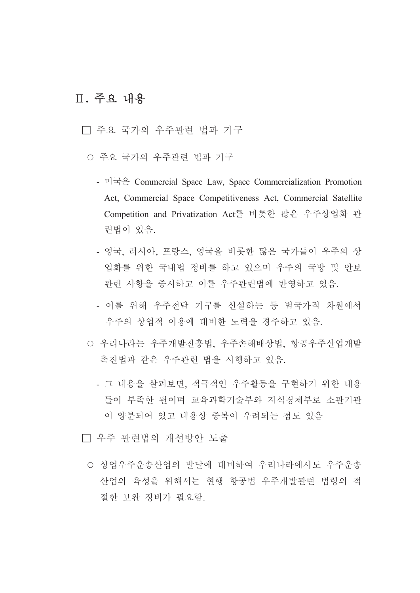# Ⅱ. 주요 내용

#### □ 주요 국가의 우주관련 법과 기구

- 주요 국가의 우주관련 법과 기구
	- 미국은 Commercial Space Law, Space Commercialization Promotion Act, Commercial Space Competitiveness Act, Commercial Satellite Competition and Privatization Act를 비롯한 많은 우주상업화 관 련법이 있음.
	- 영국, 러시아, 프랑스, 영국을 비롯한 많은 국가들이 우주의 상 업화를 위한 국내법 정비를 하고 있으며 우주의 국방 및 안보 관련 사항을 중시하고 이를 우주관련법에 반영하고 있음.
	- 이를 위해 우주전담 기구를 신설하는 등 범국가적 차워에서 우주의 상업적 이용에 대비한 노력을 경주하고 있음.
- 우리나라는 우주개발진흥법, 우주손해배상법, 항공우주산업개발 촉진법과 같은 우주관련 법을 시행하고 있음.
	- 그 내용을 살펴보면, 적극적인 우주활동을 구현하기 위한 내용 들이 부족한 편이며 교육과학기술부와 지식경제부로 소관기관 이 양분되어 있고 내용상 중복이 우려되는 점도 있음
- □ 우주 관련법의 개선방안 도출
	- 상업우주운송산업의 발달에 대비하여 우리나라에서도 우주운송 산업의 육성을 위해서는 현행 항공법 우주개발관련 법령의 적 절한 보와 정비가 필요함.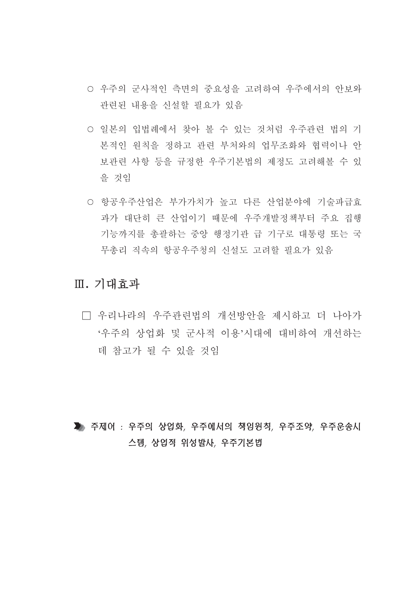- 우주의 군사적인 측면의 중요성을 고려하여 우주에서의 안보와 관련된 내용을 신설할 필요가 있음
- 일본의 입법례에서 찾아 볼 수 있는 것처럼 우주관련 법의 기 본적인 원칙을 정하고 관련 부처와의 업무조화와 협력이나 안 보관련 사항 등을 규정한 우주기본법의 제정도 고려해볼 수 있 을 것임
- 항공우주산업은 부가가치가 높고 다른 산업분야에 기술파급효 과가 대단히 큰 산업이기 때문에 우주개발정책부터 주요 집행 기능까지를 총괄하는 중앙 행정기관 급 기구로 대통령 또는 국 무총리 직속의 항공우주청의 신설도 고려할 필요가 있음

### Ⅲ. 기대효과

□ 우리나라의 우주관련법의 개선방안을 제시하고 더 나아가 '우주의 상업화 및 군사적 이용'시대에 대비하여 개선하는 데 참고가 될 수 있을 것임

▶ 주제어 : 우주의 상업화, 우주에서의 책임원칙, 우주조약, 우주운송시 스템, 상업적 위성발사, 우주기본법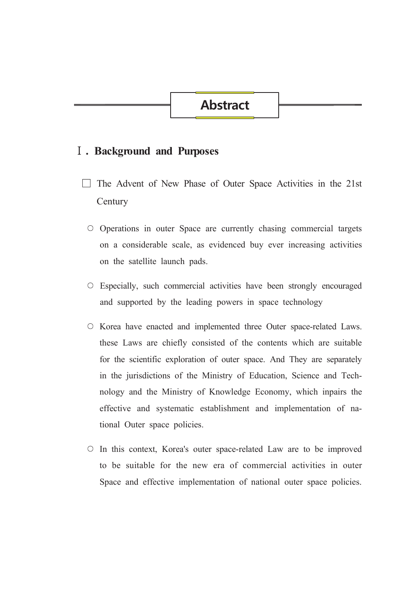# **Abstract**

#### **I**. Background and Purposes

- The Advent of New Phase of Outer Space Activities in the 21st Century
- O Operations in outer Space are currently chasing commercial targets on a considerable scale, as evidenced buy ever increasing activities on the satellite launch pads.
- Especially, such commercial activities have been strongly encouraged and supported by the leading powers in space technology
- Korea have enacted and implemented three Outer space-related Laws. these Laws are chiefly consisted of the contents which are suitable for the scientific exploration of outer space. And They are separately in the jurisdictions of the Ministry of Education, Science and Technology and the Ministry of Knowledge Economy, which inpairs the effective and systematic establishment and implementation of national Outer space policies.
- In this context, Korea's outer space-related Law are to be improved to be suitable for the new era of commercial activities in outer Space and effective implementation of national outer space policies.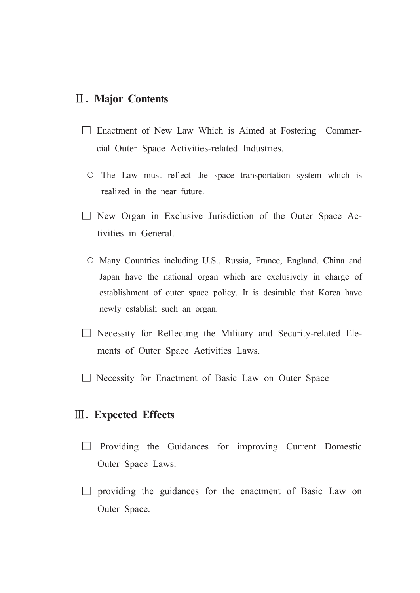#### **II. Major Contents**

- $\Box$  Enactment of New Law Which is Aimed at Fostering Commercial Outer Space Activities-related Industries.
	- $\circ$  The Law must reflect the space transportation system which is realized in the near future.
- $\Box$  New Organ in Exclusive Jurisdiction of the Outer Space Activities in General
	- O Many Countries including U.S., Russia, France, England, China and Japan have the national organ which are exclusively in charge of establishment of outer space policy. It is desirable that Korea have newly establish such an organ.
- $\Box$  Necessity for Reflecting the Military and Security-related Elements of Outer Space Activities Laws.
- $\Box$  Necessity for Enactment of Basic Law on Outer Space

#### **III.** Expected Effects

- $\Box$  Providing the Guidances for improving Current Domestic Outer Space Laws.
- $\Box$  providing the guidances for the enactment of Basic Law on Outer Space.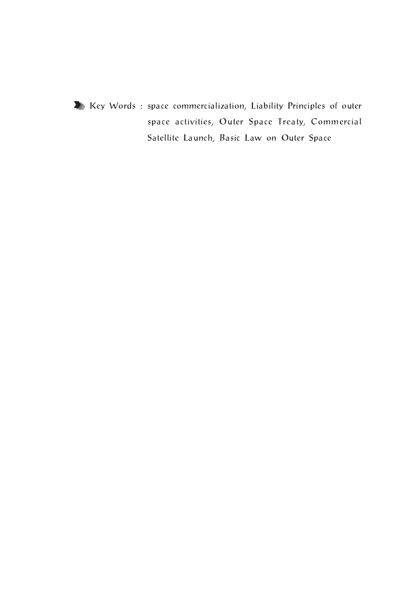

X Key Words : space commercialization, Liability Principles of outer space activities, Outer Space Treaty, Commercial Satellite Launch, Basic Law on Outer Space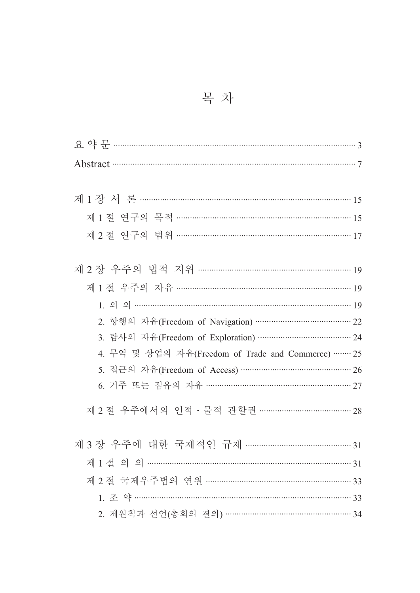목 차

| Abstract 37                                          |  |  |
|------------------------------------------------------|--|--|
|                                                      |  |  |
| 제 1 장 서 론 ………………………………………………………………………………… 15         |  |  |
| 제1절 연구의 목적 ………………………………………………………………………………15          |  |  |
| 제 2절 연구의 범위 …………………………………………………………………… 17            |  |  |
|                                                      |  |  |
|                                                      |  |  |
| 제 1 절 우주의 자유 ……………………………………………………………………… 19          |  |  |
| $1.99$ and $1.99$                                    |  |  |
| 2. 항행의 자유(Freedom of Navigation) …………………………………… 22   |  |  |
| 3. 탐사의 자유(Freedom of Exploration) ………………………………… 24   |  |  |
| 4. 무역 및 상업의 자유(Freedom of Trade and Commerce) ……… 25 |  |  |
| 5. 접근의 자유(Freedom of Access) ………………………………………… 26     |  |  |
| 6. 거주 또는 점유의 자유 …………………………………………………… 27              |  |  |
| 제 2 절 우주에서의 인적 · 물적 관할권 ………………………………… 28             |  |  |
|                                                      |  |  |
|                                                      |  |  |
|                                                      |  |  |
|                                                      |  |  |
|                                                      |  |  |
| 2. 제원칙과 선언(총회의 결의) ……………………………………………… 34             |  |  |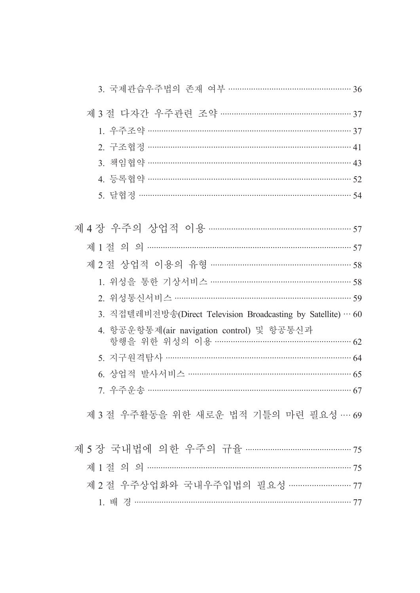| 3. 국제관습우주법의 존재 여부 …………………………………………… 36                                            |  |
|-----------------------------------------------------------------------------------|--|
|                                                                                   |  |
|                                                                                   |  |
| 2. 구조협정 ……………………………………………………………………………………… 41                                      |  |
| 3. 책임협약 …………………………………………………………………………… 43                                          |  |
| 4. 등록협약 ……………………………………………………………………………… 52                                         |  |
| 5. 달협정 ……………………………………………………………………………………… 54                                       |  |
|                                                                                   |  |
|                                                                                   |  |
| 제 2 절 상업적 이용의 유형 …………………………………………………… 58                                          |  |
| 1. 위성을 통한 기상서비스 …………………………………………………… 58                                           |  |
| 2. 위성통신서비스 ………………………………………………………………… 59                                           |  |
| 3. 직접텔레비전방송(Direct Television Broadcasting by Satellite) … 60                     |  |
| 4. 항공운항통제(air navigation control) 및 항공통신과<br>항행을 위한 위성의 이용 ………………………………………………… 62 |  |
| 5. 지구원격탐사 ……………………………………………………………… 64                                             |  |
| 6. 상업적 발사서비스 ………………………………………………………… 65                                            |  |
| 7. 우주운송 ………………………………………………………………………… 67                                           |  |
|                                                                                   |  |
| 제 3 절 우주활동을 위한 새로운 법적 기틀의 마련 필요성 … 69                                             |  |
| 제 5장 국내법에 의한 우주의 규율 …………………………………… 75                                             |  |
|                                                                                   |  |
| 제 2 절 우주상업화와 국내우주입법의 필요성 ……………………… 77                                             |  |
|                                                                                   |  |
|                                                                                   |  |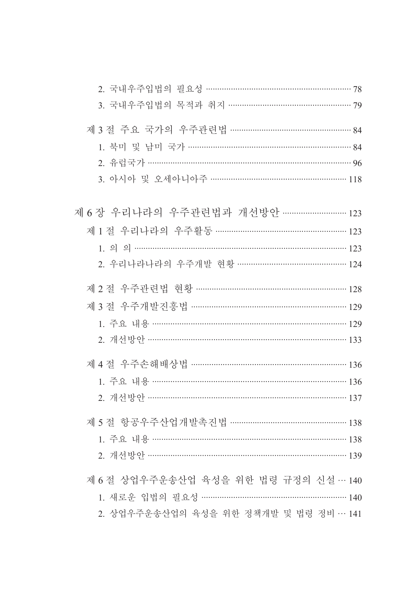| 2. 국내우주입법의 필요성 ………………………………………………… 78<br>3. 국내우주입법의 목적과 취지 ………………………………………… 79                                                                                             |  |
|----------------------------------------------------------------------------------------------------------------------------------------------------------------------------|--|
| 제 3 절 주요 국가의 우주관련법 …………………………………………… 84<br>1. 북미 및 남미 국가 ………………………………………………………… 84<br>3. 아시아 및 오세아니아주 ……………………………………………… 118                                               |  |
| 제 6 장 우리나라의 우주관련법과 개선방안 ……………………… 123<br>제 1 절 우리나라의 우주활동 ……………………………………………… 123<br>$1.99$ and $123$<br>2. 우리나라나라의 우주개발 현황 ……………………………………… 124                             |  |
| 제 2 절 우주관련법 현황 ……………………………………………………… 128<br>제 3 절 우주개발진흥법 ………………………………………………………… 129<br>1. 주요 내용 ……………………………………………………………………… 129<br>2. 개선방안 …………………………………………………………………… 133 |  |
| 제 4 절 우주손해배상법 ……………………………………………………… 136<br>1. 주요 내용 …………………………………………………………………………… 136<br>2. 개선방안 …………………………………………………………………… 137                                            |  |
| 제 5 절 항공우주산업개발촉진법 ………………………………………… 138<br>1. 주요 내용 …………………………………………………………………… 138                                                                                          |  |
| 제 6 절 상업우주운송산업 육성을 위한 법령 규정의 신설… 140<br>1. 새로운 입법의 필요성 ……………………………………………………… 140<br>2. 상업우주운송산업의 육성을 위한 정책개발 및 법령 정비… 141                                                  |  |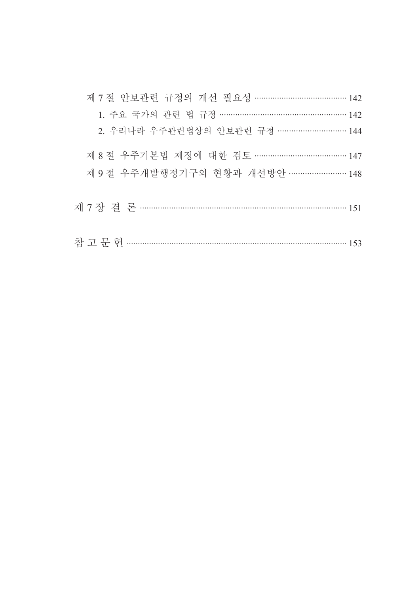| 제 7 절 안보관련 규정의 개선 필요성 ………………………………… 142 |
|-----------------------------------------|
| 1. 주요 국가의 관련 법 규정 …………………………………………… 142 |
| 2. 우리나라 우주관련법상의 안보관련 규정 ……………………… 144   |
| 제 8 절 우주기본법 제정에 대한 검토 ………………………………… 147 |
| 제 9 절 우주개발행정기구의 현황과 개선방안 …………………… 148   |
|                                         |
|                                         |
|                                         |
|                                         |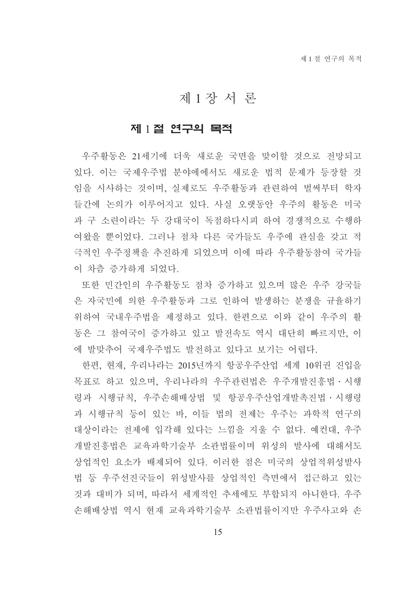### 제1장서론

#### 제 1절 연구의 목적

우주활동은 21세기에 더욱 새로운 국면을 맞이할 것으로 전망되고 있다. 이는 국제우주법 분야에에서도 새로운 법적 문제가 등장할 것 임을 시사하는 것이며, 실제로도 우주활동과 관련하여 벌써부터 학자 들간에 논의가 이루어지고 있다. 사실 오랫동안 우주의 활동은 미국 과 구 소련이라는 두 강대국이 독점하다시피 하여 경쟁적으로 수행하 여왔을 뿐이었다. 그러나 점차 다른 국가들도 우주에 관심을 갖고 적 극적인 우주정책을 추진하게 되었으며 이에 따라 우주활동참여 국가들 이 차츰 증가하게 되었다.

또한 민간인의 우주활동도 점차 증가하고 있으며 많은 우주 강국들 은 자국민에 의한 우주활동과 그로 인하여 발생하는 분쟁을 규율하기 위하여 국내우주법을 제정하고 있다. 한편으로 이와 같이 우주의 활 동은 그 참여국이 증가하고 있고 발전속도 역시 대단히 빠르지만. 이 에 발맞추어 국제우주법도 발전하고 있다고 보기는 어렵다.

한편, 현재, 우리나라는 2015년까지 항공우주산업 세계 10위권 진입을 목표로 하고 있으며, 우리나라의 우주관련법은 우주개발진흥법 · 시행 령과 시행규칙, 우주손해배상법 및 항공우주산업개발촉진법 · 시행령 과 시행규칙 등이 있는 바, 이들 법의 전제는 우주는 과학적 연구의 대상이라는 전제에 입각해 있다는 느낌을 지울 수 없다. 예컨대. 우주 개발진흥법은 교육과학기술부 소관법률이며 위성의 발사에 대해서도 상업적인 요소가 배제되어 있다. 이러한 점은 미국의 상업적위성발사 법 등 우주선진국들이 위성발사를 상업적인 측면에서 접근하고 있는 것과 대비가 되며, 따라서 세계적인 추세에도 부합되지 아니하다. 우주 손해배상법 역시 현재 교육과학기술부 소관법률이지만 우주사고와 손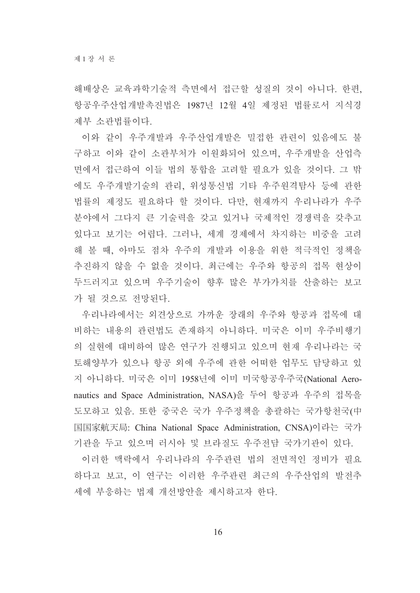해배상은 교육과학기술적 측면에서 접근할 성질의 것이 아니다. 한편, 항공우주산업개발촉진법은 1987년 12월 4일 제정된 법률로서 지식경 제부 소과법률이다.

이와 같이 우주개발과 우주산업개발은 밀접한 관련이 있음에도 불 구하고 이와 같이 소관부처가 이원화되어 있으며, 우주개발을 산업측 면에서 접근하여 이들 법의 통합을 고려할 필요가 있을 것이다. 그 밖 에도 우주개발기술의 관리, 위성통신법 기타 우주원격탐사 등에 관한 법률의 제정도 필요하다 할 것이다. 다만, 현재까지 우리나라가 우주 분야에서 그다지 큰 기술력을 갖고 있거나 국제적인 경쟁력을 갖추고 있다고 보기는 어렵다. 그러나, 세계 경제에서 차지하는 비중을 고려 해 볼 때, 아마도 점차 우주의 개발과 이용을 위한 적극적인 정책을 추진하지 않을 수 없을 것이다. 최근에는 우주와 항공의 접목 현상이 두드러지고 있으며 우주기술이 향후 많은 부가가치를 산출하는 보고 가 될 것으로 전망된다.

우리나라에서는 외견상으로 가까운 장래의 우주와 항공과 접목에 대 비하는 내용의 관련법도 존재하지 아니하다. 미국은 이미 우주비행기 의 실현에 대비하여 많은 연구가 진행되고 있으며 현재 우리나라는 국 토해양부가 있으나 항공 외에 우주에 관한 어떠한 업무도 담당하고 있 지 아니하다. 미국은 이미 1958년에 이미 미국항공우주국(National Aeronautics and Space Administration, NASA)을 두어 항공과 우주의 접목을 도모하고 있음. 또한 중국은 국가 우주정책을 총괄하는 국가항천국(中 国国家航天局: China National Space Administration. CNSA)이라는 국가 기관을 두고 있으며 러시아 및 브라질도 우주전담 국가기관이 있다.

이러한 맥락에서 우리나라의 우주관련 법의 전면적인 정비가 필요 하다고 보고, 이 연구는 이러한 우주관련 최근의 우주산업의 발전추 세에 부응하는 법제 개선방안을 제시하고자 하다.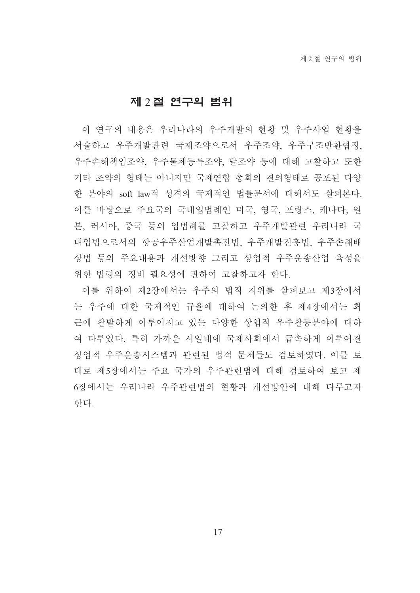#### 제 2절 연구의 범위

이 연구의 내용은 우리나라의 우주개발의 현황 및 우주사업 현황을 서술하고 우주개발관련 국제조약으로서 우주조약, 우주구조반환협정, 우주손해책임조약, 우주물체등록조약, 달조약 등에 대해 고찰하고 또한 기타 조약의 형태는 아니지만 국제연합 총회의 결의형태로 공포된 다양 한 분야의 soft law적 성격의 국제적인 법률문서에 대해서도 살펴본다. 이를 바탕으로 주요국의 국내입법례인 미국, 영국, 프랑스, 캐나다, 일 본, 러시아, 중국 등의 입법례를 고찰하고 우주개발관련 우리나라 국 내입법으로서의 항공우주산업개발촉진법, 우주개발진흥법, 우주손해배 상법 등의 주요내용과 개선방향 그리고 상업적 우주운송산업 육성을 위한 법령의 정비 필요성에 관하여 고찰하고자 한다.

이를 위하여 제2장에서는 우주의 법적 지위를 살펴보고 제3장에서 는 우주에 대한 국제적인 규율에 대하여 논의한 후 제4장에서는 최 근에 활발하게 이루어지고 있는 다양한 상업적 우주활동분야에 대하 여 다루었다. 특히 가까운 시일내에 국제사회에서 급속하게 이루어질 상업적 우주운송시스템과 관련된 법적 문제들도 검토하였다. 이를 토 대로 제5장에서는 주요 국가의 우주관련법에 대해 검토하여 보고 제 6장에서는 우리나라 우주관련법의 현황과 개선방안에 대해 다루고자 한다.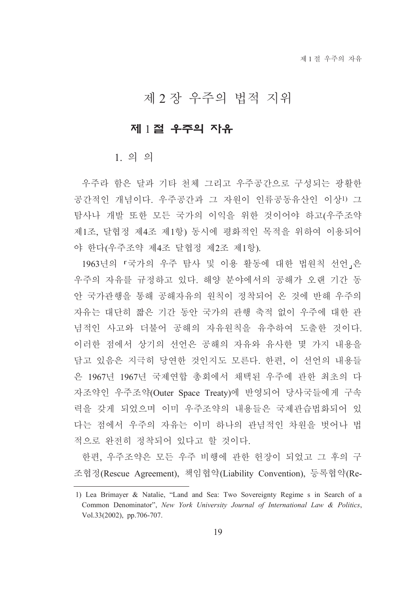# 제 2 장 우주의 법적 지위

#### 제 1절 우주의 자유

 $1.99$ 

우주라 함은 달과 기타 천체 그리고 우주공간으로 구성되는 광활한 공간적인 개념이다. 우주공간과 그 자원이 인류공동유산인 이상!) 그 탐사나 개발 또한 모든 국가의 이익을 위한 것이어야 하고(우주조약 제1조, 달협정 제4조 제1항) 동시에 평화적인 목적을 위하여 이용되어 야 한다(우주조약 제4조 달협정 제2조 제1항).

1963년의 「국가의 우주 탐사 및 이용 활동에 대한 법원칙 선언」은 우주의 자유를 규정하고 있다. 해양 분야에서의 공해가 오랜 기간 동 안 국가관행을 통해 공해자유의 원칙이 정착되어 온 것에 반해 우주의 자유는 대단히 짧은 기간 동안 국가의 관행 축적 없이 우주에 대한 관 념적인 사고와 더불어 공해의 자유원칙을 유추하여 도출한 것이다. 이러한 점에서 상기의 선언은 공해의 자유와 유사한 몇 가지 내용을 담고 있음은 지극히 당연한 것인지도 모른다. 한편, 이 선언의 내용들 은 1967년 1967년 국제연합 총회에서 채택된 우주에 관한 최초의 다 자조약인 우주조약(Outer Space Treaty)에 반영되어 당사국들에게 구속 력을 갖게 되었으며 이미 우주조약의 내용들은 국제관습법화되어 있 다는 점에서 우주의 자유는 이미 하나의 관념적인 차원을 벗어나 법 적으로 완전히 정착되어 있다고 할 것이다.

한편, 우주조약은 모든 우주 비행에 관한 헌장이 되었고 그 후의 구 조협정(Rescue Agreement), 책임협약(Liability Convention), 등록협약(Re-

<sup>1)</sup> Lea Brimayer & Natalie, "Land and Sea: Two Sovereignty Regime s in Search of a Common Denominator", New York University Journal of International Law & Politics, Vol.33(2002), pp.706-707.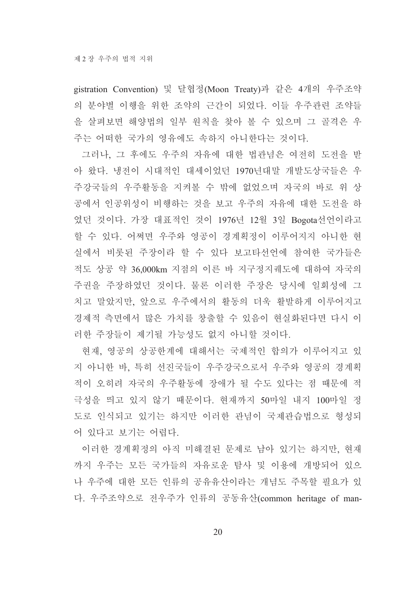gistration Convention) 및 달협정(Moon Treaty)과 같은 4개의 우주조약 의 분야별 이행을 위한 조약의 근간이 되었다. 이들 우주관련 조약들 을 살펴보면 해양법의 일부 원칙을 찾아 볼 수 있으며 그 골격은 우 주는 어떠한 국가의 영유에도 속하지 아니한다는 것이다.

그러나, 그 후에도 우주의 자유에 대한 법관념은 여전히 도전을 받 아 왔다. 냉전이 시대적인 대세이었던 1970년대말 개발도상국들은 우 주강국들의 우주활동을 지켜볼 수 밖에 없었으며 자국의 바로 위 상 공에서 인공위성이 비행하는 것을 보고 우주의 자유에 대한 도전을 하 였던 것이다. 가장 대표적인 것이 1976년 12월 3일 Bogota선언이라고 할 수 있다. 어쩌면 우주와 영공이 경계획정이 이루어지지 아니한 현 실에서 비롯된 주장이라 할 수 있다 보고타선언에 참여한 국가들은 적도 상공 약 36,000km 지점의 이른 바 지구정지궤도에 대하여 자국의 주권을 주장하였던 것이다. 물론 이러한 주장은 당시에 일회성에 그 치고 말았지만, 앞으로 우주에서의 활동의 더욱 활발하게 이루어지고 경제적 측면에서 많은 가치를 창출할 수 있음이 현실화된다면 다시 이 러한 주장들이 제기될 가능성도 없지 아니할 것이다.

현재, 영공의 상공한계에 대해서는 국제적인 합의가 이루어지고 있 지 아니한 바, 특히 선진국들이 우주강국으로서 우주와 영공의 경계획 적이 오히려 자국의 우주활동에 장애가 될 수도 있다는 점 때문에 적 극성을 띄고 있지 않기 때문이다. 현재까지 50마일 내지 100마일 정 도로 인식되고 있기는 하지만 이러한 관념이 국제관습법으로 형성되 어 있다고 보기는 어렵다.

이러한 경계획정의 아직 미해결된 문제로 남아 있기는 하지만, 현재 까지 우주는 모든 국가들의 자유로운 탐사 및 이용에 개방되어 있으 나 우주에 대한 모든 인류의 공유유산이라는 개념도 주목할 필요가 있 다. 우주조약으로 전우주가 인류의 공동유산(common heritage of man-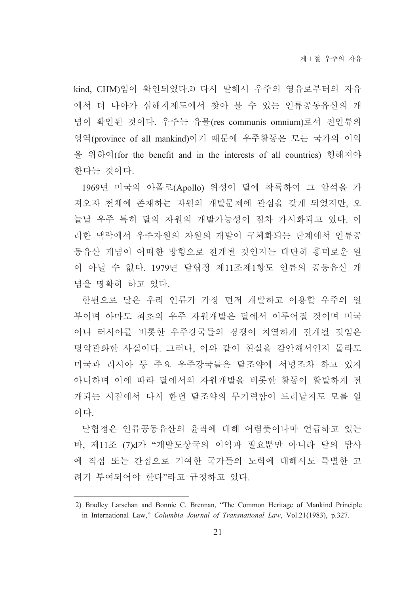kind, CHM)임이 확인되었다.2) 다시 말해서 우주의 영유로부터의 자유 에서 더 나아가 심해저제도에서 찾아 볼 수 있는 인류공동유산의 개 념이 확인된 것이다. 우주는 유물(res communis omnium)로서 전인류의 영역(province of all mankind)이기 때문에 우주활동은 모든 국가의 이익 을 위하여(for the benefit and in the interests of all countries) 행해져야 한다는 것이다.

1969년 미국의 아폴로(Apollo) 위성이 달에 착륙하여 그 암석을 가 져오자 천체에 존재하는 자원의 개발문제에 관심을 갖게 되었지만, 오 늘날 우주 특히 달의 자원의 개발가능성이 점차 가시화되고 있다. 이 러한 맥락에서 우주자워의 자워의 개발이 구체화되는 단계에서 이류공 동유산 개념이 어떠한 방향으로 전개될 것인지는 대단히 흥미로운 일 이 아닐 수 없다. 1979년 달협정 제11조제1항도 인류의 공동유산 개 념을 명확히 하고 있다.

한편으로 달은 우리 인류가 가장 먼저 개발하고 이용할 우주의 일 부이며 아마도 최초의 우주 자워개발은 달에서 이루어질 것이며 미국 이나 러시아를 비롯한 우주강국들의 경쟁이 치열하게 전개될 것임은 명약관화한 사실이다. 그러나, 이와 같이 현실을 감안해서인지 몰라도 미국과 러시아 등 주요 우주강국들은 달조약에 서명조차 하고 있지 아니하며 이에 따라 달에서의 자원개발을 비롯한 활동이 활발하게 전 개되는 시점에서 다시 하번 달조약의 무기력함이 드러날지도 모를 일 이다

달협정은 인류공동유산의 유곽에 대해 어렴풋이나마 어급하고 있는 바, 제11조 (7)d가 "개발도상국의 이익과 필요뿐만 아니라 달의 탐사 에 직접 또는 간접으로 기여한 국가들의 노력에 대해서도 특별한 고 려가 부여되어야 한다"라고 규정하고 있다.

<sup>2)</sup> Bradley Larschan and Bonnie C. Brennan, "The Common Heritage of Mankind Principle in International Law," Columbia Journal of Transnational Law, Vol.21(1983), p.327.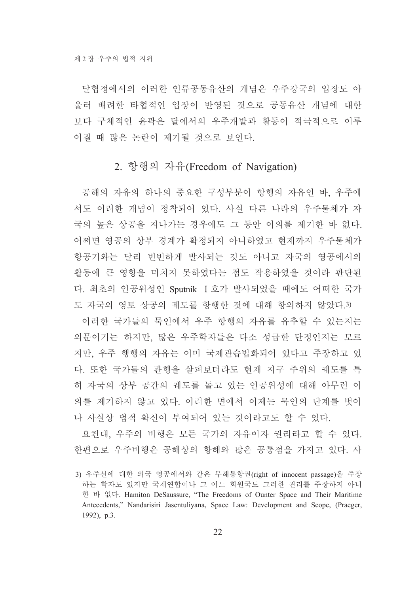달협정에서의 이러한 인류공동유산의 개념은 우주강국의 입장도 아 울러 배려한 타협적인 입장이 반영된 것으로 공동유산 개념에 대한 보다 구체적인 윤곽은 달에서의 우주개발과 활동이 적극적으로 이루 어질 때 많은 논란이 제기될 것으로 보인다.

#### 2. 항행의 자유(Freedom of Navigation)

공해의 자유의 하나의 중요한 구성부분이 항행의 자유인 바, 우주에 서도 이러한 개념이 정착되어 있다. 사실 다른 나라의 우주물체가 자 국의 높은 상공을 지나가는 경우에도 그 동안 이의를 제기한 바 없다. 어쩌면 영공의 상부 경계가 확정되지 아니하였고 현재까지 우주물체가 항공기와는 달리 빈번하게 발사되는 것도 아니고 자국의 영공에서의 활동에 큰 영향을 미치지 못하였다는 점도 작용하였을 것이라 판단된 다. 최초의 인공위성인 Sputnik I 호가 발사되었을 때에도 어떠한 국가 도 자국의 영토 상공의 궤도를 항행한 것에 대해 항의하지 않았다.3)

이러한 국가들의 묵인에서 우주 항행의 자유를 유추할 수 있는지는 의문이기는 하지만, 많은 우주학자들은 다소 성급한 단정인지는 모르 지만, 우주 행행의 자유는 이미 국제관습법화되어 있다고 주장하고 있 다. 또한 국가들의 관행을 살펴보더라도 현재 지구 주위의 궤도를 특 히 자국의 상부 공간의 궤도를 돌고 있는 인공위성에 대해 아무런 이 의를 제기하지 않고 있다. 이러한 면에서 이제는 묵인의 단계를 벗어 나 사실상 법적 확신이 부여되어 있는 것이라고도 할 수 있다.

요컨대, 우주의 비행은 모든 국가의 자유이자 권리라고 할 수 있다. 한편으로 우주비행은 공해상의 항해와 많은 공통점을 가지고 있다. 사

<sup>3)</sup> 우주선에 대한 외국 영공에서와 같은 무해통항권(right of innocent passage)을 주장 하는 학자도 있지만 국제연합이나 그 어느 회원국도 그러한 권리를 주장하지 아니 한 바 없다. Hamiton DeSaussure, "The Freedoms of Ounter Space and Their Maritime Antecedents," Nandarisiri Jasentuliyana, Space Law: Development and Scope, (Praeger, 1992), p.3.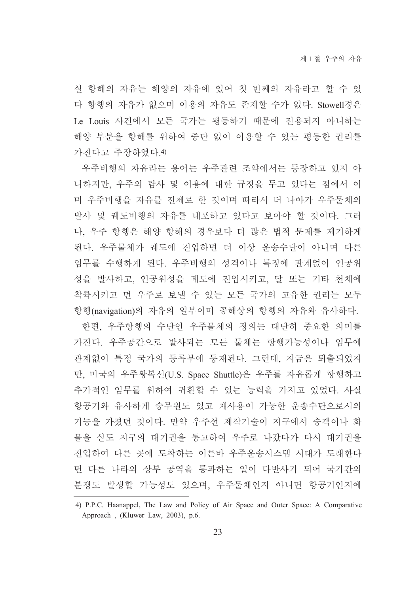실 항해의 자유는 해양의 자유에 있어 첫 번째의 자유라고 할 수 있 다 항행의 자유가 없으며 이용의 자유도 존재할 수가 없다. Stowell경은 Le Louis 사건에서 모든 국가는 평등하기 때문에 전용되지 아니하는 해양 부분을 항해를 위하여 중단 없이 이용할 수 있는 평등한 권리를 가진다고 주장하였다.4)

우주비행의 자유라는 용어는 우주관련 조약에서는 등장하고 있지 아 니하지만, 우주의 탐사 및 이용에 대한 규정을 두고 있다는 점에서 이 미 우주비행을 자유를 전제로 한 것이며 따라서 더 나아가 우주물체의 발사 및 궤도비행의 자유를 내포하고 있다고 보아야 할 것이다. 그러 나, 우주 항행은 해양 항해의 경우보다 더 많은 법적 문제를 제기하게 된다. 우주물체가 궤도에 진입하면 더 이상 운송수단이 아니며 다른 임무를 수행하게 된다. 우주비행의 성격이나 특징에 관계없이 인공위 성을 발사하고, 인공위성을 궤도에 진입시키고, 달 또는 기타 천체에 착륙시키고 먼 우주로 보낼 수 있는 모든 국가의 고유한 권리는 모두 항행(navigation)의 자유의 일부이며 공해상의 항행의 자유와 유사하다.

한편, 우주항행의 수단인 우주물체의 정의는 대단히 중요한 의미를 가진다. 우주공간으로 발사되는 모든 물체는 항행가능성이나 임무에 관계없이 특정 국가의 등록부에 등재된다. 그런데, 지금은 퇴출되었지 만, 미국의 우주왕복선(U.S. Space Shuttle)은 우주를 자유롭게 항행하고 추가적인 임무를 위하여 귀환할 수 있는 능력을 가지고 있었다. 사실 항공기와 유사하게 승무원도 있고 재사용이 가능한 운송수단으로서의 기능을 가졌던 것이다. 만약 우주선 제작기술이 지구에서 승객이나 화 물을 싣도 지구의 대기권을 통고하여 우주로 나갔다가 다시 대기권을 진입하여 다른 곳에 도착하는 이른바 우주운송시스템 시대가 도래한다 면 다른 나라의 상부 공역을 통과하는 일이 다반사가 되어 국가간의 분쟁도 발생할 가능성도 있으며, 우주물체인지 아니면 항공기인지에

<sup>4)</sup> P.P.C. Haanappel, The Law and Policy of Air Space and Outer Space: A Comparative Approach, (Kluwer Law, 2003), p.6.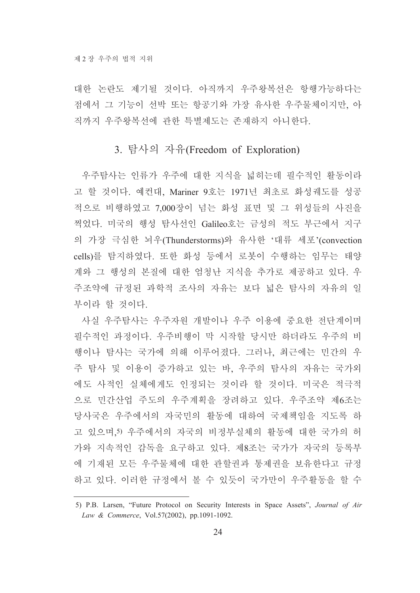대한 논란도 제기될 것이다. 아직까지 우주왕복선은 항행가능하다는 점에서 그 기능이 선박 또는 항공기와 가장 유사한 우주물체이지만, 아 직까지 우주왕복선에 관한 특별제도는 존재하지 아니한다.

#### 3. 탐사의 자유(Freedom of Exploration)

우주탐사는 인류가 우주에 대한 지식을 넓히는데 필수적인 활동이라 고 할 것이다. 예컨대, Mariner 9호는 1971년 최초로 화성궤도를 성공 적으로 비행하였고 7,000장이 넘는 화성 표면 및 그 위성들의 사진을 찍었다. 미국의 행성 탐사선인 Galileo호는 금성의 적도 부근에서 지구 의 가장 극심한 뇌우(Thunderstorms)와 유사한 '대류 세포'(convection cells)를 탐지하였다. 또한 화성 등에서 로봇이 수행하는 임무는 태양 계와 그 행성의 본질에 대한 엄청난 지식을 추가로 제공하고 있다. 우 주조약에 규정된 과학적 조사의 자유는 보다 넓은 탐사의 자유의 일 부이라 할 것이다.

사실 우주탐사는 우주자원 개발이나 우주 이용에 중요한 전단계이며 필수적인 과정이다. 우주비행이 막 시작할 당시만 하더라도 우주의 비 행이나 탐사는 국가에 의해 이루어졌다. 그러나, 최근에는 민간의 우 주 탐사 및 이용이 증가하고 있는 바, 우주의 탐사의 자유는 국가외 에도 사적인 실체에게도 인정되는 것이라 할 것이다. 미국은 적극적 으로 민간산업 주도의 우주계획을 장려하고 있다. 우주조약 제6조는 당사국은 우주에서의 자국민의 활동에 대하여 국제책임을 지도록 하 고 있으며,5) 우주에서의 자국의 비정부실체의 활동에 대한 국가의 허 가와 지속적인 감독을 요구하고 있다. 제8조는 국가가 자국의 등록부 에 기재된 모든 우주물체에 대한 관할권과 통제권을 보유한다고 규정 하고 있다. 이러한 규정에서 볼 수 있듯이 국가만이 우주활동을 할 수

<sup>5)</sup> P.B. Larsen, "Future Protocol on Security Interests in Space Assets", Journal of Air Law & Commerce, Vol.57(2002), pp.1091-1092.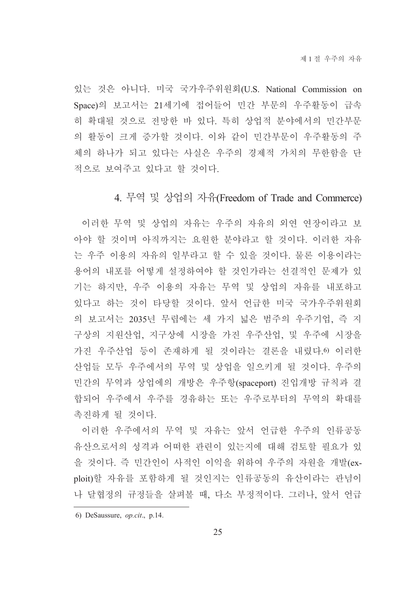있는 것은 아니다. 미국 국가우주위원회(U.S. National Commission on Space)의 보고서는 21세기에 접어들어 민간 부문의 우주활동이 급속 히 확대될 것으로 전망한 바 있다. 특히 상업적 분야에서의 민간부문 의 활동이 크게 증가할 것이다. 이와 같이 민간부문이 우주활동의 주 체의 하나가 되고 있다는 사실은 우주의 경제적 가치의 무한함을 단 적으로 보여주고 있다고 할 것이다.

#### 4. 무역 및 상업의 자유(Freedom of Trade and Commerce)

이러한 무역 및 상업의 자유는 우주의 자유의 외연 연장이라고 보 아야 할 것이며 아직까지는 요원한 분야라고 할 것이다. 이러한 자유 는 우주 이용의 자유의 일부라고 할 수 있을 것이다. 물론 이용이라는 용어의 내포를 어떻게 설정하여야 할 것인가라는 선결적인 문제가 있 기는 하지만, 우주 이용의 자유는 무역 및 상업의 자유를 내포하고 있다고 하는 것이 타당할 것이다. 앞서 언급한 미국 국가우주위원회 의 보고서는 2035년 무렵에는 세 가지 넓은 범주의 우주기업, 즉 지 구상의 지원산업, 지구상에 시장을 가진 우주산업, 및 우주에 시장을 가진 우주산업 등이 존재하게 될 것이라는 결론을 내렸다. 이러한 산업들 모두 우주에서의 무역 및 상업을 일으키게 될 것이다. 우주의 민간의 무역과 상업에의 개방은 우주항(spaceport) 진입개방 규칙과 결 합되어 우주에서 우주를 경유하는 또는 우주로부터의 무역의 확대를 촉진하게 될 것이다.

이러한 우주에서의 무역 및 자유는 앞서 언급한 우주의 인류공동 유산으로서의 성격과 어떠한 관련이 있는지에 대해 검토할 필요가 있 을 것이다. 즉 민간인이 사적인 이익을 위하여 우주의 자원을 개발(exploit)할 자유를 포함하게 될 것인지는 인류공동의 유산이라는 관념이 나 달협정의 규정들을 살펴볼 때, 다소 부정적이다. 그러나, 앞서 언급

<sup>6)</sup> DeSaussure,  $op. cit.$ , p.14.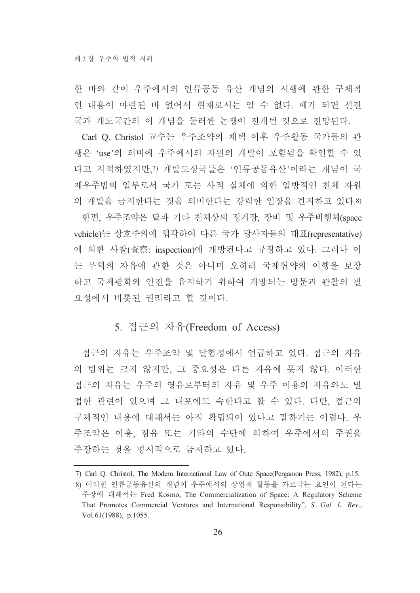한 바와 같이 우주에서의 인류공동 유산 개념의 시행에 관한 구체적 인 내용이 마련된 바 없어서 현재로서는 알 수 없다. 때가 되면 선진 국과 개도국간의 이 개념을 둘러싼 논쟁이 전개될 것으로 전망된다.

Carl Q. Christol 교수는 우주조약의 채택 이후 우주활동 국가들의 관 행은 'use'의 의미에 우주에서의 자원의 개발이 포함됨을 확인할 수 있 다고 지적하였지만,7) 개발도상국들은 '인류공동유산'이라는 개념이 국 제우주법의 일부로서 국가 또는 사적 실체에 의한 일방적인 천체 자원 의 개발을 금지한다는 것을 의미한다는 강력한 입장을 견지하고 있다.8) 한편, 우주조약은 달과 기타 천체상의 정거장, 장비 및 우주비행체(space vehicle)는 상호주의에 입각하여 다른 국가 당사자들의 대표(representative) 에 의한 사찰(査察: inspection)에 개방된다고 규정하고 있다. 그러나 이 는 무역의 자유에 관한 것은 아니며 오히려 국제협약의 이행을 보장 하고 국제평화와 안전을 유지하기 위하여 개방되는 방문과 관찰의 필 요성에서 비롯된 권리라고 할 것이다.

#### 5. 접근의 자유(Freedom of Access)

접근의 자유는 우주조약 및 달협정에서 언급하고 있다. 접근의 자유 의 범위는 크지 않지만, 그 중요성은 다른 자유에 못지 않다. 이러한 접근의 자유는 우주의 영유로부터의 자유 및 우주 이용의 자유와도 밀 접한 관련이 있으며 그 내포에도 속한다고 할 수 있다. 다만, 접근의 구체적인 내용에 대해서는 아직 확립되어 있다고 말하기는 어렵다. 우 주조약은 이용, 점유 또는 기타의 수단에 의하여 우주에서의 주권을 주장하는 것을 명시적으로 금지하고 있다.

<sup>7)</sup> Carl Q. Christol, The Modern International Law of Oute Space(Pergamon Press, 1982), p.15. 8) 이러한 인류공동유산의 개념이 우주에서의 상업적 활동을 가로막는 요인이 된다는 주장에 대해서는 Fred Kosmo, The Commercialization of Space: A Regulatory Scheme That Promotes Commercial Ventures and International Responsibility", S. Gal. L. Rev., Vol.61(1988), p.1055.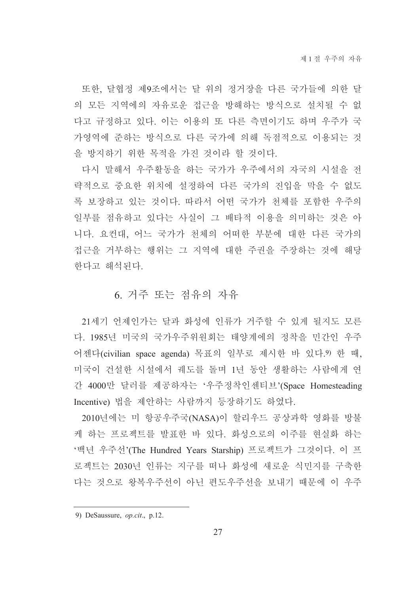또한, 달협정 제9조에서는 달 위의 정거장을 다른 국가들에 의한 달 의 모든 지역에의 자유로운 접근을 방해하는 방식으로 설치될 수 없 다고 규정하고 있다. 이는 이용의 또 다른 측면이기도 하며 우주가 국 가영역에 준하는 방식으로 다른 국가에 의해 독점적으로 이용되는 것 을 방지하기 위한 목적을 가진 것이라 할 것이다.

다시 말해서 우주활동을 하는 국가가 우주에서의 자국의 시설을 전 략적으로 중요한 위치에 설정하여 다른 국가의 진입을 막을 수 없도 록 보장하고 있는 것이다. 따라서 어떤 국가가 천체를 포함한 우주의 일부를 점유하고 있다는 사실이 그 배타적 이용을 의미하는 것은 아 니다. 요컨대. 어느 국가가 천체의 어떠한 부분에 대한 다른 국가의 접근을 거부하는 행위는 그 지역에 대한 주권을 주장하는 것에 해당 한다고 해석된다.

#### 6. 거주 또는 점유의 자유

21세기 언제인가는 달과 화성에 인류가 거주할 수 있게 될지도 모른 다. 1985년 미국의 국가우주위원회는 태양계에의 정착을 민간인 우주 어젠다(civilian space agenda) 목표의 일부로 제시한 바 있다. 9 한 때, 미국이 건설한 시설에서 궤도를 돌며 1년 동안 생활하는 사람에게 연 간 4000만 달러를 제공하자는 '우주정착인센티브'(Space Homesteading Incentive) 법을 제안하는 사람까지 등장하기도 하였다.

2010년에는 미 항공우주국(NASA)이 할리우드 공상과학 영화를 방불 케 하는 프로젝트를 발표한 바 있다. 화성으로의 이주를 현실화 하는 '백년 우주선'(The Hundred Years Starship) 프로젝트가 그것이다. 이 프 로젝트는 2030년 인류는 지구를 떠나 화성에 새로운 식민지를 구축한 다는 것으로 왕복우주선이 아닌 편도우주선을 보내기 때문에 이 우주

<sup>9)</sup> DeSaussure, *op.cit.*, p.12.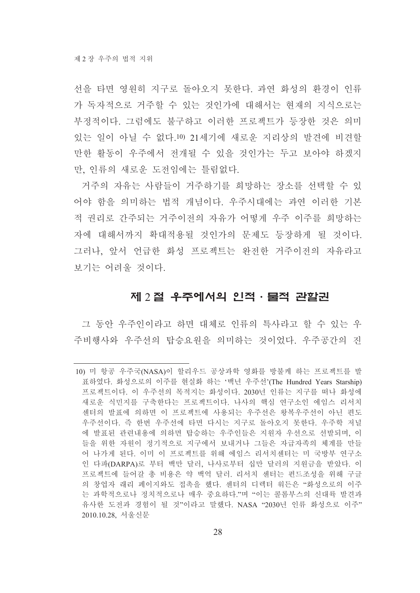선을 타면 영워히 지구로 돌아오지 못하다. 과연 화성의 화경이 인류 가 독자적으로 거주할 수 있는 것인가에 대해서는 현재의 지식으로는 부정적이다. 그럼에도 불구하고 이러한 프로젝트가 등장한 것은 의미 있는 일이 아닐 수 없다.10) 21세기에 새로운 지리상의 발견에 비견할 만한 활동이 우주에서 전개될 수 있을 것인가는 두고 보아야 하겠지 만, 인류의 새로운 도전임에는 틀림없다.

거주의 자유는 사람들이 거주하기를 희망하는 장소를 선택할 수 있 어야 함을 의미하는 법적 개념이다. 우주시대에는 과연 이러한 기본 적 권리로 간주되는 거주이전의 자유가 어떻게 우주 이주를 희망하는 자에 대해서까지 확대적용될 것인가의 문제도 등장하게 될 것이다. 그러나, 앞서 언급한 화성 프로젝트는 완전한 거주이전의 자유라고 보기는 어려울 것이다.

#### 제 2 절 우주에서의 인적 · 물적 관할권

그 동안 우주인이라고 하면 대체로 인류의 특사라고 할 수 있는 우 주비행사와 우주선의 탑승요원을 의미하는 것이었다. 우주공간의 진

<sup>10)</sup> 미 항공 우주국(NASA)이 할리우드 공상과학 영화를 방불케 하는 프로젝트를 발 표하였다. 화성으로의 이주를 현실화 하는 '백년 우주선'(The Hundred Years Starship) 프로젝트이다. 이 우주선의 목적지는 화성이다. 2030년 인류는 지구를 떠나 화성에 새로운 식민지를 구축한다는 프로젝트이다. 나사의 핵심 연구소인 에임스 리서치 센터의 발표에 의하면 이 프로젝트에 사용되는 우주선은 왕복우주선이 아닌 편도 우주선이다. 즉 한번 우주선에 타면 다시는 지구로 돌아오지 못한다. 우주학 저널 에 발표된 관련내용에 의하면 탑승하는 우주인들은 지원자 우선으로 선발되며, 이 들을 위한 자원이 정기적으로 지구에서 보내거나 그들은 자급자족의 체계를 만들 어 나가게 된다. 이미 이 프로젝트를 위해 에임스 리서치센터는 미 국방부 연구소 인 다파(DARPA)로 부터 백만 달러, 나사로부터 십만 달러의 지원금을 받았다. 이 프로젝트에 들어갈 총 비용은 약 백억 달러. 리서치 센터는 펀드조성을 위해 구글 의 창업자 래리 페이지와도 접촉을 했다. 센터의 디렉터 워든은 "화성으로의 이주 는 과학적으로나 정치적으로나 매우 중요하다."며 "이는 콜롬부스의 신대륙 발견과 유사한 도전과 경험이 될 것"이라고 말했다. NASA "2030년 인류 화성으로 이주" 2010.10.28, 서울신문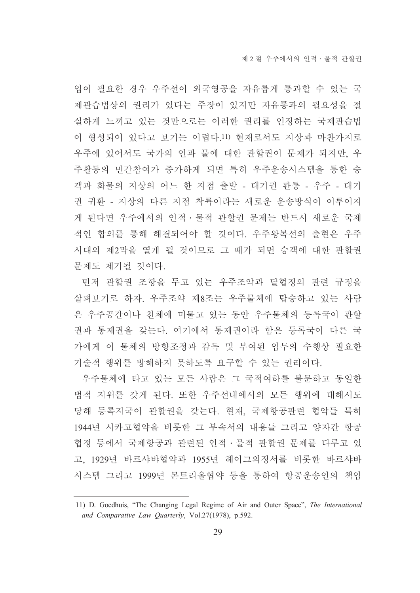입이 필요한 경우 우주선이 외국영공을 자유롭게 통과할 수 있는 국 제관습법상의 권리가 있다는 주장이 있지만 자유통과의 필요성을 절 실하게 느끼고 있는 것만으로는 이러한 권리를 인정하는 국제관습법 이 형성되어 있다고 보기는 어렵다.11) 현재로서도 지상과 마찬가지로 우주에 있어서도 국가의 인과 물에 대한 관할권이 문제가 되지만, 우 주활동의 민간참여가 증가하게 되면 특히 우주운송시스템을 통한 승 객과 화물의 지상의 어느 한 지점 출발 - 대기권 관통 - 우주 - 대기 권 귀환 - 지상의 다른 지점 착륙이라는 새로운 운송방식이 이루어지 게 된다면 우주에서의 인적 · 물적 관할권 문제는 반드시 새로운 국제 적인 합의를 통해 해결되어야 할 것이다. 우주왕복선의 출현은 우주 시대의 제2막을 열게 될 것이므로 그 때가 되면 승객에 대한 관할권 문제도 제기될 것이다.

먼저 관할권 조항을 두고 있는 우주조약과 달협정의 관련 규정을 살펴보기로 하자. 우주조약 제8조는 우주물체에 탑승하고 있는 사람 은 우주공간이나 천체에 머물고 있는 동안 우주물체의 등록국이 관할 권과 통제권을 갖는다. 여기에서 통제권이라 함은 등록국이 다른 국 가에게 이 물체의 방향조정과 감독 및 부여된 임무의 수행상 필요한 기술적 행위를 방해하지 못하도록 요구할 수 있는 권리이다.

우주물체에 타고 있는 모든 사람은 그 국적여하를 불문하고 동일한 법적 지위를 갖게 된다. 또한 우주선내에서의 모든 행위에 대해서도 당해 등록지국이 관할권을 갖는다. 현재, 국제항공관련 협약들 특히 1944년 시카고협약을 비롯한 그 부속서의 내용들 그리고 양자간 항공 협정 등에서 국제항공과 관련된 인적 · 물적 관할권 문제를 다루고 있 고. 1929년 바르샤뱌협약과 1955년 헤이그의정서를 비롯한 바르샤바 시스템 그리고 1999년 몬트리올협약 등을 통하여 항공운송인의 책임

<sup>11)</sup> D. Goedhuis, "The Changing Legal Regime of Air and Outer Space". The International and Comparative Law Quarterly, Vol.27(1978), p.592.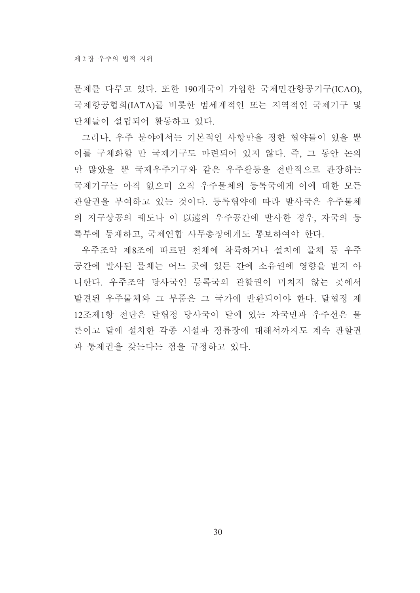문제를 다루고 있다. 또한 190개국이 가입한 국제민간항공기구(ICAO), 국제항공협회(IATA)를 비롯한 범세계적인 또는 지역적인 국제기구 및 단체들이 설립되어 활동하고 있다.

그러나, 우주 분야에서는 기본적인 사항만을 정한 협약들이 있을 뿐 이를 구체화할 만 국제기구도 마련되어 있지 않다. 즉, 그 동안 논의 만 많았을 뿐 국제우주기구와 같은 우주활동을 전반적으로 관장하는 국제기구는 아직 없으며 오직 우주물체의 등록국에게 이에 대한 모든 관할권을 부여하고 있는 것이다. 등록협약에 따라 발사국은 우주물체 의 지구상공의 궤도나 이 以遠의 우주공간에 발사한 경우, 자국의 등 록부에 등재하고, 국제연합 사무총장에게도 통보하여야 한다.

우주조약 제8조에 따르면 천체에 착륙하거나 설치에 물체 등 우주 공간에 발사된 물체는 어느 곳에 있든 간에 소유권에 영향을 받지 아 니한다. 우주조약 당사국인 등록국의 관할권이 미치지 않는 곳에서 발견된 우주물체와 그 부품은 그 국가에 반환되어야 한다. 달협정 제 12조제1항 전단은 달협정 당사국이 달에 있는 자국민과 우주선은 물 론이고 달에 설치한 각종 시설과 정류장에 대해서까지도 계속 과할궈 과 통제권을 갖는다는 점을 규정하고 있다.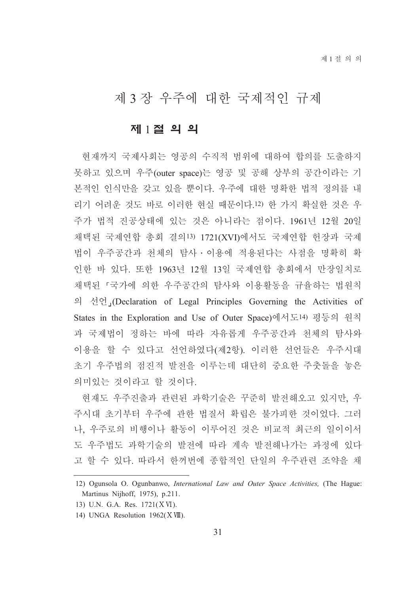# 제 3 장 우주에 대한 국제적인 규제

#### 제 1절 의 의

현재까지 국제사회는 영공의 수직적 범위에 대하여 합의를 도출하지 못하고 있으며 우주(outer space)는 영공 및 공해 상부의 공간이라는 기 본적인 인식만을 갖고 있을 뿐이다. 우주에 대한 명확한 법적 정의를 내 리기 어려운 것도 바로 이러한 현실 때문이다.12) 한 가지 확실한 것은 우 주가 법적 진공상태에 있는 것은 아니라는 점이다. 1961년 12월 20일 채택된 국제연합 총회 결의13) 1721(XVI)에서도 국제연합 헌장과 국제 법이 우주공간과 천체의 탐사 • 이용에 적용된다는 사점을 명확히 확 인한 바 있다. 또한 1963년 12월 13일 국제연합 총회에서 만장일치로 채택된 「국가에 의한 우주공간의 탐사와 이용활동을 규율하는 법원칙 의 선언」(Declaration of Legal Principles Governing the Activities of States in the Exploration and Use of Outer Space)에서도14) 평등의 원칙 과 국제법이 정하는 바에 따라 자유롭게 우주공간과 천체의 탐사와 이용을 할 수 있다고 선언하였다(제2항). 이러한 선언들은 우주시대 초기 우주법의 점진적 발전을 이루는데 대단히 중요한 주춧돌을 놓은 의미있는 것이라고 할 것이다.

현재도 우주진출과 관련된 과학기술은 꾸준히 발전해오고 있지만, 우 주시대 초기부터 우주에 관한 법질서 확립은 불가피한 것이었다. 그러 나. 우주로의 비행이나 활동이 이루어진 것은 비교적 최근의 일이이서 도 우주법도 과학기술의 발전에 따라 계속 발전해나가는 과정에 있다 고 할 수 있다. 따라서 한꺼번에 종합적인 단일의 우주관련 조약을 채

<sup>12)</sup> Ogunsola O. Ogunbanwo, International Law and Outer Space Activities, (The Hague: Martinus Nijhoff, 1975), p.211.

<sup>13)</sup> U.N. G.A. Res. 1721(XVI).

<sup>14)</sup> UNGA Resolution 1962(XVIII).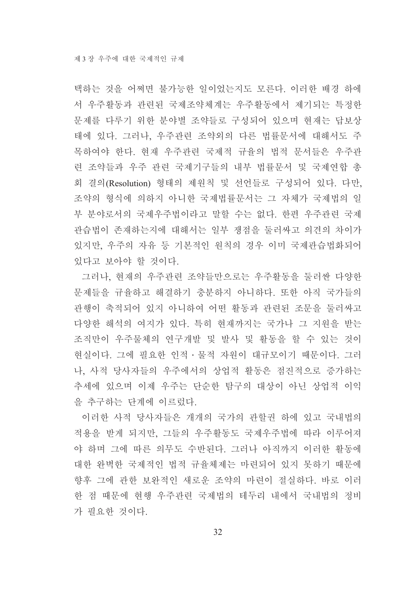택하는 것을 어쩌면 불가능한 일이었는지도 모른다. 이러한 배경 하에 서 우주활동과 관련된 국제조약체계는 우주활동에서 제기되는 특정한 문제를 다루기 위한 분야별 조약들로 구성되어 있으며 현재는 답보상 태에 있다. 그러나, 우주관련 조약외의 다른 법률문서에 대해서도 주 목하여야 한다. 현재 우주관련 국제적 규율의 법적 문서들은 우주관 련 조약들과 우주 관련 국제기구들의 내부 법률문서 및 국제연합 총 회 결의(Resolution) 형태의 제원칙 및 선언들로 구성되어 있다. 다만, 조약의 형식에 의하지 아니한 국제법률문서는 그 자체가 국제법의 일 부 분야로서의 국제우주법이라고 말할 수는 없다. 한편 우주관련 국제 관습법이 존재하는지에 대해서는 일부 쟁점을 둘러싸고 의견의 차이가 있지만, 우주의 자유 등 기본적인 워칙의 경우 이미 국제관습법화되어 있다고 보아야 할 것이다.

그러나, 현재의 우주관련 조약들만으로는 우주활동을 둘러싼 다양한 문제들을 규율하고 해결하기 충분하지 아니하다. 또한 아직 국가들의 관행이 축적되어 있지 아니하여 어떤 활동과 관련된 조문을 둘러싸고 다양한 해석의 여지가 있다. 특히 현재까지는 국가나 그 지원을 받는 조직만이 우주물체의 연구개발 및 발사 및 활동을 할 수 있는 것이 현실이다. 그에 필요한 인적ㆍ물적 자원이 대규모이기 때문이다. 그러 나, 사적 당사자들의 우주에서의 상업적 활동은 점진적으로 증가하는 추세에 있으며 이제 우주는 단순한 탐구의 대상이 아닌 상업적 이익 을 추구하는 단계에 이르렀다.

이러한 사적 당사자들은 개개의 국가의 관할권 하에 있고 국내법의 적용을 받게 되지만, 그들의 우주활동도 국제우주법에 따라 이루어져 야 하며 그에 따른 의무도 수반된다. 그러나 아직까지 이러한 활동에 대한 완벽한 국제적인 법적 규율체제는 마련되어 있지 못하기 때문에 향후 그에 관한 보완적인 새로운 조약의 마련이 절실하다. 바로 이러 한 점 때문에 혀행 우주관련 국제법의 테두리 내에서 국내법의 정비 가 필요한 것이다.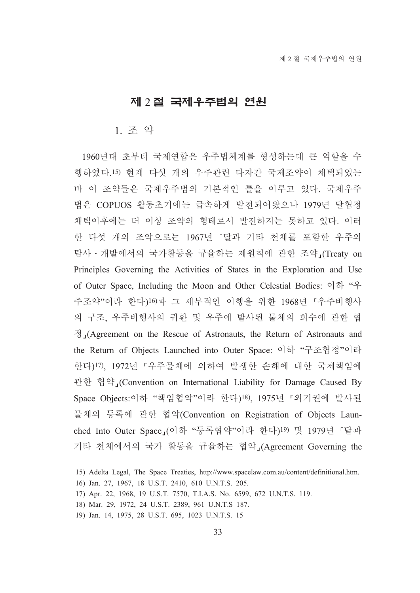#### 제 2 절 국제우주법의 연원

#### 1 조 약

1960년대 초부터 국제연합은 우주법체계를 형성하는데 큰 역할을 수 행하였다.15) 현재 다섯 개의 우주관련 다자간 국제조약이 채택되었는 바 이 조약들은 국제우주법의 기본적인 틀을 이루고 있다. 국제우주 법은 COPUOS 활동초기에는 급속하게 발전되어왔으나 1979년 달협정 채택이후에는 더 이상 조약의 형태로서 발전하지는 못하고 있다. 이러 한 다섯 개의 조약으로는 1967년 「달과 기타 천체를 포함한 우주의 탐사 • 개발에서의 국가활동을 규율하는 제원칙에 관한 조약 (Treaty on Principles Governing the Activities of States in the Exploration and Use of Outer Space, Including the Moon and Other Celestial Bodies: 이하 "우 주조약"이라 한다)16)과 그 세부적인 이행을 위한 1968년 「우주비행사 의 구조, 우주비행사의 귀환 및 우주에 발사된 물체의 회수에 관한 협  $\frac{1}{2}$  (Agreement on the Rescue of Astronauts, the Return of Astronauts and the Return of Objects Launched into Outer Space: 이하 "구조협정"이라 한다)17). 1972년 『우주물체에 의하여 발생한 손해에 대한 국제책임에 관한 협약 (Convention on International Liability for Damage Caused By Space Objects:이하 "책임협약"이라 한다)<sup>18</sup>), 1975년 「외기권에 발사된 물체의 등록에 관한 협약(Convention on Registration of Objects Launched Into Outer Space」(이하 "등록협약"이라 한다)<sup>19)</sup> 및 1979년 「달과 기타 천체에서의 국가 활동을 규율하는 협약」(Agreement Governing the

<sup>15)</sup> Adelta Legal, The Space Treaties, http://www.spacelaw.com.au/content/definitional.htm.

<sup>16)</sup> Jan. 27, 1967, 18 U.S.T. 2410, 610 U.N.T.S. 205.

<sup>17)</sup> Apr. 22, 1968, 19 U.S.T. 7570, T.I.A.S. No. 6599, 672 U.N.T.S. 119.

<sup>18)</sup> Mar. 29, 1972, 24 U.S.T. 2389, 961 U.N.T.S 187.

<sup>19)</sup> Jan. 14, 1975, 28 U.S.T. 695, 1023 U.N.T.S. 15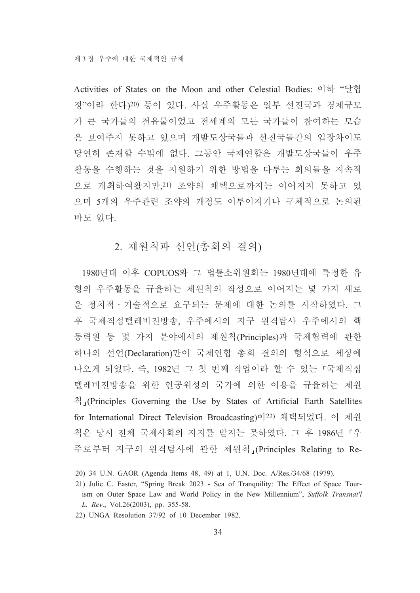Activities of States on the Moon and other Celestial Bodies: 이하 "달협 정"이라 한다)20) 등이 있다. 사실 우주활동은 일부 선진국과 경제규모 가 큰 국가들의 전유물이었고 전세계의 모든 국가들이 참여하는 모습 은 보여주지 못하고 있으며 개발도상국들과 선진국들간의 입장차이도 당연히 존재할 수밖에 없다. 그동안 국제연합은 개발도상국들이 우주 활동을 수행하는 것을 지원하기 위한 방법을 다루는 회의들을 지속적 으로 개최하여왔지만, 21) 조약의 채택으로까지는 이어지지 못하고 있 으며 5개의 우주관련 조약의 개정도 이루어지거나 구체적으로 논의된 바도 없다.

#### 2. 제워칙과 선언(총회의 결의)

1980년대 이후 COPUOS와 그 법률소위원회는 1980년대에 특정한 유 형의 우주활동을 규율하는 제원칙의 작성으로 이어지는 몇 가지 새로 운 정치적 · 기술적으로 요구되는 문제에 대한 논의를 시작하였다. 그 후 국제직접텔레비전방송, 우주에서의 지구 원격탐사 우주에서의 핵 동력원 등 몇 가지 분야에서의 제원칙(Principles)과 국제협력에 관한 하나의 선언(Declaration)만이 국제연합 총회 결의의 형식으로 세상에 나오게 되었다. 즉, 1982년 그 첫 번째 작업이라 할 수 있는 「국제직접 텔레비전방송을 위한 인공위성의 국가에 의한 이용을 규율하는 제워  $\frac{1}{2}$  (Principles Governing the Use by States of Artificial Earth Satellites for International Direct Television Broadcasting)이22) 채택되었다. 이 제원 칙은 당시 전체 국제사회의 지지를 받지는 못하였다. 그 후 1986년 「우 주로부터 지구의 원격탐사에 관한 제원칙」(Principles Relating to Re-

<sup>20) 34</sup> U.N. GAOR (Agenda Items 48, 49) at 1, U.N. Doc. A/Res./34/68 (1979).

<sup>21)</sup> Julie C. Easter, "Spring Break 2023 - Sea of Tranquility: The Effect of Space Tourism on Outer Space Law and World Policy in the New Millennium", Suffolk Transnat'l L. Rev., Vol.26(2003), pp. 355-58.

<sup>22)</sup> UNGA Resolution 37/92 of 10 December 1982.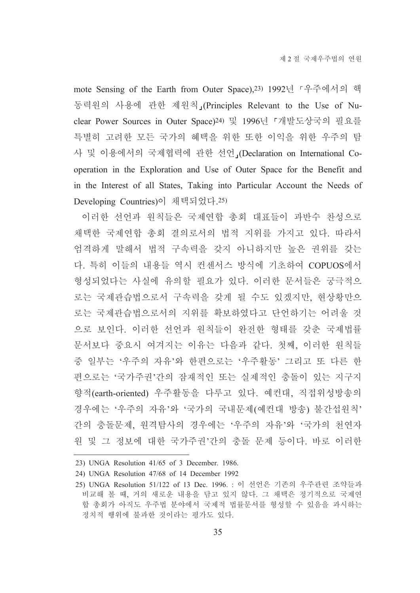mote Sensing of the Earth from Outer Space), 23) 1992년 「우주에서의 핵 동력워의 사용에 관한 제워칙 (Principles Relevant to the Use of Nuclear Power Sources in Outer Space)<sup>24)</sup> 및 1996년 「개발도상국의 필요를 특별히 고려한 모든 국가의 혜택을 위한 또한 이익을 위한 우주의 탐 사 및 이용에서의 국제협력에 관한 선언 (Declaration on International Cooperation in the Exploration and Use of Outer Space for the Benefit and in the Interest of all States, Taking into Particular Account the Needs of Developing Countries)이 채택되었다.25)

이러한 선언과 원칙들은 국제연합 총회 대표들이 과반수 찬성으로 채택한 국제연합 총회 결의로서의 법적 지위를 가지고 있다. 따라서 엄격하게 말해서 법적 구속력을 갖지 아니하지만 높은 권위를 갖는 다. 특히 이들의 내용들 역시 컨센서스 방식에 기초하여 COPUOS에서 형성되었다는 사실에 유의할 필요가 있다. 이러한 문서들은 궁극적으 로는 국제관습법으로서 구속력을 갖게 될 수도 있겠지만, 현상황만으 로는 국제관습법으로서의 지위를 확보하였다고 단언하기는 어려울 것 으로 보인다. 이러한 선언과 원칙들이 완전한 형태를 갖춘 국제법률 문서보다 중요시 여겨지는 이유는 다음과 같다. 첫째, 이러한 원칙들 중 일부는 '우주의 자유'와 하편으로는 '우주활동' 그리고 또 다른 한 편으로는 '국가주권'간의 잠재적인 또는 실제적인 충돌이 있는 지구지 향적(earth-oriented) 우주활동을 다루고 있다. 예컨대, 직접위성방송의 경우에는 '우주의 자유'와 '국가의 국내문제(예컨대 방송) 불간섭원칙' 간의 충돌문제, 원격탐사의 경우에는 '우주의 자유'와 '국가의 천연자 원 및 그 정보에 대한 국가주권'간의 충돌 문제 등이다. 바로 이러한

<sup>23)</sup> UNGA Resolution 41/65 of 3 December. 1986.

<sup>24)</sup> UNGA Resolution 47/68 of 14 December 1992

<sup>25)</sup> UNGA Resolution 51/122 of 13 Dec. 1996. : 이 선언은 기존의 우주관련 조약들과 비교해 볼 때, 거의 새로운 내용을 담고 있지 않다. 그 채택은 정기적으로 국제연 합 총회가 아직도 우주법 분야에서 국제적 법률문서를 형성할 수 있음을 과시하는 정치적 행위에 불과한 것이라는 평가도 있다.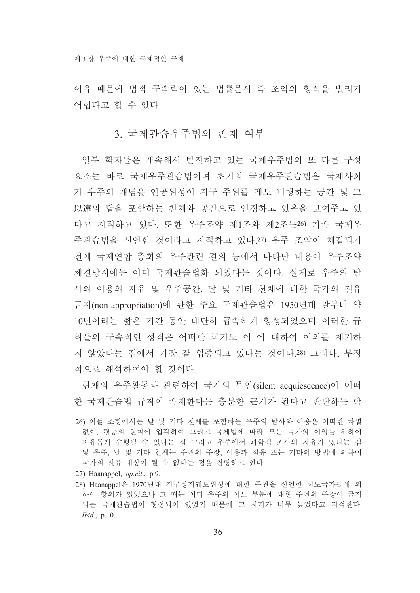이유 때문에 법적 구속력이 있는 법률문서 즉 조약의 형식을 빌리기 어렵다고 할 수 있다.

#### 3. 국제관습우주법의 존재 여부

일부 학자들은 계속해서 발전하고 있는 국제우주법의 또 다른 구성 요소는 바로 국제우주관습법이며 초기의 국제우주관습법은 국제사회 가 우주의 개념을 인공위성이 지구 주위를 궤도 비행하는 공간 및 그 以遠의 달을 포함하는 천체와 공간으로 인정하고 있음을 보여주고 있 다고 지적하고 있다. 또한 우주조약 제1조와 제2조는26) 기존 국제우 주관습법을 선언한 것이라고 지적하고 있다.27) 우주 조약이 체결되기 전에 국제여합 총회의 우주관련 결의 등에서 나타난 내용이 우주조약 체결당시에는 이미 국제관습법화 되었다는 것이다. 실제로 우주의 탐 사와 이용의 자유 및 우주공간, 달 및 기타 천체에 대한 국가의 전유 금지(non-appropriation)에 관한 주요 국제관습법은 1950년대 말부터 약 10년이라는 짧은 기간 동안 대단히 급속하게 형성되었으며 이러한 규 칙들의 구속적인 성격은 어떠한 국가도 이 에 대하여 이의를 제기하 지 않았다는 점에서 가장 잘 입증되고 있다는 것이다.28) 그러나. 부정 적으로 해석하여야 할 것이다.

현재의 우주활동과 관련하여 국가의 묵인(silent acquiescence)이 어떠 한 국제관습법 규칙이 존재한다는 충분한 근거가 된다고 판단하는 학

27) Haanappel, op.cit., p.9.

<sup>26)</sup> 이들 조항에서는 달 및 기타 천체를 포함하는 우주의 탐사와 이용은 어떠한 차별 없이, 평등의 워칙에 입각하여 그리고 국제법에 따라 모든 국가의 이익을 위하여 자유롭게 수행될 수 있다는 점 그리고 우주에서 과학적 조사의 자유가 있다는 점 및 우주, 달 및 기타 천체는 주권의 주장, 이용과 점유 또는 기타의 방법에 의하여 국가의 전유 대상이 될 수 없다는 점을 천명하고 있다.

<sup>28)</sup> Haanappel은 1970년대 지구정지궤도위성에 대한 주권을 선언한 적도국가들에 의 하여 항의가 있었으나 그 때는 이미 우주의 어느 부분에 대한 주권의 주장이 금지 되는 국제관습법이 형성되어 있었기 때문에 그 시기가 너무 늦었다고 지적한다.  $Ibid., p.10.$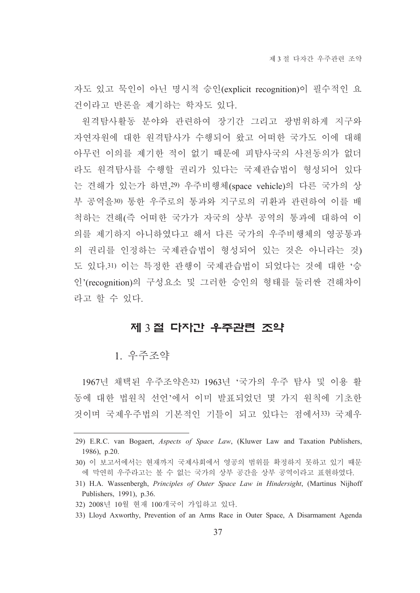자도 있고 묵인이 아닌 명시적 승인(explicit recognition)이 필수적인 요 건이라고 반론을 제기하는 학자도 있다.

원격탐사활동 분야와 관련하여 장기간 그리고 광범위하게 지구와 자연자원에 대한 원격탐사가 수행되어 왔고 어떠한 국가도 이에 대해 아무런 이의를 제기한 적이 없기 때문에 피탐사국의 사전동의가 없더 라도 원격탐사를 수행할 권리가 있다는 국제관습법이 형성되어 있다 는 견해가 있는가 하면, 29) 우주비행체(space vehicle)의 다른 국가의 상 부 공역을30) 통한 우주로의 통과와 지구로의 귀환과 관련하여 이를 배 척하는 견해(즉 어떠한 국가가 자국의 상부 공역의 통과에 대하여 이 의를 제기하지 아니하였다고 해서 다른 국가의 우주비행체의 영공통과 의 권리를 인정하는 국제관습법이 형성되어 있는 것은 아니라는 것) 도 있다.31) 이는 특정한 관행이 국제관습법이 되었다는 것에 대한 '승 인'(recognition)의 구성요소 및 그러한 승인의 형태를 둘러싼 견해차이 라고 할 수 있다.

#### 제 3절 다자간 우주관련 조약

#### 1 우주조약

1967년 채택된 우주조약은32) 1963년 '국가의 우주 탐사 및 이용 활 동에 대한 법워칙 선언'에서 이미 발표되었던 몇 가지 워칙에 기초한 것이며 국제우주법의 기본적인 기틀이 되고 있다는 점에서33) 국제우

- 30) 이 보고서에서는 현재까지 국제사회에서 영공의 범위를 확정하지 못하고 있기 때문 에 막연히 우주라고는 볼 수 없는 국가의 상부 공간을 상부 공역이라고 표현하였다.
- 31) H.A. Wassenbergh, Principles of Outer Space Law in Hindersight, (Martinus Nijhoff Publishers, 1991), p.36.
- 32) 2008년 10월 현재 100개국이 가입하고 있다.
- 33) Lloyd Axworthy, Prevention of an Arms Race in Outer Space, A Disarmament Agenda

<sup>29)</sup> E.R.C. van Bogaert, Aspects of Space Law, (Kluwer Law and Taxation Publishers, 1986),  $p.20$ .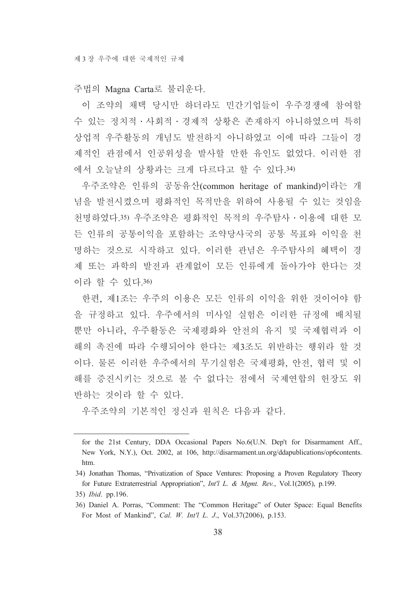주법의 Magna Carta로 불리운다.

이 조약의 채택 당시만 하더라도 민간기업들이 우주경쟁에 참여할 수 있는 정치적 • 사회적 • 경제적 상황은 존재하지 아니하였으며 특히 상업적 우주활동의 개념도 발전하지 아니하였고 이에 따라 그들이 경 제적인 관점에서 인공위성을 발사할 만한 유인도 없었다. 이러한 점 에서 오늘날의 상황과는 크게 다르다고 할 수 있다.34)

우주조약은 인류의 공동유산(common heritage of mankind)이라는 개 념을 발전시켰으며 평화적인 목적만을 위하여 사용될 수 있는 것임을 천명하였다.35) 우주조약은 평화적인 목적의 우주탐사 • 이용에 대한 모 든 인류의 공통이익을 포함하는 조약당사국의 공통 목표와 이익을 천 명하는 것으로 시작하고 있다. 이러한 관념은 우주탐사의 혜택이 경 제 또는 과학의 발전과 관계없이 모든 인류에게 돌아가야 한다는 것 이라 할 수 있다 36)

한편 제1조는 우주의 이용은 모든 인류의 이익을 위한 것이어야 함 을 규정하고 있다. 우주에서의 미사일 실험은 이러한 규정에 배치될 뿐만 아니라. 우주활동은 국제평화와 안전의 유지 및 국제협력과 이 해의 촉진에 따라 수행되어야 한다는 제3조도 위반하는 행위라 할 것 이다. 물론 이러한 우주에서의 무기실험은 국제평화. 안전, 협력 및 이 해를 증진시키는 것으로 볼 수 없다는 점에서 국제연합의 헌장도 위 반하는 것이라 할 수 있다.

우주조약의 기본적인 정신과 원칙은 다음과 같다.

35) *Ibid.* pp.196.

for the 21st Century, DDA Occasional Papers No.6(U.N. Dep't for Disarmament Aff., New York, N.Y.), Oct. 2002, at 106, http://disarmament.un.org/ddapublications/op6contents. htm.

<sup>34)</sup> Jonathan Thomas, "Privatization of Space Ventures: Proposing a Proven Regulatory Theory for Future Extraterrestrial Appropriation", *Int'l L. & Mgmt. Rev.*, Vol.1(2005), p.199.

<sup>36)</sup> Daniel A. Porras, "Comment: The "Common Heritage" of Outer Space: Equal Benefits For Most of Mankind", Cal. W. Int'l L. J., Vol.37(2006), p.153.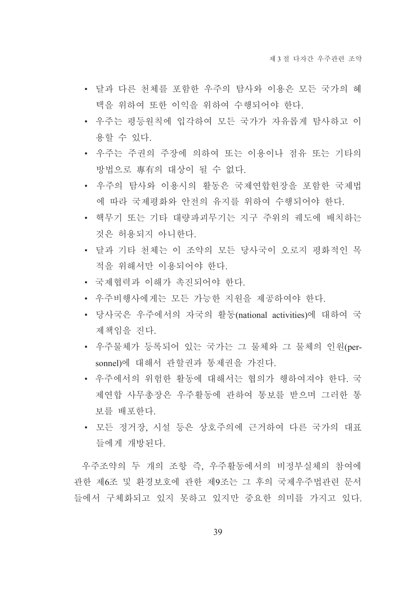- 달과 다른 천체를 포함한 우주의 탐사와 이용은 모든 국가의 혜 택을 위하여 또한 이익을 위하여 수행되어야 한다.
- 우주는 평등원칙에 입각하여 모든 국가가 자유롭게 탐사하고 이 용할 수 있다.
- 우주는 주권의 주장에 의하여 또는 이용이나 점유 또는 기타의 방법으로 專有의 대상이 될 수 없다.
- 우주의 탐사와 이용시의 활동은 국제연합헌장을 포함한 국제법 에 따라 국제평화와 안전의 유지를 위하여 수행되어야 한다.
- 핵무기 또는 기타 대량파괴무기는 지구 주위의 궤도에 배치하는 것은 허용되지 아니한다.
- 달과 기타 천체는 이 조약의 모든 당사국이 오로지 평화적인 목 적을 위해서만 이용되어야 한다.
- 국제협력과 이해가 촉지되어야 하다.
- 우주비행사에게는 모든 가능한 지워을 제공하여야 하다.
- 당사국은 우주에서의 자국의 활동(national activities)에 대하여 국 제책임을 지다.
- 우주물체가 등록되어 있는 국가는 그 물체와 그 물체의 인원(personnel)에 대해서 관할권과 통제권을 가진다.
- 우주에서의 위험한 활동에 대해서는 협의가 행하여져야 한다. 국 제연합 사무총장은 우주활동에 관하여 통보를 받으며 그러한 통 보를 배포하다.
- 모든 정거장. 시설 등은 상호주의에 근거하여 다른 국가의 대표 들에게 개방되다.

우주조약의 두 개의 조항 즉 우주활동에서의 비정부실체의 참여에 관한 제6조 및 환경보호에 관한 제9조는 그 후의 국제우주법관련 문서 들에서 구체화되고 있지 못하고 있지만 중요한 의미를 가지고 있다.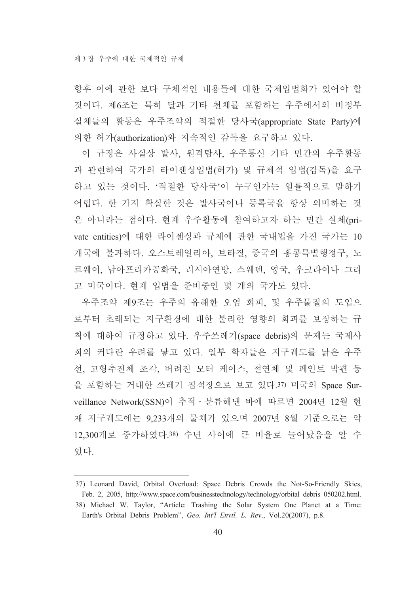향후 이에 과한 보다 구체적인 내용들에 대한 국제입법화가 있어야 할 것이다. 제6조는 특히 달과 기타 천체를 포함하는 우주에서의 비정부 실체들의 활동은 우주조약의 적절한 당사국(appropriate State Party)에 의한 허가(authorization)와 지속적인 감독을 요구하고 있다.

이 규정은 사실상 발사, 원격탐사, 우주통신 기타 민간의 우주활동 과 관련하여 국가의 라이센싱입법(허가) 및 규제적 입법(감독)을 요구 하고 있는 것이다. '적절한 당사국'이 누구인가는 일률적으로 말하기 어렵다. 한 가지 확실한 것은 발사국이나 등록국을 항상 의미하는 것 은 아니라는 점이다. 현재 우주활동에 참여하고자 하는 민간 실체(private entities)에 대한 라이센싱과 규제에 관한 국내법을 가진 국가는 10 개국에 불과하다. 오스트레일리아, 브라질, 중국의 홍콩특별행정구, 노 르웨이, 남아프리카공화국, 러시아연방, 스웨덴, 영국, 우크라이나 그리 고 미국이다. 현재 입법을 준비중인 몇 개의 국가도 있다.

우주조약 제9조는 우주의 유해한 오염 회피, 및 우주물질의 도입으 로부터 초래되는 지구환경에 대한 불리한 영향의 회피를 보장하는 규 칙에 대하여 규정하고 있다. 우주쓰레기(space debris)의 문제는 국제사 회의 커다란 우려를 낳고 있다. 일부 학자들은 지구궤도를 낡은 우주 선, 고형추진체 조각, 버려진 모터 케이스, 절연체 및 페인트 박편 등 을 포함하는 거대한 쓰레기 집적장으로 보고 있다.37) 미국의 Space Surveillance Network(SSN)이 추적 · 분류해낸 바에 따르면 2004년 12월 현 재 지구궤도에는 9,233개의 물체가 있으며 2007년 8월 기준으로는 약 12.300개로 증가하였다.38) 수년 사이에 큰 비율로 늘어났음을 알 수 있다.

<sup>37)</sup> Leonard David, Orbital Overload: Space Debris Crowds the Not-So-Friendly Skies, Feb. 2, 2005, http://www.space.com/businesstechnology/technology/orbital debris 050202.html. 38) Michael W. Taylor, "Article: Trashing the Solar System One Planet at a Time: Earth's Orbital Debris Problem", Geo. Int'l Envtl. L. Rev., Vol.20(2007), p.8.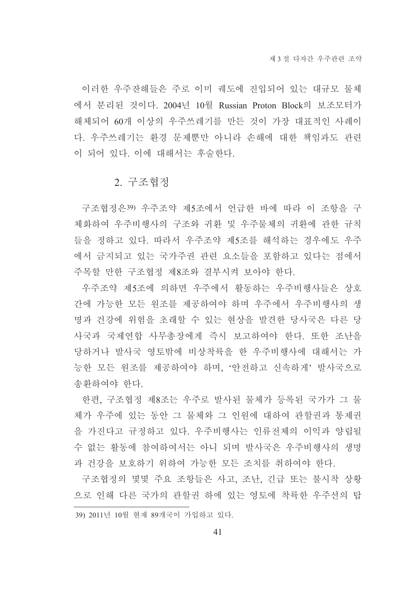이러한 우주잔해들은 주로 이미 궤도에 진입되어 있는 대규모 물체 에서 분리된 것이다. 2004년 10월 Russian Proton Block의 보조모터가 해체되어 60개 이상의 우주쓰레기를 만든 것이 가장 대표적인 사례이 다. 우주쓰레기는 환경 문제뿐만 아니라 손해에 대한 책임과도 관련 이 되어 있다. 이에 대해서는 후술한다.

### 2. 구조협정

구조협정은39) 우주조약 제5조에서 언급한 바에 따라 이 조항을 구 체화하여 우주비행사의 구조와 귀환 및 우주물체의 귀환에 관한 규칙 들을 정하고 있다. 따라서 우주조약 제5조를 해석하는 경우에도 우주 에서 금지되고 있는 국가주권 관련 요소들을 포함하고 있다는 점에서 주목할 만한 구조협정 제8조와 결부시켜 보아야 한다.

우주조약 제5조에 의하면 우주에서 활동하는 우주비행사들은 상호 간에 가능한 모든 원조를 제공하여야 하며 우주에서 우주비행사의 생 명과 건강에 위험을 초래할 수 있는 현상을 발견한 당사국은 다른 당 사국과 국제연합 사무총장에게 즉시 보고하여야 한다. 또한 조난을 당하거나 발사국 영토밖에 비상착륙을 한 우주비행사에 대해서는 가 능한 모든 원조를 제공하여야 하며, '안전하고 신속하게' 발사국으로 송화하여야 한다.

한편, 구조협정 제8조는 우주로 발사된 물체가 등록된 국가가 그 물 체가 우주에 있는 동안 그 물체와 그 인원에 대하여 관할권과 통제권 을 가진다고 규정하고 있다. 우주비행사는 인류전체의 이익과 양립될 수 없는 활동에 참여하여서는 아니 되며 발사국은 우주비행사의 생명 과 건강을 보호하기 위하여 가능한 모든 조치를 취하여야 한다.

구조협정의 몇몇 주요 조항들은 사고, 조난, 긴급 또는 불시착 상황 으로 인해 다른 국가의 관할권 하에 있는 영토에 착륙한 우주선의 탑

39) 2011년 10월 현재 89개국이 가입하고 있다.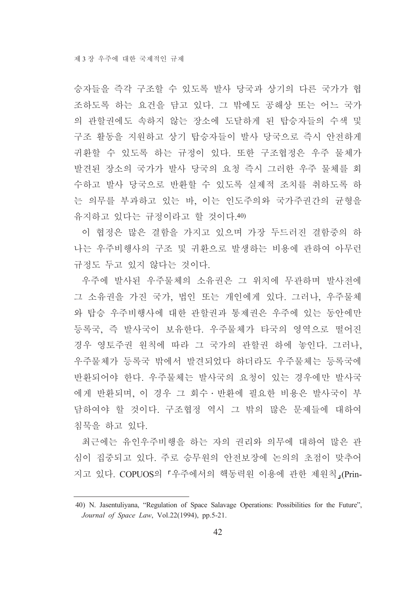승자들을 즉각 구조할 수 있도록 발사 당국과 상기의 다른 국가가 협 조하도록 하는 요건을 담고 있다. 그 밖에도 공해상 또는 어느 국가 의 관할권에도 속하지 않는 장소에 도달하게 된 탑승자들의 수색 및 구조 활동을 지원하고 상기 탑승자들이 발사 당국으로 즉시 안전하게 귀환할 수 있도록 하는 규정이 있다. 또한 구조협정은 우주 물체가 발견된 장소의 국가가 발사 당국의 요청 즉시 그러한 우주 물체를 회 수하고 발사 당국으로 반환할 수 있도록 실제적 조치를 취하도록 하 는 의무를 부과하고 있는 바. 이는 인도주의와 국가주권간의 규형을 유지하고 있다는 규정이라고 할 것이다.40)

이 협정은 많은 결함을 가지고 있으며 가장 두드러진 결함중의 하 나는 우주비행사의 구조 및 귀환으로 발생하는 비용에 관하여 아무런 규정도 두고 있지 않다는 것이다.

우주에 발사된 우주물체의 소유권은 그 위치에 무관하며 발사전에 그 소유권을 가진 국가, 법인 또는 개인에게 있다. 그러나, 우주물체 와 탑승 우주비행사에 대한 관할권과 통제권은 우주에 있는 동안에만 등록국, 즉 발사국이 보유한다. 우주물체가 타국의 영역으로 떨어진 경우 영토주권 원칙에 따라 그 국가의 관할권 하에 놓인다. 그러나, 우주물체가 등록국 밖에서 발견되었다 하더라도 우주물체는 등록국에 반환되어야 한다. 우주물체는 발사국의 요청이 있는 경우에만 발사국 에게 반환되며, 이 경우 그 회수 · 반환에 필요한 비용은 발사국이 부 담하여야 할 것이다. 구조협정 역시 그 밖의 많은 문제들에 대하여 침묵을 하고 있다.

최근에는 유인우주비행을 하는 자의 권리와 의무에 대하여 많은 관 심이 집중되고 있다. 주로 승무원의 안전보장에 논의의 초점이 맞추어 지고 있다. COPUOS의 「우주에서의 핵동력원 이용에 관한 제원칙」(Prin-

<sup>40)</sup> N. Jasentuliyana, "Regulation of Space Salavage Operations: Possibilities for the Future". Journal of Space Law, Vol.22(1994), pp.5-21.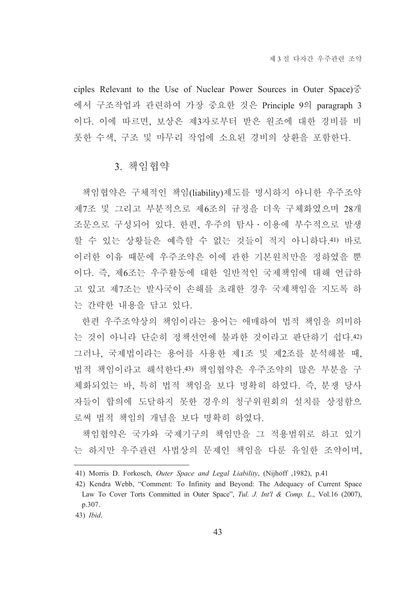ciples Relevant to the Use of Nuclear Power Sources in Outer Space) $\frac{2}{5}$ 에서 구조작업과 관련하여 가장 중요한 것은 Principle 9의 paragraph 3 이다. 이에 따르면, 보상은 제3자로부터 받은 원조에 대한 경비를 비 롯한 수색, 구조 및 마무리 작업에 소요된 경비의 상환을 포함한다.

### 3. 책임협약

책임협약은 구체적인 책임(liability)제도를 명시하지 아니한 우주조약 제7조 및 그리고 부분적으로 제6조의 규정을 더욱 구체화였으며 28개 조문으로 구성되어 있다. 한편, 우주의 탐사 · 이용에 부수적으로 발생 할 수 있는 상황들은 예측할 수 없는 것들이 적지 아니하다. 41) 바로 이러한 이유 때문에 우주조약은 이에 관한 기본원칙만을 정하였을 뿐 이다. 즉, 제6조는 우주활동에 대한 일반적인 국제책임에 대해 언급하 고 있고 제7조는 발사국이 손해를 초래한 경우 국제책임을 지도록 하 는 간략한 내용을 담고 있다.

한편 우주조약상의 책임이라는 용어는 애매하여 법적 책임을 의미하 는 것이 아니라 단순히 정책선언에 불과한 것이라고 판단하기 쉽다.42) 그러나, 국제법이라는 용어를 사용한 제1조 및 제2조를 분석해볼 때, 법적 책임이라고 해석한다.43) 책임협약은 우주조약의 많은 부분을 구 체화되었는 바, 특히 법적 책임을 보다 명확히 하였다. 즉, 분쟁 당사 자들이 합의에 도달하지 못한 경우의 청구위원회의 설치를 상정함으 로써 법적 책임의 개념을 보다 명확히 하였다.

책임협약은 국가와 국제기구의 책임만을 그 적용범위로 하고 있기 는 하지만 우주관련 사법상의 문제인 책임을 다룬 유일한 조약이며.

<sup>41)</sup> Morris D. Forkosch, Outer Space and Legal Liability, (Nijhoff ,1982), p.41

<sup>42)</sup> Kendra Webb, "Comment: To Infinity and Beyond: The Adequacy of Current Space Law To Cover Torts Committed in Outer Space", Tul. J. Int'l & Comp. L., Vol.16 (2007), p.307.

<sup>43)</sup> Ibid.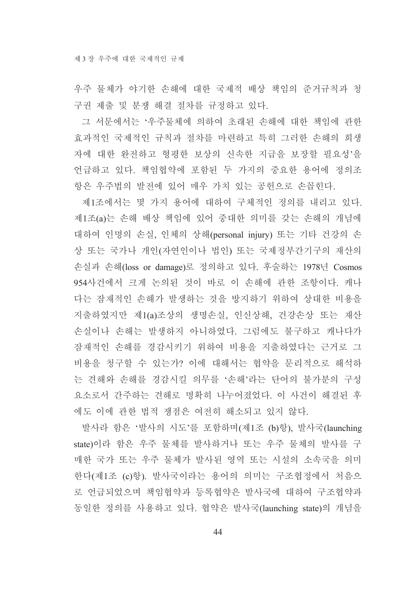우주 물체가 야기한 손해에 대한 국제적 배상 책임의 준거규칙과 청 구권 제출 및 분쟁 해결 절차를 규정하고 있다.

그 서문에서는 '우주물체에 의하여 초래된 손해에 대한 책임에 관한 효과적인 국제적인 규칙과 절차를 마련하고 특히 그러한 손해의 희생 자에 대한 완전하고 형평한 보상의 신속한 지급을 보장할 필요성'을 언급하고 있다. 책임협약에 포함된 두 가지의 중요한 용어에 정의조 항은 우주법의 발전에 있어 매우 가치 있는 공헌으로 손꼽힌다.

제1조에서는 몇 가지 용어에 대하여 구체적인 정의를 내리고 있다. 제1조(a)는 손해 배상 책임에 있어 중대한 의미를 갖는 손해의 개념에 대하여 인명의 손실, 인체의 상해(personal injury) 또는 기타 건강의 손 상 또는 국가나 개인(자연인이나 법인) 또는 국제정부간기구의 재산의 손실과 손해(loss or damage)로 정의하고 있다. 후술하는 1978년 Cosmos 954사건에서 크게 논의된 것이 바로 이 손해에 관한 조항이다. 캐나 다는 잠재적인 손해가 발생하는 것을 방지하기 위하여 상대한 비용을 지출하였지만 제1(a)조상의 생명손실, 인신상해, 건강손상 또는 재산 손실이나 손해는 발생하지 아니하였다. 그럼에도 불구하고 캐나다가 잠재적인 손해를 경감시키기 위하여 비용을 지출하였다는 근거로 그 비용을 청구할 수 있는가? 이에 대해서는 협약을 문리적으로 해석하 는 견해와 손해를 경감시킬 의무를 '손해'라는 단어의 불가분의 구성 요소로서 간주하는 견해로 명확히 나누어졌었다. 이 사건이 해결된 후 에도 이에 관한 법적 쟁점은 여전히 해소되고 있지 않다.

발사라 함은 '발사의 시도'를 포함하며(제1조 (b)항). 발사국(launching state)이라 함은 우주 물체를 발사하거나 또는 우주 물체의 발사를 구 매한 국가 또는 우주 물체가 발사된 영역 또는 시설의 소속국을 의미 한다(제1조 (c)항). 발사국이라는 용어의 의미는 구조협정에서 처음으 로 언급되었으며 책임협약과 등록협약은 발사국에 대하여 구조협약과 동일한 정의를 사용하고 있다. 협약은 발사국(launching state)의 개념을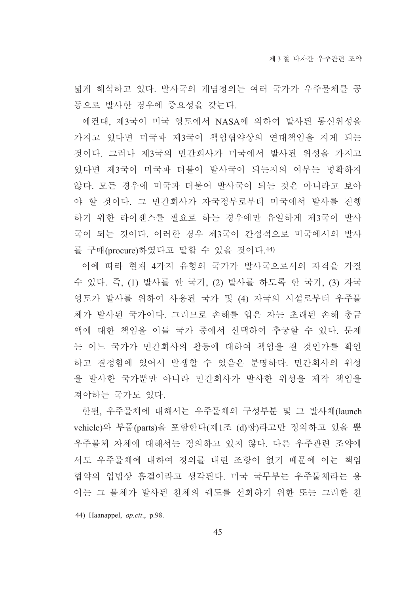넓게 해석하고 있다. 발사국의 개념정의는 여러 국가가 우주물체를 공 동으로 발사한 경우에 중요성을 갖는다.

예컨대, 제3국이 미국 영토에서 NASA에 의하여 발사된 통신위성을 가지고 있다면 미국과 제3국이 책임협약상의 연대책임을 지게 되는 것이다. 그러나 제3국의 민간회사가 미국에서 발사된 위성을 가지고 있다면 제3국이 미국과 더불어 발사국이 되는지의 여부는 명확하지 않다. 모든 경우에 미국과 더불어 발사국이 되는 것은 아니라고 보아 야 할 것이다. 그 민간회사가 자국정부로부터 미국에서 발사를 진행 하기 위한 라이센스를 필요로 하는 경우에만 유일하게 제3국이 발사 국이 되는 것이다. 이러한 경우 제3국이 간접적으로 미국에서의 발사 를 구매(procure)하였다고 말할 수 있을 것이다.44)

이에 따라 현재 4가지 유형의 국가가 발사국으로서의 자격을 가질 수 있다. 즉, (1) 발사를 한 국가, (2) 발사를 하도록 한 국가, (3) 자국 영토가 발사를 위하여 사용된 국가 및 (4) 자국의 시설로부터 우주물 체가 발사된 국가이다. 그러므로 손해를 입은 자는 초래된 손해 총금 액에 대한 책임을 이들 국가 중에서 선택하여 추궁할 수 있다. 문제 는 어느 국가가 민간회사의 활동에 대하여 책임을 질 것인가를 확인 하고 결정함에 있어서 발생할 수 있음은 분명하다. 민간회사의 위성 을 발사한 국가뿐만 아니라 민간회사가 발사한 위성을 제작 책임을 져야하는 국가도 있다.

한편, 우주물체에 대해서는 우주물체의 구성부분 및 그 발사체(launch vehicle)와 부품(parts)을 포함한다(제1조 (d)항)라고만 정의하고 있을 뿐 우주물체 자체에 대해서는 정의하고 있지 않다. 다른 우주관련 조약에 서도 우주물체에 대하여 정의를 내린 조항이 없기 때문에 이는 책임 협약의 입법상 흠결이라고 생각된다. 미국 국무부는 우주물체라는 용 어는 그 물체가 발사된 천체의 궤도를 선회하기 위한 또는 그러한 천

<sup>44)</sup> Haanappel, op.cit., p.98.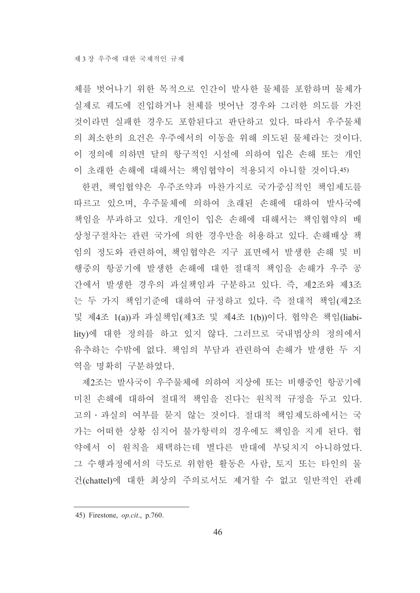체를 벗어나기 위한 목적으로 인간이 발사한 물체를 포함하며 물체가 실제로 궤도에 진입하거나 천체를 벗어난 경우와 그러한 의도를 가진 것이라면 실패한 경우도 포함된다고 판단하고 있다. 따라서 우주물체 의 최소한의 요건은 우주에서의 이동을 위해 의도된 물체라는 것이다. 이 정의에 의하면 달의 항구적인 시설에 의하여 입은 손해 또는 개인 이 초래한 손해에 대해서는 책임협약이 적용되지 아니할 것이다.45)

한편, 책임협약은 우주조약과 마찬가지로 국가중심적인 책임제도를 따르고 있으며, 우주물체에 의하여 초래된 손해에 대하여 발사국에 책임을 부과하고 있다. 개인이 입은 손해에 대해서는 책임협약의 배 상청구절차는 관련 국가에 의한 경우만을 허용하고 있다. 손해배상 책 임의 정도와 관련하여, 책임협약은 지구 표면에서 발생한 손해 및 비 행중의 항공기에 발생한 손해에 대한 절대적 책임을 손해가 우주 공 간에서 발생한 경우의 과실책임과 구분하고 있다. 즉, 제2조와 제3조 는 두 가지 책임기준에 대하여 규정하고 있다. 즉 절대적 책임(제2조 및 제4조 1(a))과 과실책임(제3조 및 제4조 1(b))이다. 협약은 책임(liability)에 대한 정의를 하고 있지 않다. 그러므로 국내법상의 정의에서 유추하는 수밖에 없다. 책임의 부담과 관련하여 손해가 발생한 두 지 역을 명확히 구분하였다.

제2조는 발사국이 우주물체에 의하여 지상에 또는 비행중인 항공기에 미친 손해에 대하여 절대적 책임을 진다는 원칙적 규정을 두고 있다. 고의 · 과실의 여부를 묻지 않는 것이다. 절대적 책임제도하에서는 국 가는 어떠한 상황 심지어 불가항력의 경우에도 책임을 지게 된다. 협 약에서 이 원칙을 채택하는데 별다른 반대에 부딪치지 아니하였다. 그 수행과정에서의 극도로 위험한 활동은 사람, 토지 또는 타인의 물 건(chattel)에 대한 최상의 주의로서도 제거할 수 없고 일반적인 관례

<sup>45)</sup> Firestone, *op.cit.*, p.760.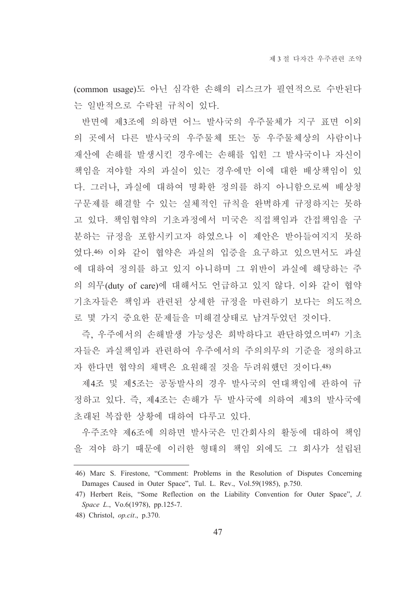(common usage)도 아닌 심각한 손해의 리스크가 필연적으로 수반된다 는 일반적으로 수락된 규칙이 있다.

반면에 제3조에 의하면 어느 발사국의 우주물체가 지구 표면 이외 의 곳에서 다른 발사국의 우주물체 또는 동 우주물체상의 사람이나 재산에 손해를 발생시킨 경우에는 손해를 입힌 그 발사국이나 자신이 책임을 져야할 자의 과실이 있는 경우에만 이에 대한 배상책임이 있 다. 그러나, 과실에 대하여 명확한 정의를 하지 아니함으로써 배상청 구문제를 해결할 수 있는 실체적인 규칙을 완벽하게 규정하지는 못하 고 있다. 책임협약의 기초과정에서 미국은 직접책임과 간접책임을 구 분하는 규정을 포함시키고자 하였으나 이 제안은 받아들여지지 못하 였다.46) 이와 같이 협약은 과실의 입증을 요구하고 있으면서도 과실 에 대하여 정의를 하고 있지 아니하며 그 위반이 과실에 해당하는 주 의 의무(duty of care)에 대해서도 언급하고 있지 않다. 이와 같이 협약 기초자들은 책임과 관련된 상세한 규정을 마련하기 보다는 의도적으 로 몇 가지 중요한 문제들을 미해결상태로 남겨두었던 것이다.

즉, 우주에서의 손해발생 가능성은 희박하다고 판단하였으며47) 기초 자들은 과실책임과 관련하여 우주에서의 주의의무의 기준을 정의하고 자 한다면 협약의 채택은 요원해질 것을 두려워했던 것이다.48)

제4조 및 제5조는 공동발사의 경우 발사국의 연대책임에 관하여 규 정하고 있다. 즉, 제4조는 손해가 두 발사국에 의하여 제3의 발사국에 초래된 복잡한 상황에 대하여 다루고 있다.

우주조약 제6조에 의하면 발사국은 민간회사의 활동에 대하여 책임 을 져야 하기 때문에 이러한 형태의 책임 외에도 그 회사가 설립된

<sup>46)</sup> Marc S. Firestone, "Comment: Problems in the Resolution of Disputes Concerning Damages Caused in Outer Space", Tul. L. Rev., Vol.59(1985), p.750.

<sup>47)</sup> Herbert Reis, "Some Reflection on the Liability Convention for Outer Space", J. Space L., Vo.6(1978), pp.125-7.

<sup>48)</sup> Christol, *op.cit.*, p.370.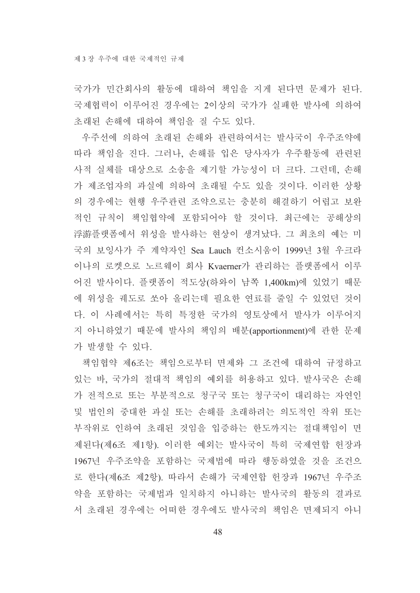국가가 민간회사의 활동에 대하여 책임을 지게 된다면 문제가 된다. 국제협력이 이루어진 경우에는 2이상의 국가가 실패한 발사에 의하여 초래된 손해에 대하여 책임을 질 수도 있다.

우주선에 의하여 초래된 손해와 관련하여서는 발사국이 우주조약에 따라 책임을 진다. 그러나, 손해를 입은 당사자가 우주활동에 관련된 사적 실체를 대상으로 소송을 제기할 가능성이 더 크다. 그런데, 손해 가 제조업자의 과실에 의하여 초래될 수도 있을 것이다. 이러한 상황 의 경우에는 현행 우주관련 조약으로는 충분히 해결하기 어렵고 보완 적인 규칙이 책임협약에 포함되어야 할 것이다. 최근에는 공해상의 浮游플랫폼에서 위성을 발사하는 현상이 생겨났다. 그 최초의 예는 미 국의 보잉사가 주 계약자인 Sea Lauch 컨소시움이 1999년 3월 우크라 이나의 로켓으로 노르웨이 회사 Kvaerner가 관리하는 플랫폼에서 이루 어진 발사이다. 플랫폼이 적도상(하와이 남쪽 1,400km)에 있었기 때문 에 위성을 궤도로 쏘아 올리는데 필요한 연료를 줄일 수 있었던 것이 다. 이 사례에서는 특히 특정한 국가의 영토상에서 발사가 이루어지 지 아니하였기 때문에 발사의 책임의 배분(apportionment)에 관한 문제 가 발생할 수 있다.

책임협약 제6조는 책임으로부터 면제와 그 조건에 대하여 규정하고 있는 바, 국가의 절대적 책임의 예외를 허용하고 있다. 발사국은 손해 가 전적으로 또는 부분적으로 청구국 또는 청구국이 대리하는 자연인 및 법인의 중대한 과실 또는 손해를 초래하려는 의도적인 작위 또는 부작위로 인하여 초래된 것임을 입증하는 한도까지는 절대책임이 면 제된다(제6조 제1항). 이러한 예외는 발사국이 특히 국제여합 헌장과 1967년 우주조약을 포함하는 국제법에 따라 행동하였을 것을 조건으 로 하다(제6조 제2항). 따라서 손해가 국제여합 허장과 1967년 우주조 약을 포함하는 국제법과 일치하지 아니하는 발사국의 활동의 결과로 서 초래된 경우에는 어떠한 경우에도 발사국의 책임은 면제되지 아니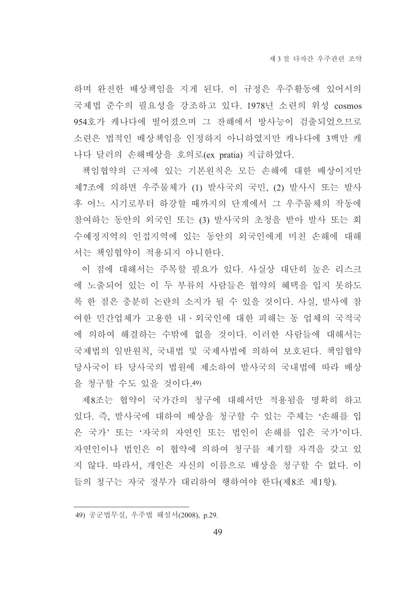하며 완전한 배상책임을 지게 된다. 이 규정은 우주활동에 있어서의 국제법 준수의 필요성을 강조하고 있다. 1978년 소련의 위성 cosmos 954호가 캐나다에 떨어졌으며 그 잔해에서 방사능이 검출되었으므로 소련은 법적인 배상책임을 인정하지 아니하였지만 캐나다에 3백만 캐 나다 달러의 손해배상을 호의로(ex pratia) 지급하였다.

책임협약의 근저에 있는 기본원칙은 모든 손해에 대한 배상이지만 제7조에 의하면 우주물체가 (1) 발사국의 국민, (2) 발사시 또는 발사 후 어느 시기로부터 하강할 때까지의 단계에서 그 우주물체의 작동에 참여하는 동안의 외국인 또는 (3) 발사국의 초청을 받아 발사 또는 회 수예정지역의 인접지역에 있는 동안의 외국인에게 미친 손해에 대해 서는 책임협약이 적용되지 아니한다.

이 점에 대해서는 주목할 필요가 있다. 사실상 대단히 높은 리스크 에 노출되어 있는 이 두 부류의 사람들은 협약의 혜택을 입지 못하도 록 한 점은 충분히 논란의 소지가 될 수 있을 것이다. 사실, 발사에 참 여한 민간업체가 고용한 내ㆍ외국인에 대한 피해는 동 업체의 국적국 에 의하여 해결하는 수밖에 없을 것이다. 이러한 사람들에 대해서는 국제법의 일반원칙, 국내법 및 국제사법에 의하여 보호된다. 책임협약 당사국이 타 당사국의 법원에 제소하여 발사국의 국내법에 따라 배상 을 청구할 수도 있을 것이다.49)

제8조는 협약이 국가간의 청구에 대해서만 적용됨을 명확히 하고 있다. 즉, 발사국에 대하여 배상을 청구할 수 있는 주체는 '손해를 입 은 국가'또는 '자국의 자연인 또는 법인이 손해를 입은 국가'이다. 자연인이나 법인은 이 협약에 의하여 청구를 제기할 자격을 갖고 있 지 않다. 따라서, 개인은 자신의 이름으로 배상을 청구할 수 없다. 이 들의 청구는 자국 정부가 대리하여 행하여야 한다(제8조 제1항).

<sup>49)</sup> 공군법무실, 우주법 해설서(2008), p.29.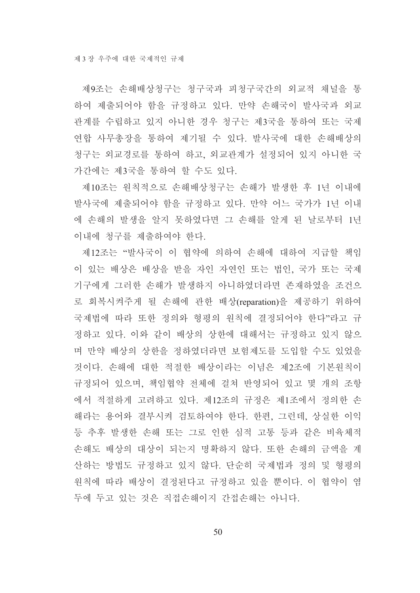제9조는 손해배상청구는 청구국과 피청구국간의 외교적 채널을 통 하여 제출되어야 함을 규정하고 있다. 만약 손해국이 발사국과 외교 관계를 수립하고 있지 아니한 경우 청구는 제3국을 통하여 또는 국제 연합 사무총장을 통하여 제기될 수 있다. 발사국에 대한 손해배상의 청구는 외교경로를 통하여 하고, 외교관계가 설정되어 있지 아니한 국 가간에는 제3국을 통하여 할 수도 있다.

제10조는 원칙적으로 손해배상청구는 손해가 발생한 후 1년 이내에 발사국에 제출되어야 함을 규정하고 있다. 만약 어느 국가가 1년 이내 에 손해의 발생을 알지 못하였다면 그 손해를 알게 된 날로부터 1년 이내에 청구를 제출하여야 한다.

제12조는 "발사국이 이 협약에 의하여 손해에 대하여 지급할 책임 이 있는 배상은 배상을 받을 자인 자연인 또는 법인, 국가 또는 국제 기구에게 그러한 손해가 발생하지 아니하였더라면 존재하였을 조건으 로 회복시켜주게 될 손해에 관한 배상(reparation)을 제공하기 위하여 국제법에 따라 또한 정의와 형평의 원칙에 결정되어야 한다"라고 규 정하고 있다. 이와 같이 배상의 상한에 대해서는 규정하고 있지 않으 며 만약 배상의 상한을 정하였더라면 보험제도를 도입할 수도 있었을 것이다. 손해에 대한 적절한 배상이라는 이념은 제2조에 기본원칙이 규정되어 있으며, 책임협약 전체에 걸쳐 반영되어 있고 몇 개의 조항 에서 적절하게 고려하고 있다. 제12조의 규정은 제1조에서 정의한 손 해라는 용어와 결부시켜 검토하여야 한다. 한편, 그런데, 상실한 이익 등 추후 발생한 손해 또는 그로 인한 심적 고통 등과 같은 비육체적 손해도 배상의 대상이 되는지 명확하지 않다. 또한 손해의 금액을 계 산하는 방법도 규정하고 있지 않다. 단순히 국제법과 정의 및 형평의 원칙에 따라 배상이 결정된다고 규정하고 있을 뿐이다. 이 협약이 염 두에 두고 있는 것은 직접손해이지 간접손해는 아니다.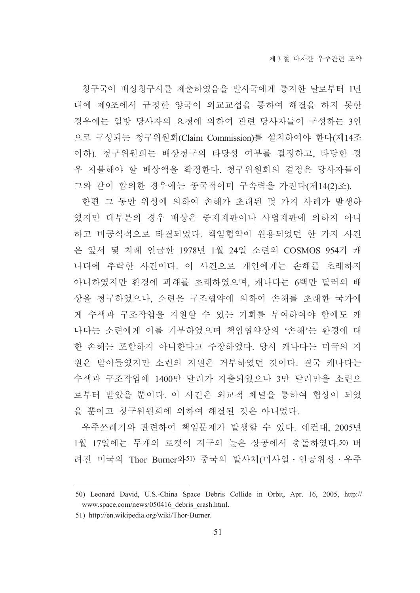청구국이 배상청구서를 제출하였음을 발사국에게 통지한 날로부터 1년 내에 제9조에서 규정한 양국이 외교교섭을 통하여 해결을 하지 못한 경우에는 일방 당사자의 요청에 의하여 관련 당사자들이 구성하는 3인 으로 구성되는 청구위원회(Claim Commission)를 설치하여야 한다(제14조 이하). 청구위워회는 배상청구의 타당성 여부를 결정하고, 타당한 경 우 지불해야 할 배상액을 확정한다. 청구위원회의 결정은 당사자들이 그와 같이 합의한 경우에는 종국적이며 구속력을 가진다(제14(2)조).

한편 그 동안 위성에 의하여 손해가 초래된 몇 가지 사례가 발생하 였지만 대부분의 경우 배상은 중재재판이나 사법재판에 의하지 아니 하고 비공식적으로 타결되었다. 책임협약이 원용되었던 한 가지 사건 은 앞서 몇 차례 언급한 1978년 1월 24일 소련의 COSMOS 954가 캐 나다에 추락한 사건이다. 이 사건으로 개인에게는 손해를 초래하지 아니하였지만 환경에 피해를 초래하였으며, 캐나다는 6백만 달러의 배 상을 청구하였으나, 소련은 구조협약에 의하여 손해를 초래한 국가에 게 수색과 구조작업을 지원할 수 있는 기회를 부여하여야 함에도 캐 나다는 소련에게 이를 거부하였으며 책임협약상의 '손해'는 환경에 대 한 손해는 포함하지 아니한다고 주장하였다. 당시 캐나다는 미국의 지 워은 받아들였지만 소련의 지워은 거부하였던 것이다. 결국 캐나다는 수색과 구조작업에 1400만 달러가 지출되었으나 3만 달러만을 소련으 로부터 받았을 뿐이다. 이 사건은 외교적 체널을 통하여 협상이 되었 을 뿐이고 청구위워회에 의하여 해결된 것은 아니었다.

우주쓰레기와 관련하여 책임문제가 발생할 수 있다. 예컨대. 2005년 1월 17일에는 두개의 로켓이 지구의 높은 상공에서 충돌하였다.50) 버 려진 미국의 Thor Burner와51) 중국의 발사체(미사일 · 인공위성 · 우주

<sup>50)</sup> Leonard David, U.S.-China Space Debris Collide in Orbit, Apr. 16, 2005, http:// www.space.com/news/050416 debris crash.html.

<sup>51)</sup> http://en.wikipedia.org/wiki/Thor-Burner.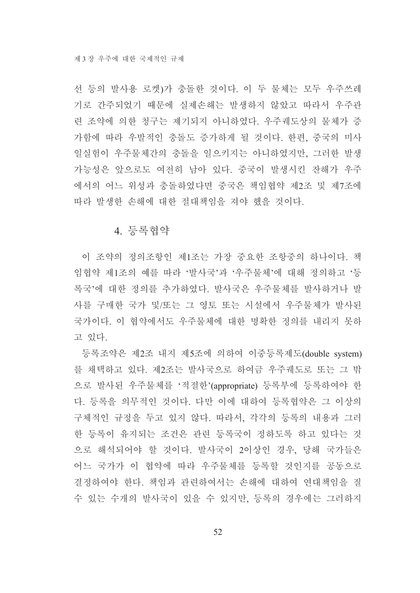선 등의 발사용 로켓)가 충돌한 것이다. 이 두 물체는 모두 우주쓰레 기로 간주되었기 때문에 실제손해는 발생하지 않았고 따라서 우주관 련 조약에 의한 청구는 제기되지 아니하였다. 우주궤도상의 물체가 증 가함에 따라 우발적인 충돌도 증가하게 될 것이다. 한편, 중국의 미사 일실험이 우주물체간의 충돌을 일으키지는 아니하였지만, 그러한 발생 가능성은 앞으로도 여전히 남아 있다. 중국이 발생시킨 잔해가 우주 에서의 어느 위성과 충돌하였다면 중국은 책임협약 제2조 및 제7조에 따라 발생한 손해에 대한 절대책임을 져야 했을 것이다.

### 4. 등록협약

이 조약의 정의조항인 제1조는 가장 중요한 조항중의 하나이다. 책 임협약 제1조의 예를 따라 '발사국'과 '우주물체'에 대해 정의하고 '등 록국'에 대한 정의를 추가하였다. 발사국은 우주물체를 발사하거나 발 사를 구매한 국가 및/또는 그 영토 또는 시설에서 우주물체가 발사된 국가이다. 이 협약에서도 우주물체에 대한 명확한 정의를 내리지 못하 고 있다.

등록조약은 제2조 내지 제5조에 의하여 이중등록제도(double system) 를 채택하고 있다. 제2조는 발사국으로 하여금 우주궤도로 또는 그 밖 으로 발사된 우주물체를 '적절한'(appropriate) 등록부에 등록하여야 한 다. 등록을 의무적인 것이다. 다만 이에 대하여 등록협약은 그 이상의 구체적인 규정을 두고 있지 않다. 따라서, 각각의 등록의 내용과 그러 한 등록이 유지되는 조건은 관련 등록국이 정하도록 하고 있다는 것 으로 해석되어야 할 것이다. 발사국이 2이상인 경우, 당해 국가들은 어느 국가가 이 협약에 따라 우주물체를 등록할 것인지를 공동으로 결정하여야 한다. 책임과 관련하여서는 손해에 대하여 연대책임을 질 수 있는 수개의 발사국이 있을 수 있지만, 등록의 경우에는 그러하지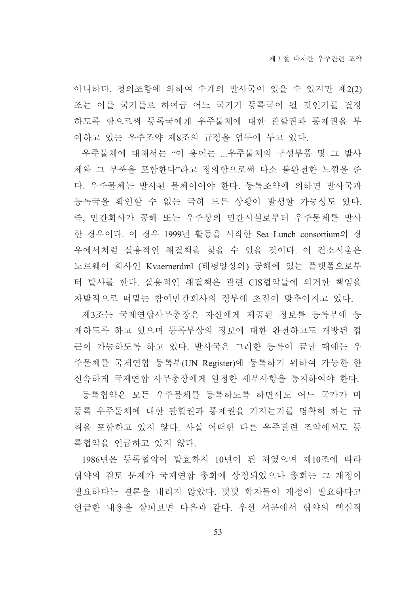아니하다. 정의조항에 의하여 수개의 발사국이 있을 수 있지만 제2(2) 조는 이들 국가들로 하여금 어느 국가가 등록국이 될 것인가를 결정 하도록 함으로써 등록국에게 우주물체에 대한 관할권과 통제권을 부 여하고 있는 우주조약 제8조의 규정을 염두에 두고 있다.

우주물체에 대해서는 "이 용어는 ...우주물체의 구성부품 및 그 발사 체와 그 부품을 포함한다"라고 정의함으로써 다소 불완전한 느낌을 준 다. 우주물체는 발사된 물체이어야 한다. 등록조약에 의하면 발사국과 등록국을 확인할 수 없는 극히 드믄 상황이 발생할 가능성도 있다. 즉, 민간회사가 공해 또는 우주상의 민간시설로부터 우주물체를 발사 한 경우이다. 이 경우 1999년 활동을 시작한 Sea Lunch consortium의 경 우에서처럼 실용적인 해결책을 찾을 수 있을 것이다. 이 컨소시움은 노르웨이 회사인 Kvaernerdml (태평양상의) 공해에 있는 플랫폼으로부 터 발사를 한다. 실용적인 해결책은 관련 CIS협약들에 의거한 책임을 자발적으로 떠맡는 참여민간회사의 정부에 초점이 맞추어지고 있다.

제3조는 국제연합사무총장은 자신에게 제공된 정보를 등록부에 등 재하도록 하고 있으며 등록부상의 정보에 대한 완전하고도 개방된 접 근이 가능하도록 하고 있다. 발사국은 그러한 등록이 끝난 때에는 우 주물체를 국제연합 등록부(UN Register)에 등록하기 위하여 가능한 한 신속하게 국제연합 사무총장에게 일정한 세부사항을 통지하여야 한다.

등록협약은 모든 우주물체를 등록하도록 하면서도 어느 국가가 미 등록 우주물체에 대한 관할권과 통제권을 가지는가를 명확히 하는 규 칙을 포함하고 있지 않다. 사실 어떠한 다른 우주관련 조약에서도 등 록협약을 어급하고 있지 않다.

1986년은 등록협약이 발효하지 10년이 된 해였으며 제10조에 따라 협약의 검토 문제가 국제연합 총회에 상정되었으나 총회는 그 개정이 필요하다는 결론을 내리지 않았다. 몇몇 학자들이 개정이 필요하다고 언급한 내용을 살펴보면 다음과 같다. 우선 서문에서 협약의 핵심적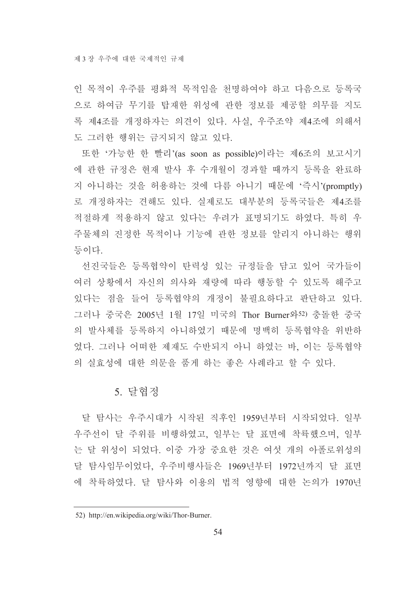인 목적이 우주를 평화적 목적임을 천명하여야 하고 다음으로 등록국 으로 하여금 무기를 탑재한 위성에 관한 정보를 제공할 의무를 지도 록 제4조를 개정하자는 의견이 있다. 사실, 우주조약 제4조에 의해서 도 그러한 행위는 금지되지 않고 있다.

또한 '가능한 한 빨리'(as soon as possible)이라는 제6조의 보고시기 에 관한 규정은 현재 발사 후 수개월이 경과할 때까지 등록을 완료하 지 아니하는 것을 허용하는 것에 다름 아니기 때문에 '즉시'(promptly) 로 개정하자는 견해도 있다. 실제로도 대부분의 등록국들은 제4조를 적절하게 적용하지 않고 있다는 우려가 표명되기도 하였다. 특히 우 주물체의 진정한 목적이나 기능에 관한 정보를 알리지 아니하는 행위 등이다.

선진국들은 등록협약이 탄력성 있는 규정들을 담고 있어 국가들이 여러 상황에서 자신의 의사와 재량에 따라 행동할 수 있도록 해주고 있다는 점을 들어 등록협약의 개정이 불필요하다고 판단하고 있다. 그러나 중국은 2005년 1월 17일 미국의 Thor Burner와52) 충돌한 중국 의 발사체를 등록하지 아니하였기 때문에 명백히 등록협약을 위반하 였다. 그러나 어떠한 제재도 수반되지 아니 하였는 바, 이는 등록협약 의 실효성에 대한 의문을 품게 하는 좋은 사례라고 할 수 있다.

### 5. 달협정

달 탐사는 우주시대가 시작된 직후인 1959년부터 시작되었다. 일부 우주선이 달 주위를 비행하였고, 일부는 달 표면에 착륙했으며, 일부 는 달 위성이 되었다. 이중 가장 중요한 것은 여섯 개의 아폴로위성의 달 탐사임무이었다. 우주비행사들은 1969년부터 1972년까지 달 표면 에 착륙하였다. 달 탐사와 이용의 법적 영향에 대한 논의가 1970년

<sup>52)</sup> http://en.wikipedia.org/wiki/Thor-Burner.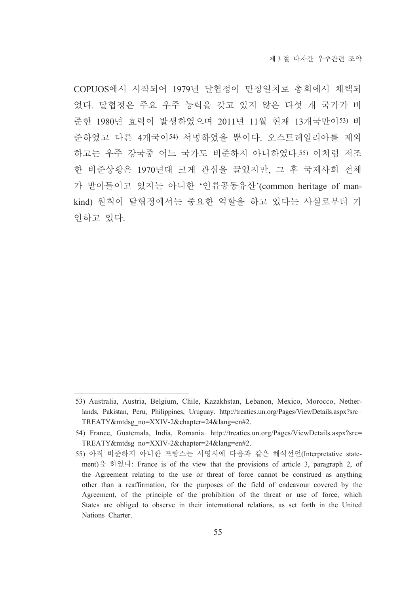COPUOS에서 시작되어 1979년 달협정이 만장일치로 총회에서 채택되 었다. 달협정은 주요 우주 능력을 갖고 있지 않은 다섯 개 국가가 비 준한 1980년 효력이 발생하였으며 2011년 11월 현재 13개국만이53) 비 준하였고 다른 4개국이54) 서명하였을 뿐이다. 오스트레일리아를 제외 하고는 우주 강국중 어느 국가도 비주하지 아니하였다.55) 이처럼 저조 한 비준상황은 1970년대 크게 관심을 끌었지만, 그 후 국제사회 전체 가 받아들이고 있지는 아니한 '인류공동유산'(common heritage of mankind) 원칙이 달협정에서는 중요한 역할을 하고 있다는 사실로부터 기 인하고 있다.

<sup>53)</sup> Australia, Austria, Belgium, Chile, Kazakhstan, Lebanon, Mexico, Morocco, Netherlands, Pakistan, Peru, Philippines, Uruguay. http://treaties.un.org/Pages/ViewDetails.aspx?src= TREATY&mtdsg\_no=XXIV-2&chapter=24&lang=en#2.

<sup>54)</sup> France, Guatemala, India, Romania. http://treaties.un.org/Pages/ViewDetails.aspx?src= TREATY&mtdsg\_no=XXIV-2&chapter=24&lang=en#2.

<sup>55)</sup> 아직 비준하지 아니한 프랑스는 서명시에 다음과 같은 해석선언(Interpretative statement)을 하였다: France is of the view that the provisions of article 3, paragraph 2, of the Agreement relating to the use or threat of force cannot be construed as anything other than a reaffirmation, for the purposes of the field of endeavour covered by the Agreement, of the principle of the prohibition of the threat or use of force, which States are obliged to observe in their international relations, as set forth in the United Nations Charter.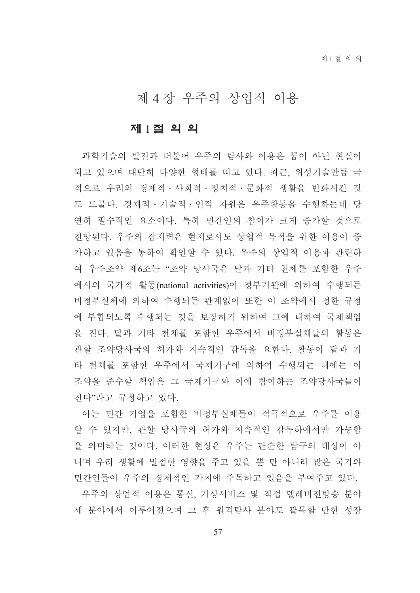# 제 4 장 우주의 상업적 이용

### 제 1절 의 의

과학기술의 발전과 더불어 우주의 탐사와 이용은 꿈이 아닌 현실이 되고 있으며 대단히 다양한 형태를 띠고 있다. 최근, 위성기술만큼 극 적으로 우리의 경제적·사회적·정치적·문화적 생활을 변화시킨 것 도 드물다. 경제적 · 기술적 · 인적 자원은 우주활동을 수행하는데 당 연히 필수적인 요소이다. 특히 민간인의 참여가 크게 증가할 것으로 전망된다. 우주의 잠재력은 현재로서도 상업적 목적을 위한 이용이 증 가하고 있음을 통하여 확인할 수 있다. 우주의 상업적 이용과 관련하 여 우주조약 제6조는 "조약 당사국은 달과 기타 천체를 포함한 우주 에서의 국가적 활동(national activities)이 정부기관에 의하여 수행되든 비정부실체에 의하여 수행되든 관계없이 또한 이 조약에서 정한 규정 에 부합되도록 수행되는 것을 보장하기 위하여 그에 대하여 국제책임 을 진다. 달과 기타 처체를 포함한 우주에서 비정부실체들의 활동은 관할 조약당사국의 허가와 지속적인 감독을 요한다. 활동이 달과 기 타 천체를 포함한 우주에서 국제기구에 의하여 수행되는 때에는 이 조약을 준수할 책임은 그 국제기구와 이에 참여하는 조약당사국들이 진다"라고 규정하고 있다.

이는 민간 기업을 포함한 비정부실체들이 적극적으로 우주를 이용 할 수 있지만, 관할 당사국의 허가와 지속적인 감독하에서만 가능함 을 의미하는 것이다. 이러한 현상은 우주는 단순한 탐구의 대상이 아 니며 우리 생활에 밀접한 영향을 주고 있을 뿐 만 아니라 많은 국가와 민간인들이 우주의 경제적인 가치에 주목하고 있음을 부여주고 있다.

우주의 상업적 이용은 통신, 기상서비스 및 직접 텔레비젼방송 분야 세 분야에서 이루어졌으며 그 후 워격탐사 분야도 괄목할 만한 성장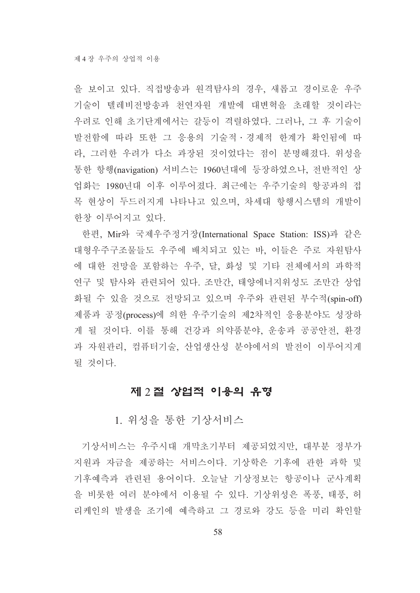을 보이고 있다. 직접방송과 원격탐사의 경우, 새롭고 경이로운 우주 기술이 텔레비전방송과 천연자원 개발에 대변혁을 초래할 것이라는 우려로 인해 초기단계에서는 갈등이 격렬하였다. 그러나, 그 후 기술이 발전함에 따라 또한 그 응용의 기술적 • 경제적 한계가 확인됨에 따 라. 그러한 우려가 다소 과장된 것이었다는 점이 분명해졌다. 위성을 통한 항행(navigation) 서비스는 1960년대에 등장하였으나, 전반적인 상 업화는 1980년대 이후 이루어졌다. 최근에는 우주기술의 항공과의 접 목 현상이 두드러지게 나타나고 있으며, 차세대 항행시스템의 개발이 한창 이루어지고 있다.

한편, Mir와 국제우주정거장(International Space Station: ISS)과 같은 대형우주구조물들도 우주에 배치되고 있는 바. 이들은 주로 자원탐사 에 대한 전망을 포함하는 우주, 달, 화성 및 기타 전체에서의 과학적 연구 및 탐사와 관련되어 있다. 조만간, 태양에너지위성도 조만간 상업 화될 수 있을 것으로 전망되고 있으며 우주와 관련된 부수적(spin-off) 제품과 공정(process)에 의한 우주기술의 제2차적인 응용분야도 성장하 게 될 것이다. 이를 통해 건강과 의약품분야, 운송과 공공안전, 환경 과 자원관리, 컴퓨터기술, 산업생산성 분야에서의 발전이 이루어지게 될 것이다.

### 제 2절 상업적 이용의 유형

1. 위성을 통한 기상서비스

기상서비스는 우주시대 개막초기부터 제공되었지만, 대부분 정부가 지원과 자금을 제공하는 서비스이다. 기상학은 기후에 관한 과학 및 기후예측과 관련된 용어이다. 오늘날 기상정보는 항공이나 군사계획 을 비롯한 여러 분야에서 이용될 수 있다. 기상위성은 폭풍, 태풍, 허 리케인의 발생을 조기에 예측하고 그 경로와 강도 등을 미리 확인할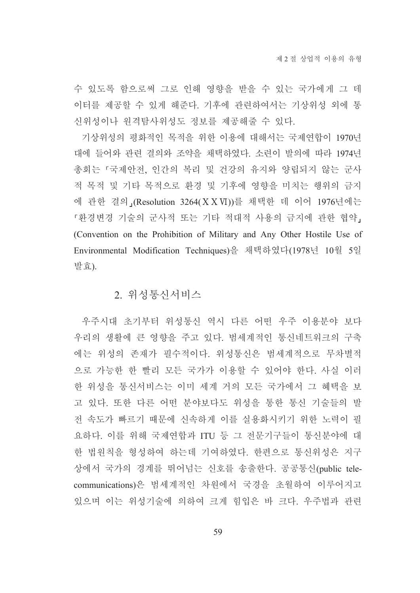수 있도록 함으로써 그로 인해 영향을 받을 수 있는 국가에게 그 데 이터를 제공할 수 있게 해준다. 기후에 관련하여서는 기상위성 외에 통 신위성이나 워격탐사위성도 정보를 제공해줄 수 있다.

기상위성의 평화적인 목적을 위한 이용에 대해서는 국제연합이 1970년 대에 들어와 관련 결의와 조약을 채택하였다. 소련이 발의에 따라 1974년 총회는 「국제안전, 인간의 복리 및 건강의 유지와 양립되지 않는 군사 적 목적 및 기타 목적으로 환경 및 기후에 영향을 미치는 행위의 금지 에 관한 결의」(Resolution 3264(XXVI))를 채택한 데 이어 1976년에는 『환경변경 기술의 군사적 또는 기타 적대적 사용의 금지에 관한 협약」 (Convention on the Prohibition of Military and Any Other Hostile Use of Environmental Modification Techniques)을 채택하였다(1978년 10월 5일 발효)

#### 2. 위성통신서비스

우주시대 초기부터 위성통신 역시 다른 어떤 우주 이용분야 보다 우리의 생활에 큰 영향을 주고 있다. 범세계적인 통신네트워크의 구축 에는 위성의 존재가 필수적이다. 위성통신은 범세계적으로 무차별적 으로 가능한 한 빨리 모든 국가가 이용할 수 있어야 한다. 사실 이러 한 위성을 통신서비스는 이미 세계 거의 모든 국가에서 그 혜택을 보 고 있다. 또한 다른 어떤 분야보다도 위성을 통한 통신 기술들의 발 전 속도가 빠르기 때문에 신속하게 이를 실용화시키기 위한 노력이 필 요하다. 이를 위해 국제연합과 ITU 등 그 전문기구들이 통신분야에 대 한 법원칙을 형성하여 하는데 기여하였다. 한편으로 통신위성은 지구 상에서 국가의 경계를 뛰어넘는 신호를 송출한다. 공공통신(public telecommunications)은 범세계적인 차원에서 국경을 초월하여 이루어지고 있으며 이는 위성기술에 의하여 크게 힘입은 바 크다. 우주법과 관련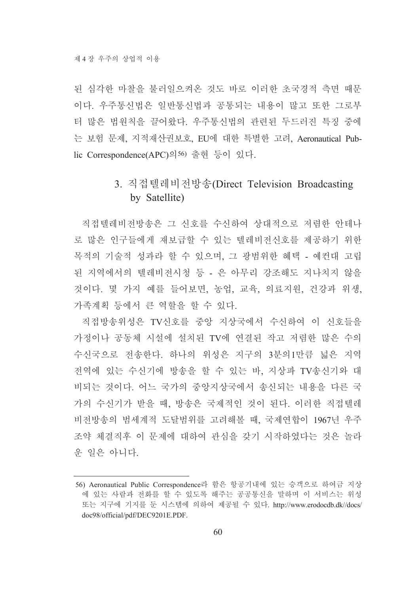된 심각한 마찰을 불러일으켜온 것도 바로 이러한 초국경적 측면 때문 이다. 우주통신법은 일반통신법과 공통되는 내용이 많고 또한 그로부 터 많은 법원칙을 끌어왔다. 우주통신법의 관련된 두드러진 특징 중에 는 보험 문제, 지적재산권보호, EU에 대한 특별한 고려, Aeronautical Public Correspondence(APC)의56) 출현 등이 있다.

## 3. 직접텔레비전방송(Direct Television Broadcasting by Satellite)

직접텔레비전방송은 그 신호를 수신하여 상대적으로 저렴한 안테나 로 많은 인구들에게 재보급할 수 있는 텔레비전신호를 제공하기 위한 목적의 기술적 성과라 할 수 있으며, 그 광범위한 혜택 - 예컨대 고립 된 지역에서의 텔레비전시청 등 - 은 아무리 강조해도 지나치지 않을 것이다. 몇 가지 예를 들어보면, 농업, 교육, 의료지원, 건강과 위생, 가족계획 등에서 큰 역할을 할 수 있다.

직접방송위성은 TV신호를 중앙 지상국에서 수신하여 이 신호들을 가정이나 공동체 시설에 설치된 TV에 연결된 작고 저렴한 많은 수의 수신국으로 전송한다. 하나의 위성은 지구의 3분의1만큼 넓은 지역 전역에 있는 수신기에 방송을 할 수 있는 바, 지상파 TV송신기와 대 비되는 것이다. 어느 국가의 중앙지상국에서 송신되는 내용을 다른 국 가의 수신기가 받을 때, 방송은 국제적인 것이 된다. 이러한 직접텔레 비전방송의 범세계적 도달범위를 고려해볼 때, 국제연합이 1967년 우주 조약 체결직후 이 문제에 대하여 관심을 갖기 시작하였다는 것은 놀라 운 일은 아니다.

<sup>56)</sup> Aeronautical Public Correspondence라 함은 항공기내에 있는 승객으로 하여금 지상 에 있는 사람과 전화를 할 수 있도록 해주는 공공통신을 말하며 이 서비스는 위성 또는 지구에 기지를 둔 시스템에 의하여 제공될 수 있다. http://www.erodocdb.dk//docs/ doc98/official/pdf/DEC9201E.PDF.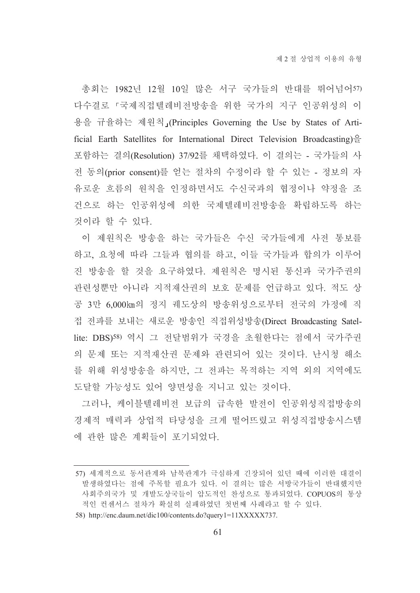총회는 1982년 12월 10일 많은 서구 국가들의 반대를 뛰어넘어57) 다수결로 『국제직접텔레비전방송을 위한 국가의 지구 인공위성의 이 용을 규율하는 제원칙」(Principles Governing the Use by States of Artificial Earth Satellites for International Direct Television Broadcasting) $\frac{\hat{\Theta}}{\Xi}$ 포함하는 결의(Resolution) 37/92를 채택하였다. 이 결의는 - 국가들의 사 전 동의(prior consent)를 얻는 절차의 수정이라 할 수 있는 - 정보의 자 유로운 흐름의 원칙을 인정하면서도 수신국과의 협정이나 약정을 조 건으로 하는 인공위성에 의한 국제텔레비전방송을 확립하도록 하는 것이라 할 수 있다.

이 제워칙은 방송을 하는 국가들은 수신 국가들에게 사전 통보를 하고, 요청에 따라 그들과 협의를 하고, 이들 국가들과 합의가 이루어 진 방송을 할 것을 요구하였다. 제원칙은 명시된 통신과 국가주권의 관련성뿐만 아니라 지적재산권의 보호 문제를 언급하고 있다. 적도 상 공 3만 6,000㎞의 정지 궤도상의 방송위성으로부터 전국의 가정에 직 접 전파를 보내는 새로운 방송인 직접위성방송(Direct Broadcasting Satellite: DBS)58) 역시 그 전달범위가 국경을 초월한다는 점에서 국가주권 의 문제 또는 지적재산권 문제와 관련되어 있는 것이다. 난시청 해소 를 위해 위성방송을 하지만, 그 전파는 목적하는 지역 외의 지역에도 도달할 가능성도 있어 양면성을 지니고 있는 것이다.

그러나, 케이블텔레비전 보급의 급속한 발전이 인공위성직접방송의 경제적 매력과 상업적 타당성을 크게 떨어뜨렸고 위성직접방송시스템 에 과한 많은 계획들이 포기되었다.

<sup>57)</sup> 세계적으로 동서관계와 남북관계가 극심하게 긴장되어 있던 때에 이러한 대결이 발생하였다는 점에 주목할 필요가 있다. 이 결의는 많은 서방국가들이 반대했지만 사회주의국가 및 개발도상국들이 압도적인 찬성으로 통과되었다. COPUOS의 통상 적인 컨센서스 절차가 확실히 실패하였던 첫번째 사례라고 할 수 있다.

<sup>58)</sup> http://enc.daum.net/dic100/contents.do?query1=11XXXXX737.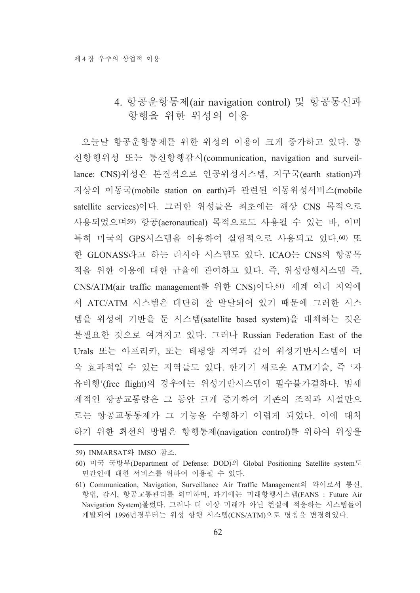### 4. 항공운항통제(air navigation control) 및 항공통신과 항행을 위한 위성의 이용

오늘날 항공운항통제를 위한 위성의 이용이 크게 증가하고 있다. 통 신항행위성 또는 통신항행감시(communication, navigation and surveillance: CNS)위성은 본질적으로 인공위성시스템, 지구국(earth station)과 지상의 이동국(mobile station on earth)과 관련된 이동위성서비스(mobile satellite services)이다. 그러한 위성들은 최초에는 해상 CNS 목적으로 사용되었으며59) 항공(aeronautical) 목적으로도 사용될 수 있는 바, 이미 특히 미국의 GPS시스템을 이용하여 실험적으로 사용되고 있다.60) 또 한 GLONASS라고 하는 러시아 시스템도 있다. ICAO는 CNS의 항공목 적을 위한 이용에 대한 규율에 관여하고 있다. 즉, 위성항행시스템 즉, CNS/ATM(air traffic management를 위한 CNS)이다.61) 세계 여러 지역에 서 ATC/ATM 시스템은 대단히 잘 발달되어 있기 때문에 그러한 시스 템을 위성에 기반을 둔 시스템(satellite based system)을 대체하는 것은 불필요한 것으로 여겨지고 있다. 그러나 Russian Federation East of the Urals 또는 아프리카, 또는 태평양 지역과 같이 위성기반시스템이 더 욱 효과적일 수 있는 지역들도 있다. 한가기 새로운 ATM기술, 즉 '자 유비행'(free flight)의 경우에는 위성기반시스템이 필수불가결하다. 범세 계적인 항공교통량은 그 동안 크게 증가하여 기존의 조직과 시설만으 로는 항공교통통제가 그 기능을 수행하기 어렵게 되었다. 이에 대처 하기 위한 최선의 방법은 항행통제(navigation control)를 위하여 위성을

<sup>59)</sup> INMARSAT와 IMSO 참조.

<sup>60)</sup> 미국 국방부(Department of Defense: DOD)의 Global Positioning Satellite system도 민간인에 대한 서비스를 위하여 이용될 수 있다.

<sup>61)</sup> Communication, Navigation, Surveillance Air Traffic Management의 약어로서 통신, 항법, 감시, 항공교통관리를 의미하며, 과거에는 미래항행시스템(FANS : Future Air Navigation System)불렀다. 그러나 더 이상 미래가 아닌 현실에 적응하는 시스템들이 개발되어 1996년경부터는 위성 항행 시스템(CNS/ATM)으로 명칭을 변경하였다.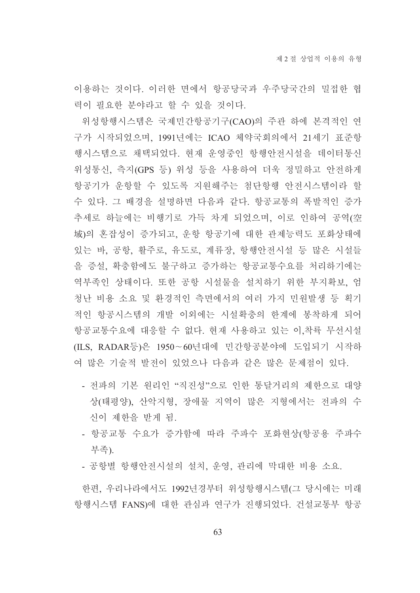이용하는 것이다. 이러한 면에서 항공당국과 우주당국간의 밀접한 협 력이 필요한 분야라고 할 수 있을 것이다.

위성항행시스템은 국제민간항공기구(CAO)의 주관 하에 본격적인 연 구가 시작되었으며, 1991년에는 ICAO 체약국회의에서 21세기 표준항 행시스템으로 채택되었다. 현재 운영중인 항행안전시설을 데이터통신 위성통신, 측지(GPS 등) 위성 등을 사용하여 더욱 정밀하고 안전하게 항공기가 운항할 수 있도록 지원해주는 첨단항행 안전시스템이라 할 수 있다. 그 배경을 설명하면 다음과 같다. 항공교통의 폭발적인 증가 추세로 하늘에는 비행기로 가득 차게 되었으며, 이로 인하여 공역(空 域)의 혼잡성이 증가되고, 운항 항공기에 대한 관제능력도 포화상태에 있는 바, 공항, 활주로, 유도로, 계류장, 항행안전시설 등 많은 시설들 을 증설, 확충함에도 불구하고 증가하는 항공교통수요를 처리하기에는 역부족인 상태이다. 또한 공항 시설물을 설치하기 위한 부지확보. 엄 청난 비용 소요 및 환경적인 측면에서의 여러 가지 민원발생 등 획기 적인 항공시스템의 개발 이외에는 시설확충의 한계에 봉착하게 되어 항공교통수요에 대응할 수 없다. 현재 사용하고 있는 이,착륙 무선시설 (ILS, RADAR등)은 1950~60년대에 민간항공분야에 도입되기 시작하 여 많은 기술적 발전이 있었으나 다음과 같은 많은 문제점이 있다.

- 전파의 기본 워리인 "직진성"으로 인한 통달거리의 제한으로 대양 상(태평양), 산악지형, 장애물 지역이 많은 지형에서는 전파의 수 신이 제한을 받게 됨.
- 항공교통 수요가 증가함에 따라 주파수 포화현상(항공용 주파수 부족).
- 공항별 항행안전시설의 설치, 운영, 관리에 막대한 비용 소요.

한편, 우리나라에서도 1992년경부터 위성항행시스템(그 당시에는 미래 항행시스템 FANS)에 대한 관심과 연구가 진행되었다. 건설교통부 항공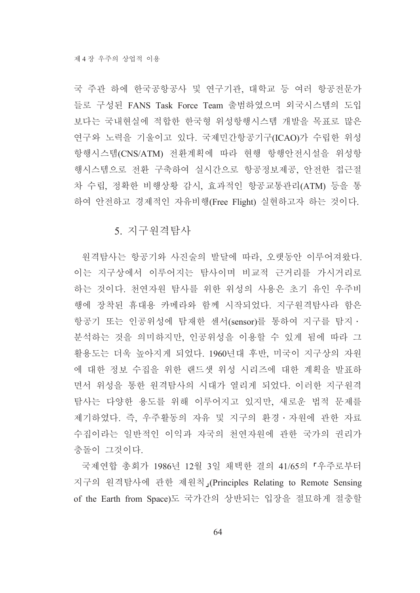국 주관 하에 한국공항공사 및 연구기관, 대학교 등 여러 항공전문가 들로 구성된 FANS Task Force Team 출범하였으며 외국시스템의 도입 보다는 국내현실에 적합한 한국형 위성항행시스템 개발을 목표로 많은 연구와 노력을 기울이고 있다. 국제민간항공기구(ICAO)가 수립한 위성 항행시스템(CNS/ATM) 전환계획에 따라 현행 항행안전시설을 위성항 행시스템으로 전환 구축하여 실시간으로 항공정보제공, 안전한 접근절 차 수립, 정확한 비행상황 감시, 효과적인 항공교통관리(ATM) 등을 통 하여 안전하고 경제적인 자유비행(Free Flight) 실현하고자 하는 것이다.

### 5. 지구원격탐사

원격탐사는 항공기와 사진술의 발달에 따라, 오랫동안 이루어져왔다. 이는 지구상에서 이루어지는 탐사이며 비교적 근거리를 가시거리로 하는 것이다. 천연자원 탐사를 위한 위성의 사용은 초기 유인 우주비 행에 장착된 휴대용 카메라와 함께 시작되었다. 지구워격탐사라 함은 항공기 또는 인공위성에 탐재한 센서(sensor)를 통하여 지구를 탐지 · 분석하는 것을 의미하지만, 인공위성을 이용할 수 있게 됨에 따라 그 활용도는 더욱 높아지게 되었다. 1960년대 후반, 미국이 지구상의 자원 에 대한 정보 수집을 위한 랜드샛 위성 시리즈에 대한 계획을 발표하 면서 위성을 통한 원격탐사의 시대가 열리게 되었다. 이러한 지구원격 탐사는 다양한 용도를 위해 이루어지고 있지만, 새로운 법적 문제를 제기하였다. 즉, 우주활동의 자유 및 지구의 환경·자원에 관한 자료 수집이라는 일반적인 이익과 자국의 천연자원에 관한 국가의 권리가 충돌이 그것이다.

국제연합 총회가 1986년 12월 3일 채택한 결의 41/65의 「우주로부터 지구의 원격탐사에 관한 제원칙」(Principles Relating to Remote Sensing of the Earth from Space)도 국가간의 상반되는 입장을 절묘하게 절충할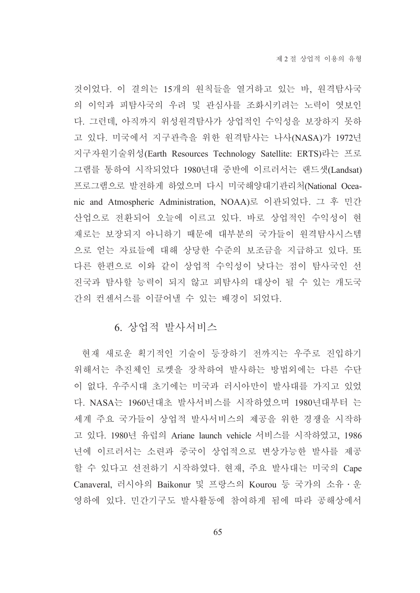것이었다. 이 결의는 15개의 원칙들을 열거하고 있는 바, 원격탐사국 의 이익과 피탐사국의 우려 및 관심사를 조화시키려는 노력이 엿보인 다. 그런데, 아직까지 위성원격탐사가 상업적인 수익성을 보장하지 못하 고 있다. 미국에서 지구관측을 위한 원격탐사는 나사(NASA)가 1972년 지구자원기술위성(Earth Resources Technology Satellite: ERTS)라는 프로 그램를 통하여 시작되었다 1980년대 중반에 이르러서는 랜드샛(Landsat) 프로그램으로 발전하게 하였으며 다시 미국해양대기관리처(National Oceanic and Atmospheric Administration, NOAA)로 이관되었다. 그 후 민간 산업으로 전환되어 오늘에 이르고 있다. 바로 상업적인 수익성이 현 재로는 보장되지 아니하기 때문에 대부분의 국가들이 원격탐사시스템 으로 얻는 자료들에 대해 상당한 수준의 보조금을 지급하고 있다. 또 다른 한편으로 이와 같이 상업적 수익성이 낮다는 점이 탐사국인 선 진국과 탐사할 능력이 되지 않고 피탐사의 대상이 될 수 있는 개도국 간의 컨센서스를 이끌어낼 수 있는 배경이 되었다.

### 6. 상업적 발사서비스

현재 새로운 획기적인 기술이 등장하기 전까지는 우주로 진입하기 위해서는 추진체인 로켓을 장착하여 발사하는 방법외에는 다른 수단 이 없다. 우주시대 초기에는 미국과 러시아만이 발사대를 가지고 있었 다. NASA는 1960년대초 발사서비스를 시작하였으며 1980년대부터 는 세계 주요 국가들이 상업적 발사서비스의 제공을 위한 경쟁을 시작하 고 있다. 1980년 유럽의 Ariane launch vehicle 서비스를 시작하였고, 1986 년에 이르러서는 소련과 중국이 상업적으로 변상가능한 발사를 제공 할 수 있다고 선전하기 시작하였다. 현재, 주요 발사대는 미국의 Cape Canaveral, 러시아의 Baikonur 및 프랑스의 Kourou 등 국가의 소유 · 운 영하에 있다. 민간기구도 발사활동에 참여하게 됨에 따라 공해상에서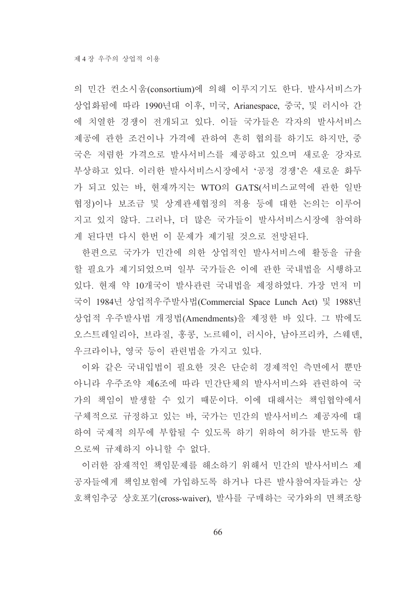의 민간 컨소시움(consortium)에 의해 이루지기도 한다. 발사서비스가 상업화됨에 따라 1990년대 이후, 미국, Arianespace, 중국, 및 러시아 간 에 치열한 경쟁이 전개되고 있다. 이들 국가들은 각자의 발사서비스 제공에 관한 조건이나 가격에 관하여 흔히 협의를 하기도 하지만, 중 국은 저렴한 가격으로 발사서비스를 제공하고 있으며 새로운 강자로 부상하고 있다. 이러한 발사서비스시장에서 '공정 경쟁'은 새로운 화두 가 되고 있는 바, 현재까지는 WTO의 GATS(서비스교역에 관한 일반 협정)이나 보조금 및 상계관세협정의 적용 등에 대한 논의는 이루어 지고 있지 않다. 그러나, 더 많은 국가들이 발사서비스시장에 참여하 게 된다면 다시 한번 이 문제가 제기될 것으로 전망된다.

한편으로 국가가 민간에 의한 상업적인 발사서비스에 활동을 규율 할 필요가 제기되었으며 일부 국가들은 이에 관한 국내법을 시행하고 있다. 현재 약 10개국이 발사관련 국내법을 제정하였다. 가장 먼저 미 국이 1984년 상업적우주발사법(Commercial Space Lunch Act) 및 1988년 상업적 우주발사법 개정법(Amendments)을 제정한 바 있다. 그 밖에도 오스트레일리아, 브라질, 홍콩, 노르웨이, 러시아, 남아프리카, 스웨덴, 우크라이나, 영국 등이 관련법을 가지고 있다.

이와 같은 국내입법이 필요한 것은 단순히 경제적인 측면에서 뿐만 아니라 우주조약 제6조에 따라 민간단체의 발사서비스와 관련하여 국 가의 책임이 발생할 수 있기 때문이다. 이에 대해서는 책임협약에서 구체적으로 규정하고 있는 바, 국가는 민간의 발사서비스 제공자에 대 하여 국제적 의무에 부합될 수 있도록 하기 위하여 허가를 받도록 함 으로써 규제하지 아니할 수 없다.

이러한 잠재적인 책임문제를 해소하기 위해서 민간의 발사서비스 제 공자들에게 책임보험에 가입하도록 하거나 다른 발사참여자들과는 상 호책임추궁 상호포기(cross-waiver), 발사를 구매하는 국가와의 면책조항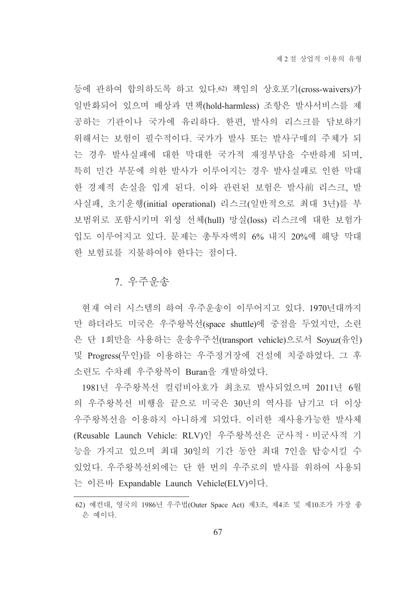등에 관하여 합의하도록 하고 있다.62) 책임의 상호포기(cross-waivers)가 일반화되어 있으며 배상과 면책(hold-harmless) 조항은 발사서비스를 제 공하는 기관이나 국가에 유리하다. 한편, 발사의 리스크를 담보하기 위해서는 보험이 필수적이다. 국가가 발사 또는 발사구매의 주체가 되 는 경우 발사실패에 대한 막대한 국가적 재정부담을 수반하게 되며, 특히 민간 부문에 의한 발사가 이루어지는 경우 발사실패로 인한 막대 한 경제적 손실을 입게 된다. 이와 관련된 보험은 발사前 리스크, 발 사실패, 초기운행(initial operational) 리스크(일반적으로 최대 3년)를 부 보범위로 포함시키며 위성 선체(hull) 망실(loss) 리스크에 대한 보험가 입도 이루어지고 있다. 문제는 총투자액의 6% 내지 20%에 해당 막대 한 보험료를 지불하여야 한다는 점이다.

### 7. 우주운송

현재 여러 시스템의 하여 우주운송이 이루어지고 있다. 1970년대까지 만 하더라도 미국은 우주왕복선(space shuttle)에 중점을 두었지만, 소련 은 단 1회만을 사용하는 운송우주선(transport vehicle)으로서 Soyuz(유인) 및 Progress(무인)를 이용하는 우주정거장에 건설에 치중하였다. 그 후 소련도 수차례 우주왕복이 Buran을 개발하였다.

1981년 우주왕복선 컬럼비아호가 최초로 발사되었으며 2011년 6월 의 우주왕복선 비행을 끝으로 미국은 30년의 역사를 남기고 더 이상 우주왕복선을 이용하지 아니하게 되었다. 이러한 재사용가능한 발사체 (Reusable Launch Vehicle: RLV)인 우주왕복선은 군사적 · 비군사적 기 능을 가지고 있으며 최대 30일의 기간 동안 최대 7인을 탑승시킬 수 있었다. 우주왕복선외에는 단 한 번의 우주로의 발사를 위하여 사용되 는 이른바 Expandable Launch Vehicle(ELV)이다.

<sup>62)</sup> 예컨대, 영국의 1986년 우주법(Outer Space Act) 제3조, 제4조 및 제10조가 가장 좋 은 예이다.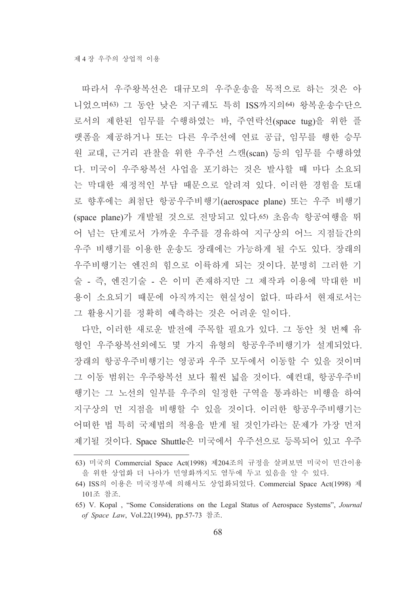따라서 우주왕복선은 대규모의 우주운송을 목적으로 하는 것은 아 니었으며63) 그 동안 낮은 지구궤도 특히 ISS까지의64) 왕복운송수단으 로서의 제한된 임무를 수행하였는 바, 주연락선(space tug)을 위한 플 랫폼을 제공하거나 또는 다른 우주선에 연료 공급, 임무를 행한 승무 원 교대, 근거리 관찰을 위한 우주선 스캔(scan) 등의 임무를 수행하였 다. 미국이 우주왕복선 사업을 포기하는 것은 발사할 때 마다 소요되 는 막대한 재정적인 부담 때문으로 알려져 있다. 이러한 경험을 토대 로 향후에는 최첨단 항공우주비행기(aerospace plane) 또는 우주 비행기 (space plane)가 개발될 것으로 전망되고 있다. 65) 초음속 항공여행을 뛰 어 넘는 단계로서 가까운 우주를 경유하여 지구상의 어느 지점들간의 우주 비행기를 이용한 운송도 장래에는 가능하게 될 수도 있다. 장래의 우주비행기는 엔진의 힘으로 이륙하게 되는 것이다. 분명히 그러한 기 술 - 즉, 엔진기술 - 은 이미 존재하지만 그 제작과 이용에 막대한 비 용이 소요되기 때문에 아직까지는 현실성이 없다. 따라서 현재로서는 그 활용시기를 정확히 예측하는 것은 어려운 일이다.

다만, 이러한 새로운 발전에 주목할 필요가 있다. 그 동안 첫 번째 유 형인 우주왕복선외에도 몇 가지 유형의 항공우주비행기가 설계되었다. 장래의 항공우주비행기는 영공과 우주 모두에서 이동할 수 있을 것이며 그 이동 범위는 우주왕복선 보다 훨씬 넓을 것이다. 예컨대, 항공우주비 행기는 그 노선의 일부를 우주의 일정한 구역을 통과하는 비행을 하여 지구상의 먼 지점을 비행할 수 있을 것이다. 이러한 항공우주비행기는 어떠한 법 특히 국제법의 적용을 받게 될 것인가라는 문제가 가장 먼저 제기될 것이다. Space Shuttle은 미국에서 우주선으로 등록되어 있고 우주

<sup>63)</sup> 미국의 Commercial Space Act(1998) 제204조의 규정을 살펴보면 미국이 민간이용 을 위한 상업화 더 나아가 민영화까지도 염두에 두고 있음을 알 수 있다.

<sup>64)</sup> ISS의 이용은 미국정부에 의해서도 상업화되었다. Commercial Space Act(1998) 제 101조 참조.

<sup>65)</sup> V. Kopal, "Some Considerations on the Legal Status of Aerospace Systems", Journal of Space Law, Vol.22(1994), pp.57-73 참조.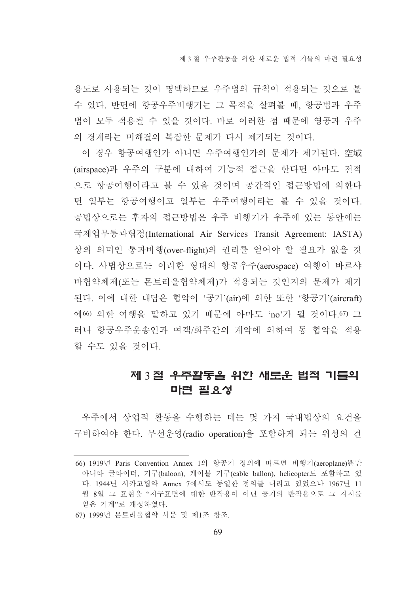용도로 사용되는 것이 명백하므로 우주법의 규칙이 적용되는 것으로 볼 수 있다. 반면에 항공우주비행기는 그 목적을 살펴볼 때. 항공법과 우주 법이 모두 적용될 수 있을 것이다. 바로 이러한 점 때문에 영공과 우주 의 경계라는 미해결의 복잡한 문제가 다시 제기되는 것이다.

이 경우 항공여행인가 아니면 우주여행인가의 문제가 제기된다. 空域 (airspace)과 우주의 구분에 대하여 기능적 접근을 한다면 아마도 전적 으로 항공여행이라고 볼 수 있을 것이며 공간적인 접근방법에 의한다 면 일부는 항공여행이고 일부는 우주여행이라는 볼 수 있을 것이다. 공법상으로는 후자의 접근방법은 우주 비행기가 우주에 있는 동안에는 국제업무통과협정(International Air Services Transit Agreement: IASTA) 상의 의미인 통과비행(over-flight)의 권리를 얻어야 할 필요가 없을 것 이다. 사법상으로는 이러한 형태의 항공우주(aerospace) 여행이 바르샤 바협약체제(또는 몬트리올협약체제)가 적용되는 것인지의 문제가 제기 된다. 이에 대한 대답은 협약이 '공기'(air)에 의한 또한 '항공기'(aircraft) 에66) 의한 여행을 말하고 있기 때문에 아마도 'no'가 될 것이다.67) 그 러나 항공우주운송인과 여객/화주간의 계약에 의하여 동 협약을 적용 할 수도 있을 것이다.

## 제 3절 우주활동을 위한 새로운 법적 기틀의 마련 필요성

우주에서 상업적 활동을 수행하는 데는 몇 가지 국내법상의 요건을 구비하여야 한다. 무선운영(radio operation)을 포함하게 되는 위성의 건

<sup>66) 1919</sup>년 Paris Convention Annex 1의 항공기 정의에 따르면 비행기(aeroplane)뿐만 아니라 글라이더, 기구(baloon), 케이블 기구(cable ballon), helicopter도 포함하고 있 다. 1944년 시카고협약 Annex 7에서도 동일한 정의를 내리고 있었으나 1967년 11 월 8일 그 표현을 "지구표면에 대한 반작용이 아닌 공기의 반작용으로 그 지지를 얻은 기계"로 개정하였다.

<sup>67) 1999</sup>년 몬트리올협약 서문 및 제1조 참조.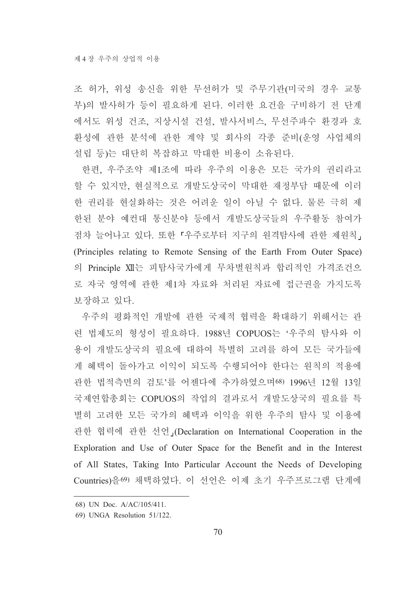조 허가, 위성 송신을 위한 무선허가 및 주무기관(미국의 경우 교통 부)의 발사허가 등이 필요하게 된다. 이러한 요건을 구비하기 전 단계 에서도 위성 건조, 지상시설 건설, 발사서비스, 무선주파수 환경과 호 환성에 관한 분석에 관한 계약 및 회사의 각종 준비(운영 사업체의 설립 등)는 대단히 복잡하고 막대한 비용이 소유된다.

한편, 우주조약 제1조에 따라 우주의 이용은 모든 국가의 권리라고 할 수 있지만, 현실적으로 개발도상국이 막대한 재정부담 때문에 이러 한 권리를 현실화하는 것은 어려운 일이 아닐 수 없다. 물론 극히 제 한된 분야 예컨대 통신분야 등에서 개발도상국들의 우주활동 참여가 점차 늘어나고 있다. 또한 「우주로부터 지구의 원격탐사에 관한 제원칙」 (Principles relating to Remote Sensing of the Earth From Outer Space) 의 Principle XII는 피탐사국가에게 무차별워칙과 합리적인 가격조건으 로 자국 영역에 관한 제1차 자료와 처리된 자료에 접근권을 가지도록 보장하고 있다.

우주의 평화적인 개발에 관한 국제적 협력을 확대하기 위해서는 관 려 법제도의 형성이 필요하다. 1988년 COPUOS는 '우주의 탐사와 이 용이 개발도상국의 필요에 대하여 특별히 고려를 하여 모든 국가들에 게 혜택이 돌아가고 이익이 되도록 수행되어야 한다는 원칙의 적용에 관한 법적측면의 검토'를 어제다에 추가하였으며68) 1996년 12월 13일 국제연합총회는 COPUOS의 작업의 결과로서 개발도상국의 필요를 특 별히 고려한 모든 국가의 혜택과 이익을 위한 우주의 탐사 및 이용에 관한 협력에 관한 선언」(Declaration on International Cooperation in the Exploration and Use of Outer Space for the Benefit and in the Interest of All States, Taking Into Particular Account the Needs of Developing Countries)을69) 채택하였다. 이 선언은 이제 초기 우주프로그램 단계에

<sup>68)</sup> UN Doc. A/AC/105/411.

<sup>69)</sup> UNGA Resolution 51/122.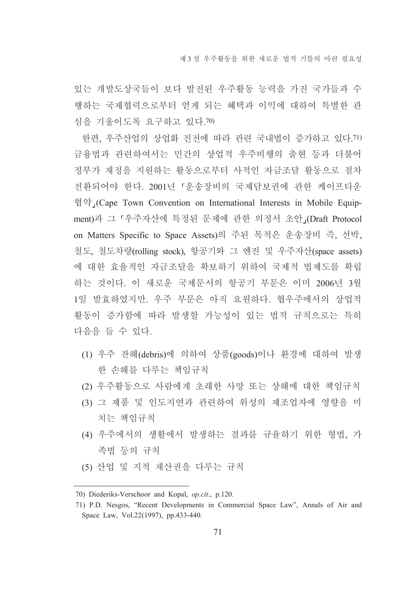있는 개발도상국들이 보다 발전된 우주활동 능력을 가진 국가들과 수 행하는 국제협력으로부터 얻게 되는 혜택과 이익에 대하여 특별한 관 심을 기울이도록 요구하고 있다.70)

한편, 우주산업의 상업화 진전에 따라 관련 국내법이 증가하고 있다. 71) 금융법과 관련하여서는 민간의 상업적 우주비행의 출현 등과 더불어 정부가 재정을 지원하는 활동으로부터 사적인 자금조달 활동으로 점차 전환되어야 한다. 2001년 「운송장비의 국제담보권에 관한 케이프타운 협약 (Cape Town Convention on International Interests in Mobile Equipment)과 그 「우주자산에 특정된 문제에 관한 의정서 초안」(Draft Protocol on Matters Specific to Space Assets)의 주된 목적은 운송장비 즉, 선박, 철도, 철도차량(rolling stock), 항공기와 그 엔진 및 우주자산(space assets) 에 대한 효율적인 자금조달을 확보하기 위하여 국제적 법제도를 확립 하는 것이다. 이 새로운 국제문서의 항공기 부문은 이미 2006년 3월 1일 발효하였지만. 우주 부문은 아직 요원하다. 협우주에서의 상업적 활동이 증가함에 따라 발생할 가능성이 있는 법적 규칙으로는 특히 다음을 들 수 있다.

- (1) 우주 잔해(debris)에 의하여 상품(goods)이나 환경에 대하여 발생 한 손해를 다루는 책임규칙
- (2) 우주활동으로 사람에게 초래한 사망 또는 상해에 대한 책임규칙
- (3) 그 제품 및 인도지연과 관련하여 위성의 제조업자에 영향을 미 치는 책임규칙
- (4) 우주에서의 생활에서 발생하는 결과를 규율하기 위한 형법, 가 족법 등의 규칙
- (5) 산업 및 지적 재산권을 다루는 규칙

<sup>70)</sup> Diederiks-Verschoor and Kopal, op.cit., p.120.

<sup>71)</sup> P.D. Nesgos, "Recent Developments in Commercial Space Law", Annals of Air and Space Law, Vol.22(1997), pp.433-440.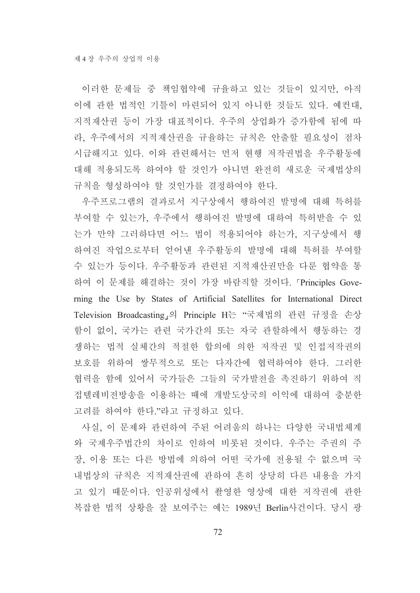이러한 문제들 중 책임협약에 규율하고 있는 것들이 있지만, 아직 이에 관한 법적인 기틀이 마련되어 있지 아니한 것들도 있다. 예컨대, 지적재산권 등이 가장 대표적이다. 우주의 상업화가 증가함에 됨에 따 라, 우주에서의 지적재산권을 규율하는 규칙은 안출할 필요성이 점차 시급해지고 있다. 이와 관련해서는 먼저 현행 저작권법을 우주활동에 대해 적용되도록 하여야 할 것인가 아니면 완전히 새로운 국제법상의 규칙을 형성하여야 할 것인가를 결정하여야 한다.

우주프로그램의 결과로서 지구상에서 행하여진 발명에 대해 특허를 부여할 수 있는가, 우주에서 행하여진 발명에 대하여 특허받을 수 있 는가 만약 그러하다면 어느 법이 적용되어야 하는가, 지구상에서 행 하여진 작업으로부터 얻어낸 우주활동의 발명에 대해 특허를 부여할 수 있는가 등이다. 우주활동과 관련된 지적재산권만을 다룬 협약을 통 하여 이 문제를 해결하는 것이 가장 바람직할 것이다. 『Principles Governing the Use by States of Artificial Satellites for International Direct Television Broadcasting」의 Principle H는 "국제법의 관련 규정을 손상 함이 없이, 국가는 관련 국가간의 또는 자국 관할하에서 행동하는 경 쟁하는 법적 실체간의 적절한 합의에 의한 저작권 및 인접저작권의 보호를 위하여 쌍무적으로 또는 다자간에 협력하여야 한다. 그러한 협력을 함에 있어서 국가들은 그들의 국가발전을 촉진하기 위하여 직 접텔레비전방송을 이용하는 때에 개발도상국의 이익에 대하여 충분한 고려를 하여야 한다."라고 규정하고 있다.

사실. 이 문제와 관련하여 주된 어려움의 하나는 다양한 국내법체계 와 국제우주법간의 차이로 인하여 비롯된 것이다. 우주는 주권의 주 장, 이용 또는 다른 방법에 의하여 어떤 국가에 전용될 수 없으며 국 내법상의 규칙은 지적재산권에 관하여 흔히 상당히 다른 내용을 가지 고 있기 때문이다. 인공위성에서 촬영한 영상에 대한 저작권에 관한 복잡한 법적 상황을 잘 보여주는 예는 1989년 Berlin사건이다. 당시 광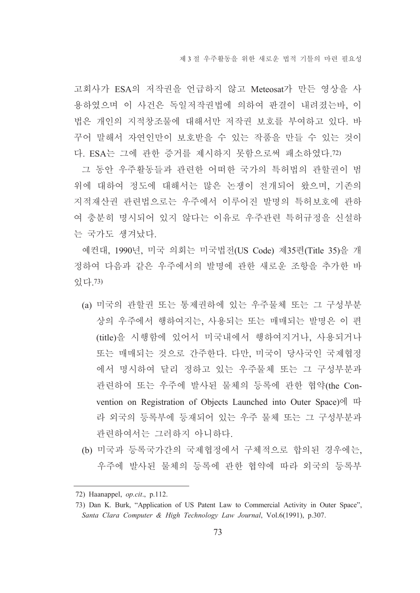고회사가 ESA의 저작권을 언급하지 않고 Meteosat가 만든 영상을 사 용하였으며 이 사건은 독일저작권법에 의하여 판결이 내려졌는바, 이 법은 개인의 지적창조물에 대해서만 저작권 보호를 부여하고 있다. 바 꾸어 말해서 자연인만이 보호받을 수 있는 작품을 만들 수 있는 것이 다. ESA는 그에 관한 증거를 제시하지 못함으로써 패소하였다.72)

그 동안 우주활동들과 관련한 어떠한 국가의 특허법의 관할권이 범 위에 대하여 정도에 대해서는 많은 논쟁이 전개되어 왔으며, 기존의 지적재산권 관련법으로는 우주에서 이루어진 발명의 특허보호에 관하 여 충분히 명시되어 있지 않다는 이유로 우주관련 특허규정을 신설하 는 국가도 생겨났다.

예컨대, 1990년, 미국 의회는 미국법전(US Code) 제35편(Title 35)을 개 정하여 다음과 같은 우주에서의 발명에 과하 새로운 조항을 추가한 바 있다. 73)

- (a) 미국의 관할권 또는 통제권하에 있는 우주물체 또는 그 구성부분 상의 우주에서 행하여지는, 사용되는 또는 매매되는 발명은 이 편 (title)을 시행함에 있어서 미국내에서 행하여지거나, 사용되거나 또는 매매되는 것으로 간주한다. 다만, 미국이 당사국인 국제협정 에서 명시하여 달리 정하고 있는 우주물체 또는 그 구성부분과 관련하여 또는 우주에 발사된 물체의 등록에 관한 협약(the Convention on Registration of Objects Launched into Outer Space)에 따 라 외국의 등록부에 등재되어 있는 우주 물체 또는 그 구성부분과 관련하여서는 그러하지 아니하다.
- (b) 미국과 등록국가간의 국제협정에서 구체적으로 합의된 경우에는, 우주에 발사된 물체의 등록에 관한 협약에 따라 외국의 등록부

<sup>72)</sup> Haanappel, op.cit., p.112.

<sup>73)</sup> Dan K. Burk, "Application of US Patent Law to Commercial Activity in Outer Space". Santa Clara Computer & High Technology Law Journal, Vol.6(1991), p.307.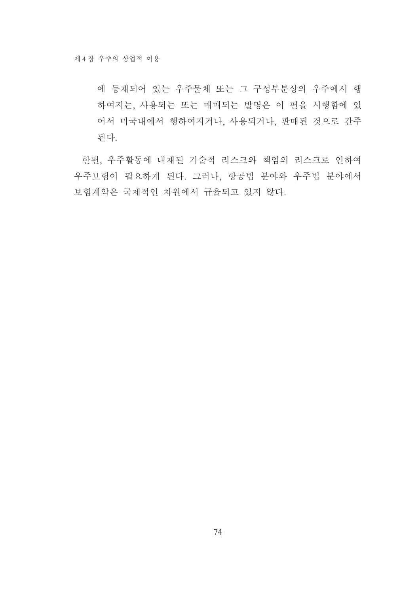에 등재되어 있는 우주물체 또는 그 구성부분상의 우주에서 행 하여지는, 사용되는 또는 매매되는 발명은 이 편을 시행함에 있 어서 미국내에서 행하여지거나, 사용되거나, 판매된 것으로 간주 된다.

한편, 우주활동에 내재된 기술적 리스크와 책임의 리스크로 인하여 우주보험이 필요하게 된다. 그러나, 항공법 분야와 우주법 분야에서 보험계약은 국제적인 차원에서 규율되고 있지 않다.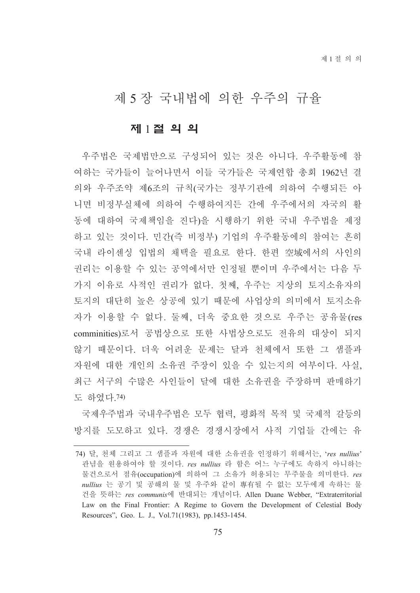# 제 5 장 국내법에 의한 우주의 규율

### 제 1절 의 의

우주법은 국제법만으로 구성되어 있는 것은 아니다. 우주활동에 참 여하는 국가들이 늘어나면서 이들 국가들은 국제연합 총회 1962년 결 의와 우주조약 제6조의 규칙(국가는 정부기관에 의하여 수행되든 아 니면 비정부실체에 의하여 수행하여지든 간에 우주에서의 자국의 활 동에 대하여 국제책임을 진다)을 시행하기 위한 국내 우주법을 제정 하고 있는 것이다. 민간(즉 비정부) 기업의 우주활동에의 참여는 흔히 국내 라이센싱 입법의 채택을 필요로 한다. 한편 空域에서의 사인의 권리는 이용할 수 있는 공역에서만 인정될 뿐이며 우주에서는 다음 두 가지 이유로 사적인 권리가 없다. 첫째, 우주는 지상의 토지소유자의 토지의 대단히 높은 상공에 있기 때문에 사업상의 의미에서 토지소유 자가 이용할 수 없다. 둘째, 더욱 중요한 것으로 우주는 공유물(res comminities)로서 공법상으로 또한 사법상으로도 전유의 대상이 되지 않기 때문이다. 더욱 어려운 문제는 달과 천체에서 또한 그 샘플과 자원에 대한 개인의 소유권 주장이 있을 수 있는지의 여부이다. 사실, 최근 서구의 수많은 사인들이 달에 대한 소유권을 주장하며 판매하기 도 하였다. 74)

국제우주법과 국내우주법은 모두 협력, 평화적 목적 및 국제적 갈등의 방지를 도모하고 있다. 경쟁은 경쟁시장에서 사적 기업들 간에는 유

<sup>74)</sup> 달, 천체 그리고 그 샘플과 자원에 대한 소유권을 인정하기 위해서는, 'res nullius' 관념을 원용하여야 할 것이다. res nullius 라 함은 어느 누구에도 속하지 아니하는 물건으로서 점유(occupation)에 의하여 그 소유가 허용되는 무주물을 의미한다. res nullius 는 공기 및 공해의 물 및 우주와 같이 專有될 수 없는 모두에게 속하는 물 건을 뜻하는 res communis에 반대되는 개념이다. Allen Duane Webber, "Extraterritorial Law on the Final Frontier: A Regime to Govern the Development of Celestial Body Resources", Geo. L. J., Vol.71(1983), pp.1453-1454.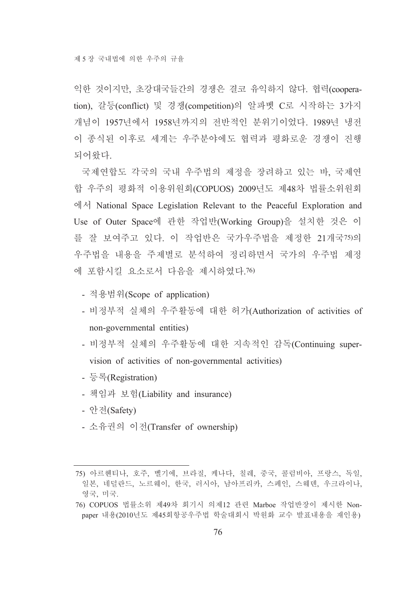익한 것이지만, 초강대국들간의 경쟁은 결코 유익하지 않다. 협력(cooperation), 갈등(conflict) 및 경쟁(competition)의 알파벳 C로 시작하는 3가지 개념이 1957년에서 1958년까지의 전반적인 분위기이었다. 1989년 냉전 이 종식된 이후로 세계는 우주분야에도 협력과 평화로운 경쟁이 진행 되어왔다.

국제연합도 각국의 국내 우주법의 제정을 장려하고 있는 바. 국제여 합 우주의 평화적 이용위원회(COPUOS) 2009년도 제48차 법률소위원회 에서 National Space Legislation Relevant to the Peaceful Exploration and Use of Outer Space에 관한 작업반(Working Group)을 설치한 것은 이 를 잘 보여주고 있다. 이 작업반은 국가우주법을 제정한 21개국75)의 우주법을 내용을 주제별로 분석하여 정리하면서 국가의 우주법 제정 에 포함시킬 요소로서 다음을 제시하였다.76)

- 적용범위(Scope of application)
- 비정부적 실체의 우주활동에 대한 허가(Authorization of activities of non-governmental entities)
- 비정부적 실체의 우주활동에 대한 지속적인 감독(Continuing supervision of activities of non-governmental activities)
- 등록(Registration)
- 책임과 보험(Liability and insurance)
- 안전(Safety)
- 소유권의 이전(Transfer of ownership)

<sup>75)</sup> 아르헨티나, 호주, 벨기에, 브라질, 케나다, 칠레, 중국, 콜럼비아, 프랑스, 독일, 일본, 네덜란드, 노르웨이, 한국, 러시아, 남아프리카, 스페인, 스웨덴, 우크라이나, 영국, 미국.

<sup>76)</sup> COPUOS 법률소위 제49차 회기시 의제12 관련 Marboe 작업반장이 제시한 Nonpaper 내용(2010년도 제45회항공우주법 학술대회시 박원화 교수 발표내용을 재인용)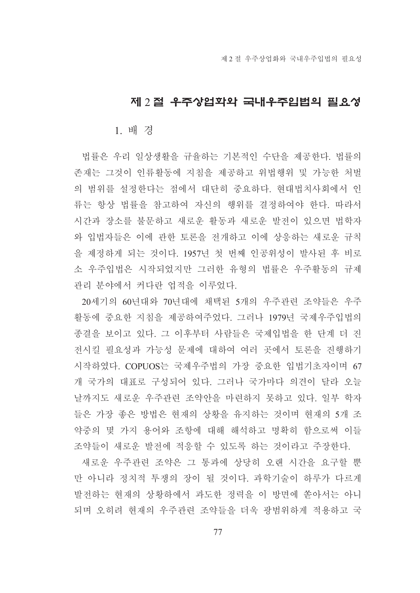# 제 2 절 우주상업화와 국내우주입법의 필요성

### 1. 배 경

법률은 우리 일상생활을 규율하는 기본적인 수단을 제공한다. 법률의 존재는 그것이 인류활동에 지침을 제공하고 위법행위 및 가능한 처벌 의 범위를 설정한다는 점에서 대단히 중요하다. 현대법치사회에서 인 류는 항상 법률을 참고하여 자신의 행위를 결정하여야 한다. 따라서 시간과 장소를 불문하고 새로운 활동과 새로운 발전이 있으면 법학자 와 입법자들은 이에 관한 토론을 전개하고 이에 상응하는 새로운 규칙 을 제정하게 되는 것이다. 1957년 첫 번째 인공위성이 발사된 후 비로 소 우주입법은 시작되었지만 그러한 유형의 법률은 우주활동의 규제 관리 분야에서 커다란 업적을 이루었다.

20세기의 60년대와 70년대에 채택된 5개의 우주관련 조약들은 우주 활동에 중요한 지침을 제공하여주었다. 그러나 1979년 국제우주입법의 종결을 보이고 있다. 그 이후부터 사람들은 국제입법을 한 단계 더 진 전시킬 필요성과 가능성 문제에 대하여 여러 곳에서 토론을 진행하기 시작하였다. COPUOS는 국제우주법의 가장 중요한 입법기초자이며 67 개 국가의 대표로 구성되어 있다. 그러나 국가마다 의견이 달라 오늘 날까지도 새로운 우주관련 조약안을 마련하지 못하고 있다. 일부 학자 들은 가장 좋은 방법은 혀재의 상황을 유지하는 것이며 혀재의 5개 조 약중의 몇 가지 용어와 조항에 대해 해석하고 명확히 함으로써 이들 조약들이 새로운 발전에 적응할 수 있도록 하는 것이라고 주장한다.

새로운 우주관련 조약은 그 통과에 상당히 오랜 시간을 요구할 뿐 만 아니라 정치적 투쟁의 장이 될 것이다. 과학기술이 하루가 다르게 발전하는 현재의 상황하에서 과도한 정력을 이 방면에 쏟아서는 아니 되며 오히려 현재의 우주관련 조약들을 더욱 광범위하게 적용하고 국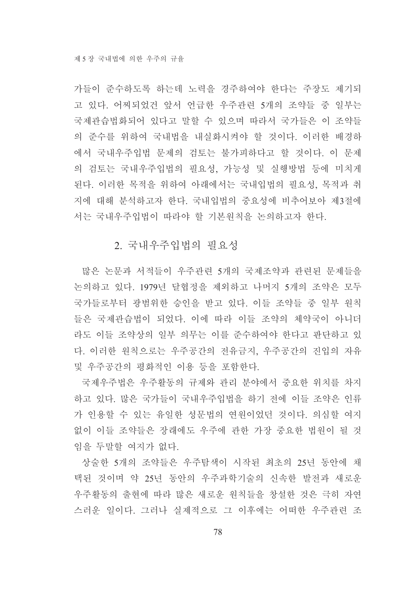가들이 준수하도록 하는데 노력을 경주하여야 한다는 주장도 제기되 고 있다. 어찌되었건 앞서 언급한 우주관련 5개의 조약들 중 일부는 국제관습법화되어 있다고 말할 수 있으며 따라서 국가들은 이 조약들 의 준수를 위하여 국내법을 내실화시켜야 할 것이다. 이러한 배경하 에서 국내우주입법 문제의 검토는 불가피하다고 할 것이다. 이 문제 의 검토는 국내우주입법의 필요성, 가능성 및 실행방법 등에 미치게 된다. 이러한 목적을 위하여 아래에서는 국내입법의 필요성, 목적과 취 지에 대해 분석하고자 한다. 국내입법의 중요성에 비추어보아 제3절에 서는 국내우주입법이 따라야 할 기본원칙을 논의하고자 한다.

# 2. 국내우주입법의 필요성

많은 논문과 서적들이 우주관련 5개의 국제조약과 관련된 문제들을 논의하고 있다. 1979년 달협정을 제외하고 나머지 5개의 조약은 모두 국가들로부터 광범위한 승인을 받고 있다. 이들 조약들 중 일부 원칙 들은 국제관습법이 되었다. 이에 따라 이들 조약의 체약국이 아니더 라도 이들 조약상의 일부 의무는 이를 준수하여야 한다고 판단하고 있 다. 이러한 원칙으로는 우주공간의 전유금지, 우주공간의 진입의 자유 및 우주공간의 평화적인 이용 등을 포함한다.

국제우주법은 우주활동의 규제와 관리 분야에서 중요한 위치를 차지 하고 있다. 많은 국가들이 국내우주입법을 하기 전에 이들 조약은 인류 가 인용할 수 있는 유일한 성문법의 연원이었던 것이다. 의심할 여지 없이 이들 조약들은 장래에도 우주에 관한 가장 중요한 법원이 될 것 임을 두말할 여지가 없다.

상술한 5개의 조약들은 우주탐색이 시작된 최초의 25년 동안에 채 택된 것이며 약 25년 동안의 우주과학기술의 신속한 발전과 새로운 우주활동의 출현에 따라 많은 새로운 원칙들을 창설한 것은 극히 자연 스러운 일이다. 그러나 실제적으로 그 이후에는 어떠한 우주관련 조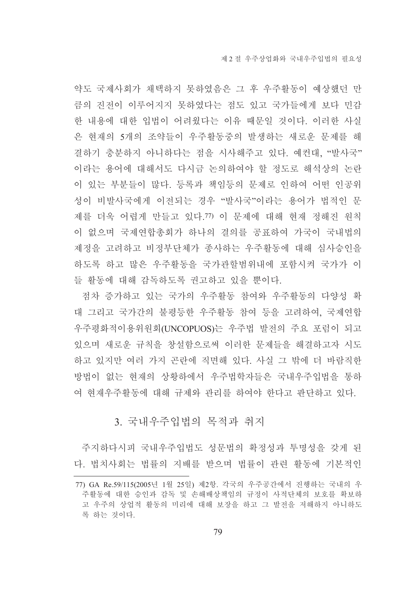약도 국제사회가 채택하지 못하였음은 그 후 우주활동이 예상했던 만 큼의 진전이 이루어지지 못하였다는 점도 있고 국가들에게 보다 민감 한 내용에 대한 입법이 어려웠다는 이유 때문일 것이다. 이러한 사실 은 현재의 5개의 조약들이 우주활동중의 발생하는 새로운 문제를 해 결하기 충분하지 아니하다는 점을 시사해주고 있다. 예컨대. "발사국" 이라는 용어에 대해서도 다시금 논의하여야 할 정도로 해석상의 논란 이 있는 부분들이 많다. 등록과 책임등의 문제로 인하여 어떤 인공위 성이 비발사국에게 이전되는 경우 "발사국"이라는 용어가 법적인 문 제를 더욱 어렵게 만들고 있다.77) 이 문제에 대해 현재 정해진 원칙 이 없으며 국제연합총회가 하나의 결의를 공표하여 가국이 국내법의 제정을 고려하고 비정부단체가 종사하는 우주활동에 대해 심사승인을 하도록 하고 많은 우주활동을 국가관할범위내에 포함시켜 국가가 이 들 활동에 대해 감독하도록 권고하고 있을 뿐이다.

점차 증가하고 있는 국가의 우주활동 참여와 우주활동의 다양성 확 대 그리고 국가간의 불평등한 우주활동 참여 등을 고려하여, 국제연합 우주평화적이용위워회(UNCOPUOS)는 우주법 발전의 주요 포럼이 되고 있으며 새로운 규칙을 창설함으로써 이러한 문제들을 해결하고자 시도 하고 있지만 여러 가지 곤란에 직면해 있다. 사실 그 밖에 더 바람직한 방법이 없는 혀재의 상황하에서 우주법학자들은 국내우주입법을 통하 여 현재우주활동에 대해 규제와 관리를 하여야 한다고 판단하고 있다.

# 3. 국내우주입법의 목적과 취지

주지하다시피 국내우주입법도 성문법의 확정성과 투명성을 갖게 된 다. 법치사회는 법률의 지배를 받으며 법률이 관련 활동에 기본적인

<sup>77)</sup> GA Re.59/115(2005년 1월 25일) 제2항. 각국의 우주공간에서 진행하는 국내의 우 주활동에 대한 승인과 감독 및 손해배상책임의 규정이 사적단체의 보호를 확보하 고 우주의 상업적 활동의 미리에 대해 보장을 하고 그 발전을 저해하지 아니하도 록 하는 것이다.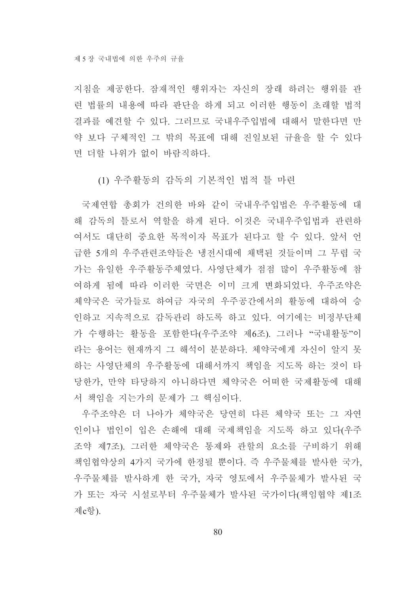지침을 제공한다. 잠재적인 행위자는 자신의 장래 하려는 행위를 관 련 법률의 내용에 따라 판단을 하게 되고 이러한 행동이 초래할 법적 결과를 예견할 수 있다. 그러므로 국내우주입법에 대해서 말한다면 만 약 보다 구체적인 그 밖의 목표에 대해 진일보된 규율을 할 수 있다 면 더할 나위가 없이 바람직하다.

(1) 우주활동의 감독의 기본적인 법적 틀 마련

국제연합 총회가 건의한 바와 같이 국내우주입법은 우주활동에 대 해 감독의 틀로서 역할을 하게 된다. 이것은 국내우주입법과 관련하 여서도 대단히 중요한 목적이자 목표가 된다고 할 수 있다. 앞서 언 급한 5개의 우주관련조약들은 냉전시대에 채택된 것들이며 그 무렵 국 가는 유일한 우주활동주체였다. 사영단체가 점점 많이 우주활동에 참 여하게 됨에 따라 이러한 국면은 이미 크게 변화되었다. 우주조약은 체약국은 국가들로 하여금 자국의 우주공간에서의 활동에 대하여 승 인하고 지속적으로 감독관리 하도록 하고 있다. 여기에는 비정부단체 가 수행하는 활동을 포함한다(우주조약 제6조). 그러나 "국내활동"이 라는 용어는 현재까지 그 해석이 분분하다. 체약국에게 자신이 알지 못 하는 사영단체의 우주활동에 대해서까지 책임을 지도록 하는 것이 타 당한가, 만약 타당하지 아니하다면 체약국은 어떠한 국제활동에 대해 서 책임을 지는가의 문제가 그 핵심이다.

우주조약은 더 나아가 체약국은 당연히 다른 체약국 또는 그 자연 인이나 법인이 입은 손해에 대해 국제책임을 지도록 하고 있다(우주 조약 제7조). 그러한 체약국은 통제와 관할의 요소를 구비하기 위해 책임협약상의 4가지 국가에 한정될 뿐이다. 즉 우주물체를 발사한 국가, 우주물체를 발사하게 한 국가, 자국 영토에서 우주물체가 발사된 국 가 또는 자국 시설로부터 우주물체가 발사된 국가이다(책임협약 제1조 제c항).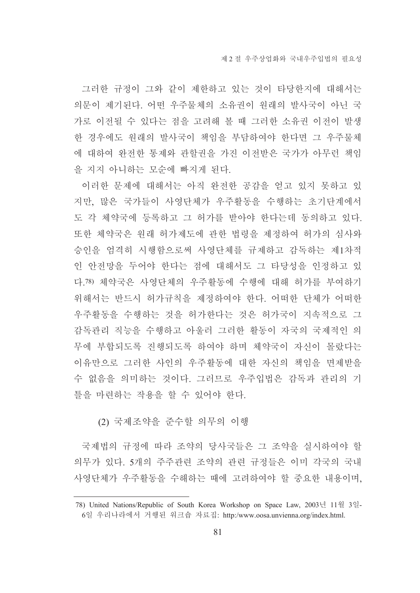그러한 규정이 그와 같이 제한하고 있는 것이 타당한지에 대해서는 의문이 제기된다. 어떤 우주물체의 소유권이 워래의 발사국이 아닌 국 가로 이전될 수 있다는 점을 고려해 볼 때 그러한 소유권 이전이 발생 한 경우에도 원래의 발사국이 책임을 부담하여야 한다면 그 우주물체 에 대하여 완전한 통제와 관할권을 가진 이전받은 국가가 아무런 책임 을 지지 아니하는 모순에 빠지게 된다.

이러한 문제에 대해서는 아직 완전한 공감을 얻고 있지 못하고 있 지만, 많은 국가들이 사영단체가 우주활동을 수행하는 초기단계에서 도 각 체약국에 등록하고 그 허가를 받아야 한다는데 동의하고 있다. 또한 체약국은 원래 허가제도에 관한 법령을 제정하여 허가의 심사와 승인을 엄격히 시행함으로써 사영단체를 규제하고 감독하는 제1차적 인 안전망을 두어야 한다는 점에 대해서도 그 타당성을 인정하고 있 다 78) 체약국은 사영단체의 우주활동에 수행에 대해 허가를 부여하기 위해서는 반드시 허가규칙을 제정하여야 한다. 어떠한 단체가 어떠한 우주활동을 수행하는 것을 허가한다는 것은 허가국이 지속적으로 그 감독관리 직능을 수행하고 아울러 그러한 활동이 자국의 국제적인 의 무에 부합되도록 진행되도록 하여야 하며 체약국이 자신이 몰랐다는 이유만으로 그러한 사인의 우주활동에 대한 자신의 책임을 면제받을 수 없음을 의미하는 것이다. 그러므로 우주입법은 감독과 관리의 기 틀을 마련하는 작용을 할 수 있어야 한다.

### (2) 국제조약을 준수할 의무의 이행

국제법의 규정에 따라 조약의 당사국들은 그 조약을 실시하여야 할 의무가 있다. 5개의 주주관련 조약의 관련 규정들은 이미 각국의 국내 사영단체가 우주활동을 수해하는 때에 고려하여야 할 중요한 내용이며.

<sup>78)</sup> United Nations/Republic of South Korea Workshop on Space Law, 2003년 11월 3일-6일 우리나라에서 거행된 워크숍 자료집: http:/www.oosa.unvienna.org/index.html.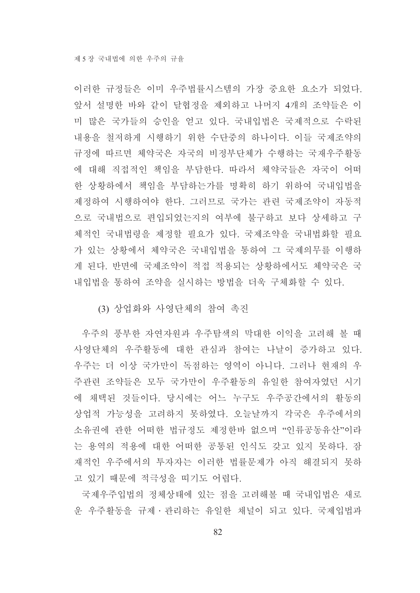이러한 규정들은 이미 우주법률시스템의 가장 중요한 요소가 되었다. 앞서 설명한 바와 같이 달협정을 제외하고 나머지 4개의 조약들은 이 미 많은 국가들의 승인을 얻고 있다. 국내입법은 국제적으로 수락된 내용을 철저하게 시행하기 위한 수단중의 하나이다. 이들 국제조약의 규정에 따르면 체약국은 자국의 비정부단체가 수행하는 국재우주활동 에 대해 직접적인 책임을 부담한다. 따라서 체약국들은 자국이 어떠 한 상황하에서 책임을 부담하는가를 명확히 하기 위하여 국내입법을 제정하여 시행하여야 한다. 그러므로 국가는 관련 국제조약이 자동적 으로 국내법으로 편입되었는지의 여부에 불구하고 보다 상세하고 구 체적인 국내법령을 제정할 필요가 있다. 국제조약을 국내법화할 필요 가 있는 상황에서 체약국은 국내입법을 통하여 그 국제의무를 이행하 게 된다. 반면에 국제조약이 적접 적용되는 상황하에서도 체약국은 국 내입법을 통하여 조약을 실시하는 방법을 더욱 구체화할 수 있다.

(3) 상업화와 사영단체의 참여 촉진

우주의 풍부한 자연자원과 우주탐색의 막대한 이익을 고려해 볼 때 사영단체의 우주활동에 대한 관심과 참여는 나날이 증가하고 있다. 우주는 더 이상 국가만이 독점하는 영역이 아니다. 그러나 현재의 우 주관련 조약들은 모두 국가만이 우주활동의 유일한 참여자였던 시기 에 채택된 것들이다. 당시에는 어느 누구도 우주공간에서의 활동의 상업적 가능성을 고려하지 못하였다. 오늘날까지 각국은 우주에서의 소유권에 관한 어떠한 법규정도 제정한바 없으며 "인류공동유산"이라 는 용역의 적용에 대한 어떠한 공통된 인식도 갖고 있지 못하다. 잠 재적인 우주에서의 투자자는 이러한 법률문제가 아직 해결되지 못하 고 있기 때문에 적극성을 띠기도 어렵다.

국제우주입법의 정체상태에 있는 점을 고려해볼 때 국내입법은 새로 운 우주활동을 규제·관리하는 유일한 채널이 되고 있다. 국제입법과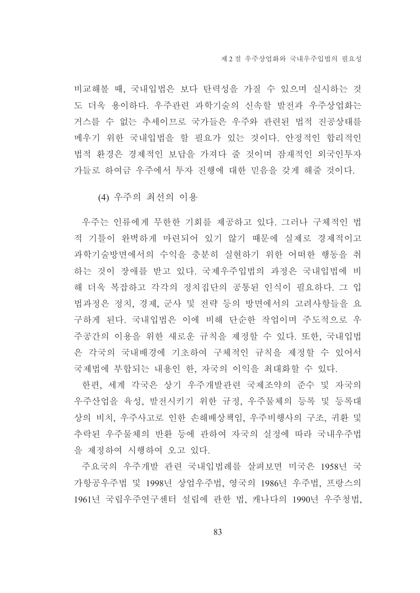비교해볼 때, 국내입법은 보다 탄력성을 가질 수 있으며 실시하는 것 도 더욱 용이하다. 우주관련 과학기술의 신속할 발전과 우주상업화는 거스를 수 없는 추세이므로 국가들은 우주와 관련된 법적 진공상태를 메우기 위한 국내입법을 할 필요가 있는 것이다. 안정적인 합리적인 법적 환경은 경제적인 보답을 가져다 줄 것이며 잠재적인 외국인투자 가들로 하여금 우주에서 투자 진행에 대한 믿음을 갖게 해줄 것이다.

(4) 우주의 최선의 이용

우주는 인류에게 무한한 기회를 제공하고 있다. 그러나 구체적인 법 적 기틀이 완벽하게 마련되어 있기 않기 때문에 실제로 경제적이고 과학기술방면에서의 수익을 충분히 실현하기 위한 어떠한 행동을 취 하는 것이 장애를 받고 있다. 국제우주입법의 과정은 국내입법에 비 해 더욱 복잡하고 각각의 정치집단의 공통된 인식이 필요하다. 그 입 법과정은 정치, 경제, 군사 및 전략 등의 방면에서의 고려사항들을 요 구하게 되다. 국내입법은 이에 비해 다수하 작업이며 주도적으로 우 주공간의 이용을 위한 새로운 규칙을 제정할 수 있다. 또한, 국내입법 은 각국의 국내배경에 기초하여 구체적인 규칙을 제정할 수 있어서 국제법에 부합되는 내용인 한, 자국의 이익을 최대화할 수 있다.

한편, 세계 각국은 상기 우주개발관련 국제조약의 준수 및 자국의 우주산업을 육성, 발전시키기 위한 규정, 우주물체의 등록 및 등록대 상의 비치, 우주사고로 인한 손해배상책임, 우주비행사의 구조, 귀환 및 추락되 우주물체의 반화 등에 관하여 자국의 실정에 따라 국내우주법 을 제정하여 시행하여 오고 있다.

주요국의 우주개발 관련 국내입법례를 살펴보면 미국은 1958년 국 가항공우주법 및 1998년 상업우주법, 영국의 1986년 우주법, 프랑스의 1961년 국립우주연구센터 설립에 관한 법, 캐나다의 1990년 우주청법,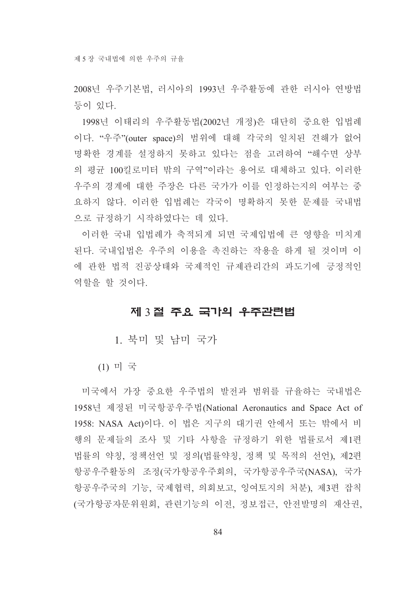2008년 우주기본법, 러시아의 1993년 우주활동에 관한 러시아 연방법 등이 있다.

1998년 이태리의 우주활동법(2002년 개정)은 대단히 중요한 입법례 이다. "우주"(outer space)의 범위에 대해 각국의 일치된 견해가 없어 명확한 경계를 설정하지 못하고 있다는 점을 고려하여 "해수면 상부 의 평규 100킬로미터 밖의 구역"이라는 용어로 대체하고 있다. 이러한 우주의 경계에 대한 주장은 다른 국가가 이를 인정하는지의 여부는 중 요하지 않다. 이러한 입법례는 각국이 명확하지 못한 문제를 국내법 으로 규정하기 시작하였다는 데 있다.

이러한 국내 입법례가 축적되게 되면 국제입법에 큰 영향을 미치게 된다. 국내입법은 우주의 이용을 촉진하는 작용을 하게 될 것이며 이 에 관한 법적 진공상태와 국제적인 규제관리간의 과도기에 긍정적인 역할을 할 것이다.

## 제 3절 주요 국가의 우주관련법

1. 북미 및 남미 국가

 $(1)$  미 국

미국에서 가장 중요한 우주법의 발전과 범위를 규율하는 국내법은 1958년 제정된 미국항공우주법(National Aeronautics and Space Act of 1958: NASA Act)이다. 이 법은 지구의 대기권 안에서 또는 밖에서 비 행의 문제들의 조사 및 기타 사항을 규정하기 위한 법률로서 제1편 법률의 약칭, 정책선언 및 정의(법률약칭, 정책 및 목적의 선언), 제2편 항공우주활동의 조정(국가항공우주회의, 국가항공우주국(NASA), 국가 항공우주국의 기능, 국제협력, 의회보고, 잉여토지의 처분), 제3편 잡칙 (국가항공자문위원회, 관련기능의 이전, 정보접근, 안전발명의 재산권,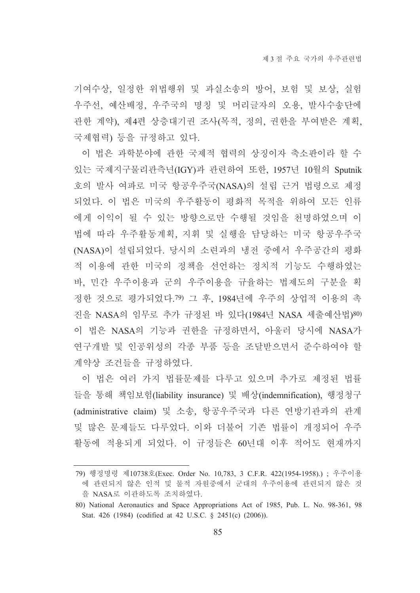기여수상, 일정한 위법행위 및 과실소송의 방어, 보험 및 보상, 실험 우주선, 예산배정, 우주국의 명칭 및 머리글자의 오용, 발사수송단에 관한 계약), 제4편 상층대기권 조사(목적, 정의, 권한을 부여받은 계획, 국제협력) 등을 규정하고 있다.

이 법은 과학분야에 관한 국제적 협력의 상징이자 축소판이라 할 수 있는 국제지구물리관측년(IGY)과 관련하여 또한, 1957년 10월의 Sputnik 호의 발사 여파로 미국 항공우주국(NASA)의 설립 근거 법령으로 제정 되었다. 이 법은 미국의 우주활동이 평화적 목적을 위하여 모든 인류 에게 이익이 될 수 있는 방향으로만 수행될 것임을 천명하였으며 이 법에 따라 우주활동계획, 지휘 및 실행을 담당하는 미국 항공우주국 (NASA)이 설립되었다. 당시의 소련과의 냉전 중에서 우주공간의 평화 적 이용에 관한 미국의 정책을 선언하는 정치적 기능도 수행하였는 바, 민간 우주이용과 군의 우주이용을 규율하는 법제도의 구분을 획 정한 것으로 평가되었다.79) 그 후, 1984년에 우주의 상업적 이용의 촉 진을 NASA의 임무로 추가 규정된 바 있다(1984년 NASA 세출예산법)80) 이 법은 NASA의 기능과 권한을 규정하면서, 아울러 당시에 NASA가 연구개발 및 인공위성의 각종 부품 등을 조달받으면서 준수하여야 할 계약상 조건들을 규정하였다.

이 법은 여러 가지 법률문제를 다루고 있으며 추가로 제정된 법률 들을 통해 책임보험(liability insurance) 및 배상(indemnification), 행정청구 (administrative claim) 및 소송, 항공우주국과 다른 연방기관과의 관계 및 많은 문제들도 다루었다. 이와 더불어 기존 법률이 개정되어 우주 활동에 적용되게 되었다. 이 규정들은 60년대 이후 적어도 현재까지

<sup>79)</sup> 행정명령 제10738호(Exec. Order No. 10,783, 3 C.F.R. 422(1954-1958).) ; 우주이용 에 관련되지 않은 인적 및 물적 자원중에서 군대의 우주이용에 관련되지 않은 것 을 NASA로 이관하도록 조치하였다.

<sup>80)</sup> National Aeronautics and Space Appropriations Act of 1985, Pub. L. No. 98-361, 98 Stat. 426 (1984) (codified at 42 U.S.C. § 2451(c) (2006)).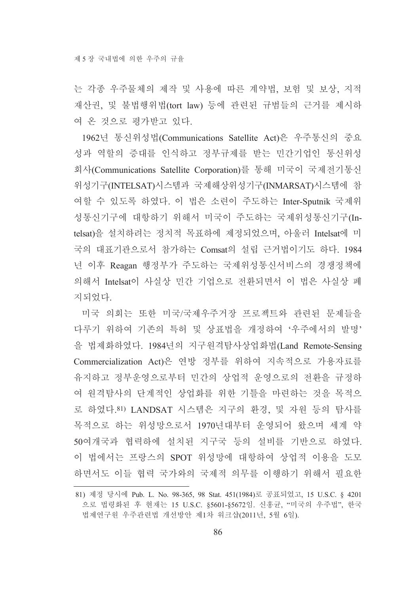는 각종 우주물체의 제작 및 사용에 따른 계약법, 보험 및 보상, 지적 재산권, 및 불법행위법(tort law) 등에 관련된 규범들의 근거를 제시하 여 온 것으로 평가받고 있다.

1962년 통신위성법(Communications Satellite Act)은 우주통신의 중요 성과 역할의 증대를 인식하고 정부규제를 받는 민간기업인 통신위성 회사(Communications Satellite Corporation)를 통해 미국이 국제전기통신 위성기구(INTELSAT)시스템과 국제해상위성기구(INMARSAT)시스템에 참 여할 수 있도록 하였다. 이 법은 소련이 주도하는 Inter-Sputnik 국제위 성통신기구에 대항하기 위해서 미국이 주도하는 국제위성통신기구(Intelsat)을 설치하려는 정치적 목표하에 제정되었으며, 아울러 Intelsat에 미 국의 대표기관으로서 참가하는 Comsat의 설립 근거법이기도 하다. 1984 년 이후 Reagan 행정부가 주도하는 국제위성통신서비스의 경쟁정책에 의해서 Intelsat이 사실상 민간 기업으로 전화되면서 이 법은 사실상 폐 지되었다.

미국 의회는 또한 미국/국제우주거장 프로젝트와 관련된 문제들을 다루기 위하여 기존의 특허 및 상표법을 개정하여 '우주에서의 발명' 을 법제화하였다. 1984년의 지구원격탐사상업화법(Land Remote-Sensing Commercialization Act)은 연방 정부를 위하여 지속적으로 가용자료를 유지하고 정부운영으로부터 민간의 상업적 운영으로의 전환을 규정하 여 원격탐사의 단계적인 상업화를 위한 기틀을 마련하는 것을 목적으 로 하였다.81) LANDSAT 시스템은 지구의 환경, 및 자원 등의 탐사를 목적으로 하는 위성망으로서 1970년대부터 운영되어 왔으며 세계 약 50여개국과 협력하에 설치된 지구국 등의 설비를 기반으로 하였다. 이 법에서는 프랑스의 SPOT 위성망에 대항하여 상업적 이용을 도모 하면서도 이들 협력 국가와의 국제적 의무를 이행하기 위해서 필요한

<sup>81)</sup> 제정 당시에 Pub. L. No. 98-365, 98 Stat. 451(1984)로 공표되었고, 15 U.S.C. § 4201 으로 법령화된 후 현재는 15 U.S.C. \$5601-\$5672임. 신홍균, "미국의 우주법", 한국 법제연구원 우주관련법 개선방안 제1차 워크샵(2011년, 5월 6일).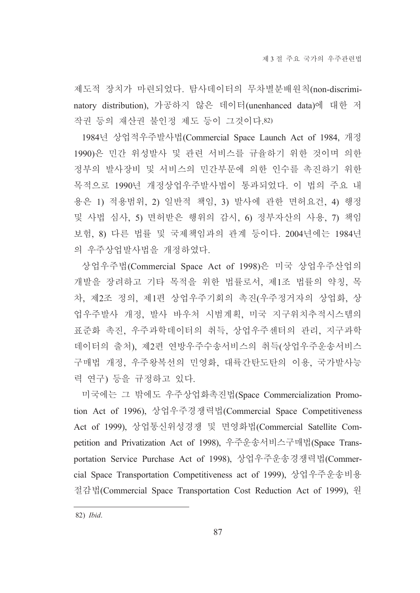제도적 장치가 마련되었다. 탐사데이터의 무차별분배원칙(non-discriminatory distribution). 가공하지 않은 데이터(unenhanced data)에 대한 저 작권 등의 재산권 불인정 제도 등이 그것이다.82)

1984년 상업적우주발사법(Commercial Space Launch Act of 1984, 개정 1990)은 민간 위성발사 및 관련 서비스를 규율하기 위한 것이며 의한 정부의 발사장비 및 서비스의 민간부문에 의한 인수를 촉진하기 위한 목적으로 1990년 개정상업우주발사법이 통과되었다. 이 법의 주요 내 용은 1) 적용범위, 2) 일반적 책임, 3) 발사에 관한 면허요건, 4) 행정 및 사법 심사, 5) 면허받은 행위의 감시, 6) 정부자산의 사용, 7) 책임 보험, 8) 다른 법률 및 국제책임과의 관계 등이다. 2004년에는 1984년 의 우주상업발사법을 개정하였다.

상업우주법(Commercial Space Act of 1998)은 미국 상업우주산업의 개발을 장려하고 기타 목적을 위한 법률로서, 제1조 법률의 약칭, 목 차, 제2조 정의, 제1편 상업우주기회의 촉진(우주정거자의 상업화, 상 업우주발사 개정, 발사 바우처 시범계획, 미국 지구위치추적시스템의 표준화 촉진, 우주과학데이터의 취득, 상업우주센터의 관리, 지구과학 데이터의 출처), 제2편 연방우주수송서비스의 취득(상업우주운송서비스 구매법 개정, 우주왕복선의 민영화, 대륙간탄도탄의 이용, 국가발사능 력 연구) 등을 규정하고 있다.

미국에는 그 밖에도 우주상업화촉진법(Space Commercialization Promotion Act of 1996), 상업우주경쟁력법(Commercial Space Competitiveness Act of 1999), 상업통신위성경쟁 및 면영화법(Commercial Satellite Competition and Privatization Act of 1998), 우주운송서비스구매법(Space Transportation Service Purchase Act of 1998), 상업우주운송경쟁력법(Commercial Space Transportation Competitiveness act of 1999), 상업우주운송비용 절감법(Commercial Space Transportation Cost Reduction Act of 1999), 원

<sup>82)</sup> Ibid.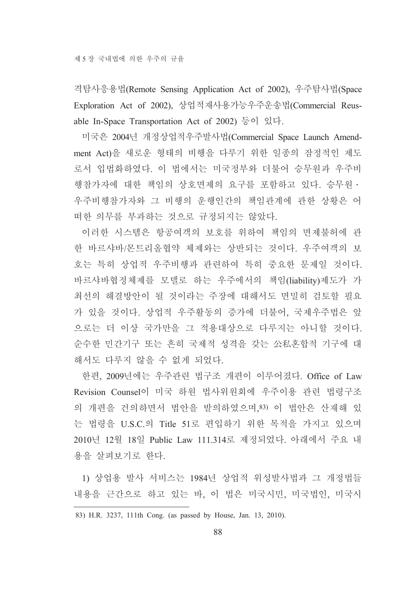격탐사응용법(Remote Sensing Application Act of 2002), 우주탐사법(Space Exploration Act of 2002), 상업적재사용가능우주운송법(Commercial Reusable In-Space Transportation Act of 2002) 등이 있다.

미국은 2004년 개정상업적우주발사법(Commercial Space Launch Amendment Act)을 새로운 형태의 비행을 다루기 위한 일종의 잠정적인 제도 로서 입법화하였다. 이 법에서는 미국정부와 더불어 승무워과 우주비 행참가자에 대한 책임의 상호면제의 요구를 포함하고 있다. 승무원 · 우주비행참가자와 그 비행의 운행인간의 책임관계에 관한 상황은 어 떠한 의무를 부과하는 것으로 규정되지는 않았다.

이러한 시스템은 항공여객의 보호를 위하여 책임의 면제불허에 관 한 바르샤바/몬트리올협약 체제와는 상반되는 것이다. 우주여객의 보 호는 특히 상업적 우주비행과 관련하여 특히 중요한 문제일 것이다. 바르샤바협정체제를 모델로 하는 우주에서의 책임(liability)제도가 가 최선의 해결방안이 될 것이라는 주장에 대해서도 면밀히 검토할 필요 가 있을 것이다. 상업적 우주활동의 증가에 더불어, 국제우주법은 앞 으로는 더 이상 국가만을 그 적용대상으로 다루지는 아니할 것이다. 순수한 민간기구 또는 흔히 국제적 성격을 갖는 公私혼합적 기구에 대 해서도 다루지 않을 수 없게 되었다.

한편, 2009년에는 우주관련 법구조 개편이 이루어졌다. Office of Law Revision Counsel이 미국 하워 법사위워회에 우주이용 관련 법령구조 의 개편을 건의하면서 법안을 발의하였으며, 83) 이 법안은 산재해 있 는 법령을 U.S.C.의 Title 51로 편입하기 위한 목적을 가지고 있으며 2010년 12월 18일 Public Law 111.314로 제정되었다. 아래에서 주요 내 용을 살펴보기로 한다.

1) 상업용 발사 서비스는 1984년 상업적 위성발사법과 그 개정법들 내용을 근간으로 하고 있는 바, 이 법은 미국시민, 미국법인, 미국시

<sup>83)</sup> H.R. 3237, 111th Cong. (as passed by House, Jan. 13, 2010).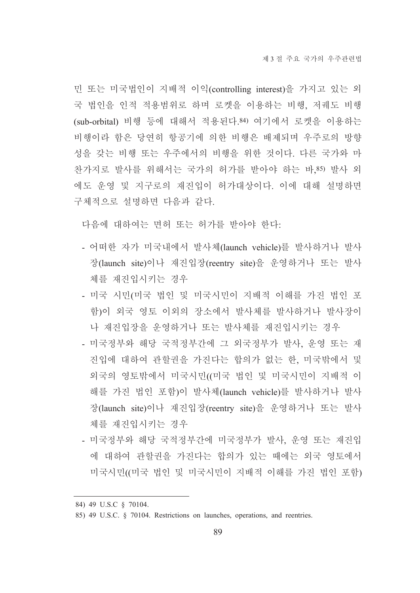민 또는 미국법인이 지배적 이익(controlling interest)을 가지고 있는 외 국 법인을 인적 적용범위로 하며 로켓을 이용하는 비행, 저궤도 비행 (sub-orbital) 비행 등에 대해서 적용된다.84) 여기에서 로켓을 이용하는 비행이라 함은 당연히 항공기에 의한 비행은 배제되며 우주로의 방향 성을 갖는 비행 또는 우주에서의 비행을 위한 것이다. 다른 국가와 마 찬가지로 발사를 위해서는 국가의 허가를 받아야 하는 바,85) 발사 외 에도 운영 및 지구로의 재진입이 허가대상이다. 이에 대해 설명하면 구체적으로 설명하면 다음과 같다.

다음에 대하여는 면허 또는 허가를 받아야 한다.

- 어떠한 자가 미국내에서 발사체(launch vehicle)를 발사하거나 발사 장(launch site)이나 재진입장(reentry site)을 운영하거나 또는 발사 체를 재진입시키는 경우
- 미국 시민(미국 법인 및 미국시민이 지배적 이해를 가진 법인 포 함)이 외국 영토 이외의 장소에서 발사체를 발사하거나 발사장이 나 재진입장을 운영하거나 또는 발사체를 재진입시키는 경우
- 미국정부와 해당 국적정부간에 그 외국정부가 발사, 운영 또는 재 진입에 대하여 관할권을 가진다는 합의가 없는 한, 미국밖에서 및 외국의 영토밖에서 미국시민((미국 법인 및 미국시민이 지배적 이 해를 가진 법인 포함)이 발사체(launch vehicle)를 발사하거나 발사 장(launch site)이나 재진입장(reentry site)을 운영하거나 또는 발사 체를 재진입시키는 경우
- 미국정부와 해당 국적정부간에 미국정부가 발사, 운영 또는 재진입 에 대하여 관할권을 가진다는 합의가 있는 때에는 외국 영토에서 미국시민((미국 법인 및 미국시민이 지배적 이해를 가진 법인 포함)

<sup>84) 49</sup> U.S.C § 70104.

<sup>85) 49</sup> U.S.C. § 70104. Restrictions on launches, operations, and reentries.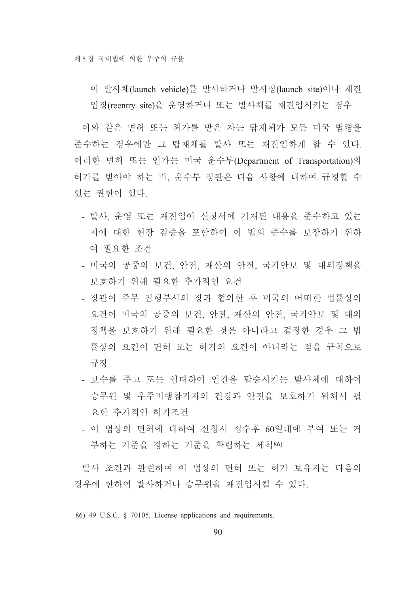이 발사체(launch vehicle)를 발사하거나 발사장(launch site)이나 재진 입장(reentry site)을 운영하거나 또는 발사체를 재진입시키는 경우

이와 같은 면허 또는 허가를 받은 자는 탑재체가 모든 미국 법령을 준수하는 경우에만 그 탑재체를 발사 또는 재진입하게 할 수 있다. 이러한 면허 또는 인가는 미국 운수부(Department of Transportation)의 허가를 받아야 하는 바, 운수부 장관은 다음 사항에 대하여 규정할 수 있는 권하이 있다.

- 발사, 운영 또는 재진입이 신청서에 기재된 내용을 준수하고 있는 지에 대한 현장 검증을 포함하여 이 법의 준수를 보장하기 위하 여 필요한 조건
- 미국의 공중의 보건, 안전, 재산의 안전, 국가안보 및 대외정책을 보호하기 위해 필요한 추가적인 요건
- 장관이 주무 집행부서의 장과 협의한 후 미국의 어떠한 법률상의 요건이 미국의 공중의 보건, 안전, 재산의 안전, 국가안보 및 대외 정책을 보호하기 위해 필요한 것은 아니라고 결정한 경우 그 법 률상의 요건이 면허 또는 허가의 요건이 아니라는 점을 규칙으로 규정
- 보수를 주고 또는 임대하여 인간을 탑승시키는 발사체에 대하여 승무원 및 우주비행참가자의 건강과 안전을 보호하기 위해서 필 요한 추가적인 허가조건
- 이 법상의 면허에 대하여 신청서 접수후 60일내에 부여 또는 거 부하는 기주을 정하는 기주을 확립하는 세칙86)

발사 조건과 관련하여 이 법상의 면허 또는 허가 보유자는 다음의 경우에 한하여 발사하거나 승무원을 재진입시킬 수 있다.

<sup>86) 49</sup> U.S.C. § 70105. License applications and requirements.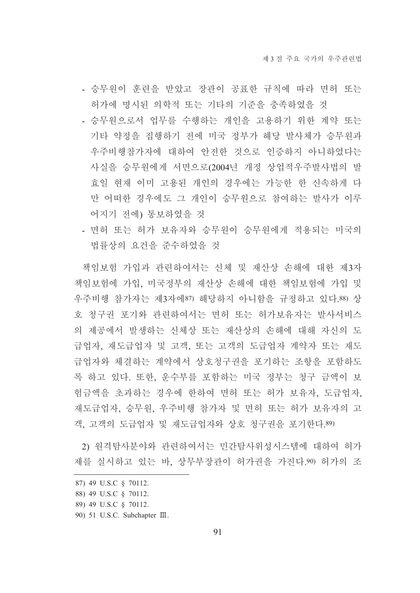- 승무원이 훈련을 받았고 장관이 공표한 규칙에 따라 면허 또는 허가에 명시된 의학적 또는 기타의 기준을 충족하였을 것
- 승무워으로서 업무를 수행하는 개인을 고용하기 위한 계약 또는 기타 약정을 집행하기 전에 미국 정부가 해당 발사체가 승무원과 우주비행참가자에 대하여 안전한 것으로 인증하지 아니하였다는 사실을 승무워에게 서면으로(2004년 개정 상업적우주발사법의 발 효일 현재 이미 고용된 개인의 경우에는 가능한 한 신속하게 다 만 어떠한 경우에도 그 개인이 승무워으로 참여하는 발사가 이루 어지기 전에) 통보하였을 것
- 면허 또는 허가 보유자와 승무원이 승무원에게 적용되는 미국의 법률상의 요건을 주수하였을 것

책임보험 가입과 관련하여서는 신체 및 재산상 손해에 대한 제3자 책임보험에 가입, 미국정부의 재산상 손해에 대한 책임보험에 가입 및 우주비행 참가자는 제3자에87) 해당하지 아니함을 규정하고 있다.88) 상 호 청구권 포기와 관련하여서는 면허 또는 허가보유자는 발사서비스 의 제공에서 발생하는 신체상 또는 재산상의 손해에 대해 자신의 도 급업자, 재도급업자 및 고객, 또는 고객의 도급업자 계약자 또는 재도 급업자와 체결하는 계약에서 상호청구권을 포기하는 조항을 포함하도 록 하고 있다. 또한, 운수부를 포함하는 미국 정부는 청구 금액이 보 험금액을 초과하는 경우에 한하여 면허 또는 허가 보유자, 도급업자, 재도급업자, 승무원, 우주비행 참가자 및 면허 또는 허가 보유자의 고 객, 고객의 도급업자 및 재도급업자와 상호 청구권을 포기한다.89)

2) 원격탐사분야와 관련하여서는 민간탐사위성시스템에 대하여 허가 제를 실시하고 있는 바. 상무부장관이 허가권을 가진다.90) 허가의 조

90) 51 U.S.C. Subchapter III.

<sup>87) 49</sup> U.S.C § 70112.

<sup>88) 49</sup> U.S.C § 70112.

<sup>89) 49</sup> U.S.C § 70112.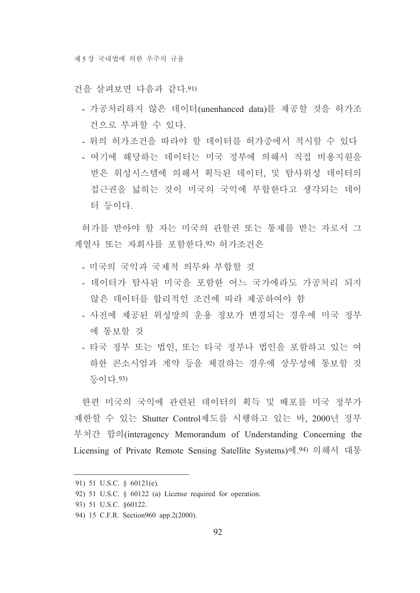건을 살펴보면 다음과 같다 91)

- 가공처리하지 않은 데이터(unenhanced data)를 제공할 것을 허가조 건으로 부과할 수 있다.
- 위의 허가조거을 따라야 할 데이터를 허가증에서 적시할 수 있다
- 여기에 해당하는 데이터는 미국 정부에 의해서 직접 비용지워을 받은 위성시스템에 의해서 획득된 데이터, 및 탐사위성 데이터의 접근권을 넓히는 것이 미국의 국익에 부합한다고 생각되는 데이 터 등이다.

허가를 받아야 할 자는 미국의 관할권 또는 통제를 받는 자로서 그 계열사 또는 자회사를 포함한다.92) 허가조건은

- 미국의 국익과 국제적 의무와 부합할 것
- 데이터가 탐사된 미국을 포함한 어느 국가에라도 가공처리 되지 않은 데이터를 합리적인 조건에 따라 제공하여야 함
- 사전에 제공된 위성망의 운용 정보가 변경되는 경우에 미국 정부 에 통보할 것
- 타국 정부 또는 법인, 또는 타국 정부나 법인을 포함하고 있는 여 하한 콘소시엄과 계약 등을 체결하는 경우에 상무성에 통보할 것 등이다.93)

한편 미국의 국익에 관련된 데이터의 획득 및 배포를 미국 정부가 제한할 수 있는 Shutter Control제도를 시행하고 있는 바, 2000년 정부 부처간 합의(interagency Memorandum of Understanding Concerning the Licensing of Private Remote Sensing Satellite Systems)에 94) 의해서 대통

<sup>91) 51</sup> U.S.C. § 60121(e).

<sup>92) 51</sup> U.S.C. § 60122 (a) License required for operation.

<sup>93) 51</sup> U.S.C. §60122.

<sup>94) 15</sup> C.F.R. Section 960 app. 2(2000).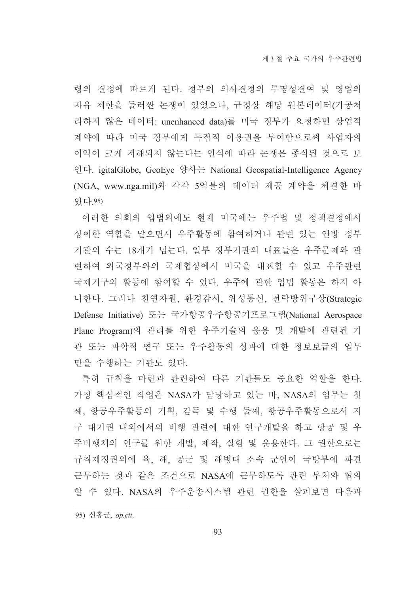령의 결정에 따르게 된다. 정부의 의사결정의 투명성결여 및 영업의 자유 제한을 둘러싼 논쟁이 있었으나, 규정상 해당 원본데이터(가공처 리하지 않은 데이터: unenhanced data)를 미국 정부가 요청하면 상업적 계약에 따라 미국 정부에게 독점적 이용권을 부여함으로써 사업자의 이익이 크게 저해되지 않는다는 인식에 따라 논쟁은 종식된 것으로 보 인다. igitalGlobe, GeoEye 양사는 National Geospatial-Intelligence Agency (NGA, www.nga.mil)와 각각 5억불의 데이터 제공 계약을 체결한 바 있다.95)

이러한 의회의 입법외에도 현재 미국에는 우주법 및 정책결정에서 상이한 역할을 맡으면서 우주활동에 참여하거나 관련 있는 연방 정부 기관의 수는 18개가 넘는다. 일부 정부기관의 대표들은 우주문제와 관 련하여 외국정부와의 국제협상에서 미국을 대표할 수 있고 우주관련 국제기구의 활동에 참여할 수 있다. 우주에 관한 입법 활동은 하지 아 니한다. 그러나 천연자원, 환경감시, 위성통신, 전략방위구상(Strategic Defense Initiative) 또는 국가항공우주항공기프로그램(National Aerospace Plane Program)의 관리를 위한 우주기술의 응용 및 개발에 관련된 기 관 또는 과학적 연구 또는 우주활동의 성과에 대한 정보보급의 업무 만을 수행하는 기관도 있다.

특히 규칙을 마련과 관련하여 다른 기관들도 중요한 역할을 한다. 가장 핵심적인 작업은 NASA가 담당하고 있는 바, NASA의 임무는 첫 째, 항공우주활동의 기획, 감독 및 수행 둘째, 항공우주활동으로서 지 구 대기권 내외에서의 비행 관련에 대한 연구개발을 하고 항공 및 우 주비행체의 연구를 위한 개발, 제작, 실험 및 운용한다. 그 권한으로는 규칙제정권외에 육, 해, 공군 및 해병대 소속 군인이 국방부에 파견 근무하는 것과 같은 조건으로 NASA에 근무하도록 관련 부처와 협의 할 수 있다. NASA의 우주운송시스템 관련 권한을 살펴보면 다음과

<sup>95)</sup> 신홍균, op.cit.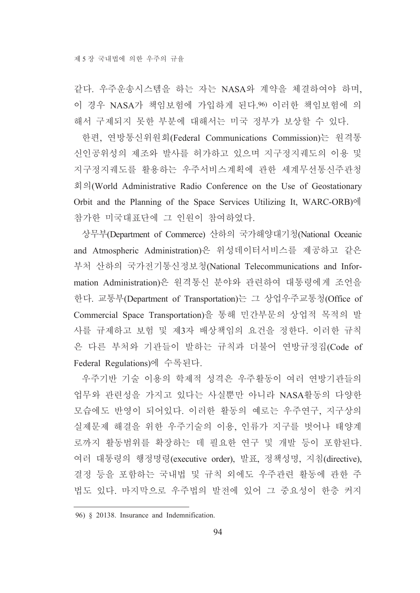같다. 우주운송시스템을 하는 자는 NASA와 계약을 체결하여야 하며, 이 경우 NASA가 책임보험에 가입하게 된다.96) 이러한 책임보험에 의 해서 구제되지 못한 부분에 대해서는 미국 정부가 보상할 수 있다.

한편, 연방통신위원회(Federal Communications Commission)는 원격통 신인공위성의 제조와 발사를 허가하고 있으며 지구정지궤도의 이용 및 지구정지궤도를 활용하는 우주서비스계획에 관한 세계무선통신주관청 회의(World Administrative Radio Conference on the Use of Geostationary Orbit and the Planning of the Space Services Utilizing It, WARC-ORB)에 참가한 미국대표단에 그 인원이 참여하였다.

상무부(Department of Commerce) 산하의 국가해양대기청(National Oceanic and Atmospheric Administration)은 위성데이터서비스를 제공하고 같은 부처 산하의 국가전기통신정보청(National Telecommunications and Information Administration)은 원격통신 분야와 관련하여 대통령에게 조언을 한다. 교통부(Department of Transportation)는 그 상업우주교통청(Office of Commercial Space Transportation)을 통해 민간부문의 상업적 목적의 발 사를 규제하고 보험 및 제3자 배상책임의 요건을 정한다. 이러한 규칙 은 다른 부처와 기관들이 발하는 규칙과 더불어 연방규정집(Code of Federal Regulations)에 수록된다.

우주기반 기술 이용의 학제적 성격은 우주활동이 여러 연방기관들의 업무와 관련성을 가지고 있다는 사실뿐만 아니라 NASA활동의 다양한 모습에도 반영이 되어있다. 이러한 활동의 예로는 우주연구, 지구상의 실제문제 해결을 위한 우주기술의 이용, 인류가 지구를 벗어나 태양계 로까지 활동범위를 확장하는 데 필요한 연구 및 개발 등이 포함된다. 여러 대통령의 행정명령(executive order), 발표, 정책성명, 지침(directive), 결정 등을 포함하는 국내법 및 규칙 외에도 우주관련 활동에 관한 주 법도 있다. 마지막으로 우주법의 발전에 있어 그 중요성이 한층 커지

<sup>96) § 20138.</sup> Insurance and Indemnification.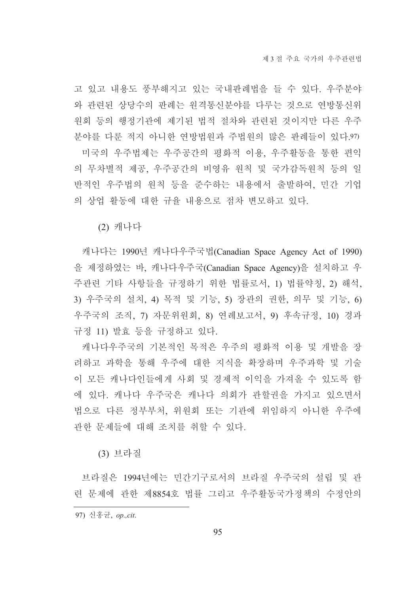고 있고 내용도 풍부해지고 있는 국내판례법을 들 수 있다. 우주분야 와 관련된 상당수의 판례는 원격통신분야를 다루는 것으로 연방통신위 원회 등의 행정기관에 제기된 법적 절차와 관련된 것이지만 다른 우주 분야를 다룬 적지 아니한 연방법원과 주법원의 많은 판례들이 있다.97) 미국의 우주법제는 우주공간의 평화적 이용, 우주활동을 통한 편익 의 무차별적 제공, 우주공간의 비영유 원칙 및 국가감독원칙 등의 일 반적인 우주법의 원칙 등을 준수하는 내용에서 출발하여, 민간 기업 의 상업 활동에 대한 규율 내용으로 점차 변모하고 있다.

(2) 캐나다

캐나다는 1990년 캐나다우주국법(Canadian Space Agency Act of 1990) 을 제정하였는 바, 캐나다우주국(Canadian Space Agency)을 설치하고 우 주관련 기타 사항들을 규정하기 위한 법률로서, 1) 법률약칭, 2) 해석, 3) 우주국의 설치, 4) 목적 및 기능, 5) 장관의 권한, 의무 및 기능, 6) 우주국의 조직, 7) 자문위원회, 8) 연례보고서, 9) 후속규정, 10) 경과 규정 11) 발효 등을 규정하고 있다.

캐나다우주국의 기본적인 목적은 우주의 평화적 이용 및 개발을 장 려하고 과학을 통해 우주에 대한 지식을 확장하며 우주과학 및 기술 이 모든 캐나다인들에게 사회 및 경제적 이익을 가져올 수 있도록 함 에 있다. 캐나다 우주국은 캐나다 의회가 관할권을 가지고 있으면서 법으로 다른 정부부처, 위원회 또는 기관에 위임하지 아니한 우주에 관한 문제들에 대해 조치를 취할 수 있다.

(3) 브라질

브라질은 1994년에는 민간기구로서의 브라질 우주국의 설립 및 관 련 문제에 관한 제8854호 법률 그리고 우주활동국가정책의 수정안의

<sup>97)</sup> 신홍균, op.,cit.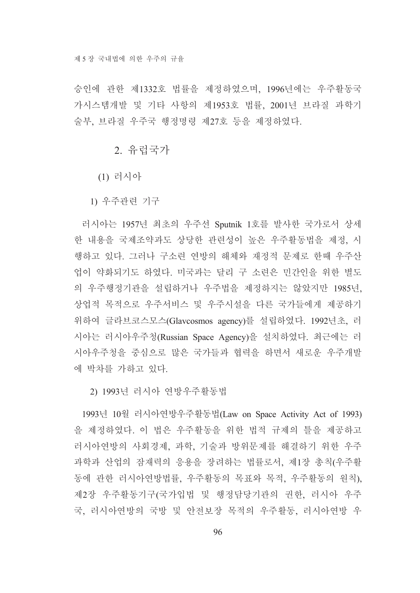승인에 관한 제1332호 법률을 제정하였으며, 1996년에는 우주활동국 가시스템개발 및 기타 사항의 제1953호 법률, 2001년 브라질 과학기 술부, 브라질 우주국 행정명령 제27호 등을 제정하였다.

2. 유럽국가

(1) 러시아

1) 우주관련 기구

러시아는 1957년 최초의 우주선 Sputnik 1호를 발사한 국가로서 상세 한 내용을 국제조약과도 상당한 관련성이 높은 우주활동법을 제정, 시 행하고 있다. 그러나 구소련 연방의 해체와 재정적 문제로 한때 우주산 업이 약화되기도 하였다. 미국과는 달리 구 소련은 민간인을 위한 별도 의 우주행정기관을 설립하거나 우주법을 제정하지는 않았지만 1985년, 상업적 목적으로 우주서비스 및 우주시설을 다른 국가들에게 제공하기 위하여 글라브코스모스(Glavcosmos agency)를 설립하였다. 1992년초, 러 시아는 러시아우주청(Russian Space Agency)을 설치하였다. 최근에는 러 시아우주청을 중심으로 많은 국가들과 협력을 하면서 새로운 우주개발 에 박차를 가하고 있다.

2) 1993년 러시아 연방우주활동법

1993년 10월 러시아연방우주활동법(Law on Space Activity Act of 1993) 을 제정하였다. 이 법은 우주활동을 위한 법적 규제의 틀을 제공하고 러시아연방의 사회경제, 과학, 기술과 방위문제를 해결하기 위한 우주 과학과 산업의 잠재력의 응용을 장려하는 법률로서, 제1장 총칙(우주활 동에 관한 러시아연방법률, 우주활동의 목표와 목적, 우주활동의 원칙), 제2장 우주활동기구(국가입법 및 행정담당기관의 권한, 러시아 우주 국, 러시아연방의 국방 및 안전보장 목적의 우주활동, 러시아연방 우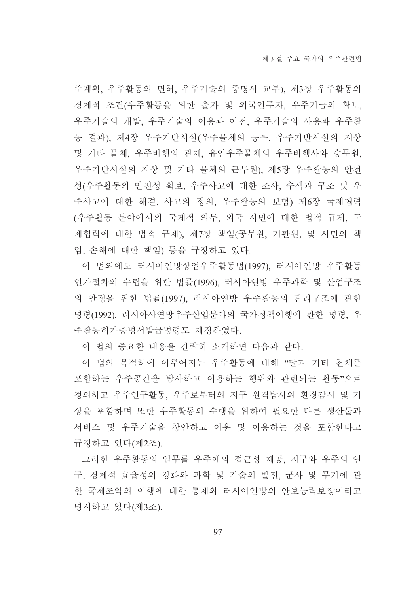주계획, 우주활동의 면허, 우주기술의 증명서 교부), 제3장 우주활동의 경제적 조건(우주활동을 위한 출자 및 외국인투자, 우주기금의 확보, 우주기술의 개발, 우주기술의 이용과 이전, 우주기술의 사용과 우주활 동 결과), 제4장 우주기반시설(우주물체의 등록, 우주기반시설의 지상 및 기타 물체, 우주비행의 관제, 유인우주물체의 우주비행사와 승무원, 우주기반시설의 지상 및 기타 물체의 근무원), 제5장 우주활동의 안전 성(우주활동의 안전성 확보, 우주사고에 대한 조사, 수색과 구조 및 우 주사고에 대한 해결, 사고의 정의, 우주활동의 보험) 제6장 국제협력 (우주활동 분야에서의 국제적 의무, 외국 시민에 대한 법적 규제, 국 제협력에 대한 법적 규제), 제7장 책임(공무원, 기관원, 및 시민의 책 임, 손해에 대한 책임) 등을 규정하고 있다.

이 법외에도 러시아연방상업우주활동법(1997), 러시아연방 우주활동 인가절차의 수립을 위한 법률(1996), 러시아연방 우주과학 및 산업구조 의 안정을 위한 법률(1997), 러시아연방 우주활동의 관리구조에 관한 명령(1992), 러시아사연방우주산업분야의 국가정책이행에 관한 명령, 우 주활동허가증명서발급명령도 제정하였다.

이 법의 중요한 내용을 간략히 소개하면 다음과 같다.

이 법의 목적하에 이루어지는 우주활동에 대해 "달과 기타 처체를 포함하는 우주공간을 탐사하고 이용하는 행위와 관련되는 활동"으로 정의하고 우주연구활동, 우주로부터의 지구 원격탐사와 환경감시 및 기 상을 포함하며 또한 우주활동의 수행을 위하여 필요한 다른 생산물과 서비스 및 우주기술을 창안하고 이용 및 이용하는 것을 포함하다고 규정하고 있다(제2조).

그러한 우주활동의 임무를 우주에의 접근성 제공, 지구와 우주의 연 구. 경제적 효율성의 강화와 과학 및 기술의 발전. 군사 및 무기에 과 한 국제조약의 이행에 대한 통제와 러시아여방의 안보능력보장이라고 명시하고 있다(제3조).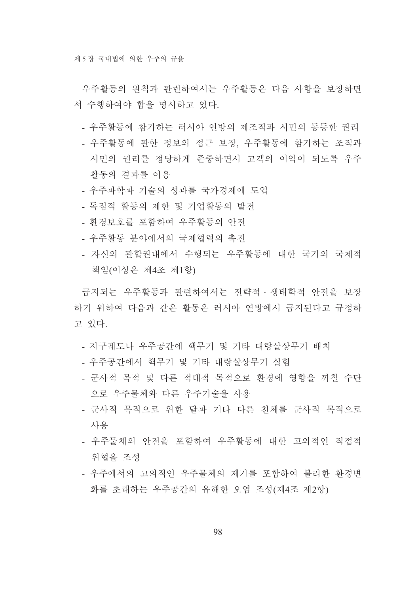우주활동의 워칙과 관련하여서는 우주활동은 다음 사항을 보장하면 서 수행하여야 함을 명시하고 있다.

- 우주활동에 참가하는 러시아 여방의 제조직과 시민의 동등한 권리
- 우주활동에 관한 정보의 접근 보장. 우주활동에 참가하는 조직과 시민의 권리를 정당하게 존중하면서 고객의 이익이 되도록 우주 활동의 결과를 이용
- 우주과학과 기술의 성과를 국가경제에 도입
- 독점적 활동의 제한 및 기업활동의 발전
- 화경보호를 포함하여 우주활동의 안전
- 우주활동 분야에서의 국제협력의 촉진
- 자신의 관할권내에서 수행되는 우주활동에 대한 국가의 국제적 책임(이상은 제4조 제1항)

금지되는 우주활동과 관련하여서는 전략적 ·생태학적 안전을 보장 하기 위하여 다음과 같은 활동은 러시아 연방에서 금지된다고 규정하 고 있다.

- 지구궤도나 우주공간에 핵무기 및 기타 대량살상무기 배치
- 우주공간에서 핵무기 및 기타 대량살상무기 실험
- 군사적 목적 및 다른 적대적 목적으로 환경에 영향을 끼칠 수단 으로 우주물체와 다른 우주기술을 사용
- 군사적 목적으로 위한 달과 기타 다른 천체를 군사적 목적으로 사용
- 우주물체의 안전을 포함하여 우주활동에 대한 고의적인 직접적 위협을 조성
- 우주에서의 고의적인 우주물체의 제거를 포함하여 불리한 환경변 화를 초래하는 우주공간의 유해한 오염 조성(제4조 제2항)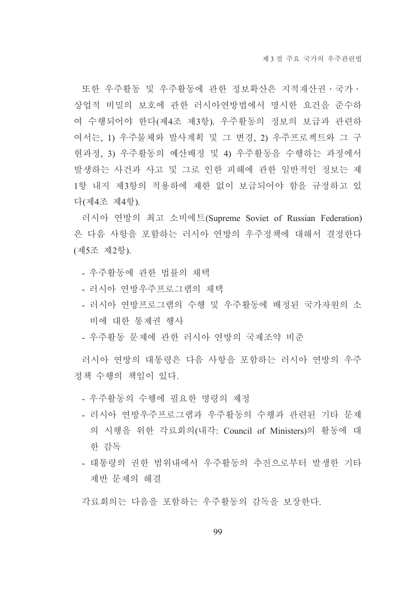또한 우주활동 및 우주활동에 관한 정보확산은 지적재산권 · 국가 · 상업적 비밀의 보호에 관한 러시아여방법에서 명시한 요건을 주수하 여 수행되어야 한다(제4조 제3항). 우주활동의 정보의 보급과 관련하 여서는, 1) 우주물체와 발사계획 및 그 변경, 2) 우주프로젝트와 그 구 현과정, 3) 우주활동의 예산배정 및 4) 우주활동을 수행하는 과정에서 발생하는 사건과 사고 및 그로 인한 피해에 관한 일반적인 정보는 제 1항 내지 제3항의 적용하에 제한 없이 보급되어야 함을 규정하고 있 다(제4조 제4항).

러시아 연방의 최고 소비에트(Supreme Soviet of Russian Federation) 은 다음 사항을 포함하는 러시아 연방의 우주정책에 대해서 결정한다 (제5조 제2항).

- 우주활동에 관한 법률의 채택
- 러시아 여방우주프로그램의 채택
- 러시아 연방프로그램의 수행 및 우주활동에 배정된 국가자원의 소 비에 대한 통제권 행사
- 우주활동 문제에 관한 러시아 연방의 국제조약 비주

러시아 연방의 대통령은 다음 사항을 포함하는 러시아 연방의 우주 정책 수행의 책임이 있다.

- 우주활동의 수행에 필요한 명령의 제정
- 러시아 여방우주프로그램과 우주활동의 수행과 과려되 기타 문제 의 시행을 위한 각료회의(내각: Council of Ministers)의 활동에 대 한 감독
- 대통령의 권한 범위내에서 우주활동의 추진으로부터 발생한 기타 제반 문제의 해결

각료회의는 다음을 포함하는 우주활동의 감독을 보장한다.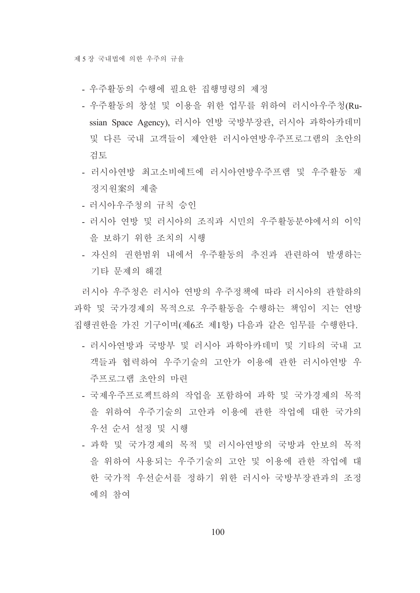- 우주활동의 수행에 필요한 집행명령의 제정
- 우주활동의 창설 및 이용을 위한 업무를 위하여 러시아우주청(Russian Space Agency), 러시아 연방 국방부장관, 러시아 과학아카데미 및 다른 국내 고객들이 제안한 러시아연방우주프로그램의 초안의 검토
- 러시아연방 최고소비에트에 러시아연방우주프램 및 우주활동 재 정지원案의 제출
- 러시아우주청의 규칙 승인
- 러시아 연방 및 러시아의 조직과 시민의 우주활동분야에서의 이익 을 보하기 위한 조치의 시행
- 자신의 권한범위 내에서 우주활동의 추진과 관련하여 발생하는 기타 문제의 해결

러시아 우주청은 러시아 연방의 우주정책에 따라 러시아의 관할하의 과학 및 국가경제의 목적으로 우주활동을 수행하는 책임이 지는 여방 집행권한을 가진 기구이며(제6조 제1항) 다음과 같은 임무를 수행한다.

- 러시아연방과 국방부 및 러시아 과학아카데미 및 기타의 국내 고 객들과 협력하여 우주기술의 고안가 이용에 관한 러시아연방 우 주프로그램 초안의 마련
- 국제우주프로젝트하의 작업을 포함하여 과학 및 국가경제의 목적 을 위하여 우주기술의 고안과 이용에 관한 작업에 대한 국가의 우선 순서 설정 및 시행
- 과학 및 국가경제의 목적 및 러시아연방의 국방과 안보의 목적 을 위하여 사용되는 우주기술의 고안 및 이용에 관한 작업에 대 한 국가적 우선순서를 정하기 위한 러시아 국방부장관과의 조정 에의 참여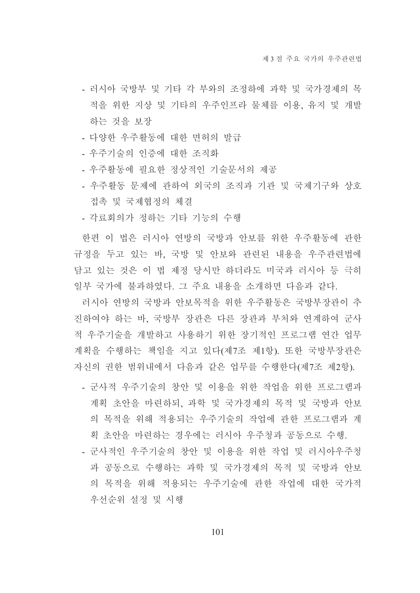- 러시아 국방부 및 기타 각 부와의 조정하에 과학 및 국가경제의 목 적을 위한 지상 및 기타의 우주인프라 물체를 이용, 유지 및 개발 하는 것을 보장
- 다양한 우주활동에 대한 면허의 발급
- 우주기술의 인증에 대한 조직화
- 우주활동에 필요한 정상적인 기술문서의 제공
- 우주활동 문제에 관하여 외국의 조직과 기관 및 국제기구와 상호 접촉 및 국제협정의 체결
- 각료회의가 정하는 기타 기능의 수행

한편 이 법은 러시아 여방의 국방과 안보를 위한 우주활동에 관한 규정을 두고 있는 바, 국방 및 안보와 관련된 내용을 우주관련법에 담고 있는 것은 이 법 제정 당시만 하더라도 미국과 러시아 등 극히 일부 국가에 불과하였다. 그 주요 내용을 소개하면 다음과 같다.

러시아 연방의 국방과 안보목적을 위한 우주활동은 국방부장관이 추 진하여야 하는 바, 국방부 장관은 다른 장관과 부처와 연계하여 군사 적 우주기술을 개발하고 사용하기 위한 장기적인 프로그램 연간 업무 계획을 수행하는 책임을 지고 있다(제7조 제1항). 또한 국방부장관은 자신의 권한 범위내에서 다음과 같은 업무를 수행한다(제7조 제2항).

- 군사적 우주기술의 창안 및 이용을 위한 작업을 위한 프로그램과 계획 초안을 마련하되, 과학 및 국가경제의 목적 및 국방과 안보 의 목적을 위해 적용되는 우주기술의 작업에 관한 프로그램과 계 획 초안을 마련하는 경우에는 러시아 우주청과 공동으로 수행.
- 군사적인 우주기술의 창안 및 이용을 위한 작업 및 러시아우주청 과 공동으로 수행하는 과학 및 국가경제의 목적 및 국방과 안보 의 목적을 위해 적용되는 우주기술에 관한 작업에 대한 국가적 우선순위 설정 및 시행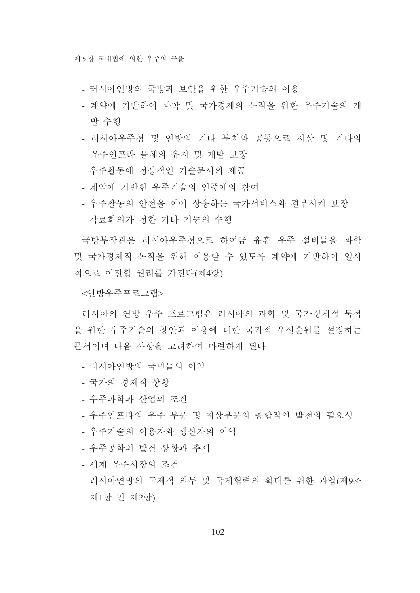- 러시아여방의 국방과 보아을 위한 우주기술의 이용
- 계약에 기반하여 과학 및 국가경제의 목적을 위한 우주기술의 개 발 수행
- 러시아우주청 및 연방의 기타 부처와 공동으로 지상 및 기타의 우주인프라 물체의 유지 및 개발 보장
- 우주활동에 정상적인 기술문서의 제공
- 계약에 기반한 우주기술의 인증에의 참여
- 우주활동의 안전을 이에 상응하는 국가서비스와 결부시켜 보장
- 각료회의가 정한 기타 기능의 수행

국방부장관은 러시아우주청으로 하여금 유휴 우주 설비들을 과학 및 국가경제적 목적을 위해 이용할 수 있도록 계약에 기반하여 일시 적으로 이전할 권리를 가진다(제4항).

<연방우주프로그램>

러시아의 여방 우주 프로그램은 러시아의 과학 및 국가경제적 묵적 을 위한 우주기술의 창안과 이용에 대한 국가적 우선순위를 설정하는 문서이며 다음 사항을 고려하여 마련하게 된다.

- 러시아여방의 국민들의 이익
- 국가의 경제적 상황
- 우주과학과 산업의 조건
- 우주인프라의 우주 부문 및 지상부문의 종합적인 발전의 필요성
- 우주기술의 이용자와 생산자의 이익
- 우주공학의 발전 상황과 추세
- 세계 우주시장의 조건
- 러시아연방의 국제적 의무 및 국제협력의 확대를 위한 과업(제9조 제1항 민 제2항)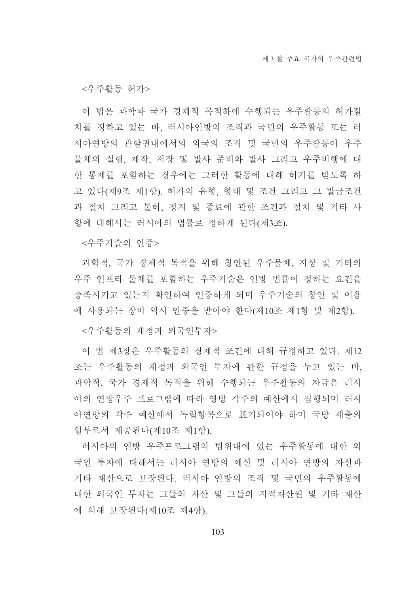<우주활동 허가>

이 법은 과학과 국가 경제적 목적하에 수행되는 우주활동의 허가절 차를 정하고 있는 바. 러시아연방의 조직과 국민의 우주활동 또는 러 시아연방의 관할권내에서의 외국의 조직 및 국민의 우주활동이 우주 물체의 실험, 제작, 저장 및 발사 준비와 발사 그리고 우주비행에 대 한 통제를 포함하는 경우에는 그러한 활동에 대해 허가를 받도록 하 고 있다(제9조 제1항). 허가의 유형, 형태 및 조건 그리고 그 발급조건 과 절차 그리고 불허, 정지 및 종료에 관한 조건과 절차 및 기타 사 항에 대해서는 러시아의 법률로 정하게 된다(제3조).

<우주기술의 인증>

과학적, 국가 경제적 목적을 위해 창안된 우주물체, 지상 및 기타의 우주 인프라 물체를 포함하는 우주기술은 연방 법률이 정하는 요건을 충족시키고 있는지 확인하여 인증하게 되며 우주기술의 창안 및 이용 에 사용되는 장비 역시 인증을 받아야 한다(제10조 제1항 및 제2항).

<우주활동의 재정과 외국인투자>

이 법 제3장은 우주활동의 경제적 조건에 대해 규정하고 있다. 제12 조는 우주활동의 재정과 외국인 투자에 관한 규정을 두고 있는 바. 과학적, 국가 경제적 목적을 위해 수행되는 우주활동의 자금은 러시 아의 여방우주 프로그램에 따라 영방 각주의 예산에서 집행되며 러시 아연방의 각주 예산에서 독립항목으로 표기되어야 하며 국방 세출의 일부로서 제공된다(제10조 제1항).

러시아의 연방 우주프로그램의 범위내에 있는 우주활동에 대한 외 국인 투자에 대해서는 러시아 여방의 예사 및 러시아 여방의 자산과 기타 재산으로 보장된다. 러시아 연방의 조직 및 국민의 우주활동에 대한 외국인 투자는 그들의 자산 및 그들의 지적재산권 및 기타 재산 에 의해 보장된다(제10조 제4항).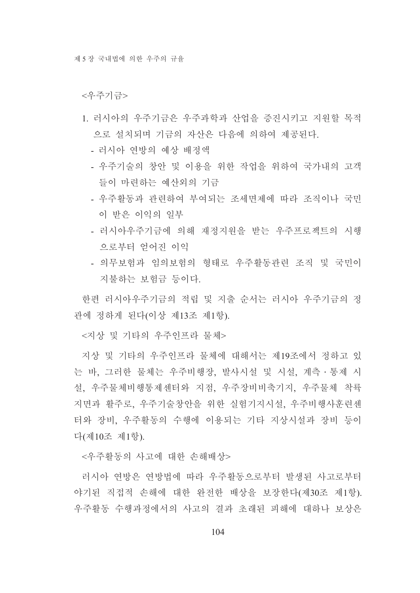#### <우주기금>

- 1. 러시아의 우주기금은 우주과학과 산업을 증진시키고 지원할 목적 으로 설치되며 기금의 자산은 다음에 의하여 제공된다.
	- 러시아 여방의 예상 배정액
	- 우주기술의 창안 및 이용을 위한 작업을 위하여 국가내의 고객 들이 마려하는 예산외의 기금
	- 우주활동과 관련하여 부여되는 조세면제에 따라 조직이나 국민 이 받은 이익의 일부
	- 러시아우주기금에 의해 재정지원을 받는 우주프로젝트의 시행 으로부터 얻어진 이익
	- 의무보험과 임의보험의 형태로 우주활동관련 조직 및 국민이 지불하는 보험금 등이다.

한편 러시아우주기금의 적립 및 지출 수서는 러시아 우주기금의 정 관에 정하게 된다(이상 제13조 제1항).

<지상 및 기타의 우주이프라 물체>

지상 및 기타의 우주인프라 물체에 대해서는 제19조에서 정하고 있 는 바, 그러한 물체는 우주비행장, 발사시설 및 시설, 계측ㆍ통제 시 설, 우주물체비행통제센터와 지점, 우주장비비축기지, 우주물체 착륙 지면과 활주로, 우주기술창안을 위한 실험기지시설, 우주비행사훈련센 터와 장비, 우주활동의 수행에 이용되는 기타 지상시설과 장비 등이 다(제10조 제1항).

<우주활동의 사고에 대한 손해배상>

러시아 연방은 연방법에 따라 우주활동으로부터 발생된 사고로부터 야기된 직접적 손해에 대한 완전한 배상을 보장한다(제30조 제1항). 우주활동 수행과정에서의 사고의 결과 초래된 피해에 대하나 보상은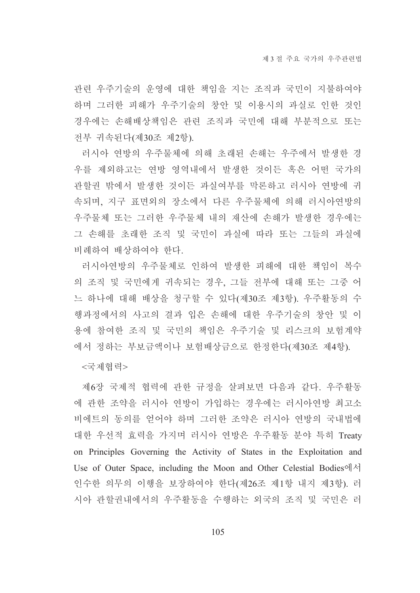관련 우주기술의 운영에 대한 책임을 지는 조직과 국민이 지불하여야 하며 그러한 피해가 우주기술의 창안 및 이용시의 과실로 인한 것인 경우에는 손해배상책임은 관련 조직과 국민에 대해 부분적으로 또는 전부 귀속된다(제30조 제2항).

러시아 연방의 우주물체에 의해 초래된 손해는 우주에서 발생한 경 우를 제외하고는 연방 영역내에서 발생한 것이든 혹은 어떤 국가의 관할권 밖에서 발생한 것이든 과실여부를 막론하고 러시아 연방에 귀 속되며, 지구 표면외의 장소에서 다른 우주물체에 의해 러시아연방의 우주물체 또는 그러한 우주물체 내의 재산에 손해가 발생한 경우에는 그 손해를 초래한 조직 및 국민이 과실에 따라 또는 그들의 과실에 비례하여 배상하여야 한다.

러시아연방의 우주물체로 인하여 발생한 피해에 대한 책임이 복수 의 조직 및 국민에게 귀속되는 경우, 그들 전부에 대해 또는 그중 어 느 하나에 대해 배상을 청구할 수 있다(제30조 제3항). 우주활동의 수 행과정에서의 사고의 결과 입은 손해에 대한 우주기술의 창안 및 이 용에 참여한 조직 및 국민의 책임은 우주기술 및 리스크의 보험계약 에서 정하는 부보금액이나 보험배상금으로 한정한다(제30조 제4항).

<국제협력>

제6장 국제적 협력에 관한 규정을 살펴보면 다음과 같다. 우주활동 에 관한 조약을 러시아 연방이 가입하는 경우에는 러시아연방 최고소 비에트의 동의를 얻어야 하며 그러한 조약은 러시아 연방의 국내법에 대한 우선적 효력을 가지며 러시아 연방은 우주활동 분야 특히 Treaty on Principles Governing the Activity of States in the Exploitation and Use of Outer Space, including the Moon and Other Celestial Bodies에서 인수한 의무의 이행을 보장하여야 한다(제26조 제1항 내지 제3항). 러 시아 관할권내에서의 우주활동을 수행하는 외국의 조직 및 국민은 러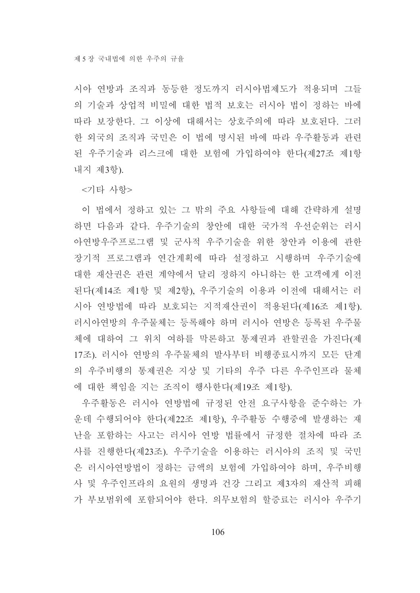시아 연방과 조직과 동등한 정도까지 러시아법제도가 적용되며 그들 의 기술과 상업적 비밀에 대한 법적 보호는 러시아 법이 정하는 바에 따라 보장한다. 그 이상에 대해서는 상호주의에 따라 보호된다. 그러 한 외국의 조직과 국민은 이 법에 명시된 바에 따라 우주활동과 관련 된 우주기술과 리스크에 대한 보험에 가입하여야 한다(제27조 제1항 내지 제3항).

<기타 사항>

이 법에서 정하고 있는 그 밖의 주요 사항들에 대해 간략하게 설명 하면 다음과 같다. 우주기술의 창안에 대한 국가적 우선순위는 러시 아연방우주프로그램 및 군사적 우주기술을 위한 창안과 이용에 관한 장기적 프로그램과 여간계획에 따라 설정하고 시행하며 우주기술에 대한 재산권은 관련 계약에서 달리 정하지 아니하는 한 고객에게 이전 된다(제14조 제1항 및 제2항), 우주기술의 이용과 이전에 대해서는 러 시아 연방법에 따라 보호되는 지적재산권이 적용된다(제16조 제1항). 러시아연방의 우주물체는 등록해야 하며 러시아 연방은 등록된 우주물 체에 대하여 그 위치 여하를 막론하고 통제권과 관할권을 가진다(제 17조). 러시아 여방의 우주물체의 발사부터 비행종료시까지 모든 단계 의 우주비행의 통제권은 지상 및 기타의 우주 다른 우주인프라 물체 에 대한 책임을 지는 조직이 행사한다(제19조 제1항).

우주활동은 러시아 연방법에 규정된 안전 요구사항을 준수하는 가 운데 수행되어야 한다(제22조 제1항), 우주활동 수행중에 발생하는 재 난을 포함하는 사고는 러시아 연방 법률에서 규정한 절차에 따라 조 사를 진행한다(제23조). 우주기술을 이용하는 러시아의 조직 및 국민 은 러시아연방법이 정하는 금액의 보험에 가입하여야 하며, 우주비행 사 및 우주인프라의 요원의 생명과 건강 그리고 제3자의 재산적 피해 가 부보범위에 포함되어야 한다. 의무보험의 할증료는 러시아 우주기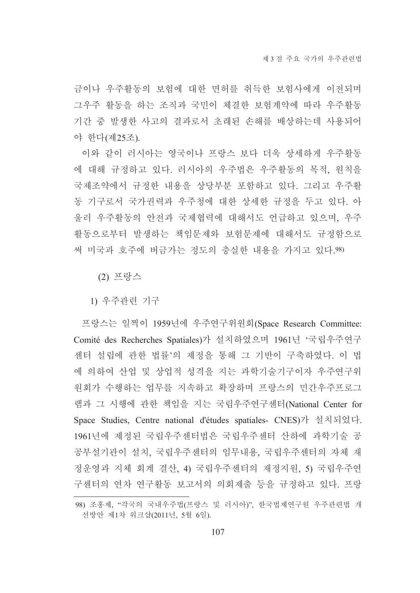금이나 우주활동의 보험에 대한 면허를 취득한 보험사에게 이전되며 그우주 활동을 하는 조직과 국민이 체결한 보험계약에 따라 우주활동 기간 중 발생한 사고의 결과로서 초래된 손해를 배상하는데 사용되어 야 한다(제25조).

이와 같이 러시아는 영국이나 프랑스 보다 더욱 상세하게 우주활동 에 대해 규정하고 있다. 러시아의 우주법은 우주활동의 목적, 원칙을 국제조약에서 규정한 내용을 상당부분 포함하고 있다. 그리고 우주활 동 기구로서 국가권력과 우주청에 대한 상세한 규정을 두고 있다. 아 울러 우주활동의 안전과 국제협력에 대해서도 언급하고 있으며, 우주 활동으로부터 발생하는 책임문제와 보험문제에 대해서도 규정함으로 써 미국과 호주에 버금가는 정도의 충실한 내용을 가지고 있다.98)

(2) 프랑스

1) 우주관련 기구

프랑스는 일찍이 1959년에 우주연구위원회(Space Research Committee: Comité des Recherches Spatiales)가 설치하였으며 1961년 '국립우주연구 센터 설립에 관한 법률'의 제정을 통해 그 기반이 구축하였다. 이 법 에 의하여 산업 및 상업적 성격을 지는 과학기술기구이자 우주연구위 원회가 수행하는 업무를 지속하고 확장하며 프랑스의 민간우주프로그 램과 그 시행에 관한 책임을 지는 국립우주연구센터(National Center for Space Studies, Centre national d'études spatiales- CNES)가 설치되었다. 1961년에 제정된 국립우주센터법은 국립우주센터 산하에 과학기술 공 공부설기관이 설치, 국립우주센터의 임무내용, 국립우주센터의 자체 재 정운영과 지체 회계 결산, 4) 국립우주센터의 재정지원, 5) 국립우주연 구센터의 연차 연구활동 보고서의 의회제출 등을 규정하고 있다. 프랑

<sup>98)</sup> 조홍제, "각국의 국내우주법(프랑스 및 러시아)", 한국법제연구원 우주관련법 개 선방안 제1차 워크샵(2011년, 5월 6일).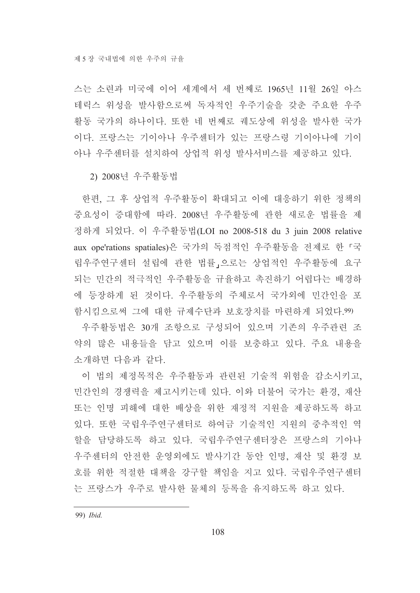스는 소련과 미국에 이어 세계에서 세 번째로 1965년 11월 26일 아스 테릭스 위성을 발사함으로써 독자적인 우주기술을 갖춘 주요한 우주 활동 국가의 하나이다. 또한 네 번째로 궤도상에 위성을 발사한 국가 이다. 프랑스는 기이아나 우주센터가 있는 프랑스령 기이아나에 기이 아나 우주센터를 설치하여 상업적 위성 발사서비스를 제공하고 있다.

2) 2008년 우주활동법

한편, 그 후 상업적 우주활동이 확대되고 이에 대응하기 위한 정책의 중요성이 증대함에 따라. 2008년 우주활동에 관한 새로운 법률을 제 정하게 되었다. 이 우주활동법(LOI no 2008-518 du 3 juin 2008 relative aux ope'rations spatiales)은 국가의 독점적인 우주활동을 전제로 한 「국 립우주연구센터 설립에 관한 법률」으로는 상업적인 우주활동에 요구 되는 민간의 적극적인 우주활동을 규율하고 촉진하기 어렵다는 배경하 에 등장하게 된 것이다. 우주활동의 주체로서 국가외에 민간인을 포 함시킴으로써 그에 대한 규제수단과 보호장치를 마련하게 되었다.99)

우주활동법은 30개 조항으로 구성되어 있으며 기존의 우주관련 조 약의 많은 내용들을 담고 있으며 이를 보충하고 있다. 주요 내용을 소개하면 다음과 같다.

이 법의 제정목적은 우주활동과 관련된 기술적 위험을 감소시키고. 민간인의 경쟁력을 제고시키는데 있다. 이와 더불어 국가는 환경, 재산 또는 인명 피해에 대한 배상을 위한 재정적 지원을 제공하도록 하고 있다. 또한 국립우주연구센터로 하여금 기술적인 지워의 중추적인 역 할을 담당하도록 하고 있다. 국립우주연구센터장은 프랑스의 기아나 우주센터의 안전한 운영외에도 발사기간 동안 인명, 재산 및 환경 보 호를 위한 적절한 대책을 강구할 책임을 지고 있다. 국립우주연구센터 는 프랑스가 우주로 발사한 물체의 등록을 유지하도록 하고 있다.

99) Ibid.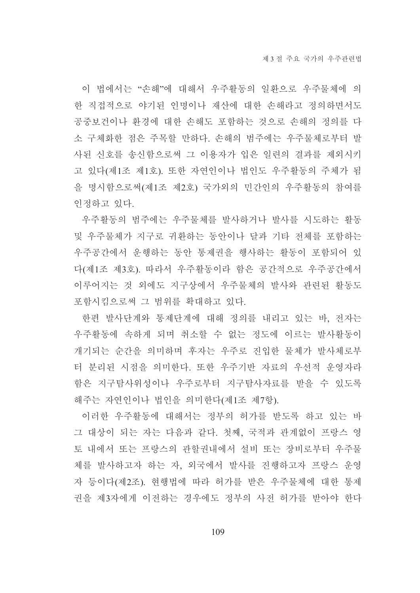이 법에서는 "손해"에 대해서 우주활동의 일환으로 우주물체에 의 한 직접적으로 야기된 인명이나 재산에 대한 손해라고 정의하면서도 공중보건이나 환경에 대한 손해도 포함하는 것으로 손해의 정의를 다 소 구체화한 점은 주목할 만하다. 손해의 범주에는 우주물체로부터 발 사된 신호를 송신함으로써 그 이용자가 입은 일련의 결과를 제외시키 고 있다(제1조 제1호). 또한 자연인이나 법인도 우주활동의 주체가 됨 을 명시함으로써(제1조 제2호) 국가외의 민간인의 우주활동의 참여를 인정하고 있다.

우주활동의 범주에는 우주물체를 발사하거나 발사를 시도하는 활동 및 우주물체가 지구로 귀환하는 동안이나 달과 기타 전체를 포함하는 우주공간에서 운행하는 동안 통제권을 행사하는 활동이 포함되어 있 다(제1조 제3호). 따라서 우주활동이라 함은 공간적으로 우주공간에서 이루어지는 것 외에도 지구상에서 우주물체의 발사와 관련된 활동도 포함시킴으로써 그 범위를 확대하고 있다.

한편 발사단계와 통제단계에 대해 정의를 내리고 있는 바, 전자는 우주활동에 속하게 되며 취소할 수 없는 정도에 이르는 발사활동이 개기되는 순간을 의미하며 후자는 우주로 진입한 물체가 발사체로부 터 분리된 시점을 의미한다. 또한 우주기반 자료의 우선적 운영자라 함은 지구탐사위성이나 우주로부터 지구탐사자료를 받을 수 있도록 해주는 자연인이나 법인을 의미한다(제1조 제7항).

이러한 우주활동에 대해서는 정부의 허가를 받도록 하고 있는 바 그 대상이 되는 자는 다음과 같다. 첫째, 국적과 관계없이 프랑스 영 토 내에서 또는 프랑스의 관할권내에서 설비 또는 장비로부터 우주물 체를 발사하고자 하는 자, 외국에서 발사를 진행하고자 프랑스 운영 자 등이다(제2조). 현행법에 따라 허가를 받은 우주물체에 대한 통제 권을 제3자에게 이전하는 경우에도 정부의 사전 허가를 받아야 한다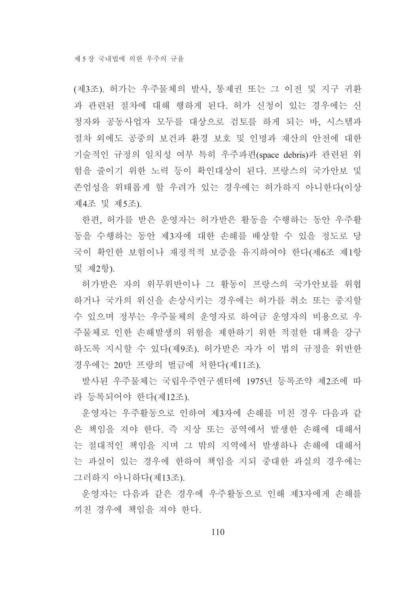(제3조). 허가는 우주물체의 발사, 통제권 또는 그 이전 및 지구 귀환 과 관련된 절차에 대해 행하게 된다. 허가 신청이 있는 경우에는 신 청자와 공동사업자 모두를 대상으로 검토를 하게 되는 바, 시스템과 절차 외에도 공중의 보건과 환경 보호 및 인명과 재산의 안전에 대한 기술적인 규정의 일치성 여부 특히 우주파편(space debris)과 관련된 위 험을 줄이기 위한 노력 등이 확인대상이 된다. 프랑스의 국가안보 및 존엄성을 위태롭게 할 우려가 있는 경우에는 허가하지 아니한다(이상 제4조 및 제5조).

한편, 허가를 받은 운영자는 허가받은 활동을 수행하는 동안 우주활 동을 수행하는 동안 제3자에 대한 손해를 배상할 수 있을 정도로 당 국이 확인한 보험이나 재정적적 보증을 유지하여야 한다(제6조 제1항 및 제2항).

허가받은 자의 위무위반이나 그 활동이 프랑스의 국가안보를 위협 하거나 국가의 위신을 손상시키는 경우에는 허가를 취소 또는 중지할 수 있으며 정부는 우주물체의 운영자로 하여금 운영자의 비용으로 우 주물체로 인한 손해발생의 위험을 제한하기 위한 적절한 대책을 강구 하도록 지시할 수 있다(제9조). 허가받은 자가 이 법의 규정을 위반한 경우에는 20만 프랑의 벌금에 처한다(제11조).

발사된 우주물체는 국립우주연구센터에 1975년 등록조약 제2조에 따 라 등록되어야 한다(제12조).

운영자는 우주활동으로 인하여 제3자에 손해를 미친 경우 다음과 같 은 책임을 져야 한다. 즉 지상 또는 공역에서 발생한 손해에 대해서 는 절대적인 책임을 지며 그 밖의 지역에서 발생하나 손해에 대해서 는 과실이 있는 경우에 한하여 책임을 지되 중대한 과실의 경우에는 그러하지 아니하다(제13조).

운영자는 다음과 같은 경우에 우주활동으로 인해 제3자에게 손해를 끼친 경우에 책임을 져야 한다.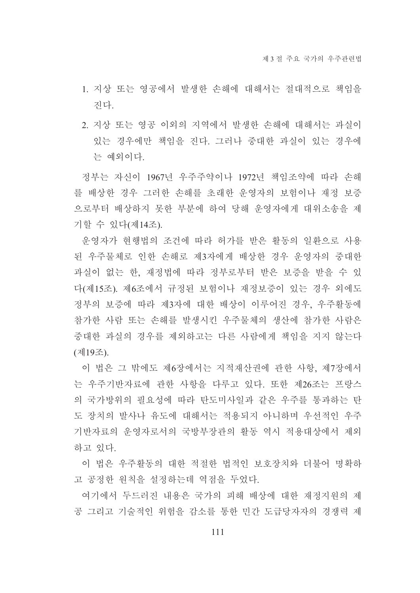- 1. 지상 또는 영공에서 발생한 손해에 대해서는 절대적으로 책임을 지다
- 2. 지상 또는 영공 이외의 지역에서 발생한 손해에 대해서는 과실이 있는 경우에만 책임을 진다. 그러나 중대한 과실이 있는 경우에 는 예외이다.

정부는 자신이 1967년 우주주약이나 1972년 책임조약에 따라 손해 를 배상한 경우 그러한 손해를 초래한 운영자의 보험이나 재정 보증 으로부터 배상하지 못한 부분에 하여 당해 운영자에게 대위소송을 제 기할 수 있다(제14조).

운영자가 현행법의 조건에 따라 허가를 받은 활동의 일환으로 사용 된 우주물체로 인한 손해로 제3자에게 배상한 경우 운영자의 중대한 과실이 없는 한, 재정법에 따라 정부로부터 받은 보증을 받을 수 있 다(제15조). 제6조에서 규정된 보험이나 재정보증이 있는 경우 외에도 정부의 보증에 따라 제3자에 대한 배상이 이루어진 경우, 우주활동에 참가한 사람 또는 손해를 발생시킨 우주물체의 생산에 참가한 사람은 중대한 과실의 경우를 제외하고는 다른 사람에게 책임을 지지 않는다 (제19조).

이 법은 그 밖에도 제6장에서는 지적재산권에 관한 사항, 제7장에서 는 우주기반자료에 관한 사항을 다루고 있다. 또한 제26조는 프랑스 의 국가방위의 필요성에 따라 탄도미사일과 같은 우주를 통과하는 탄 도 장치의 발사나 유도에 대해서는 적용되지 아니하며 우선적인 우주 기반자료의 우영자로서의 국방부장관의 활동 역시 적용대상에서 제외 하고 있다.

이 법은 우주활동의 대한 적절한 법적인 보호장치와 더불어 명확하 고 공정한 원칙을 설정하는데 역점을 두었다.

여기에서 두드러진 내용은 국가의 피해 배상에 대한 재정지원의 제 공 그리고 기술적인 위험을 감소를 통한 민간 도급당자자의 경쟁력 제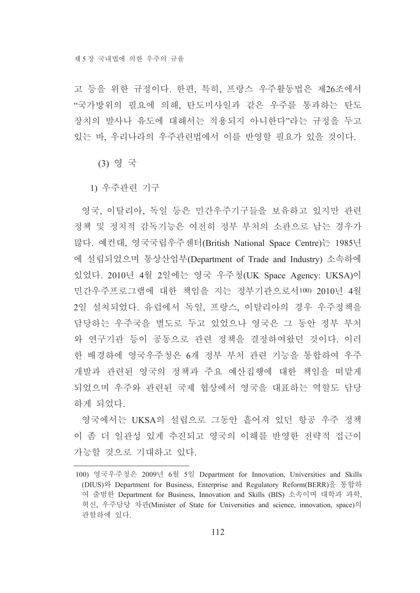고 등을 위한 규정이다. 한편, 특히, 프랑스 우주활동법은 제26조에서 "국가방위의 필요에 의해, 탄도미사일과 같은 우주를 통과하는 탄도 장치의 발사나 유도에 대해서는 적용되지 아니한다"라는 규정을 두고 있는 바, 우리나라의 우주관련법에서 이를 반영할 필요가 있을 것이다.

(3) 영 국

1) 우주관련 기구

영국, 이탈리아, 독일 등은 민간우주기구들을 보유하고 있지만 관련 정책 및 정치적 감독기능은 여전히 정부 부처의 소관으로 남는 경우가 많다. 예컨대, 영국국립우주센터(British National Space Centre)는 1985년 에 설립되었으며 통상산업부(Department of Trade and Industry) 소속하에 있었다. 2010년 4월 2일에는 영국 우주청(UK Space Agency: UKSA)이 민간우주프로그램에 대한 책임을 지는 정부기관으로서100) 2010년 4월 2일 설치되었다. 유럽에서 독일, 프랑스, 이탈리아의 경우 우주정책을 담당하는 우주국을 별도로 두고 있었으나 영국은 그 동안 정부 부처 와 연구기관 등이 공동으로 관련 정책을 결정하여왔던 것이다. 이러 한 배경하에 영국우주청은 6개 정부 부처 관련 기능을 통합하여 우주 개발과 관련된 영국의 정책과 주요 예산집행에 대한 책임을 떠맡게 되었으며 우주와 관련된 국제 협상에서 영국을 대표하는 역할도 담당 하게 되었다.

영국에서는 UKSA의 설립으로 그동안 흩어져 있던 항공 우주 정책 이 좀 더 일관성 있게 추진되고 영국의 이해를 반영한 전략적 접근이 가능할 것으로 기대하고 있다.

<sup>100)</sup> 영국우주청은 2009년 6월 5일 Department for Innovation, Universities and Skills (DIUS)와 Department for Business, Enterprise and Regulatory Reform(BERR)을 통합하 여 출범한 Department for Business, Innovation and Skills (BIS) 소속이며 대학과 과학, 혁신, 우주담당 차관(Minister of State for Universities and science, innovation, space)의 관할하에 있다.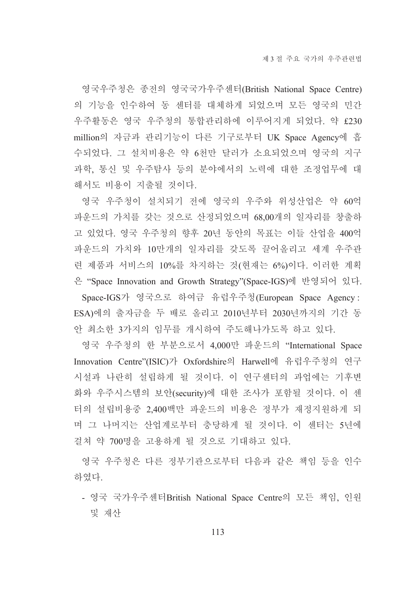영국우주청은 종전의 영국국가우주센터(British National Space Centre) 의 기능을 인수하여 동 센터를 대체하게 되었으며 모든 영국의 민간 우주활동은 영국 우주청의 통합관리하에 이루어지게 되었다. 약 £230 million의 자금과 관리기능이 다른 기구로부터 UK Space Agency에 흡 수되었다. 그 설치비용은 약 6천만 달러가 소요되었으며 영국의 지구 과학, 통신 및 우주탐사 등의 분야에서의 노력에 대한 조정업무에 대 해서도 비용이 지출될 것이다.

영국 우주청이 설치되기 전에 영국의 우주와 위성산업은 약 60억 파운드의 가치를 갖는 것으로 산정되었으며 68,00개의 일자리를 창출하 고 있었다. 영국 우주청의 향후 20년 동안의 목표는 이들 산업을 400억 파운드의 가치와 10만개의 일자리를 갖도록 끌어올리고 세계 우주관 련 제품과 서비스의 10%를 차지하는 것(현재는 6%)이다. 이러한 계획 은 "Space Innovation and Growth Strategy"(Space-IGS)에 반영되어 있다. Space-IGS가 영국으로 하여금 유럽우주청(European Space Agency: ESA)에의 출자금을 두 배로 올리고 2010년부터 2030년까지의 기간 동 안 최소한 3가지의 임무를 개시하여 주도해나가도록 하고 있다.

영국 우주청의 한 부분으로서 4,000만 파운드의 "International Space Innovation Centre"(ISIC)가 Oxfordshire의 Harwell에 유럽우주청의 연구 시설과 나란히 설립하게 될 것이다. 이 연구센터의 과업에는 기후변 화와 우주시스템의 보안(security)에 대한 조사가 포함될 것이다. 이 센 터의 설립비용중 2,400백만 파운드의 비용은 정부가 재정지원하게 되 며 그 나머지는 산업계로부터 충당하게 될 것이다. 이 센터는 5년에 걸쳐 약 700명을 고용하게 될 것으로 기대하고 있다.

영국 우주청은 다른 정부기관으로부터 다음과 같은 책임 등을 인수 하였다.

- 영국 국가우주센터British National Space Centre의 모든 책임, 인원 및 재산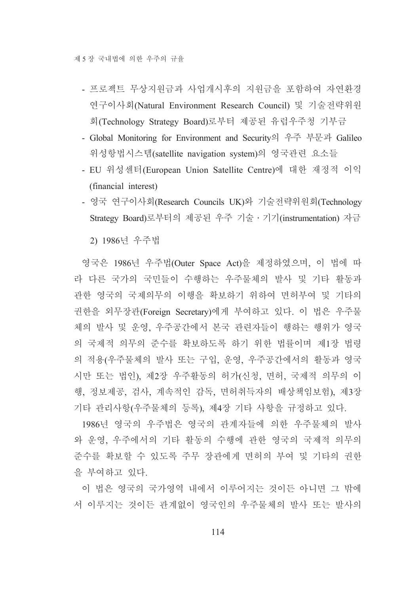- 프로젝트 무상지원금과 사업개시후의 지원금을 포함하여 자연환경 연구이사회(Natural Environment Research Council) 및 기술전략위원 회(Technology Strategy Board)로부터 제공된 유럽우주청 기부금
- Global Monitoring for Environment and Security의 우주 부문과 Galileo 위성항법시스템(satellite navigation system)의 영국관련 요소들
- EU 위성센터(European Union Satellite Centre)에 대한 재정적 이익 (financial interest)
- 영국 연구이사회(Research Councils UK)와 기술전략위원회(Technology Strategy Board)로부터의 제공된 우주 기술 · 기기(instrumentation) 자금

2) 1986년 우주법

영국은 1986년 우주법(Outer Space Act)을 제정하였으며, 이 법에 따 라 다른 국가의 국민들이 수행하는 우주물체의 발사 및 기타 활동과 관한 영국의 국제의무의 이행을 확보하기 위하여 면허부여 및 기타의 권한을 외무장관(Foreign Secretary)에게 부여하고 있다. 이 법은 우주물 체의 발사 및 운영, 우주공간에서 본국 관련자들이 행하는 행위가 영국 의 국제적 의무의 준수를 확보하도록 하기 위한 법률이며 제1장 법령 의 적용(우주물체의 발사 또는 구입, 운영, 우주공간에서의 활동과 영국 시만 또는 법인), 제2장 우주활동의 허가(신청, 면허, 국제적 의무의 이 행, 정보제공, 검사, 계속적인 감독, 면허취득자의 배상책임보험), 제3장 기타 관리사항(우주물체의 등록), 제4장 기타 사항을 규정하고 있다.

1986년 영국의 우주법은 영국의 관계자들에 의한 우주물체의 발사 와 운영, 우주에서의 기타 활동의 수행에 관한 영국의 국제적 의무의 주수를 확보할 수 있도록 주무 장관에게 면허의 부여 및 기타의 권한 을 부여하고 있다.

이 법은 영국의 국가영역 내에서 이루어지는 것이든 아니면 그 밖에 서 이루지는 것이든 관계없이 영국인의 우주물체의 발사 또는 발사의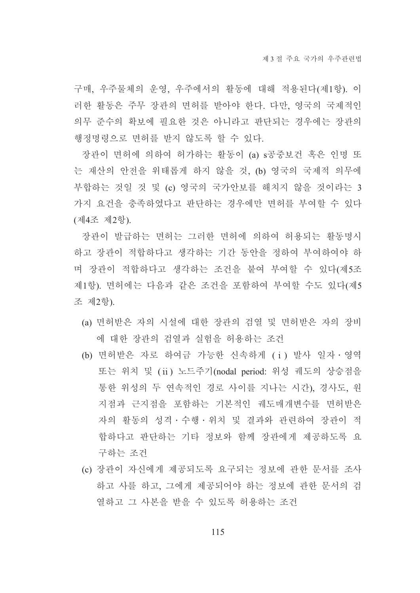구매, 우주물체의 운영, 우주에서의 활동에 대해 적용된다(제1항). 이 러한 활동은 주무 장관의 면허를 받아야 한다. 다만, 영국의 국제적인 의무 준수의 확보에 필요한 것은 아니라고 판단되는 경우에는 장관의 행정명령으로 면허를 받지 않도록 할 수 있다.

장관이 면허에 의하여 허가하는 활동이 (a) s공중보건 혹은 인명 또 는 재산의 안전을 위태롭게 하지 않을 것, (b) 영국의 국제적 의무에 부합하는 것일 것 및 (c) 영국의 국가안보를 해치지 않을 것이라는 3 가지 요건을 충족하였다고 판단하는 경우에만 면허를 부여할 수 있다 (제4조 제2항).

장관이 발급하는 면허는 그러한 면허에 의하여 허용되는 활동명시 하고 장관이 적합하다고 생각하는 기간 동안을 정하여 부여하여야 하 며 장관이 적합하다고 생각하는 조건을 붙여 부여할 수 있다(제5조 제1항). 면허에는 다음과 같은 조건을 포함하여 부여할 수도 있다(제5 조 제2항).

- (a) 면허받은 자의 시설에 대한 장관의 검열 및 면허받은 자의 장비 에 대한 장관의 검열과 실험을 허용하는 조건
- (b) 면허받은 자로 하여금 가능한 신속하게 (i) 발사 일자 · 영역 또는 위치 및 (ii) 노드주기(nodal period: 위성 궤도의 상승점을 통한 위성의 두 연속적인 경로 사이를 지나는 시간), 경사도, 원 지점과 근지점을 포함하는 기본적인 궤도매개변수를 면허받은 자의 활동의 성격 · 수행 · 위치 및 결과와 관련하여 장관이 적 합하다고 판단하는 기타 정보와 함께 장관에게 제공하도록 요 구하는 조건
- (c) 장관이 자신에게 제공되도록 요구되는 정보에 관한 문서를 조사 하고 사를 하고, 그에게 제공되어야 하는 정보에 과한 문서의 검 열하고 그 사본을 받을 수 있도록 허용하는 조건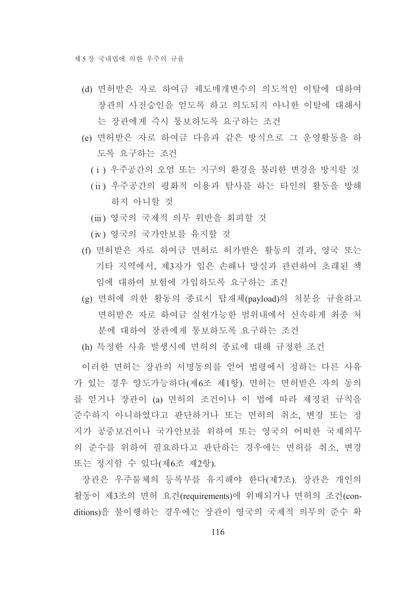- (d) 면허받은 자로 하여금 궤도매개변수의 의도적인 이탈에 대하여 장관의 사전승인을 얻도록 하고 의도되지 아니한 이탈에 대해서 는 장관에게 즉시 통보하도록 요구하는 조건
- (e) 면허받은 자로 하여금 다음과 같은 방식으로 그 운영활동을 하 도록 요구하는 조건
	- (i) 우주공간의 오염 또는 지구의 환경을 불리한 변경을 방지할 것
	- (ii) 우주공간의 평화적 이용과 탐사를 하는 타인의 활동을 방해 하지 아니할 것
	- (iii) 영국의 국제적 의무 위반을 회피할 것
	- (iv) 영국의 국가안보를 유지할 것
- (f) 면허받은 자로 하여금 면허로 허가받은 활동의 결과, 영국 또는 기타 지역에서, 제3자가 입은 손해나 망실과 관련하여 초래된 책 임에 대하여 보험에 가입하도록 요구하는 조건
- (g) 면허에 의한 활동의 종료시 탑재체(payload)의 처분을 규율하고 면허받은 자로 하여금 실현가능한 범위내에서 신속하게 최종 처 부에 대하여 장관에게 통보하도록 요구하는 조건
- (h) 특정한 사유 발생시에 면허의 종료에 대해 규정한 조건

이러한 면허는 장관의 서명동의를 얻어 법령에서 정하는 다른 사유 가 있는 경우 양도가능하다(제6조 제1항). 면허는 면허받은 자의 동의 를 얻거나 장관이 (a) 면허의 조건이나 이 법에 따라 제정된 규칙을 준수하지 아니하였다고 판단하거나 또는 면허의 취소, 변경 또는 정 지가 공중보건이나 국가안보를 위하여 또는 영국의 어떠한 국제의무 의 준수를 위하여 필요하다고 판단하는 경우에는 면허를 취소, 변경 또는 정지할 수 있다(제6조 제2항).

장관은 우주물체의 등록부를 유지해야 한다(제7조). 장관은 개인의 활동이 제3조의 면허 요건(requirements)에 위배되거나 면허의 조건(conditions)을 불이행하는 경우에는 장관이 영국의 국제적 의무의 준수 확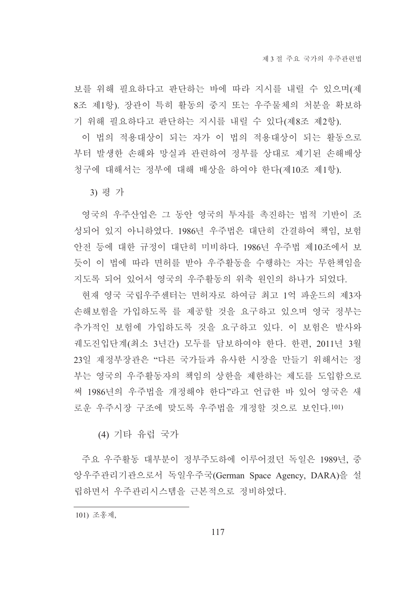보를 위해 필요하다고 판단하는 바에 따라 지시를 내릴 수 있으며(제 8조 제1항). 장관이 특히 활동의 중지 또는 우주물체의 처분을 확보하 기 위해 필요하다고 판단하는 지시를 내릴 수 있다(제8조 제2항).

이 법의 적용대상이 되는 자가 이 법의 적용대상이 되는 활동으로 부터 발생한 손해와 망실과 관련하여 정부를 상대로 제기된 손해배상 청구에 대해서는 정부에 대해 배상을 하여야 한다(제10조 제1항).

3) 평가

영국의 우주산업은 그 동안 영국의 투자를 촉진하는 법적 기반이 조 성되어 있지 아니하였다. 1986년 우주법은 대단히 간결하여 책임, 보험 안전 등에 대한 규정이 대단히 미비하다. 1986년 우주법 제10조에서 보 듯이 이 법에 따라 면허를 받아 우주활동을 수행하는 자는 무한책임을 지도록 되어 있어서 영국의 우주활동의 위축 원인의 하나가 되었다.

현재 영국 국립우주센터는 면허자로 하여금 최고 1억 파운드의 제3자 손해보험을 가입하도록 를 제공할 것을 요구하고 있으며 영국 정부는 추가적인 보험에 가입하도록 것을 요구하고 있다. 이 보험은 발사와 궤도진입단계(최소 3년간) 모두를 담보하여야 한다. 한편, 2011년 3월 23일 재정부장관은 "다른 국가들과 유사한 시장을 만들기 위해서는 정 부는 영국의 우주활동자의 책임의 상한을 제한하는 제도를 도입함으로 써 1986년의 우주법을 개정해야 한다"라고 언급한 바 있어 영국은 새 로운 우주시장 구조에 맞도록 우주법을 개정할 것으로 보인다.101)

(4) 기타 유럽 국가

주요 우주활동 대부분이 정부주도하에 이루어졌던 독일은 1989년, 중 앙우주관리기관으로서 독일우주국(German Space Agency, DARA)을 설 립하면서 우주관리시스템을 근본적으로 정비하였다.

101) 조홍제,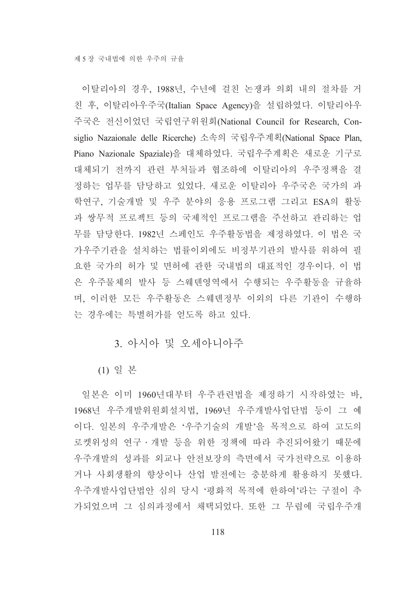이탈리아의 경우, 1988년, 수년에 걸친 논쟁과 의회 내의 절차를 거 친 후, 이탈리아우주국(Italian Space Agency)을 설립하였다. 이탈리아우 주국은 전신이었던 국립연구위원회(National Council for Research, Consiglio Nazaionale delle Ricerche) 소속의 국립우주계획(National Space Plan, Piano Nazionale Spaziale)을 대체하였다. 국립우주계획은 새로운 기구로 대체되기 전까지 관련 부처들과 협조하에 이탈리아의 우주정책을 결 정하는 업무를 담당하고 있었다. 새로운 이탈리아 우주국은 국가의 과 학연구, 기술개발 및 우주 분야의 응용 프로그램 그리고 ESA의 활동 과 쌍무적 프로젝트 등의 국제적인 프로그램을 주선하고 관리하는 업 무를 담당한다. 1982년 스페인도 우주활동법을 제정하였다. 이 법은 국 가우주기관을 설치하는 법률이외에도 비정부기관의 발사를 위하여 필 요한 국가의 허가 및 면허에 관한 국내법의 대표적인 경우이다. 이 법 은 우주물체의 발사 등 스웨덴영역에서 수행되는 우주활동을 규율하 며, 이러한 모든 우주활동은 스웨덴정부 이외의 다른 기관이 수행하 는 경우에는 특별허가를 얻도록 하고 있다.

# 3. 아시아 및 오세아니아주

(1) 일 본

일본은 이미 1960년대부터 우주관련법을 제정하기 시작하였는 바, 1968년 우주개발위원회설치법, 1969년 우주개발사업단법 등이 그 예 이다. 일본의 우주개발은 '우주기술의 개발'을 목적으로 하여 고도의 로켓위성의 연구·개발 등을 위한 정책에 따라 추진되어왔기 때문에 우주개발의 성과를 외교나 안전보장의 측면에서 국가전략으로 이용하 거나 사회생활의 향상이나 산업 발전에는 충분하게 활용하지 못했다. 우주개발사업단법안 심의 당시 '평화적 목적에 한하여'라는 구절이 추 가되었으며 그 심의과정에서 채택되었다. 또한 그 무렵에 국립우주개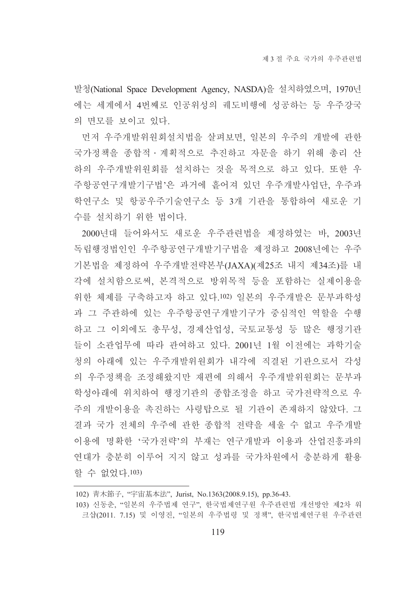발청(National Space Development Agency, NASDA)을 설치하였으며, 1970년 에는 세계에서 4번째로 인공위성의 궤도비행에 성공하는 등 우주강국 의 면모를 보이고 있다.

먼저 우주개발위원회설치법을 살펴보면, 일본의 우주의 개발에 관한 국가정책을 종합적 · 계획적으로 추진하고 자문을 하기 위해 총리 산 하의 우주개발위원회를 설치하는 것을 목적으로 하고 있다. 또한 우 주항공연구개발기구법'은 과거에 흩어져 있던 우주개발사업단, 우주과 학연구소 및 항공우주기술연구소 등 3개 기관을 통합하여 새로운 기 수를 설치하기 위한 법이다.

2000년대 들어와서도 새로운 우주관련법을 제정하였는 바, 2003년 독립행정법인인 우주항공연구개발기구법을 제정하고 2008년에는 우주 기본법을 제정하여 우주개발전략본부(JAXA)(제25조 내지 제34조)를 내 각에 설치함으로써, 본격적으로 방위목적 등을 포함하는 실제이용을 위한 체제를 구축하고자 하고 있다.102) 일본의 우주개발은 문부과학성 과 그 주관하에 있는 우주항공여구개발기구가 중심적인 역할을 수행 하고 그 이외에도 총무성, 경제산업성, 국토교통성 등 많은 행정기관 들이 소관업무에 따라 관여하고 있다. 2001년 1월 이전에는 과학기술 청의 아래에 있는 우주개발위워회가 내각에 직결된 기관으로서 각성 의 우주정책을 조정해왔지만 재편에 의해서 우주개발위원회는 문부과 학성아래에 위치하여 행정기관의 종합조정을 하고 국가전략적으로 우 주의 개발이용을 촉진하는 사령탑으로 될 기관이 존재하지 않았다. 그 결과 국가 전체의 우주에 관한 종합적 전략을 세울 수 없고 우주개발 이용에 명확한 '국가전략'의 부재는 연구개발과 이용과 산업진흥과의 연대가 충분히 이루어 지지 않고 성과를 국가차원에서 충분하게 활용 할 수 없었다. 103)

<sup>102)</sup> 青木節子, "宇宙基本法", Jurist, No.1363(2008.9.15), pp.36-43.

<sup>103)</sup> 신동춘, "일본의 우주법제 연구", 한국법제연구원 우주관련법 개선방안 제2차 워 크샵(2011. 7.15) 및 이영진, "일본의 우주법령 및 정책", 한국법제연구원 우주관련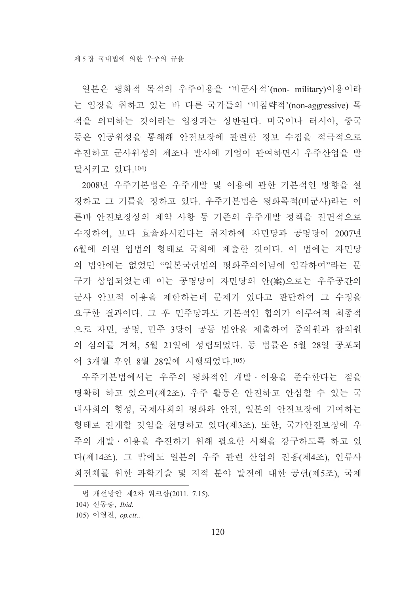일본은 평화적 목적의 우주이용을 '비군사적'(non- military)이용이라 는 입장을 취하고 있는 바 다른 국가들의 '비침략적'(non-aggressive) 목 적을 의미하는 것이라는 입장과는 상반된다. 미국이나 러시아, 중국 등은 인공위성을 통해해 안전보장에 관련한 정보 수집을 적극적으로 추진하고 군사위성의 제조나 발사에 기업이 과여하면서 우주산업을 발 달시키고 있다.104)

2008년 우주기본법은 우주개발 및 이용에 관한 기본적인 방향을 설 정하고 그 기틀을 정하고 있다. 우주기본법은 평화목적(비군사)라는 이 른바 안전보장상의 제약 사항 등 기존의 우주개발 정책을 전면적으로 수정하여, 보다 효율화시킨다는 취지하에 자민당과 공명당이 2007년 6월에 의원 입법의 형태로 국회에 제출한 것이다. 이 법에는 자민당 의 법안에는 없었던 "일본국헌법의 평화주의이념에 입각하여"라는 문 구가 삽입되었는데 이는 공명당이 자민당의 안(案)으로는 우주공간의 군사 안보적 이용을 제한하는데 문제가 있다고 판단하여 그 수정을 요구한 결과이다. 그 후 민주당과도 기본적인 합의가 이루어져 최종적 으로 자민, 공명, 민주 3당이 공동 법안을 제출하여 중의원과 참의원 의 심의를 거쳐, 5월 21일에 성립되었다. 동 법률은 5월 28일 공포되 어 3개월 후인 8월 28일에 시행되었다.105)

우주기본법에서는 우주의 평화적인 개발 이용을 준수한다는 점을 명확히 하고 있으며(제2조). 우주 활동은 안전하고 안심할 수 있는 국 내사회의 형성, 국제사회의 평화와 안전, 일본의 안전보장에 기여하는 형태로 전개할 것임을 천명하고 있다(제3조). 또한, 국가안전보장에 우 주의 개발ㆍ이용을 추진하기 위해 필요한 시책을 강구하도록 하고 있 다(제14조). 그 밖에도 일본의 우주 관련 산업의 진흥(제4조), 인류사 회전체를 위한 과학기술 및 지적 분야 발전에 대한 공헌(제5조), 국제

법 개선방안 제2차 워크샵(2011. 7.15).

<sup>104)</sup> 신동충, Ibid.

<sup>105)</sup> 이영진, op.cit..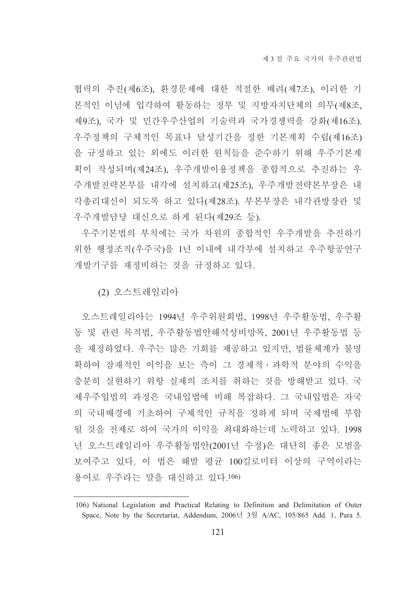협력의 추진(제6조), 환경문제에 대한 적절한 배려(제7조), 이러한 기 본적인 이념에 입각하여 활동하는 정부 및 지방자치단체의 의무(제8조 제9조), 국가 및 민간우주산업의 기술력과 국가경쟁력을 강화(제16조). 우주정책의 구체적인 목표나 달성기간을 정한 기본계획 수립(제16조) 을 규정하고 있는 외에도 이러한 원칙들을 준수하기 위해 우주기본계 획이 작성되며(제24조), 우주개발이용정책을 종합적으로 추진하는 우 주개발전략본부를 내각에 설치하고(제25조), 우주개발전략본부장은 내 각총리대신이 되도록 하고 있다(제28조). 부본부장은 내각관방장관 및 우주개발담당 대신으로 하게 된다(제29조 등).

우주기본법의 부칙에는 국가 차원의 종합적인 우주개발을 추진하기 위한 행정조직(우주국)을 1년 이내에 내각부에 설치하고 우주항공연구 개발기구를 재정비하는 것을 규정하고 있다.

(2) 오스트레일리아

오스트레일리아는 1994년 우주위원회법, 1998년 우주활동법, 우주활 동 및 관련 목적법, 우주활동법안해석성비망록, 2001년 우주활동법 등 을 제정하였다. 우주는 많은 기회를 제공하고 있지만, 법률체계가 불명 확하여 잠재적인 이익을 보는 측이 그 경제적 · 과학적 분야의 수익을 충분히 실현하기 위항 실제의 조치를 취하는 것을 방해받고 있다. 국 제우주입법의 과정은 국내입법에 비해 복잡하다. 그 국내입법은 자국 의 국내배경에 기초하여 구체적인 규칙을 정하게 되며 국제법에 부합 될 것을 전제로 하여 국가의 이익을 최대화하는데 노력하고 있다. 1998 년 오스트레일리아 우주활동법안(2001년 수정)은 대단히 좋은 모범을 보여주고 있다. 이 법은 해발 평규 100킬로미터 이상의 구역이라는 용어로 우주라는 말을 대신하고 있다.106)

<sup>106)</sup> National Legislation and Practical Relating to Definition and Delimitation of Outer Space, Note by the Secretariat, Addendum, 2006년 3월 A/AC, 105/865 Add. 1, Para 5.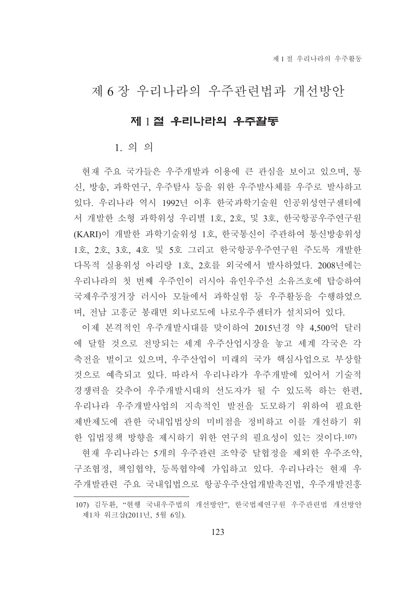# 제 6장 우리나라의 우주관련법과 개선방안

### 제 1절 우리나라의 우주활동

 $1.99$ 

현재 주요 국가들은 우주개발과 이용에 큰 관심을 보이고 있으며, 통 신, 방송, 과학연구, 우주탐사 등을 위한 우주발사체를 우주로 발사하고 있다. 우리나라 역시 1992년 이후 한국과학기술워 인공위성연구센터에 서 개발한 소형 과학위성 우리별 1호, 2호, 및 3호, 한국항공우주연구원 (KARI)이 개발한 과학기술위성 1호, 한국통신이 주관하여 통신방송위성 1호, 2호, 3호, 4호 및 5호 그리고 한국항공우주연구원 주도록 개발한 다목적 실용위성 아리랑 1호, 2호를 외국에서 발사하였다. 2008년에는 우리나라의 첫 번째 우주인이 러시아 유인우주선 소유즈호에 탑승하여 국제우주정거장 러시아 모듈에서 과학실험 등 우주활동을 수행하였으 며, 전남 고흥군 봉래면 외나로도에 나로우주센터가 설치되어 있다.

이제 본격적인 우주개발시대를 맞이하여 2015년경 약 4.500억 달러 에 달할 것으로 전망되는 세계 우주산업시장을 놓고 세계 각국은 각 축전을 벌이고 있으며, 우주산업이 미래의 국가 핵심사업으로 부상할 것으로 예측되고 있다. 따라서 우리나라가 우주개발에 있어서 기술적 경쟁력을 갖추어 우주개발시대의 선도자가 될 수 있도록 하는 한편, 우리나라 우주개발사업의 지속적인 발전을 도모하기 위하여 필요한 제반제도에 관한 국내입법상의 미비점을 정비하고 이를 개선하기 위 한 입법정책 방향을 제시하기 위한 연구의 필요성이 있는 것이다.107)

현재 우리나라는 5개의 우주관련 조약중 달협정을 제외한 우주조약. 구조협정, 책임협약, 등록협약에 가입하고 있다. 우리나라는 현재 우 주개발관련 주요 국내입법으로 항공우주산업개발촉진법, 우주개발진흥

<sup>107)</sup> 김두환, "현행 국내우주법의 개선방안", 한국법제연구원 우주관련법 개선방안 제1차 워크샵(2011년, 5월 6일).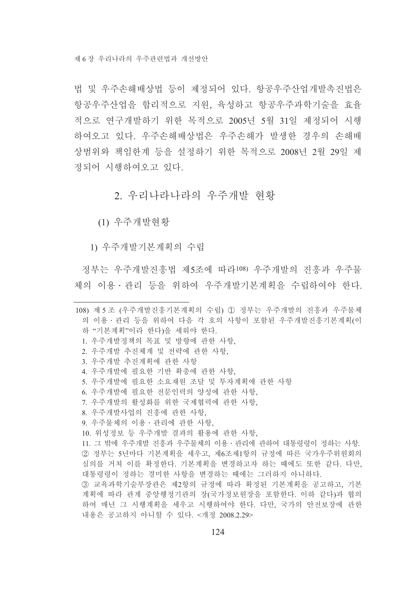법 및 우주손해배상법 등이 제정되어 있다. 항공우주산업개발촉진법은 항공우주산업을 합리적으로 지워. 육성하고 항공우주과학기술을 효율 적으로 여구개발하기 위한 목적으로 2005년 5월 31일 제정되어 시행 하여오고 있다. 우주손해배상법은 우주손해가 발생한 경우의 손해배 상범위와 책임한계 등을 설정하기 위한 목적으로 2008년 2월 29일 제 정되어 시행하여오고 있다.

#### 2. 우리나라나라의 우주개발 현황

(1) 우주개발현황

1) 우주개발기본계획의 수립

정부는 우주개발진흥법 제5조에 따라108) 우주개발의 진흥과 우주물 체의 이용 · 관리 등을 위하여 우주개발기본계획을 수립하여야 한다.

<sup>108)</sup> 제 5 조 (우주개발진흥기본계획의 수립) ① 정부는 우주개발의 진흥과 우주물체 의 이용 · 관리 등을 위하여 다음 각 호의 사항이 포함된 우주개발진흥기본계획(이 하 "기본계획"이라 하다)을 세워야 하다. 1. 우주개발정책의 목표 및 방향에 관한 사항. 2. 우주개발 추진체계 및 전략에 관한 사항. 3. 우주개발 추진계획에 관한 사항 4. 우주개발에 필요한 기반 확충에 관한 사항, 5. 우주개발에 필요한 소요재워 조달 및 투자계획에 관한 사항 6. 우주개발에 필요한 전문인력의 양성에 관한 사항, 7. 우주개발의 활성화를 위한 국제협력에 관한 사항. 8. 우주개발사업의 진흥에 관한 사항. 9. 우주물체의 이용 · 과리에 과한 사항. 10. 위성정보 등 우주개발 결과의 활용에 관한 사항, 11. 그 밖에 우주개발 진흥과 우주물체의 이용 · 관리에 관하여 대통령령이 정하는 사항. ② 정부는 5년마다 기본계획을 세우고, 제6조제1항의 규정에 따른 국가우주위원회의 심의를 거쳐 이를 확정한다. 기본계획을 변경하고자 하는 때에도 또한 같다. 다만, 대통령령이 정하는 경미한 사항을 변경하는 때에는 그러하지 아니하다. (3) 교육과학기술부장관은 제2항의 규정에 따라 확정된 기본계획을 공고하고, 기본 계획에 따라 관계 중앙행정기관의 장(국가정보원장을 포함한다. 이하 같다)과 협의 하여 매년 그 시행계획을 세우고 시행하여야 한다. 다만, 국가의 안전보장에 관한 내용은 공고하지 아니할 수 있다. <개정 2008.2.29>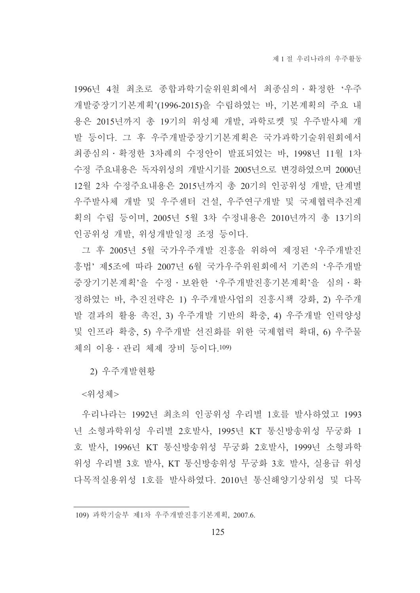1996년 4철 최초로 종합과학기술위워회에서 최종심의 • 확정한 '우주 개발중장기기본계획'(1996-2015)을 수립하였는 바, 기본계획의 주요 내 용은 2015년까지 총 19기의 위성체 개발, 과학로켓 및 우주발사체 개 발 등이다. 그 후 우주개발중장기기본계획은 국가과학기술위원회에서 최종심의 · 확정한 3차례의 수정안이 발표되었는 바, 1998년 11월 1차 수정 주요내용은 독자위성의 개발시기를 2005년으로 변경하였으며 2000년 12월 2차 수정주요내용은 2015년까지 총 20기의 인공위성 개발. 단계별 우주발사체 개발 및 우주센터 건설, 우주연구개발 및 국제협력추진계 획의 수립 등이며, 2005년 5월 3차 수정내용은 2010년까지 총 13기의 인공위성 개발, 위성개발일정 조정 등이다.

그 후 2005년 5월 국가우주개발 진흥을 위하여 제정된 '우주개발진 흥법' 제5조에 따라 2007년 6월 국가우주위워회에서 기존의 '우주개발 중장기기본계획'을 수정 · 보완한 '우주개발진흥기본계획'을 심의 · 확 정하였는 바, 추진전략은 1) 우주개발사업의 진흥시책 강화, 2) 우주개 발 결과의 활용 촉진, 3) 우주개발 기반의 확충, 4) 우주개발 인력양성 및 인프라 확충, 5) 우주개발 선진화를 위한 국제협력 확대, 6) 우주물 체의 이용 • 관리 체제 장비 등이다.109)

2) 우주개발현황

<위성체>

우리나라는 1992년 최초의 인공위성 우리별 1호를 발사하였고 1993 년 소형과학위성 우리별 2호발사, 1995년 KT 통신방송위성 무궁화 1 호 발사, 1996년 KT 통신방송위성 무궁화 2호발사, 1999년 소형과학 위성 우리별 3호 발사, KT 통신방송위성 무궁화 3호 발사, 실용급 위성 다목적실용위성 1호를 발사하였다. 2010년 통신해양기상위성 및 다목

<sup>109)</sup> 과학기술부 제1차 우주개발진흥기본계획, 2007.6.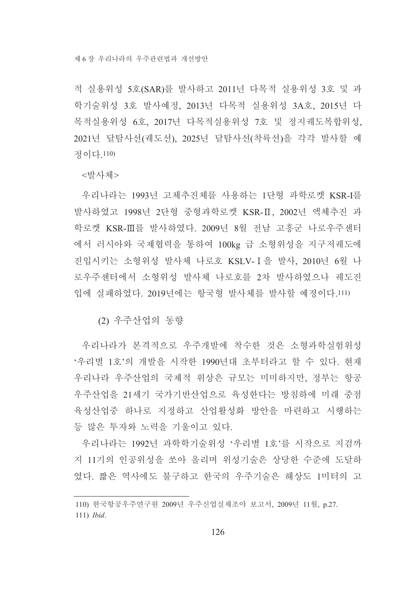적 실용위성 5호(SAR)를 발사하고 2011년 다목적 실용위성 3호 및 과 학기술위성 3호 발사예정, 2013년 다목적 실용위성 3A호, 2015년 다 목적실용위성 6호, 2017년 다목적실용위성 7호 및 정지궤도복합위성, 2021년 달탐사선(궤도선), 2025년 달탐사선(착륙선)을 각각 발사할 예 것이다 110)

<발사체>

우리나라는 1993년 고체추진체를 사용하는 1단형 과학로켓 KSR-I를 발사하였고 1998년 2단형 중형과학로켓 KSR-Ⅱ, 2002년 액체추진 과 학로켓 KSR-Ⅲ를 발사하였다. 2009년 8월 전남 고흥군 나로우주센터 에서 러시아와 국제협력을 통하여 100kg 급 소형위성을 지구저궤도에 진입시키는 소형위성 발사체 나로호 KSLV-I을 발사. 2010년 6월 나 로우주센터에서 소형위성 발사체 나로호를 2차 발사하였으나 궤도진 입에 실패하였다. 2019년에는 항국형 발사체를 발사할 예정이다.111)

(2) 우주사업의 동향

우리나라가 본격적으로 우주개발에 착수한 것은 소형과학실험위성 '우리별 1호'의 개발을 시작한 1990년대 초부터라고 할 수 있다. 현재 우리나라 우주산업의 국제적 위상은 규모는 미미하지만, 정부는 항공 우주산업을 21세기 국가기반산업으로 육성한다는 방침하에 미래 중점 육성산업중 하나로 지정하고 산업활성화 방안을 마련하고 시행하는 등 많은 투자와 노력을 기울이고 있다.

우리나라는 1992년 과학학기술위성 '우리별 1호'를 시작으로 지검까 지 11기의 인공위성을 쏘아 올리며 위성기술은 상당한 수주에 도달하 였다. 짧은 역사에도 불구하고 한국의 우주기술은 해상도 1미터의 고

<sup>110)</sup> 한국항공우주연구원 2009년 우주신업실채조야 보고서, 2009년 11월, p.27. 111) *Ibid.*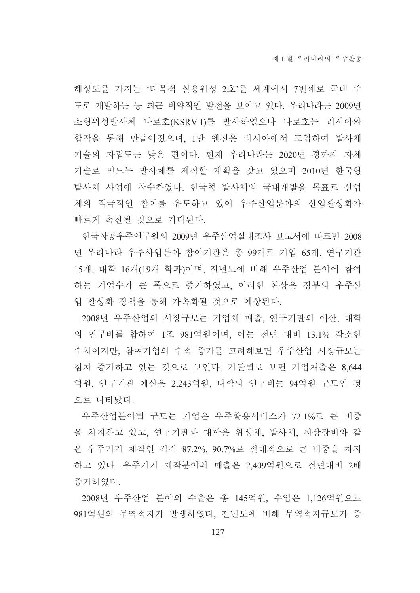해상도를 가지는 '다목적 실용위성 2호'를 세계에서 7번째로 국내 주 도로 개발하는 등 최근 비약적인 발전을 보이고 있다. 우리나라는 2009년 소형위성발사체 나로호(KSRV-I)를 발사하였으나 나로호는 러시아와 합작을 통해 만들어졌으며, 1단 엔진은 러시아에서 도입하여 발사체 기술의 자립도는 낮은 편이다. 현재 우리나라는 2020년 경까지 자체 기술로 만드는 발사체를 제작할 계획을 갖고 있으며 2010년 한국형 발사체 사업에 착수하였다. 한국형 발사체의 국내개발을 목표로 산업 체의 적극적인 참여를 유도하고 있어 우주산업분야의 산업활성화가 빠르게 촉진될 것으로 기대된다.

한국항공우주연구원의 2009년 우주산업실태조사 보고서에 따르면 2008 년 우리나라 우주사업분야 참여기관은 총 99개로 기업 65개, 연구기관 15개, 대학 16개(19개 학과)이며, 전년도에 비해 우주산업 분야에 참여 하는 기업수가 큰 폭으로 증가하였고, 이러한 현상은 정부의 우주산 업 활성화 정책을 통해 가속화될 것으로 예상된다.

2008년 우주산업의 시장규모는 기업체 매출, 연구기관의 예산, 대학 의 연구비를 합하여 1조 981억원이며, 이는 전년 대비 13.1% 감소한 수치이지만, 참여기업의 수적 증가를 고려해보면 우주산업 시장규모는 점차 증가하고 있는 것으로 보인다. 기관별로 보면 기업재출은 8,644 억원, 연구기관 예산은 2,243억원, 대학의 연구비는 94억원 규모인 것 으로 나타났다.

우주산업분야별 규모는 기업은 우주활용서비스가 72.1%로 큰 비중 을 차지하고 있고, 연구기관과 대학은 위성체, 발사체, 지상장비와 같 은 우주기기 제작인 각각 87.2%, 90.7%로 절대적으로 큰 비중을 차지 하고 있다. 우주기기 제작분야의 매출은 2,409억원으로 전년대비 2배 증가하였다.

2008년 우주산업 분야의 수출은 총 145억원, 수입은 1,126억원으로 981억원의 무역적자가 발생하였다. 전년도에 비해 무역적자규모가 증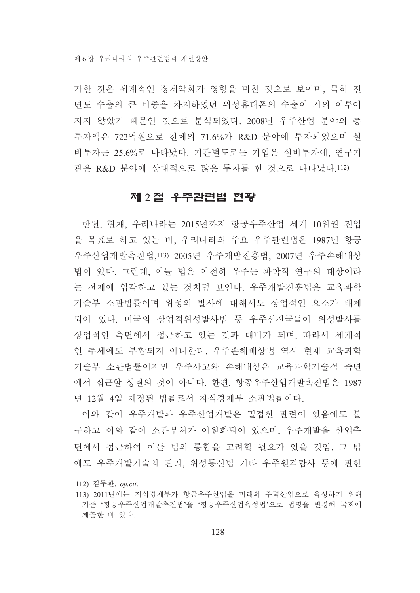가한 것은 세계적인 경제악화가 영향을 미친 것으로 보이며, 특히 저 년도 수출의 큰 비중을 차지하였던 위성휴대폰의 수출이 거의 이루어 지지 않았기 때문인 것으로 분석되었다. 2008년 우주산업 분야의 총 투자액은 722억원으로 전체의 71.6%가 R&D 분야에 투자되었으며 설 비투자는 25.6%로 나타났다. 기관별도로는 기업은 설비투자에, 연구기 관은 R&D 분야에 상대적으로 많은 투자를 한 것으로 나타났다.112)

#### 제 2절 우주관련법 현황

한편, 현재, 우리나라는 2015년까지 항공우주산업 세계 10위권 진입 을 목표로 하고 있는 바. 우리나라의 주요 우주관련법은 1987년 항공 우주산업개발촉진법,113) 2005년 우주개발진흥법, 2007년 우주손해배상 법이 있다. 그런데, 이들 법은 여전히 우주는 과학적 연구의 대상이라 는 전제에 입각하고 있는 것처럼 보인다. 우주개발진흥법은 교육과학 기술부 소관법률이며 위성의 발사에 대해서도 상업적인 요소가 배제 되어 있다. 미국의 상업적위성발사법 등 우주선진국들이 위성발사를 상업적인 측면에서 접근하고 있는 것과 대비가 되며, 따라서 세계적 인 추세에도 부합되지 아니한다. 우주손해배상법 역시 현재 교육과학 기술부 소관법률이지만 우주사고와 손해배상은 교육과학기술적 측면 에서 접근할 성질의 것이 아니다. 한편, 항공우주산업개발촉진법은 1987 년 12월 4일 제정된 법률로서 지식경제부 소관법률이다.

이와 같이 우주개발과 우주산업개발은 밀접한 관련이 있음에도 불 구하고 이와 같이 소관부처가 이원화되어 있으며, 우주개발을 산업측 면에서 접근하여 이들 법의 통합을 고려할 필요가 있을 것임. 그 밖 에도 우주개발기술의 관리, 위성통신법 기타 우주원격탐사 등에 관한

<sup>112)</sup> 김두환, op.cit.

<sup>113) 2011</sup>년에는 지식경제부가 항공우주산업을 미래의 주력산업으로 육성하기 위해 기존 '항공우주산업개발촉진법'을 '항공우주산업육성법'으로 법명을 변경해 국회에 제출한 바 있다.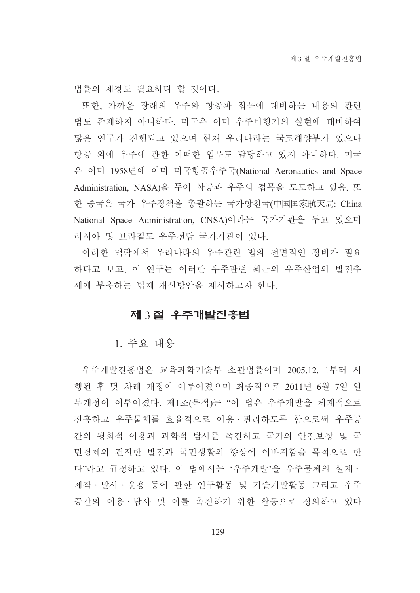법률의 제정도 필요하다 할 것이다.

또한, 가까운 장래의 우주와 항공과 접목에 대비하는 내용의 관련 법도 존재하지 아니하다. 미국은 이미 우주비행기의 실현에 대비하여 많은 연구가 진행되고 있으며 현재 우리나라는 국토해양부가 있으나 항공 외에 우주에 관한 어떠한 업무도 담당하고 있지 아니하다. 미국 은 이미 1958년에 이미 미국항공우주국(National Aeronautics and Space Administration, NASA)을 두어 항공과 우주의 접목을 도모하고 있음. 또 한 중국은 국가 우주정책을 총괄하는 국가항천국(中国国家航天局: China National Space Administration, CNSA)이라는 국가기관을 두고 있으며 러시아 및 브라질도 우주전담 국가기관이 있다.

이러한 맥락에서 우리나라의 우주관련 법의 전면적인 정비가 필요 하다고 보고, 이 연구는 이러한 우주관련 최근의 우주산업의 발전추 세에 부응하는 법제 개선방안을 제시하고자 한다.

#### 제 3 절 우주개발진중법

1. 주요 내용

우주개발진흥법은 교육과학기술부 소관법률이며 2005.12. 1부터 시 행된 후 몇 차례 개정이 이루어졌으며 최종적으로 2011년 6월 7일 일 부개정이 이루어졌다. 제1조(목적)는 "이 법은 우주개발을 체계적으로 진흥하고 우주물체를 효율적으로 이용 · 관리하도록 함으로써 우주공 간의 평화적 이용과 과학적 탐사를 촉진하고 국가의 안전보장 및 국 민경제의 건전한 발전과 국민생활의 향상에 이바지함을 목적으로 한 다"라고 규정하고 있다. 이 법에서는 '우주개발'을 우주물체의 설계ㆍ 제작 · 발사 · 운용 등에 관한 연구활동 및 기술개발활동 그리고 우주 공간의 이용 · 탐사 및 이를 촉진하기 위한 활동으로 정의하고 있다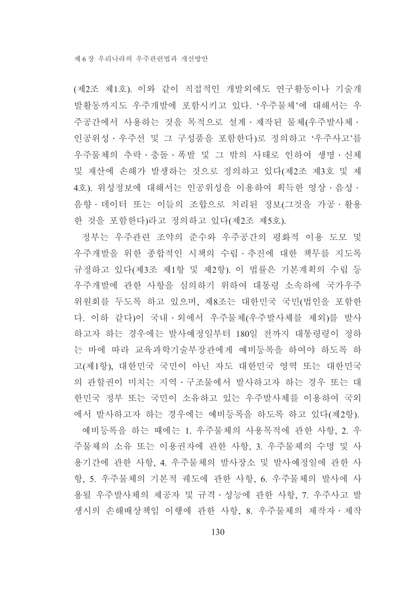(제2조 제1호). 이와 같이 직접적인 개발외에도 연구활동이나 기술개 발활동까지도 우주개발에 포함시키고 있다. '우주물체'에 대해서는 우 주공간에서 사용하는 것을 목적으로 설계 · 제작된 물체(우주발사체 · 인공위성·우주선 및 그 구성품을 포함한다)로 정의하고 '우주사고'를 우주물체의 추락·충돌·폭발 및 그 밖의 사태로 인하여 생명·신체 및 재산에 손해가 발생하는 것으로 정의하고 있다(제2조 제3호 및 제 4호). 위성정보에 대해서는 인공위성을 이용하여 획득한 영상·음성· 음향 · 데이터 또는 이들의 조합으로 처리된 정보(그것을 가공 · 활용 한 것을 포함한다)라고 정의하고 있다(제2조 제5호).

정부는 우주관련 조약의 준수와 우주공간의 평화적 이용 도모 및 우주개발을 위한 종합적인 시책의 수립·추진에 대한 책무를 지도록 규정하고 있다(제3조 제1항 및 제2항). 이 법률은 기본계획의 수립 등 우주개발에 관한 사항을 심의하기 위하여 대통령 소속하에 국가우주 위원회를 두도록 하고 있으며, 제8조는 대한민국 국민(법인을 포함한 다. 이하 같다)이 국내·외에서 우주물체(우주발사체를 제외)를 발사 하고자 하는 경우에는 발사예정일부터 180일 전까지 대통령령이 정하 는 바에 따라 교육과학기술부장관에게 예비등록을 하여야 하도록 하 고(제1항), 대한민국 국민이 아닌 자도 대한민국 영역 또는 대한민국 의 관할권이 미치는 지역 · 구조물에서 발사하고자 하는 경우 또는 대 한민국 정부 또는 국민이 소유하고 있는 우주발사체를 이용하여 국외 에서 발사하고자 하는 경우에는 예비등록을 하도록 하고 있다(제2항).

예비등록을 하는 때에는 1. 우주물체의 사용목적에 관한 사항, 2. 우 주물체의 소유 또는 이용권자에 관한 사항, 3. 우주물체의 수명 및 사 용기간에 관한 사항, 4. 우주물체의 발사장소 및 발사예정일에 관한 사 항, 5. 우주물체의 기본적 궤도에 관한 사항, 6. 우주물체의 발사에 사 용될 우주발사체의 제공자 및 규격 · 성능에 관한 사항, 7. 우주사고 발 생시의 손해배상책임 이행에 관한 사항, 8. 우주물체의 제작자·제작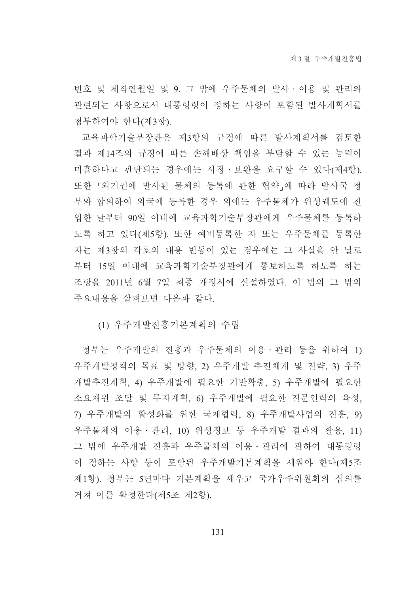번호 및 제작연월일 및 9. 그 밖에 우주물체의 발사 · 이용 및 관리와 관련되는 사항으로서 대통령령이 정하는 사항이 포함된 발사계획서를 첨부하여야 한다(제3항).

교육과학기술부장관은 제3항의 규정에 따른 발사계획서를 검토한 결과 제14조의 규정에 따른 손해배상 책임을 부담할 수 있는 능력이 미흡하다고 판단되는 경우에는 시정・보완을 요구할 수 있다(제4항). 또한 『외기권에 발사된 물체의 등록에 관한 협약』에 따라 발사국 정 부와 합의하여 외국에 등록한 경우 외에는 우주물체가 위성궤도에 진 입한 날부터 90일 이내에 교육과학기술부장관에게 우주물체를 등록하 도록 하고 있다(제5항). 또한 예비등록한 자 또는 우주물체를 등록한 자는 제3항의 각호의 내용 변동이 있는 경우에는 그 사실을 안 날로 부터 15일 이내에 교육과학기술부장관에게 통보하도록 하도록 하는 조항을 2011년 6월 7일 최종 개정시에 신설하였다. 이 법의 그 밖의 주요내용을 살펴보면 다음과 같다.

(1) 우주개발진흥기본계획의 수립

정부는 우주개발의 진흥과 우주물체의 이용ㆍ관리 등을 위하여 1) 우주개발정책의 목표 및 방향, 2) 우주개발 추진체계 및 전략, 3) 우주 개발추진계획, 4) 우주개발에 필요한 기반확충, 5) 우주개발에 필요한 소요재원 조달 및 투자계획, 6) 우주개발에 필요한 전문인력의 육성, 7) 우주개발의 활성화를 위한 국제협력, 8) 우주개발사업의 진흥, 9) 우주물체의 이용 · 관리, 10) 위성정보 등 우주개발 결과의 활용, 11) 그 밖에 우주개발 진흥과 우주물체의 이용ㆍ관리에 관하여 대통령령 이 정하는 사항 등이 포함된 우주개발기본계획을 세워야 한다(제5조 제1항). 정부는 5년마다 기본계획을 세우고 국가우주위원회의 심의를 거쳐 이를 확정한다(제5조 제2항).

131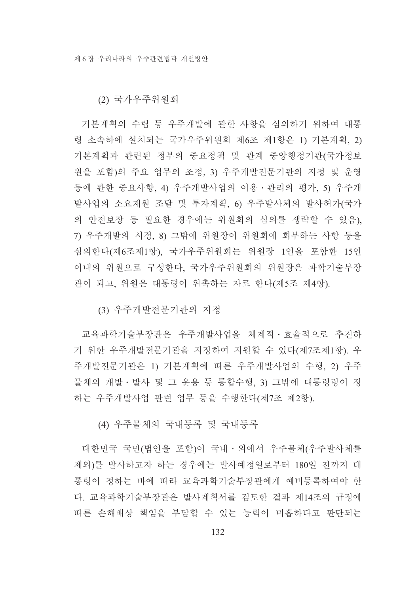(2) 국가우주위원회

기본계획의 수립 등 우주개발에 관한 사항을 심의하기 위하여 대통 령 소속하에 설치되는 국가우주위원회 제6조 제1항은 1) 기본계획, 2) 기본계획과 관련된 정부의 중요정책 및 관계 중앙행정기관(국가정보 원을 포함)의 주요 업무의 조정, 3) 우주개발전문기관의 지정 및 운영 등에 관한 중요사항, 4) 우주개발사업의 이용ㆍ관리의 평가, 5) 우주개 발사업의 소요재원 조달 및 투자계획, 6) 우주발사체의 발사허가(국가 의 안전보장 등 필요한 경우에는 위워회의 심의를 생략할 수 있음). 7) 우주개발의 시정, 8) 그밖에 위워장이 위워회에 회부하는 사항 등을 심의한다(제6조제1항), 국가우주위원회는 위원장 1인을 포함한 15인 이내의 위원으로 구성한다. 국가우주위원회의 위원장은 과학기술부장 관이 되고, 위원은 대통령이 위촉하는 자로 한다(제5조 제4항).

(3) 우주개발전문기관의 지정

교육과학기술부장관은 우주개발사업을 체계적 효율적으로 추진하 기 위한 우주개발전문기관을 지정하여 지원할 수 있다(제7조제1항). 우 주개발전문기관은 1) 기본계획에 따른 우주개발사업의 수행, 2) 우주 물체의 개발 · 발사 및 그 운용 등 통합수행, 3) 그밖에 대통령령이 정 하는 우주개발사업 관련 업무 등을 수행한다(제7조 제2항).

(4) 우주물체의 국내등록 및 국내등록

대한민국 국민(법인을 포함)이 국내 ·외에서 우주물체(우주발사체를 제외)를 발사하고자 하는 경우에는 발사예정일로부터 180일 전까지 대 통령이 정하는 바에 따라 교육과학기술부장관에게 예비등록하여야 한 다. 교육과학기술부장관은 발사계획서를 검토한 결과 제14조의 규정에 따른 손해배상 책임을 부담할 수 있는 능력이 미흡하다고 판단되는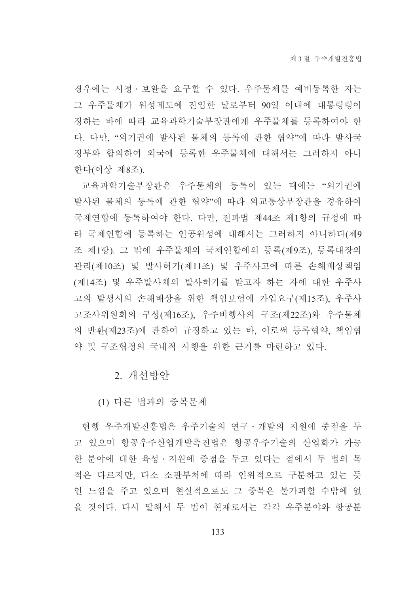경우에는 시정 · 보완을 요구할 수 있다. 우주물체를 예비등록한 자는 그 우주물체가 위성궤도에 진입한 날로부터 90일 이내에 대통령령이 정하는 바에 따라 교육과학기술부장관에게 우주물체를 등록하여야 한 다. 다만, "외기권에 발사된 물체의 등록에 관한 협약"에 따라 발사국 정부와 합의하여 외국에 등록한 우주물체에 대해서는 그러하지 아니 한다(이상 제8조).

교육과학기술부장관은 우주물체의 등록이 있는 때에는 "외기권에 발사된 물체의 등록에 관한 협약"에 따라 외교통상부장관을 경유하여 국제연합에 등록하여야 한다. 다만, 전파법 제44조 제1항의 규정에 따 라 국제연합에 등록하는 인공위성에 대해서는 그러하지 아니하다(제9 조 제1항). 그 밖에 우주물체의 국제연합에의 등록(제9조). 등록대장의 관리(제10조) 및 발사허가(제11조) 및 우주사고에 따른 손해배상책임 (제14조) 및 우주발사체의 발사허가를 받고자 하는 자에 대한 우주사 고의 발생시의 손해배상을 위한 책임보험에 가입요구(제15조), 우주사 고조사위원회의 구성(제16조), 우주비행사의 구조(제22조)와 우주물체 의 반환(제23조)에 관하여 규정하고 있는 바, 이로써 등록협약, 책임협 약 및 구조협정의 국내적 시행을 위한 근거를 마련하고 있다.

2. 개선방안

(1) 다른 법과의 중복문제

현행 우주개발진흥법은 우주기술의 연구 · 개발의 지원에 중점을 두 고 있으며 항공우주산업개발촉진법은 항공우주기술의 산업화가 가능 한 분야에 대한 육성 · 지원에 중점을 두고 있다는 점에서 두 법의 목 적은 다르지만, 다소 소관부처에 따라 인위적으로 구분하고 있는 듯 인 느낌을 주고 있으며 혀실적으로도 그 중복은 불가피할 수밖에 없 을 것이다. 다시 말해서 두 법이 현재로서는 각각 우주분야와 항공분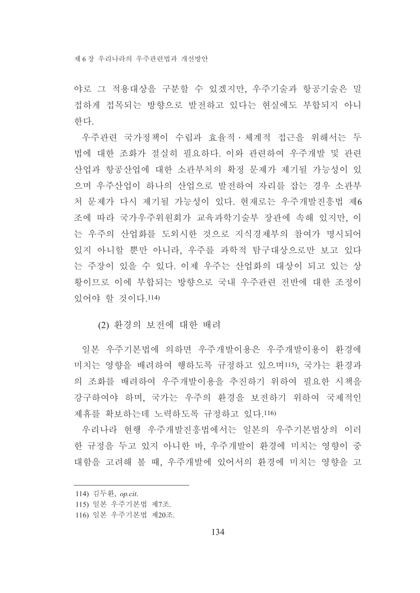제 6 장 우리나라의 우주과려법과 개선방안

야로 그 적용대상을 구분할 수 있겠지만, 우주기술과 항공기술은 밀 접하게 접목되는 방향으로 발전하고 있다는 현실에도 부합되지 아니 하다

우주관련 국가정책이 수립과 효율적 · 체계적 접근을 위해서는 두 법에 대한 조화가 절실히 필요하다. 이와 관련하여 우주개발 및 관련 산업과 항공산업에 대한 소관부처의 확정 문제가 제기될 가능성이 있 으며 우주산업이 하나의 산업으로 발전하여 자리를 잡는 경우 소관부 처 문제가 다시 제기될 가능성이 있다. 현재로는 우주개발진흥법 제6 조에 따라 국가우주위원회가 교육과학기술부 장관에 속해 있지만, 이 는 우주의 산업화를 도외시한 것으로 지식경제부의 참여가 명시되어 있지 아니할 뿐만 아니라. 우주를 과학적 탐구대상으로만 보고 있다 는 주장이 있을 수 있다. 이제 우주는 산업화의 대상이 되고 있는 상 황이므로 이에 부합되는 방향으로 국내 우주과려 저반에 대한 조정이 잎어야 할 것이다 114)

(2) 환경의 보전에 대한 배려

일본 우주기본법에 의하면 우주개발이용은 우주개발이용이 환경에 미치는 영향을 배려하여 행하도록 규정하고 있으며115), 국가는 환경과 의 조화를 배려하여 우주개발이용을 추진하기 위하여 필요한 시책을 강구하여야 하며, 국가는 우주의 화경을 보전하기 위하여 국제적인 제휴를 확보하는데 노력하도록 규정하고 있다.116)

우리나라 현행 우주개발진흥법에서는 일본의 우주기본법상의 이러 한 규정을 두고 있지 아니한 바, 우주개발이 환경에 미치는 영향이 중 대함을 고려해 볼 때, 우주개발에 있어서의 화경에 미치는 영향을 고

<sup>114)</sup> 김두환, op.cit.

<sup>115)</sup> 일본 우주기본법 제7조.

<sup>116)</sup> 일본 우주기본법 제20조.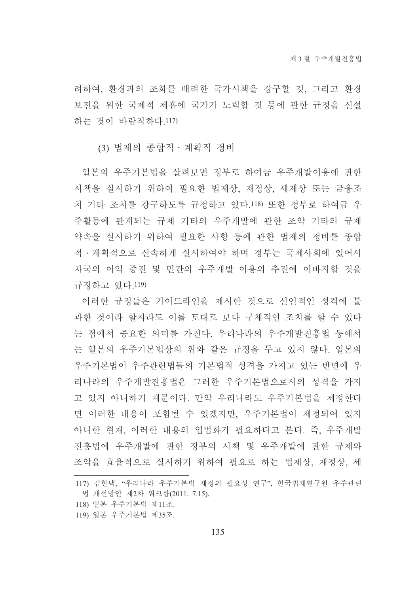려하여, 환경과의 조화를 배려한 국가시책을 강구할 것, 그리고 환경 보전을 위한 국제적 제휴에 국가가 노력할 것 등에 관한 규정을 신설 하는 것이 바람직하다 117)

(3) 법제의 종합적 · 계획적 정비

일본의 우주기본법을 살펴보면 정부로 하여금 우주개발이용에 관한 시책을 실시하기 위하여 필요한 법제상, 재정상, 세제상 또는 금융조 치 기타 조치를 강구하도록 규정하고 있다.118) 또한 정부로 하여금 우 주활동에 관계되는 규제 기타의 우주개발에 관한 조약 기타의 규제 약속을 실시하기 위하여 필요한 사항 등에 관한 법제의 정비를 종합 적ㆍ계획적으로 신속하게 실시하여야 하며 정부는 국제사회에 있어서 자국의 이익 증진 및 민간의 우주개발 이용의 추진에 이바지할 것을 규정하고 있다.119)

이러한 규정들은 가이드라인을 제시한 것으로 선언적인 성격에 불 과한 것이라 할지라도 이를 토대로 보다 구체적인 조치를 할 수 있다 는 점에서 중요한 의미를 가진다. 우리나라의 우주개발진흥법 등에서 는 일본의 우주기본법상의 위와 같은 규정을 두고 있지 않다. 일본의 우주기본법이 우주관련법들의 기본법적 성격을 가지고 있는 반면에 우 리나라의 우주개발진흥법은 그러한 우주기본법으로서의 성격을 가지 고 있지 아니하기 때문이다. 만약 우리나라도 우주기본법을 제정한다 면 이러한 내용이 포함될 수 있겠지만, 우주기본법이 제정되어 있지 아니한 현재, 이러한 내용의 입법화가 필요하다고 본다. 즉, 우주개발 진흥법에 우주개발에 관한 정부의 시책 및 우주개발에 관한 규제와 조약을 효율적으로 실시하기 위하여 필요로 하는 법제상, 재정상, 세

<sup>117)</sup> 김한택. "우리나라 우주기본법 제정의 필요성 연구". 한국법제연구워 우주관련 법 개선방안 제2차 워크샵(2011. 7.15).

<sup>118)</sup> 일본 우주기본법 제11조.

<sup>119)</sup> 일본 우주기본법 제35조.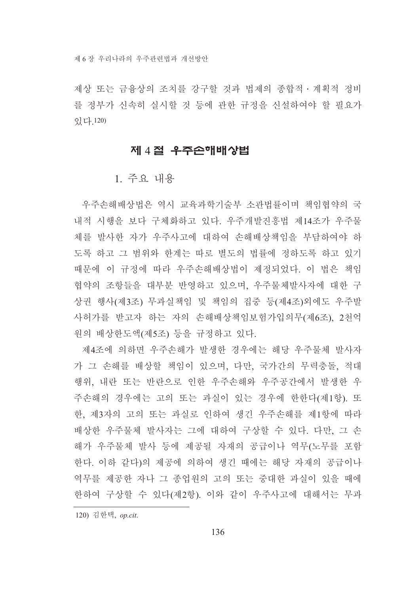제상 또는 금융상의 조치를 강구할 것과 법제의 종합적 • 계획적 정비 를 정부가 신속히 실시할 것 등에 관한 규정을 신설하여야 할 필요가 있다. 120)

#### 제 4절 우주손해배상법

1. 주요 내용

우주손해배상법은 역시 교육과학기술부 소관법률이며 책임협약의 국 내적 시행을 보다 구체화하고 있다. 우주개발진흥법 제14조가 우주물 체를 발사한 자가 우주사고에 대하여 손해배상책임을 부담하여야 하 도록 하고 그 범위와 한계는 따로 별도의 법률에 정하도록 하고 있기 때문에 이 규정에 따라 우주손해배상법이 제정되었다. 이 법은 책임 협약의 조항들을 대부분 반영하고 있으며, 우주물체발사자에 대한 구 상권 행사(제3조) 무과실책임 및 책임의 집중 등(제4조)외에도 우주발 사허가를 받고자 하는 자의 손해배상책임보험가입의무(제6조), 2천억 원의 배상한도액(제5조) 등을 규정하고 있다.

제4조에 의하면 우주손해가 발생한 경우에는 해당 우주물체 발사자 가 그 손해를 배상할 책임이 있으며, 다만, 국가간의 무력충돌, 적대 행위, 내란 또는 반란으로 인한 우주손해와 우주공간에서 발생한 우 주손해의 경우에는 고의 또는 과실이 있는 경우에 한한다(제1항). 또 한, 제3자의 고의 또는 과실로 인하여 생긴 우주손해를 제1항에 따라 배상한 우주물체 발사자는 그에 대하여 구상할 수 있다. 다만, 그 손 해가 우주물체 발사 등에 제공될 자재의 공급이나 역무(노무를 포함 한다. 이하 같다)의 제공에 의하여 생긴 때에는 해당 자재의 공급이나 역무를 제공한 자나 그 종업원의 고의 또는 중대한 과실이 있을 때에 한하여 구상할 수 있다(제2항) 이와 같이 우주사고에 대해서는 무과

120) 김한택, op.cit.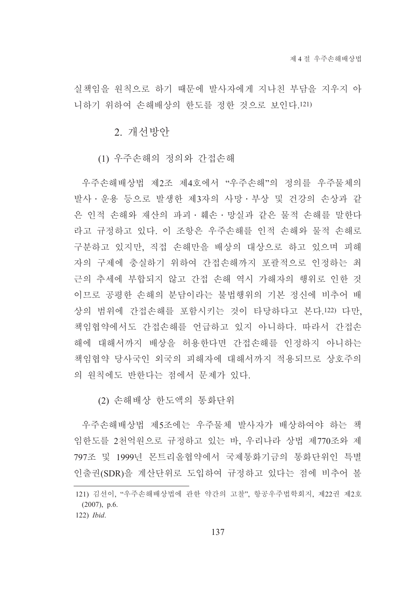실책임을 원칙으로 하기 때문에 발사자에게 지나친 부담을 지우지 아 니하기 위하여 손해배상의 한도를 정한 것으로 보인다.121)

2. 개선방안

(1) 우주손해의 정의와 간접손해

우주손해배상법 제2조 제4호에서 "우주손해"의 정의를 우주물체의 발사 · 운용 등으로 발생한 제3자의 사망 · 부상 및 건강의 손상과 같 은 인적 손해와 재산의 파괴 · 훼손 · 망실과 같은 물적 손해를 말한다 라고 규정하고 있다. 이 조항은 우주손해를 인적 손해와 물적 손해로 구분하고 있지만, 직접 손해만을 배상의 대상으로 하고 있으며 피해 자의 구제에 충실하기 위하여 간접손해까지 포괄적으로 인정하는 최 근의 추세에 부합되지 않고 간접 손해 역시 가해자의 행위로 인한 것 이므로 공평한 손해의 분담이라는 불법행위의 기본 정신에 비추어 배 상의 범위에 간접손해를 포함시키는 것이 타당하다고 본다.122) 다만. 책임협약에서도 간접손해를 언급하고 있지 아니하다. 따라서 간접손 해에 대해서까지 배상을 허용한다면 간접손해를 인정하지 아니하는 책임협약 당사국인 외국의 피해자에 대해서까지 적용되므로 상호주의 의 원칙에도 반한다는 점에서 문제가 있다.

(2) 손해배상 하도액의 통화다위

우주손해배상법 제5조에는 우주물체 발사자가 배상하여야 하는 책 임한도를 2천억워으로 규정하고 있는 바. 우리나라 상법 제770조와 제 797조 및 1999년 몬트리올협약에서 국제통화기금의 통화단위인 특별 인출권(SDR)을 계산단위로 도입하여 규정하고 있다는 점에 비추어 볼

<sup>121)</sup> 김선이, "우주손해배상법에 관한 약간의 고찰", 항공우주법학회지, 제22권 제2호  $(2007)$ , p.6.

<sup>122)</sup> Ibid.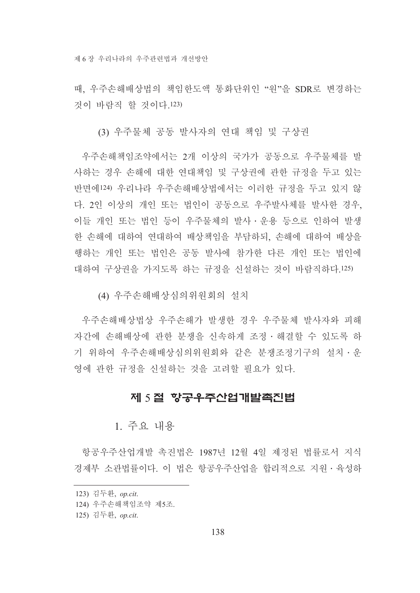때. 우주손해배상법의 책임한도액 통화단위인 "원"을 SDR로 변경하는 것이 바람직 할 것이다.123)

(3) 우주물체 공동 발사자의 연대 책임 및 구상권

우주손해책임조약에서는 2개 이상의 국가가 공동으로 우주물체를 발 사하는 경우 손해에 대한 연대책임 및 구상권에 관한 규정을 두고 있는 반면에124) 우리나라 우주손해배상법에서는 이러한 규정을 두고 있지 않 다. 2인 이상의 개인 또는 법인이 공동으로 우주발사체를 발사한 경우. 이들 개인 또는 법인 등이 우주물체의 발사 • 운용 등으로 인하여 발생 한 손해에 대하여 연대하여 배상책임을 부담하되, 손해에 대하여 배상을 행하는 개인 또는 법인은 공동 발사에 참가한 다른 개인 또는 법인에 대하여 구상권을 가지도록 하는 규정을 신설하는 것이 바람직하다.125)

(4) 우주손해배상심의위워회의 설치

우주손해배상법상 우주손해가 발생한 경우 우주물체 발사자와 피해 자간에 손해배상에 관한 분쟁을 신속하게 조정 · 해결할 수 있도록 하 기 위하여 우주손해배상심의위원회와 같은 분쟁조정기구의 설치 · 운 영에 관한 규정을 신설하는 것을 고려할 필요가 있다.

# 제 5절 항공우주산업개발촉진법

1. 주요 내용

항공우주산업개발 촉진법은 1987년 12월 4일 제정된 법률로서 지식 경제부 소과법률이다 이 법은 항공우주사업을 합리적으로 지워 · 육성하

- 124) 우주손해책임조약 제5조.
- 125) 김두환, op.cit.

<sup>123)</sup> 김두환, op.cit.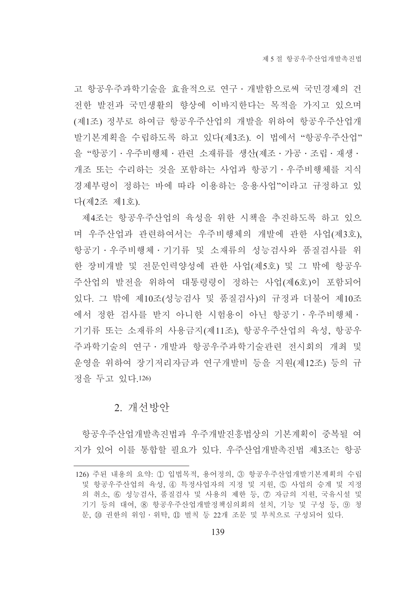고 항공우주과학기술을 효율적으로 연구 · 개발함으로써 국민경제의 건 전한 발전과 국민생활의 향상에 이바지한다는 목적을 가지고 있으며 (제1조) 정부로 하여금 항공우주산업의 개발을 위하여 항공우주산업개 발기본계획을 수립하도록 하고 있다(제3조). 이 법에서 "항공우주산업" 을 "항공기 · 우주비행체 · 관련 소재류를 생산(제조 · 가공 · 조립 · 재생 · 개조 또는 수리하는 것을 포함하는 사업과 항공기ㆍ우주비행체를 지식 경제부령이 정하는 바에 따라 이용하는 응용사업"이라고 규정하고 있 다(제2조 제1호).

제4조는 항공우주산업의 육성을 위한 시책을 추진하도록 하고 있으 며 우주산업과 관련하여서는 우주비행체의 개발에 관한 사업(제3호), 항공기 • 우주비행체 • 기기류 및 소재류의 성능검사와 품질검사를 위 한 장비개발 및 전문인력양성에 관한 사업(제5호) 및 그 밖에 항공우 주산업의 발전을 위하여 대통령령이 정하는 사업(제6호)이 포함되어 있다. 그 밖에 제10조(성능검사 및 품질검사)의 규정과 더불어 제10조 에서 정한 검사를 받지 아니한 시험용이 아닌 항공기·우주비행체· 기기류 또는 소재류의 사용금지(제11조). 항공우주산업의 육성. 항공우 주과학기술의 연구 · 개발과 항공우주과학기술관련 전시회의 개최 및 운영을 위하여 장기저리자금과 연구개발비 등을 지워(제12조) 등의 규 정을 두고 있다.126)

#### 2. 개선방안

항공우주산업개발촉진법과 우주개발진흥법상의 기본계획이 중복될 여 지가 있어 이를 통합할 필요가 있다. 우주산업개발촉진법 제3조는 항공

<sup>126)</sup> 주된 내용의 요약: ① 입법목적, 용어정의, 3 항공우주산업개발기본계획의 수립 및 항공우주산업의 육성. 4) 특정사업자의 지정 및 지워. 5) 사업의 승계 및 지정 의 취소, 6 성능검사, 품질검사 및 사용의 제한 등, 7 자금의 지원, 국유시설 및 기기 등의 대여. 8 항공우주산업개발정책심의회의 설치, 기능 및 구성 등, ⑨ 청 문, 10 권한의 위임 · 위탁, 11 벌칙 등 22개 조문 및 부칙으로 구성되어 있다.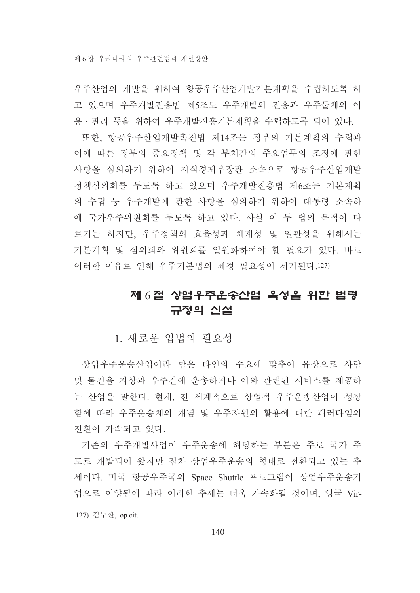우주산업의 개발을 위하여 항공우주산업개발기본계획을 수립하도록 하 고 있으며 우주개발진흥법 제5조도 우주개발의 진흥과 우주물체의 이 용 · 관리 등을 위하여 우주개발진흥기본계획을 수립하도록 되어 있다.

또한, 항공우주산업개발촉진법 제14조는 정부의 기본계획의 수립과 이에 따른 정부의 중요정책 및 각 부처간의 주요업무의 조정에 관한 사항을 심의하기 위하여 지식경제부장관 소속으로 항공우주산업개발 정책심의회를 두도록 하고 있으며 우주개발진흥법 제6조는 기본계획 의 수립 등 우주개발에 관한 사항을 심의하기 위하여 대통령 소속하 에 국가우주위원회를 두도록 하고 있다. 사실 이 두 법의 목적이 다 르기는 하지만, 우주정책의 효율성과 체계성 및 일관성을 위해서는 기본계획 및 심의회와 위원회를 일원화하여야 할 필요가 있다. 바로 이러한 이유로 인해 우주기본법의 제정 필요성이 제기된다.127)

# 제 6절 상업우주운송산업 육성을 위한 법령 규정의 신설

1. 새로우 입법의 필요성

상업우주운송산업이라 함은 타인의 수요에 맞추어 유상으로 사람 및 물건을 지상과 우주간에 우송하거나 이와 관련된 서비스를 제공하 는 산업을 말한다. 현재, 전 세계적으로 상업적 우주운송산업이 성장 함에 따라 우주운송체의 개념 및 우주자워의 활용에 대한 패러다임의 전화이 가속되고 있다.

기존의 우주개발사업이 우주운송에 해당하는 부분은 주로 국가 주 도로 개발되어 왔지만 점차 상업우주운송의 형태로 전환되고 있는 추 세이다. 미국 항공우주국의 Space Shuttle 프로그램이 상업우주운송기 업으로 이양됨에 따라 이러한 추세는 더욱 가속화될 것이며, 영국 Vir-

<sup>127)</sup> 김두환, op.cit.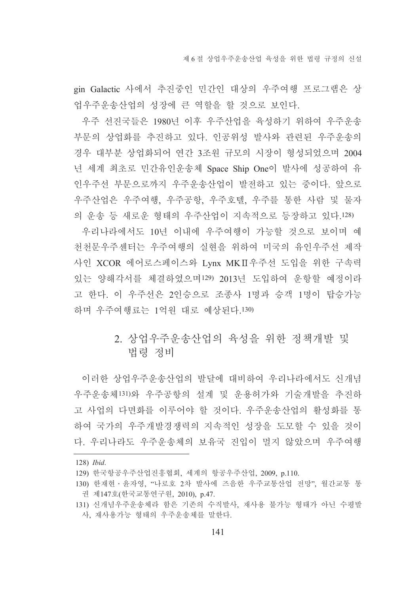gin Galactic 사에서 추진중인 민간인 대상의 우주여행 프로그램은 상 업우주운송산업의 성장에 큰 역할을 할 것으로 보인다.

우주 선진국들은 1980년 이후 우주산업을 육성하기 위하여 우주운송 부문의 상업화를 추진하고 있다. 인공위성 발사와 관련된 우주운송의 경우 대부분 상업화되어 연간 3조원 규모의 시장이 형성되었으며 2004 년 세계 최초로 민간유인운송체 Space Ship One이 발사에 성공하여 유 인우주선 부문으로까지 우주운송산업이 발전하고 있는 중이다. 앞으로 우주산업은 우주여행, 우주공항, 우주호텔, 우주를 통한 사람 및 물자 의 운송 등 새로운 형태의 우주산업이 지속적으로 등장하고 있다.128)

우리나라에서도 10년 이내에 우주여행이 가능할 것으로 보이며 예 천천문우주센터는 우주여행의 실현을 위하여 미국의 유인우주선 제작 사인 XCOR 에어로스페이스와 Lynx MK II 우주선 도입을 위한 구속력 있는 양해각서를 체결하였으며129) 2013년 도입하여 운항할 예정이라 고 한다. 이 우주선은 2인승으로 조종사 1명과 승객 1명이 탑승가능 하며 우주여행료는 1억원 대로 예상된다.130)

# 2. 상업우주운송산업의 육성을 위한 정책개발 및 법령 정비

이러한 상업우주운송사업의 발달에 대비하여 우리나라에서도 신개념 우주운송체131)와 우주공항의 설계 및 운용허가와 기술개발을 추진하 고 사업의 다면화를 이루어야 할 것이다. 우주운송산업의 활성화를 통 하여 국가의 우주개발경쟁력의 지속적인 성장을 도모할 수 있을 것이 다. 우리나라도 우주우송체의 보유국 지입이 멀지 않았으며 우주여행

<sup>128)</sup> Ibid.

<sup>129)</sup> 한국항공우주산업진흥협회, 세계의 항공우주산업, 2009, p.110.

<sup>130)</sup> 한재현 · 윤자영, "나로호 2차 발사에 즈음한 우주교통산업 전망", 월간교통 통 권 제147호(한국교통연구원, 2010), p.47.

<sup>131)</sup> 신개념우주운송체라 함은 기존의 수직발사, 재사용 불가능 형태가 아닌 수평발 사, 재사용가능 형태의 우주운송체를 말한다.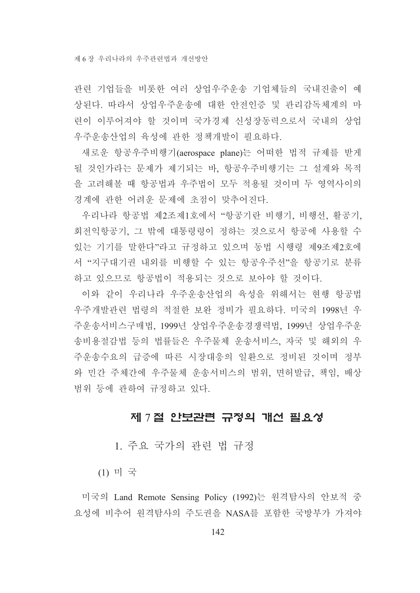관련 기업들을 비롯한 여러 상업우주운송 기업체들의 국내진출이 예 상된다. 따라서 상업우주운송에 대한 안전인증 및 관리감독체계의 마 련이 이루어져야 할 것이며 국가경제 신성장동력으로서 국내의 상업 우주운송산업의 육성에 관한 정책개발이 필요하다.

새로운 항공우주비행기(aerospace plane)는 어떠한 법적 규제를 받게 될 것인가라는 문제가 제기되는 바. 항공우주비행기는 그 설계와 목적 을 고려해볼 때 항공법과 우주법이 모두 적용될 것이며 두 영역사이의 경계에 관한 어려운 문제에 초점이 맞추어진다.

우리나라 항공법 제2조제1호에서 "항공기란 비행기, 비행선, 활공기, 회전익항공기, 그 밖에 대통령령이 정하는 것으로서 항공에 사용할 수 있는 기기를 말한다"라고 규정하고 있으며 동법 시행령 제9조제2호에 서 "지구대기권 내외를 비행할 수 있는 항공우주선"을 항공기로 분류 하고 있으므로 항공법이 적용되는 것으로 보아야 할 것이다.

이와 같이 우리나라 우주운송산업의 육성을 위해서는 현행 항공법 우주개발관련 법령의 적절한 보완 정비가 필요하다. 미국의 1998년 우 주운송서비스구매법, 1999년 상업우주운송경쟁력법, 1999년 상업우주운 송비용절감법 등의 법률들은 우주물체 운송서비스, 자국 및 해외의 우 주운송수요의 급증에 따른 시장대응의 일환으로 정비된 것이며 정부 와 민간 주체간에 우주물체 운송서비스의 범위, 면허발급, 책임, 배상 범위 등에 관하여 규정하고 있다.

# 제 7절 안보관련 규정의 개선 필요성

1. 주요 국가의 관련 법 규정

 $(1)$  미 국

미국의 Land Remote Sensing Policy (1992)는 워격탐사의 안보적 중 요성에 비추어 워격탐사의 주도권을 NASA를 포함한 국방부가 가져야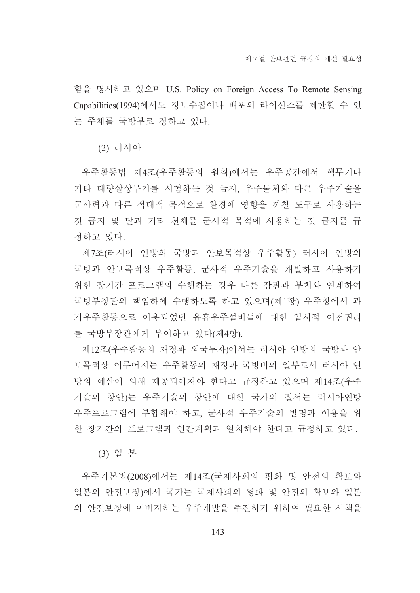함을 명시하고 있으며 U.S. Policy on Foreign Access To Remote Sensing Capabilities(1994)에서도 정보수집이나 배포의 라이선스를 제한할 수 있 는 주체를 국방부로 정하고 있다.

(2) 러시아

우주활동법 제4조(우주활동의 원칙)에서는 우주공간에서 핵무기나 기타 대량살상무기를 시험하는 것 금지, 우주물체와 다른 우주기술을 군사력과 다른 적대적 목적으로 환경에 영향을 끼칠 도구로 사용하는 것 금지 및 달과 기타 천체를 군사적 목적에 사용하는 것 금지를 규 정하고 있다.

제7조(러시아 연방의 국방과 안보목적상 우주활동) 러시아 연방의 국방과 안보목적상 우주활동, 군사적 우주기술을 개발하고 사용하기 위한 장기간 프로그램의 수행하는 경우 다른 장관과 부처와 연계하여 국방부장관의 책임하에 수행하도록 하고 있으며(제1항) 우주청에서 과 거우주활동으로 이용되었던 유휴우주설비들에 대한 일시적 이전권리 를 국방부장관에게 부여하고 있다(제4항).

제12조(우주활동의 재정과 외국투자)에서는 러시아 연방의 국방과 안 보목적상 이루어지는 우주활동의 재정과 국방비의 일부로서 러시아 연 방의 예산에 의해 제공되어져야 한다고 규정하고 있으며 제14조(우주 기술의 창안)는 우주기술의 창안에 대한 국가의 질서는 러시아연방 우주프로그램에 부합해야 하고, 군사적 우주기술의 발명과 이용을 위 한 장기간의 프로그램과 연간계획과 일치해야 한다고 규정하고 있다.

(3) 일 본

우주기본법(2008)에서는 제14조(국제사회의 평화 및 안전의 확보와 일본의 안전보장)에서 국가는 국제사회의 평화 및 안전의 확보와 일본 의 안전보장에 이바지하는 우주개발을 추진하기 위하여 필요한 시책을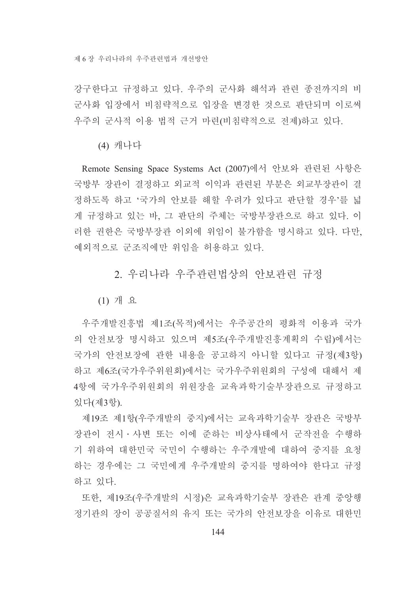강구한다고 규정하고 있다. 우주의 군사화 해석과 관련 종전까지의 비 군사화 입장에서 비침략적으로 입장을 변경한 것으로 판단되며 이로써 우주의 군사적 이용 법적 근거 마련(비침략적으로 전제)하고 있다.

(4) 캐나다

Remote Sensing Space Systems Act (2007)에서 안보와 관련된 사항은 국방부 장관이 결정하고 외교적 이익과 관련된 부분은 외교부장관이 결 정하도록 하고 '국가의 안보를 해할 우려가 있다고 판단할 경우'를 넓 게 규정하고 있는 바, 그 판단의 주체는 국방부장관으로 하고 있다. 이 러한 권한은 국방부장관 이외에 위임이 불가함을 명시하고 있다. 다만, 예외적으로 군조직에만 위임을 허용하고 있다.

## 2. 우리나라 우주과려법상의 아보과려 규정

 $(1)$  개 요

우주개발진흥법 제1조(목적)에서는 우주공간의 평화적 이용과 국가 의 안전보장 명시하고 있으며 제5조(우주개발진흥계획의 수립)에서는 국가의 안전보장에 관한 내용을 공고하지 아니할 있다고 규정(제3항) 하고 제6조(국가우주위원회)에서는 국가우주위원회의 구성에 대해서 제 4항에 국가우주위원회의 위원장을 교육과학기술부장관으로 규정하고 있다(제3항).

제19조 제1항(우주개발의 중지)에서는 교육과학기술부 장관은 국방부 장관이 전시·사변 또는 이에 준하는 비상사태에서 군작전을 수행하 기 위하여 대한민국 국민이 수행하는 우주개발에 대하여 중지를 요청 하는 경우에는 그 국민에게 우주개발의 중지를 명하여야 한다고 규정 하고 있다.

또한, 제19조(우주개발의 시정)은 교육과학기술부 장관은 관계 중앙행 정기관의 장이 공공질서의 유지 또는 국가의 안전보장을 이유로 대한민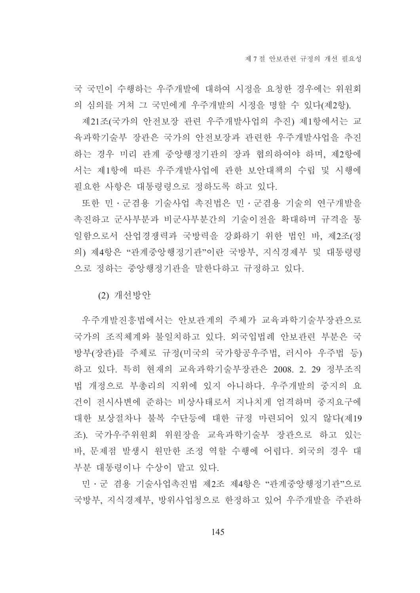국 국민이 수행하는 우주개발에 대하여 시정을 요청한 경우에는 위원회 의 심의를 거쳐 그 국민에게 우주개발의 시정을 명할 수 있다(제2항).

제21조(국가의 안전보장 관련 우주개발사업의 추진) 제1항에서는 교 육과학기술부 장관은 국가의 안전보장과 관련한 우주개발사업을 추진 하는 경우 미리 관계 중앙행정기관의 장과 협의하여야 하며, 제2항에 서는 제1항에 따른 우주개발사업에 관한 보안대책의 수립 및 시행에 필요한 사항은 대통령령으로 정하도록 하고 있다.

또한 민·군겸용 기술사업 촉진법은 민·군겸용 기술의 연구개발을 촉진하고 군사부분과 비군사부분간의 기술이전을 확대하며 규격을 통 일함으로서 산업경쟁력과 국방력을 강화하기 위한 법인 바, 제2조(정 의) 제4항은 "관계중앙행정기관"이란 국방부, 지식경제부 및 대통령령 으로 정하는 중앙행정기관을 말한다하고 규정하고 있다.

(2) 개선방안

우주개발진흥법에서는 안보관계의 주체가 교육과학기술부장관으로 국가의 조직체계와 불일치하고 있다. 외국입법례 안보관련 부분은 국 방부(장관)를 주체로 규정(미국의 국가항공우주법, 러시아 우주법 등) 하고 있다. 특히 현재의 교육과학기술부장관은 2008. 2. 29 정부조직 법 개정으로 부총리의 지위에 있지 아니하다. 우주개발의 중지의 요 건이 전시사변에 준하는 비상사태로서 지나치게 엄격하며 중지요구에 대한 보상절차나 불복 수단등에 대한 규정 마련되어 있지 않다(제19 조). 국가우주위원회 위원장을 교육과학기술부 장관으로 하고 있는 바, 문제점 발생시 원만한 조정 역할 수행에 어렵다. 외국의 경우 대 부분 대통령이나 수상이 맡고 있다.

민·군 겸용 기술사업촉진법 제2조 제4항은 "관계중앙행정기관"으로 국방부, 지식경제부, 방위사업청으로 한정하고 있어 우주개발을 주관하

145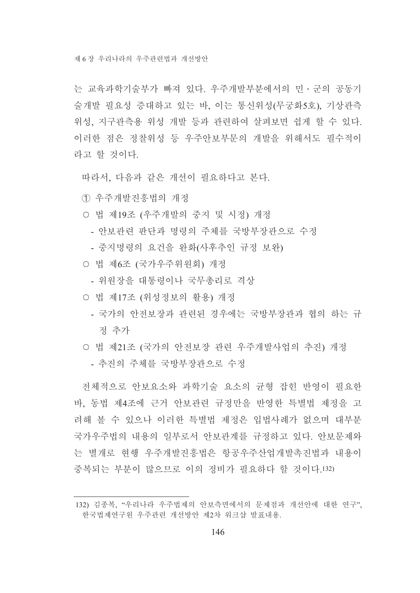는 교육과학기술부가 빠져 있다. 우주개발부분에서의 민 · 군의 공동기 술개발 필요성 증대하고 있는 바, 이는 통신위성(무궁화5호), 기상관측 위성, 지구관측용 위성 개발 등과 관련하여 살펴보면 쉽게 할 수 있다. 이러한 점은 정찰위성 등 우주안보부문의 개발을 위해서도 필수적이 라고 할 것이다.

따라서 다음과 같은 개선이 필요하다고 본다.

1 우주개발진흥법의 개정

- 법 제19조 (우주개발의 중지 및 시정) 개정
	- 안보관련 판단과 명령의 주체를 국방부장관으로 수정
	- 중지명령의 요건을 완화(사후추인 규정 보완)
- 법 제6조 (국가우주위원회) 개정
	- 위원장을 대통령이나 국무총리로 격상
- 법 제17조 (위성정보의 활용) 개정
	- 국가의 안전보장과 관련된 경우에는 국방부장관과 협의 하는 규 정 추가
- 법 제21조 (국가의 안전보장 관련 우주개발사업의 추진) 개정 - 추진의 주체를 국방부장관으로 수정

전체적으로 안보요소와 과학기술 요소의 균형 잡힌 반영이 필요한 바. 동법 제4조에 근거 안보관련 규정만을 반영한 특별법 제정을 고 려해 볼 수 있으나 이러한 특별법 제정은 입법사례가 없으며 대부분 국가우주법의 내용의 일부로서 안보관계를 규정하고 있다. 안보문제와 는 별개로 현행 우주개발진흥법은 항공우주산업개발촉진법과 내용이 중복되는 부부이 많으므로 이의 정비가 필요하다 할 것이다 132)

<sup>132)</sup> 김종복, "우리나라 우주법제의 안보측면에서의 문제점과 개선안에 대한 연구", 한국법제여구워 우주관련 개선방안 제2차 워크샵 발표내용.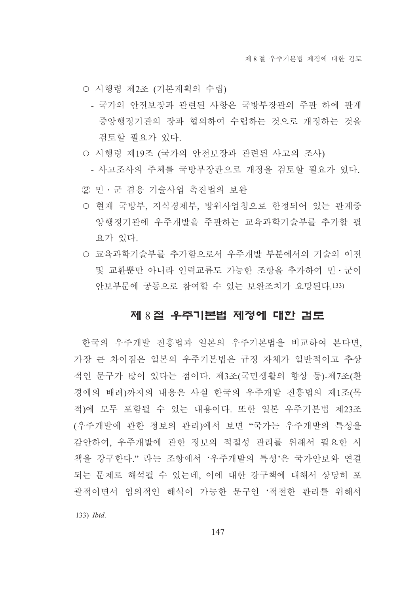- 시행령 제2조 (기본계획의 수립)
	- 국가의 안전보장과 관련된 사항은 국방부장관의 주관 하에 관계 중앙행정기관의 장과 협의하여 수립하는 것으로 개정하는 것을 검토할 필요가 있다.
- 시행령 제19조 (국가의 안전보장과 관련된 사고의 조사)
	- 사고조사의 주체를 국방부장관으로 개정을 검토할 필요가 있다.
- ② 민·군 겸용 기술사업 촉진법의 보완
- 현재 국방부, 지식경제부, 방위사업청으로 한정되어 있는 관계중 앙행정기관에 우주개발을 주관하는 교육과학기술부를 추가할 필 요가 있다.
- 교육과학기술부를 추가함으로서 우주개발 부분에서의 기술의 이전 및 교화뿌만 아니라 이력교류도 가능한 조항을 추가하여 민 · 구이 안보부문에 공동으로 참여할 수 있는 보완조치가 요망된다.133)

#### 제 8 절 우주기본법 제정에 대한 검토

한국의 우주개발 진흥법과 일본의 우주기본법을 비교하여 본다면. 가장 큰 차이점은 일본의 우주기본법은 규정 자체가 일반적이고 추상 적인 문구가 많이 있다는 점이다. 제3조(국민생활의 향상 등)-제7조(화 경에의 배려)까지의 내용은 사실 한국의 우주개발 진흥법의 제1조(목 적)에 모두 포함될 수 있는 내용이다. 또한 일본 우주기본법 제23조 (우주개발에 관한 정보의 관리)에서 보면 "국가는 우주개발의 특성을 감안하여. 우주개발에 관한 정보의 적절성 관리를 위해서 필요한 시 책을 강구한다." 라는 조항에서 '우주개발의 특성'은 국가안보와 연결 되는 문제로 해석될 수 있는데, 이에 대한 강구책에 대해서 상당히 포 괄적이면서 임의적인 해석이 가능한 문구인 '적절한 관리를 위해서

<sup>133)</sup> *Ibid.*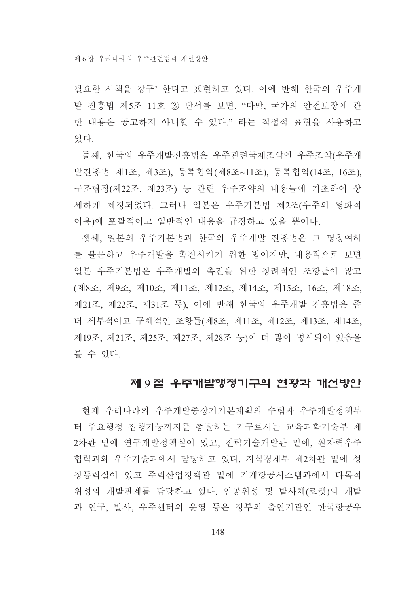제 6 장 우리나라의 우주과려법과 개선방안

필요한 시책을 강구' 한다고 표현하고 있다. 이에 반해 한국의 우주개 발 진흥법 제5조 11호 3 단서를 보면, "다만, 국가의 안전보장에 관 한 내용은 공고하지 아니할 수 있다." 라는 직접적 표현을 사용하고 있다.

둘째, 한국의 우주개발진흥법은 우주관련국제조약인 우주조약(우주개 발진흥법 제1조, 제3조), 등록협약(제8조~11조), 등록협약(14조, 16조), 구조협정(제22조, 제23조) 등 관련 우주조약의 내용들에 기초하여 상 세하게 제정되었다. 그러나 일본은 우주기본법 제2조(우주의 평화적 이용)에 포괄적이고 일반적인 내용을 규정하고 있을 뿐이다.

셋째, 일본의 우주기본법과 한국의 우주개발 진흥법은 그 명칭여하 를 불문하고 우주개발을 촉진시키기 위한 법이지만, 내용적으로 보면 일본 우주기본법은 우주개발의 촉진을 위한 장려적인 조항들이 많고 (제8조, 제9조, 제10조, 제11조, 제12조, 제14조, 제15조, 16조, 제18조, 제21조, 제22조, 제31조 등), 이에 반해 한국의 우주개발 진흥법은 좀 더 세부적이고 구체적인 조항들(제8조, 제11조, 제12조, 제13조, 제14조, 제19조, 제21조, 제25조, 제27조, 제28조 등)이 더 많이 명시되어 있음을 볼 수 있다.

# 제 9절 우주개발행정기구의 현황과 개선방안

현재 우리나라의 우주개발중장기기본계획의 수립과 우주개발정책부 터 주요행정 집행기능까지를 총괄하는 기구로서는 교육과학기술부 제 2차관 밑에 연구개발정책실이 있고, 전략기술개발관 밑에, 원자력우주 협력과와 우주기술과에서 담당하고 있다. 지식경제부 제2차관 밑에 성 장동력실이 있고 주력산업정책관 밑에 기계항공시스템과에서 다목적 위성의 개발관계를 담당하고 있다. 인공위성 및 발사체(로켓)의 개발 과 연구, 발사, 우주센터의 운영 등은 정부의 출연기관인 한국항공우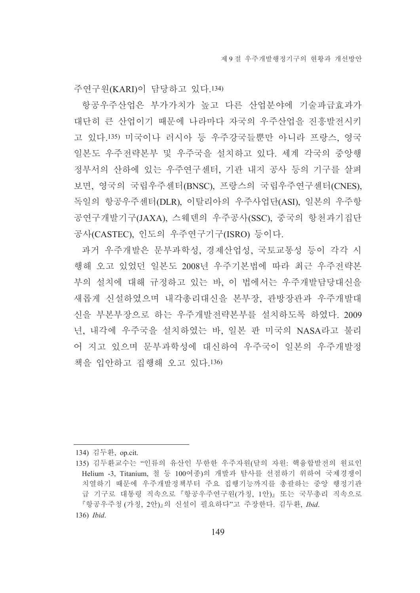주연구워(KARI)이 담당하고 있다.134)

항공우주산업은 부가가치가 높고 다른 산업부야에 기술파급효과가 대단히 큰 산업이기 때문에 나라마다 자국의 우주산업을 진흥발전시키 고 있다.135) 미국이나 러시아 등 우주강국들뿐만 아니라 프랑스, 영국 일본도 우주전략본부 및 우주국을 설치하고 있다. 세계 각국의 중앙행 정부서의 산하에 있는 우주연구센터, 기관 내지 공사 등의 기구를 살펴 보면, 영국의 국립우주센터(BNSC), 프랑스의 국립우주연구센터(CNES), 독일의 항공우주센터(DLR), 이탈리아의 우주사업단(ASI), 일본의 우주항 공연구개발기구(JAXA), 스웨덴의 우주공사(SSC), 중국의 항천과기집단 공사(CASTEC), 인도의 우주연구기구(ISRO) 등이다.

과거 우주개발은 문부과학성, 경제산업성, 국토교통성 등이 각각 시 행해 오고 있었던 일본도 2008년 우주기본법에 따라 최근 우주전략본 부의 설치에 대해 규정하고 있는 바, 이 법에서는 우주개발담당대신을 새롭게 신설하였으며 내각총리대신을 본부장, 관방장관과 우주개발대 신을 부본부장으로 하는 우주개발전략본부를 설치하도록 하였다. 2009 년, 내각에 우주국을 설치하였는 바, 일본 판 미국의 NASA라고 불리 어 지고 있으며 문부과학성에 대신하여 우주국이 일본의 우주개발정 책을 입안하고 집행해 오고 있다.136)

<sup>134)</sup> 김두환, op.cit.

<sup>135)</sup> 김두환교수는 "인류의 유산인 무한한 우주자원(달의 자원: 핵융합발전의 원료인 Helium -3, Titanium, 철 등 100여종)의 개발과 탐사를 선점하기 위하여 국제경쟁이 치열하기 때문에 우주개발정책부터 주요 집행기능까지를 총괄하는 중앙 행정기관 급 기구로 대통령 직속으로 『항공우주연구원(가칭, 1안)』 또는 국무총리 직속으로 『항공우주청 (가칭, 2안)』의 신설이 필요하다"고 주장한다. 김두환, Ibid.

<sup>136)</sup> *Ibid.*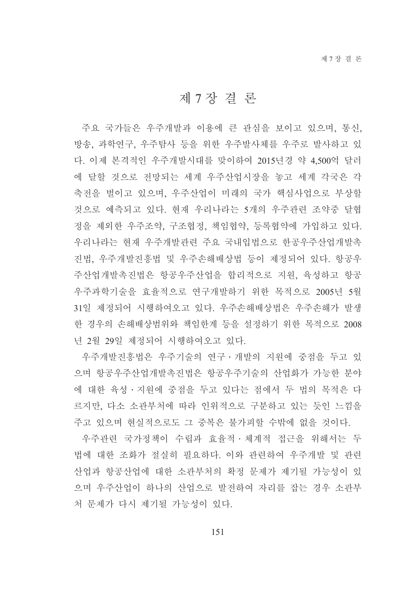## 제 7 장결론

주요 국가들은 우주개발과 이용에 큰 관심을 보이고 있으며, 통신, 방송, 과학연구, 우주탐사 등을 위한 우주발사체를 우주로 발사하고 있 다. 이제 본격적인 우주개발시대를 맞이하여 2015년경 약 4,500억 달러 에 달할 것으로 전망되는 세계 우주산업시장을 놓고 세계 각국은 각 축전을 벌이고 있으며, 우주산업이 미래의 국가 핵심사업으로 부상할 것으로 예측되고 있다. 현재 우리나라는 5개의 우주관련 조약중 달협 정을 제외한 우주조약, 구조협정, 책임협약, 등록협약에 가입하고 있다. 우리나라는 현재 우주개발관련 주요 국내입법으로 한공우주산업개발촉 진법. 우주개발진흥법 및 우주손해배상법 등이 제정되어 있다. 항공우 주산업개발촉진법은 항공우주산업을 합리적으로 지원, 육성하고 항공 우주과학기술을 효율적으로 연구개발하기 위한 목적으로 2005년 5월 31일 제정되어 시행하여오고 있다. 우주손해배상법은 우주손해가 발생 한 경우의 손해배상범위와 책임한계 등을 설정하기 위한 목적으로 2008 년 2월 29일 제정되어 시행하여오고 있다.

우주개발진흥법은 우주기술의 연구·개발의 지원에 중점을 두고 있 으며 항공우주산업개발촉진법은 항공우주기술의 산업화가 가능한 분야 에 대한 육성ㆍ지워에 중점을 두고 있다는 점에서 두 법의 목적은 다 르지만, 다소 소관부처에 따라 인위적으로 구분하고 있는 듯인 느낌을 주고 있으며 혀실적으로도 그 중복은 불가피할 수밖에 없을 것이다.

우주관련 국가정책이 수립과 효율적 · 체계적 접근을 위해서는 두 법에 대한 조화가 절실히 필요하다. 이와 관련하여 우주개발 및 관련 산업과 항공산업에 대한 소관부처의 확정 문제가 제기될 가능성이 있 으며 우주산업이 하나의 산업으로 발전하여 자리를 잡는 경우 소관부 처 문제가 다시 제기될 가능성이 있다.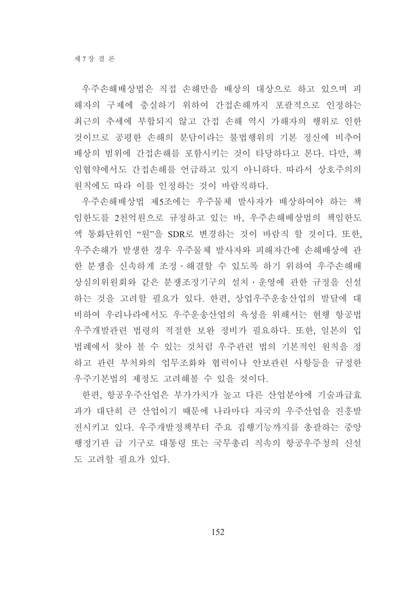우주손해배상법은 직접 손해만을 배상의 대상으로 하고 있으며 피 해자의 구제에 충실하기 위하여 간접손해까지 포괄적으로 인정하는 최근의 추세에 부합되지 않고 간접 손해 역시 가해자의 행위로 인한 것이므로 공평한 손해의 분담이라는 불법행위의 기본 정신에 비추어 배상의 범위에 간접손해를 포함시키는 것이 타당하다고 본다. 다만, 책 임협약에서도 간접손해를 언급하고 있지 아니하다. 따라서 상호주의의 원칙에도 따라 이를 인정하는 것이 바람직하다.

우주손해배상법 제5조에는 우주물체 발사자가 배상하여야 하는 책 임한도를 2천억원으로 규정하고 있는 바, 우주손해배상법의 책임한도 액 통화단위인 "원"을 SDR로 변경하는 것이 바람직 할 것이다. 또한, 우주손해가 발생한 경우 우주물체 발사자와 피해자간에 손해배상에 관 한 분쟁을 신속하게 조정·해결할 수 있도록 하기 위하여 우주손해배 상심의위원회와 같은 분쟁조정기구의 설치 · 운영에 관한 규정을 신설 하는 것을 고려할 필요가 있다. 한편, 상업우주운송산업의 발달에 대 비하여 우리나라에서도 우주운송산업의 육성을 위해서는 현행 항공법 우주개발관련 법령의 적절한 보완 정비가 필요하다. 또한. 일본의 입 법례에서 찾아 볼 수 있는 것처럼 우주관련 법의 기본적인 원칙을 정 하고 관련 부처와의 업무조화와 협력이나 안보관련 사항등을 규정한 우주기본법의 제정도 고려해볼 수 있을 것이다.

한편, 항공우주산업은 부가가치가 높고 다른 산업분야에 기술파급효 과가 대단히 큰 산업이기 때문에 나라마다 자국의 우주산업을 진흥발 저시키고 있다. 우주개발정책부터 주요 집행기능까지를 총괄하는 중앙 행정기관 급 기구로 대통령 또는 국무총리 직속의 항공우주청의 신설 도 고려할 필요가 있다.

152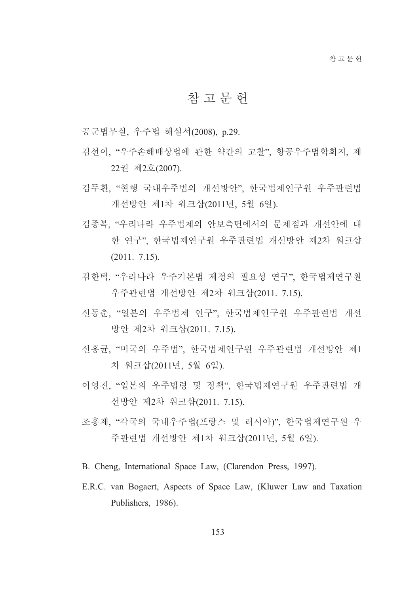## 참 고 무 헌

공군법무실, 우주법 해설서(2008), p.29.

- 김선이, "우주손해배상법에 관한 약간의 고찰", 항공우주법학회지, 제 22권 제2호(2007).
- 김두환, "현행 국내우주법의 개선방안", 한국법제연구원 우주관련법 개선방안 제1차 워크샵(2011년, 5월 6일).
- 김종복. "우리나라 우주법제의 안보측면에서의 문제점과 개선안에 대 한 연구", 한국법제연구원 우주관련법 개선방안 제2차 워크샵  $(2011. 7.15).$
- 김한택. "우리나라 우주기본법 제정의 필요성 연구". 한국법제연구워 우주관련법 개선방안 제2차 워크샵(2011. 7.15).
- 신동춘, "일본의 우주법제 연구", 한국법제연구원 우주관련법 개선 방안 제2차 워크샵(2011. 7.15).
- 신홍균, "미국의 우주법", 한국법제연구원 우주관련법 개선방안 제1 차 워크샵(2011년, 5월 6일).
- 이영지 "일본의 우주법령 및 정책" 한국법제연구원 우주관련법 개 선방안 제2차 워크샵(2011. 7.15).
- 조홍제. "각국의 국내우주법(프랑스 및 러시아)". 한국법제연구원 우 주관련법 개선방안 제1차 워크샵(2011년, 5월 6일).
- B. Cheng, International Space Law, (Clarendon Press, 1997).
- E.R.C. van Bogaert, Aspects of Space Law, (Kluwer Law and Taxation Publishers, 1986).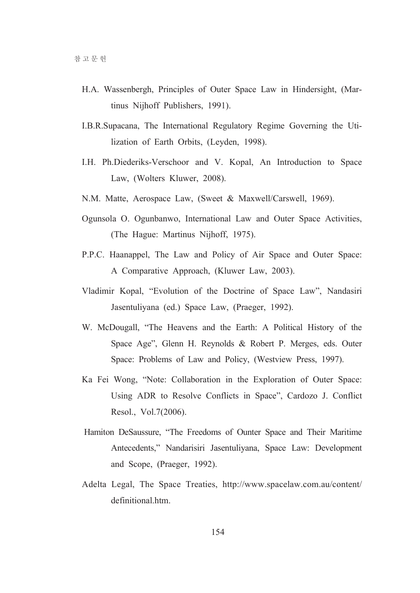- H.A. Wassenbergh, Principles of Outer Space Law in Hindersight, (Martinus Nijhoff Publishers, 1991).
- I.B.R.Supacana, The International Regulatory Regime Governing the Utilization of Earth Orbits, (Leyden, 1998).
- I.H. Ph.Diederiks-Verschoor and V. Kopal, An Introduction to Space Law, (Wolters Kluwer, 2008).
- N.M. Matte, Aerospace Law, (Sweet & Maxwell/Carswell, 1969).
- Ogunsola O. Ogunbanwo, International Law and Outer Space Activities, (The Hague: Martinus Nijhoff, 1975).
- P.P.C. Haanappel, The Law and Policy of Air Space and Outer Space: A Comparative Approach, (Kluwer Law, 2003).
- Vladimir Kopal, "Evolution of the Doctrine of Space Law", Nandasiri Jasentuliyana (ed.) Space Law, (Praeger, 1992).
- W. McDougall, "The Heavens and the Earth: A Political History of the Space Age", Glenn H. Reynolds & Robert P. Merges, eds. Outer Space: Problems of Law and Policy, (Westview Press, 1997).
- Ka Fei Wong, "Note: Collaboration in the Exploration of Outer Space: Using ADR to Resolve Conflicts in Space", Cardozo J. Conflict Resol., Vol.7(2006).
- Hamiton DeSaussure, "The Freedoms of Ounter Space and Their Maritime Antecedents," Nandarisiri Jasentuliyana, Space Law: Development and Scope, (Praeger, 1992).
- Adelta Legal, The Space Treaties, http://www.spacelaw.com.au/content/ definitional htm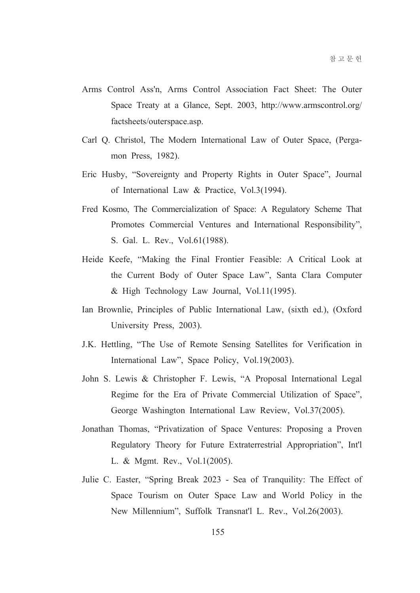- Arms Control Ass'n, Arms Control Association Fact Sheet: The Outer Space Treaty at a Glance, Sept. 2003, http://www.armscontrol.org/ factsheets/outerspace.asp.
- Carl Q. Christol, The Modern International Law of Outer Space, (Pergamon Press, 1982).
- Eric Husby, "Sovereignty and Property Rights in Outer Space", Journal of International Law & Practice, Vol.3(1994).
- Fred Kosmo, The Commercialization of Space: A Regulatory Scheme That Promotes Commercial Ventures and International Responsibility", S. Gal. L. Rev., Vol.61(1988).
- Heide Keefe, "Making the Final Frontier Feasible: A Critical Look at the Current Body of Outer Space Law", Santa Clara Computer & High Technology Law Journal, Vol.11(1995).
- Ian Brownlie, Principles of Public International Law, (sixth ed.), (Oxford University Press, 2003).
- J.K. Hettling. "The Use of Remote Sensing Satellites for Verification in International Law", Space Policy, Vol.19(2003).
- John S. Lewis & Christopher F. Lewis, "A Proposal International Legal Regime for the Era of Private Commercial Utilization of Space", George Washington International Law Review, Vol.37(2005).
- Jonathan Thomas, "Privatization of Space Ventures: Proposing a Proven Regulatory Theory for Future Extraterrestrial Appropriation", Int'l L. & Mgmt. Rev., Vol.1(2005).
- Julie C. Easter, "Spring Break 2023 Sea of Tranquility: The Effect of Space Tourism on Outer Space Law and World Policy in the New Millennium", Suffolk Transnat'l L. Rev., Vol.26(2003).